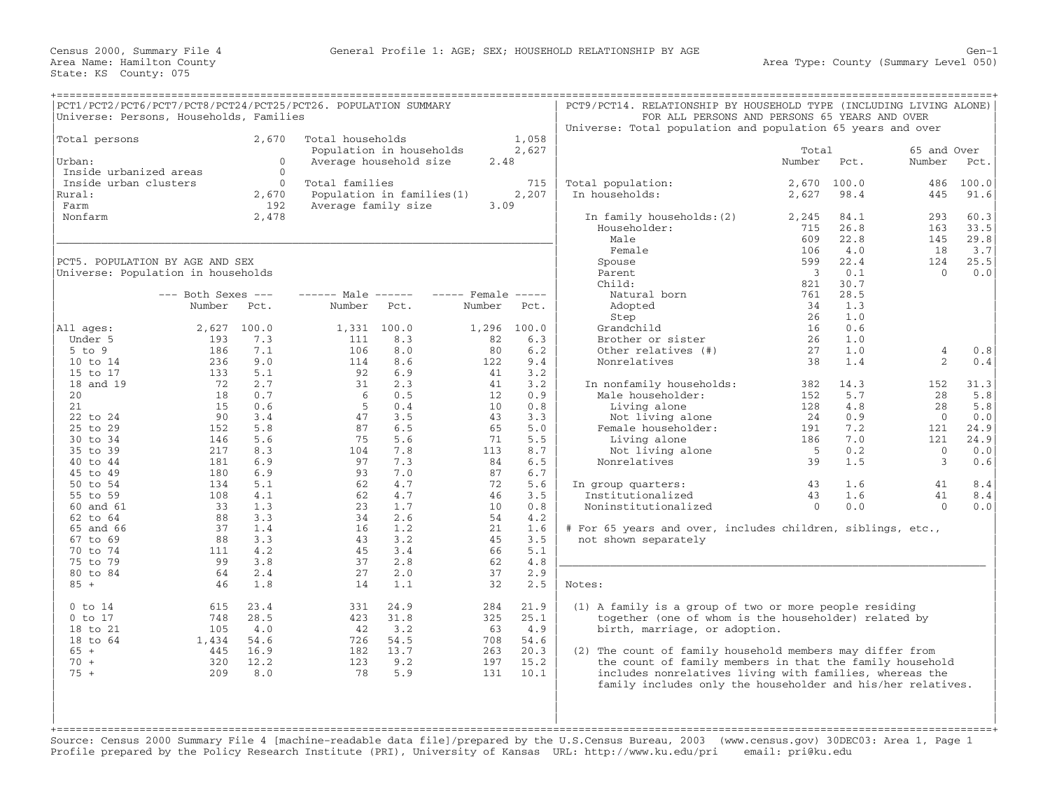|                                                                                            | PCT1/PCT2/PCT6/PCT7/PCT8/PCT24/PCT25/PCT26. POPULATION SUMMARY<br>Universe: Persons, Households, Families |                                                           |                                                   |                                                          |                                                    |                                                            | PCT9/PCT14. RELATIONSHIP BY HOUSEHOLD TYPE (INCLUDING LIVING ALONE)<br>Universe: Total population and population 65 years and over                                                                                                                                                                                                                                                                           | FOR ALL PERSONS AND PERSONS 65 YEARS AND OVER |                             |                                              |                             |
|--------------------------------------------------------------------------------------------|-----------------------------------------------------------------------------------------------------------|-----------------------------------------------------------|---------------------------------------------------|----------------------------------------------------------|----------------------------------------------------|------------------------------------------------------------|--------------------------------------------------------------------------------------------------------------------------------------------------------------------------------------------------------------------------------------------------------------------------------------------------------------------------------------------------------------------------------------------------------------|-----------------------------------------------|-----------------------------|----------------------------------------------|-----------------------------|
| Total persons<br>Urban:                                                                    |                                                                                                           | 2,670<br>$\Omega$                                         | Total households                                  | Population in households<br>Average household size       | 2.48                                               | 1,058<br>2,627                                             |                                                                                                                                                                                                                                                                                                                                                                                                              | Total<br>Number                               | Pct.                        | 65 and Over<br>Number                        | Pct.                        |
| Inside urbanized areas<br>Inside urban clusters<br>Rural:<br>Farm                          |                                                                                                           | $\mathbf{0}$<br>$\Omega$<br>2,670<br>192                  | Total families<br>Average family size             | Population in families (1)                               | 3.09                                               | 715<br>2,207                                               | Total population:<br>In households:                                                                                                                                                                                                                                                                                                                                                                          | 2,670<br>2,627                                | 100.0<br>98.4               | 486<br>445                                   | 100.0<br>91.6               |
| Nonfarm                                                                                    |                                                                                                           | 2,478                                                     |                                                   |                                                          |                                                    |                                                            | In family households: (2)<br>Householder:<br>Male<br>Female                                                                                                                                                                                                                                                                                                                                                  | 2,245<br>715<br>609<br>106                    | 84.1<br>26.8<br>22.8<br>4.0 | 293<br>163<br>145<br>18                      | 60.3<br>33.5<br>29.8<br>3.7 |
|                                                                                            | PCT5. POPULATION BY AGE AND SEX<br>Universe: Population in households                                     |                                                           |                                                   |                                                          |                                                    |                                                            | Spouse<br>Parent<br>Child:                                                                                                                                                                                                                                                                                                                                                                                   | 599<br>$\overline{\mathbf{3}}$<br>821         | 22.4<br>0.1<br>30.7         | 124<br>$\Omega$                              | 25.5<br>0.0                 |
|                                                                                            | $---$ Both Sexes $---$<br>Number                                                                          | Pct.                                                      | $--- - -$ Male $--- -$<br>Number                  | Pct.                                                     | $---$ Female $---$<br>Number                       | Pct.                                                       | Natural born<br>Adopted<br>Step                                                                                                                                                                                                                                                                                                                                                                              | 761<br>34<br>26                               | 28.5<br>1.3<br>1.0          |                                              |                             |
| All ages:<br>Under 5<br>$5$ to $9$<br>10 to 14                                             | 2,627<br>193<br>186<br>236                                                                                | 100.0<br>7.3<br>7.1<br>9.0                                | 1,331 100.0<br>111<br>106<br>114                  | 8.3<br>8.0<br>8.6                                        | 1,296<br>82<br>80<br>122                           | 100.0<br>6.3<br>6.2<br>9.4                                 | Grandchild<br>Brother or sister<br>Other relatives (#)<br>Nonrelatives                                                                                                                                                                                                                                                                                                                                       | 16<br>26<br>27<br>38                          | 0.6<br>1.0<br>1.0<br>1.4    | 4<br>2                                       | 0.8<br>0.4                  |
| 15 to 17<br>18 and 19<br>20<br>21<br>22 to 24                                              | 133<br>72<br>18<br>15<br>90                                                                               | 5.1<br>2.7<br>0.7<br>0.6<br>3.4                           | 92<br>31<br>- 6<br>-5<br>47                       | 6.9<br>2.3<br>0.5<br>0.4<br>3.5                          | 41<br>41<br>12<br>10 <sup>°</sup><br>43            | 3.2<br>3.2<br>0.9<br>0.8<br>3.3                            | In nonfamily households:<br>Male householder:<br>Living alone<br>Not living alone                                                                                                                                                                                                                                                                                                                            | 382<br>152<br>128<br>24                       | 14.3<br>5.7<br>4.8<br>0.9   | 152<br>28<br>28<br>$\overline{0}$            | 31.3<br>5.8<br>5.8<br>0.0   |
| 25 to 29<br>30 to 34<br>35 to 39<br>40 to 44<br>45 to 49                                   | 152<br>146<br>217<br>181<br>180                                                                           | 5.8<br>5.6<br>8.3<br>6.9<br>6.9                           | 87<br>75<br>104<br>97<br>93                       | 6.5<br>5.6<br>7.8<br>7.3<br>7.0                          | 65<br>71<br>113<br>84<br>87                        | 5.0<br>5.5<br>8.7<br>6.5<br>6.7                            | Female householder:<br>Living alone<br>Not living alone<br>Nonrelatives                                                                                                                                                                                                                                                                                                                                      | 191<br>186<br>5<br>39                         | 7.2<br>7.0<br>0.2<br>1.5    | 121<br>121<br>$\overline{0}$<br>$\mathbf{3}$ | 24.9<br>24.9<br>0.0<br>0.6  |
| 50 to 54<br>55 to 59<br>60 and 61<br>62 to 64                                              | 134<br>108<br>33<br>88                                                                                    | 5.1<br>4.1<br>1.3<br>3.3                                  | 62<br>62<br>23<br>34                              | 4.7<br>4.7<br>1.7<br>2.6                                 | 72<br>46<br>10<br>54                               | 5.6<br>3.5<br>0.8<br>4.2                                   | In group quarters:<br>Institutionalized<br>Noninstitutionalized                                                                                                                                                                                                                                                                                                                                              | 43<br>43<br>$\Omega$                          | 1.6<br>1.6<br>0.0           | 41<br>41<br>$\Omega$                         | 8.4<br>8.4<br>0.0           |
| 65 and 66<br>67 to 69<br>70 to 74<br>75 to 79<br>80 to 84                                  | 37<br>88<br>111<br>99<br>64                                                                               | 1.4<br>3.3<br>4.2<br>3.8<br>2.4                           | 16<br>43<br>45<br>37<br>27                        | 1.2<br>3.2<br>3.4<br>2.8<br>2.0                          | 21<br>45<br>66<br>62<br>37                         | 1.6<br>3.5<br>5.1<br>4.8<br>2.9                            | # For 65 years and over, includes children, siblings, etc.,<br>not shown separately                                                                                                                                                                                                                                                                                                                          |                                               |                             |                                              |                             |
| $85 +$<br>$0$ to $14$<br>$0$ to $17$<br>18 to 21<br>18 to 64<br>$65 +$<br>$70 +$<br>$75 +$ | 46<br>615<br>748<br>105<br>1,434<br>445<br>320<br>209                                                     | 1.8<br>23.4<br>28.5<br>4.0<br>54.6<br>16.9<br>12.2<br>8.0 | 14<br>331<br>423<br>42<br>726<br>182<br>123<br>78 | 1.1<br>24.9<br>31.8<br>3.2<br>54.5<br>13.7<br>9.2<br>5.9 | 32<br>284<br>325<br>63<br>708<br>263<br>197<br>131 | 2.5<br>21.9<br>25.1<br>4.9<br>54.6<br>20.3<br>15.2<br>10.1 | Notes:<br>(1) A family is a group of two or more people residing<br>together (one of whom is the householder) related by<br>birth, marriage, or adoption.<br>(2) The count of family household members may differ from<br>the count of family members in that the family household<br>includes nonrelatives living with families, whereas the<br>family includes only the householder and his/her relatives. |                                               |                             |                                              |                             |

Source: Census 2000 Summary File 4 [machine−readable data file]/prepared by the U.S.Census Bureau, 2003 (www.census.gov) 30DEC03: Area 1, Page 1 Profile prepared by the Policy Research Institute (PRI), University of Kansas URL: http://www.ku.edu/pri email: pri@ku.edu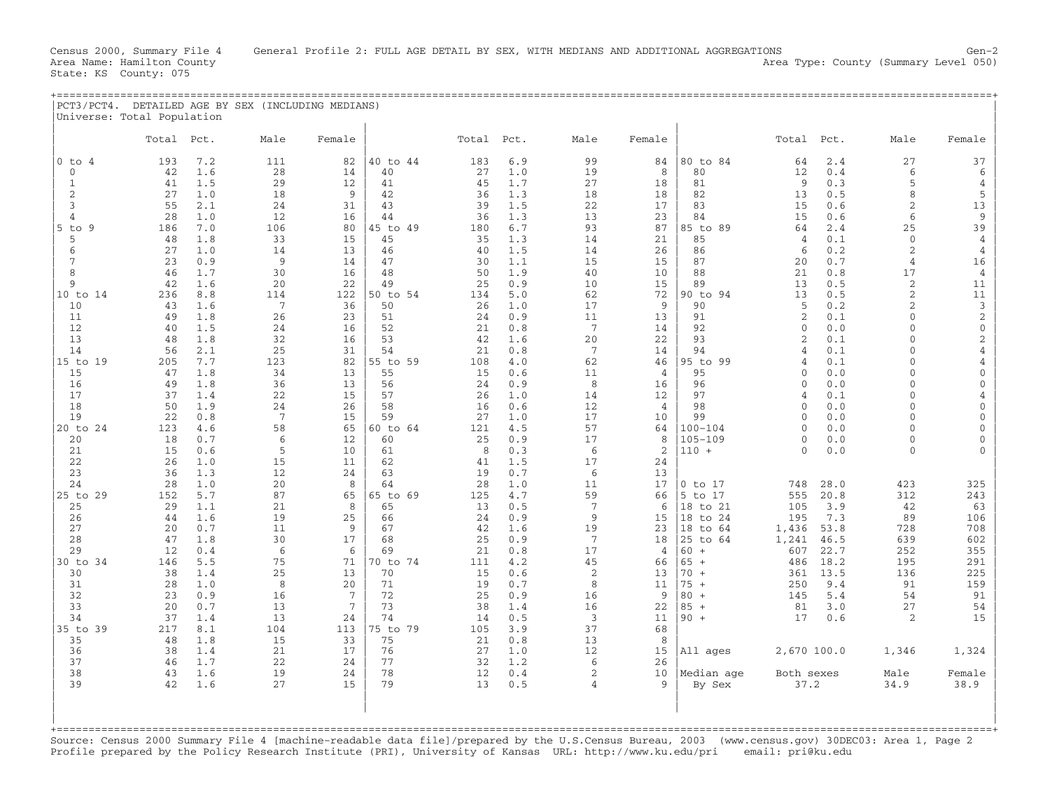| גישימי '<br>Total Population<br>l <del>. .</del><br>Tmiyarca • | DETAILED AGE BY SEX (INCLUDING MEDIANS) |               |            |     |          |
|----------------------------------------------------------------|-----------------------------------------|---------------|------------|-----|----------|
| <b>m</b> ~ + ~ 1                                               | $n = 1$<br><b>Themes</b> Le             | <b>m</b> -+-1 | $55 - 7 -$ | . 1 | $25 - 7$ |

|                   | Total    | Pct.       | Male            | Female         |                | Total    | Pct.       | Male            | Female         |                            | Total               | Pct.       | Male               | Female         |
|-------------------|----------|------------|-----------------|----------------|----------------|----------|------------|-----------------|----------------|----------------------------|---------------------|------------|--------------------|----------------|
| $0$ to $4$        | 193      | 7.2        | 111             | 82             | 40 to 44       | 183      | 6.9        | 99              | 84             | 80 to 84                   | 64                  | 2.4        | 27                 | 37             |
| $\Omega$          |          | 1.6        | 28              | 14             | 40             | 27       | 1.0        | 19              | 8              | 80                         | 12                  | 0.4        | 6                  | 6              |
|                   | 42       |            |                 |                |                |          |            |                 |                |                            | 9                   |            |                    |                |
| 1                 | 41       | 1.5        | 29              | 12<br>9        | 41             | 45       | 1.7        | 27              | 18             | 81                         |                     | 0.3        | 5<br>8             | 4              |
| $\overline{2}$    | 27       | 1.0        | 18              |                | 42             | 36       | 1.3        | 18              | 18             | 82                         | 13                  | 0.5        | $\overline{c}$     | 5              |
| 3                 | 55       | 2.1        | 24              | 31             | 43             | 39       | 1.5        | 22              | 17             | 83                         | 15                  | 0.6        |                    | 13             |
| $\overline{4}$    | 28       | 1.0        | 12              | 16             | 44             | 36       | 1.3        | 13              | 23             | 84                         | 15                  | 0.6        | 6                  | 9              |
| $5$ to $9$<br>5   | 186      | 7.0        | 106             | 80<br>15       | 45 to 49<br>45 | 180      | 6.7        | 93              | 87             | 85 to 89                   | 64                  | 2.4        | 25<br>$\mathbf{0}$ | 39             |
| 6                 | 48<br>27 | 1.8<br>1.0 | 33<br>14        | 13             | 46             | 35<br>40 | 1.3<br>1.5 | 14              | 21<br>26       | 85<br>86                   | $\overline{4}$<br>6 | 0.1<br>0.2 | $\overline{c}$     | $\overline{4}$ |
| 7                 | 23       | 0.9        | 9               | 14             | 47             | 30       | 1.1        | 14<br>15        | 15             | 87                         | 20                  | 0.7        | 4                  | 4<br>16        |
| 8                 | 46       | 1.7        | 30              | 16             | 48             | 50       | 1.9        | 40              | 10             | 88                         | 21                  | 0.8        | 17                 | 4              |
| 9                 | 42       | 1.6        | 20              | 22             | 49             | 25       | 0.9        | 10              | 15             | 89                         | 13                  | 0.5        | $\sqrt{2}$         | 11             |
| 10 to 14          | 236      | 8.8        | 114             | 122            | 50 to 54       | 134      | 5.0        | 62              | 72             | 90 to 94                   | 13                  | 0.5        | $\overline{2}$     | 11             |
| 10                | 43       | 1.6        | $7\phantom{.0}$ | 36             | 50             | 26       | 1.0        | 17              | 9              | 90                         | 5                   | 0.2        | $\overline{c}$     | 3              |
| 11                | 49       | 1.8        | 26              | 23             | 51             | 24       | 0.9        | 11              | 13             | 91                         | 2                   | 0.1        | $\Omega$           | $\sqrt{2}$     |
| 12                | 40       | 1.5        | 24              | 16             | 52             | 21       | 0.8        | $7\phantom{.0}$ | 14             | 92                         | $\Omega$            | 0.0        | $\Omega$           | $\mathbf{0}$   |
| 13                | 48       | 1.8        | 32              | 16             | 53             | 42       | 1.6        | 20              | 22             | 93                         | $\overline{a}$      | 0.1        | $\Omega$           | $\overline{2}$ |
| 14                | 56       | 2.1        | 25              | 31             | 54             | 21       | 0.8        | $7\phantom{.0}$ | 14             | 94                         | 4                   | 0.1        | $\Omega$           | 4              |
| $15$ to<br>19     | 205      | 7.7        | 123             | 82             | 55 to 59       | 108      | 4.0        | 62              | 46             | 95 to 99                   | 4                   | 0.1        | $\Omega$           | 4              |
| 15                | 47       | 1.8        | 34              | 13             | 55             | 15       | 0.6        | 11              | 4              | 95                         | $\Omega$            | 0.0        | $\Omega$           | $\Omega$       |
| 16                | 49       | 1.8        | 36              | 13             | 56             | 24       | 0.9        | 8               | 16             | 96                         | $\Omega$            | 0.0        | $\Omega$           | $\Omega$       |
| 17                | 37       | 1.4        | 22              | 15             | 57             | 26       | 1.0        | 14              | 12             | 97                         | 4                   | 0.1        | $\cap$             |                |
| 18                | 50       | 1.9        | 24              | 26             | 58             | 16       | 0.6        | 12              | 4              | 98                         | $\Omega$            | 0.0        | $\Omega$           | $\Omega$       |
| 19                | 22       | 0.8        | $7\phantom{.0}$ | 15             | 59             | 27       | 1.0        | 17              | 10             | 99                         | $\Omega$            | 0.0        | $\Omega$           | $\Omega$       |
| 20 to 24          | 123      | 4.6        | 58              | 65             | 60 to 64       | 121      | 4.5        | 57              | 64             | $100 - 104$                | $\Omega$            | 0.0        | $\Omega$           | $\cap$         |
| 20                | 18       | 0.7        | 6               | 12             | 60             | 25       | 0.9        | 17              | 8              | $105 - 109$                | $\Omega$            | 0.0        | $\Omega$           | $\Omega$       |
| 21                | 15       | 0.6        | 5               | 10             | 61             | 8        | 0.3        | 6               | 2              | $110 +$                    | $\Omega$            | 0.0        | $\Omega$           | $\cap$         |
| 22                | 26       | 1.0        | 15              | 11             | 62             | 41       | 1.5        | 17              | 24             |                            |                     |            |                    |                |
| 23                | 36       | 1.3        | 12              | 24             | 63             | 19       | 0.7        | 6               | 13             |                            |                     |            |                    |                |
| 24                | 28       | 1.0        | 20              | 8              | 64             | 28       | 1.0        | 11              | 17             | $0$ to $17$                | 748                 | 28.0       | 423                | 325            |
| 25 to 29          | 152      | 5.7        | 87              | 65             | 65 to 69       | 125      | 4.7        | 59<br>7         | 66             | 5 to 17                    | 555                 | 20.8       | 312                | 243            |
| 25                | 29       | 1.1        | 21              | 8<br>25        | 65             | 13       | 0.5<br>0.9 | 9               | 6              | 18 to 21                   | 105<br>195          | 3.9<br>7.3 | 42                 | 63             |
| 26<br>27          | 44<br>20 | 1.6<br>0.7 | 19<br>11        | 9              | 66<br>67       | 24<br>42 | 1.6        | 19              | 15<br>23       | 18<br>to 24<br>18<br>to 64 | 1,436               | 53.8       | 89<br>728          | 106<br>708     |
| 28                | 47       | 1.8        | 30              | 17             | 68             | 25       | 0.9        | 7               | 18             | 25 to 64                   | 1,241               | 46.5       | 639                | 602            |
| 29                | 12       | 0.4        | 6               | 6              | 69             | 21       | 0.8        | 17              | $\overline{4}$ | $60 +$                     | 607                 | 22.7       | 252                | 355            |
| 30 to 34          | 146      | 5.5        | 75              | 71             | 70 to 74       | 111      | 4.2        | 45              | 66             | $65 +$                     | 486                 | 18.2       | 195                | 291            |
| 30                | 38       | 1.4        | 25              | 13             | 70             | 15       | 0.6        | $\overline{2}$  | 13             | $70 +$                     | 361                 | 13.5       | 136                | 225            |
| 31                | 28       | 1.0        | 8               | 20             | 71             | 19       | 0.7        | 8               | 11             | $75 +$                     | 250                 | 9.4        | 91                 | 159            |
| 32                | 23       | 0.9        | 16              | $\overline{7}$ | 72             | 25       | 0.9        | 16              | 9              | $80 +$                     | 145                 | 5.4        | 54                 | 91             |
| 33                | 20       | 0.7        | 13              | 7              | 73             | 38       | 1.4        | 16              | 22             | $85 +$                     | 81                  | 3.0        | 27                 | 54             |
| 34                | 37       | 1.4        | 13              | 24             | 74             | 14       | 0.5        | 3               | 11             | $90 +$                     | 17                  | 0.6        | $\overline{c}$     | 15             |
| $35$ to<br>39     | 217      | 8.1        | 104             | 113            | 75 to 79       | 105      | 3.9        | 37              | 68             |                            |                     |            |                    |                |
| 35                | 48       | 1.8        | 15              | 33             | 75             | 21       | 0.8        | 13              | 8              |                            |                     |            |                    |                |
| 36                | 38       | 1.4        | 21              | 17             | 76             | 27       | 1.0        | 12              | 15             | All ages                   | 2,670 100.0         |            | 1,346              | 1,324          |
| 37                | 46       | 1.7        | 22              | 24             | 77             | 32       | 1.2        | 6               | 26             |                            |                     |            |                    |                |
| 38                | 43       | 1.6        | 19              | 24             | 78             | 12       | 0.4        | $\overline{2}$  | 10             | Median age                 | Both sexes          |            | Male               | Female         |
| 39                | 42       | 1.6        | 27              | 15             | 79             | 13       | 0.5        | 4               | 9              | By Sex                     | 37.2                |            | 34.9               | 38.9           |
|                   |          |            |                 |                |                |          |            |                 |                |                            |                     |            |                    |                |
|                   |          |            |                 |                |                |          |            |                 |                |                            |                     |            |                    |                |
| $+ = = = = = = =$ |          |            |                 |                |                |          |            |                 |                |                            |                     |            |                    |                |

Source: Census 2000 Summary File 4 [machine−readable data file]/prepared by the U.S.Census Bureau, 2003 (www.census.gov) 30DEC03: Area 1, Page 2 Profile prepared by the Policy Research Institute (PRI), University of Kansas URL: http://www.ku.edu/pri email: pri@ku.edu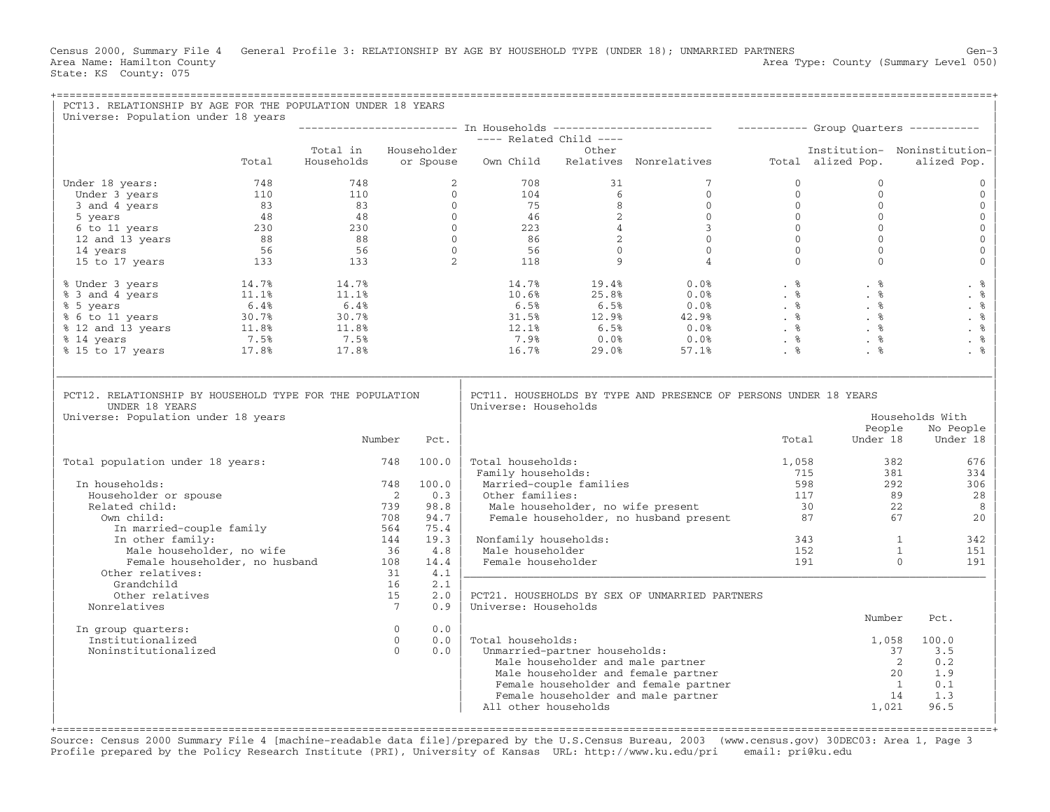Census 2000, Summary File 4 General Profile 3: RELATIONSHIP BY AGE BY HOUSEHOLD TYPE (UNDER 18); UNMARRIED PARTNERS Gen−3<br>Area Name: Hamilton County Level 050) Area Type: County (Summary Level 050) State: KS County: 075

| PCT13. RELATIONSHIP BY AGE FOR THE POPULATION UNDER 18 YEARS<br>Universe: Population under 18 years                                                                                                                                                                |                                                                    |                      |                          |       |                                           |                               |                                                                         |              |                                                                        |                                          |
|--------------------------------------------------------------------------------------------------------------------------------------------------------------------------------------------------------------------------------------------------------------------|--------------------------------------------------------------------|----------------------|--------------------------|-------|-------------------------------------------|-------------------------------|-------------------------------------------------------------------------|--------------|------------------------------------------------------------------------|------------------------------------------|
|                                                                                                                                                                                                                                                                    |                                                                    |                      |                          |       |                                           |                               |                                                                         |              |                                                                        |                                          |
|                                                                                                                                                                                                                                                                    |                                                                    |                      |                          |       | ---- Related Child ----<br>Other          |                               |                                                                         |              |                                                                        |                                          |
|                                                                                                                                                                                                                                                                    |                                                                    | Total in Householder |                          |       |                                           |                               |                                                                         |              |                                                                        | Institution- Noninstitution-             |
|                                                                                                                                                                                                                                                                    | Total                                                              |                      |                          |       |                                           |                               | Households or Spouse Own Child Relatives Nonrelatives Total alized Pop. |              |                                                                        | alized Pop.                              |
| Under 18 years:                                                                                                                                                                                                                                                    |                                                                    |                      |                          |       |                                           |                               |                                                                         | $\mathbf{0}$ | $\mathbf{0}$                                                           | $\mathbf{0}$                             |
|                                                                                                                                                                                                                                                                    |                                                                    |                      |                          |       |                                           |                               |                                                                         | $\Omega$     | $\mathbf{0}$                                                           | $\mathbf{0}$                             |
|                                                                                                                                                                                                                                                                    |                                                                    |                      |                          |       |                                           |                               |                                                                         |              | $\overline{0}$<br>$\mathbf{0}$                                         | $\mathbf{0}$                             |
|                                                                                                                                                                                                                                                                    |                                                                    |                      |                          |       |                                           |                               |                                                                         |              | $\begin{bmatrix} 0 \\ 0 \\ 0 \\ 0 \\ 0 \\ 0 \end{bmatrix}$<br>$\Omega$ | $\mathbb O$                              |
|                                                                                                                                                                                                                                                                    |                                                                    |                      |                          |       |                                           |                               |                                                                         |              | $\mathbf{0}$                                                           | $\mathbf 0$                              |
|                                                                                                                                                                                                                                                                    |                                                                    |                      |                          |       |                                           |                               |                                                                         |              | $\mathbf{0}$                                                           | $\mathbb O$                              |
|                                                                                                                                                                                                                                                                    |                                                                    |                      |                          |       |                                           |                               |                                                                         |              | $\Omega$                                                               | $\mathbb O$                              |
|                                                                                                                                                                                                                                                                    |                                                                    |                      |                          |       |                                           |                               |                                                                         |              | $\Omega$                                                               | $\mathbf{O}$                             |
| % Under 3 years<br>% 3 and 4 years<br>% 5 years<br>% 5 years<br>% 6 to 11 years<br>% 12 and 13 years<br>% 14 years<br>% 14 years<br>% 15 to 17 years<br>% 15 to 17 years<br>% 17.8%<br>% 17.8%<br>% 17.8%<br>% 17.8%<br>% 17.8%<br>% 17.8%<br>17.8%<br>17.8%<br>17 |                                                                    |                      |                          |       |                                           |                               |                                                                         |              |                                                                        | . %                                      |
|                                                                                                                                                                                                                                                                    |                                                                    |                      |                          |       |                                           |                               |                                                                         |              |                                                                        | . %                                      |
|                                                                                                                                                                                                                                                                    |                                                                    |                      |                          |       |                                           |                               |                                                                         |              |                                                                        | . $%$                                    |
|                                                                                                                                                                                                                                                                    |                                                                    |                      |                          |       |                                           |                               |                                                                         |              |                                                                        | . %                                      |
|                                                                                                                                                                                                                                                                    |                                                                    |                      |                          |       |                                           |                               |                                                                         |              |                                                                        | . $%$                                    |
|                                                                                                                                                                                                                                                                    |                                                                    |                      |                          |       |                                           |                               |                                                                         |              |                                                                        | . $%$                                    |
|                                                                                                                                                                                                                                                                    |                                                                    |                      |                          |       |                                           |                               |                                                                         |              |                                                                        | . %                                      |
| <b>UNDER 18 YEARS</b><br>Universe: Population under 18 years                                                                                                                                                                                                       |                                                                    |                      | Number                   | Pct.  | Universe: Households                      |                               |                                                                         | Total        | People<br>Under 18                                                     | Households With<br>No People<br>Under 18 |
|                                                                                                                                                                                                                                                                    |                                                                    |                      |                          |       |                                           |                               |                                                                         |              |                                                                        |                                          |
| Total population under 18 years:                                                                                                                                                                                                                                   |                                                                    |                      | 748 100.0                |       | Total households:                         |                               |                                                                         | 1,058        |                                                                        | 382<br>676                               |
|                                                                                                                                                                                                                                                                    |                                                                    |                      |                          |       | Family households:                        |                               |                                                                         | 715          |                                                                        | 381<br>334                               |
| In households:                                                                                                                                                                                                                                                     |                                                                    |                      | 748                      | 100.0 |                                           | Married-couple families       |                                                                         | 598          | 292                                                                    | 306                                      |
| Householder or spouse                                                                                                                                                                                                                                              |                                                                    |                      | $\overline{\phantom{0}}$ | 0.3   | Other families:                           |                               |                                                                         |              | 117<br>89                                                              | 28                                       |
| Related child:                                                                                                                                                                                                                                                     |                                                                    |                      | 739                      | 98.8  |                                           |                               | Male householder, no wife present                                       |              | $\frac{117}{30}$<br>22                                                 | 8                                        |
| Own child:                                                                                                                                                                                                                                                         |                                                                    |                      | 708                      | 94.7  |                                           |                               | Female householder, no husband present 87                               |              | 67                                                                     | 20                                       |
| In married-couple family                                                                                                                                                                                                                                           |                                                                    |                      | 564                      | 75.4  |                                           |                               |                                                                         |              |                                                                        |                                          |
| In other family:                                                                                                                                                                                                                                                   |                                                                    |                      | 144                      | 19.3  | Nonfamily households:<br>Male householder |                               |                                                                         | 152          | 343<br>$\overline{1}$                                                  | 342<br>$\overline{1}$<br>151             |
|                                                                                                                                                                                                                                                                    | Male householder, no wife 36<br>Female householder, no husband 108 |                      | 36 4.8                   | 14.4  | Female householder                        |                               |                                                                         | 191          |                                                                        | $\Omega$<br>191                          |
| Other relatives:                                                                                                                                                                                                                                                   |                                                                    |                      | 31                       | 4.1   |                                           |                               |                                                                         |              |                                                                        |                                          |
| Grandchild                                                                                                                                                                                                                                                         |                                                                    |                      | 16                       | 2.1   |                                           |                               |                                                                         |              |                                                                        |                                          |
| Other relatives                                                                                                                                                                                                                                                    |                                                                    |                      | 15                       | 2.0   |                                           |                               | PCT21. HOUSEHOLDS BY SEX OF UNMARRIED PARTNERS                          |              |                                                                        |                                          |
| Nonrelatives                                                                                                                                                                                                                                                       |                                                                    |                      | 7                        | 0.9   | Universe: Households                      |                               |                                                                         |              |                                                                        |                                          |
|                                                                                                                                                                                                                                                                    |                                                                    |                      |                          |       |                                           |                               |                                                                         |              | Number                                                                 | Pct.                                     |
| In group quarters:                                                                                                                                                                                                                                                 |                                                                    |                      | $\Omega$                 | 0.0   |                                           |                               |                                                                         |              |                                                                        |                                          |
| Institutionalized                                                                                                                                                                                                                                                  |                                                                    |                      | $\overline{0}$           | 0.0   | Total households:                         |                               |                                                                         |              | 1,058                                                                  | 100.0                                    |
| Noninstitutionalized                                                                                                                                                                                                                                               |                                                                    |                      | $\Omega$                 | 0.0   |                                           | Unmarried-partner households: |                                                                         |              |                                                                        | 37<br>3.5                                |
|                                                                                                                                                                                                                                                                    |                                                                    |                      |                          |       |                                           |                               | Male householder and male partner                                       |              |                                                                        | $\overline{2}$<br>0.2                    |
|                                                                                                                                                                                                                                                                    |                                                                    |                      |                          |       |                                           |                               | Male householder and female partner                                     |              |                                                                        | 20<br>1.9                                |
|                                                                                                                                                                                                                                                                    |                                                                    |                      |                          |       |                                           |                               | Female householder and female partner                                   |              |                                                                        | $\mathbf{1}$<br>0.1                      |
|                                                                                                                                                                                                                                                                    |                                                                    |                      |                          |       | All other households                      |                               | Female householder and male partner                                     |              | 1,021                                                                  | 14<br>1.3<br>96.5                        |
|                                                                                                                                                                                                                                                                    |                                                                    |                      |                          |       |                                           |                               |                                                                         |              |                                                                        |                                          |

+===================================================================================================================================================+ Source: Census 2000 Summary File 4 [machine−readable data file]/prepared by the U.S.Census Bureau, 2003 (www.census.gov) 30DEC03: Area 1, Page 3 Profile prepared by the Policy Research Institute (PRI), University of Kansas URL: http://www.ku.edu/pri email: pri@ku.edu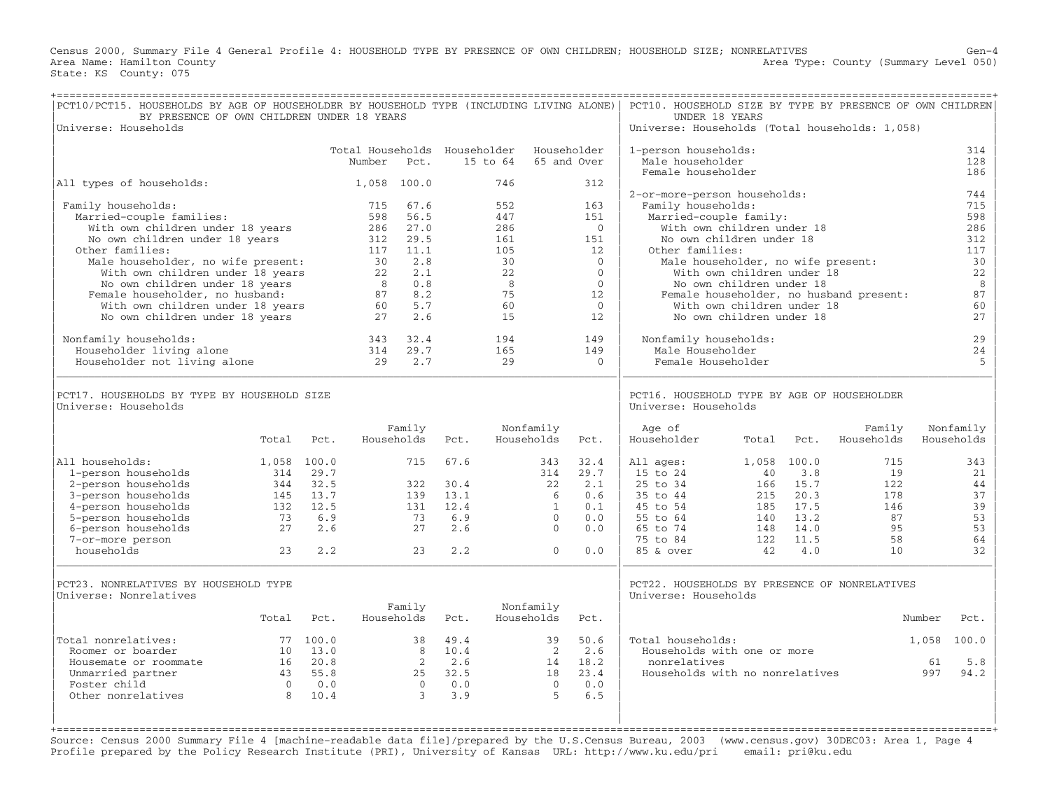Census 2000, Summary File 4 General Profile 4: HOUSEHOLD TYPE BY PRESENCE OF OWN CHILDREN; HOUSEHOLD SIZE; NONRELATIVES Gen-4<br>Area Name: Hamilton County Level 050) Area Type: County (Summary Level 050) State: KS County: 075

| PCT10/PCT15. HOUSEHOLDS BY AGE OF HOUSEHOLDER BY HOUSEHOLD TYPE (INCLUDING LIVING ALONE)<br>BY PRESENCE OF OWN CHILDREN UNDER 18 YEARS                                                                            |                                      |                                                                     |                                             |                                                    |                                                       |                                             |                                                                           |                                                                       | PCT10. HOUSEHOLD SIZE BY TYPE BY PRESENCE OF OWN CHILDREN<br>UNDER 18 YEARS                                                                                                                     |                                |                                                                                |                                                        |                    |                                                     |
|-------------------------------------------------------------------------------------------------------------------------------------------------------------------------------------------------------------------|--------------------------------------|---------------------------------------------------------------------|---------------------------------------------|----------------------------------------------------|-------------------------------------------------------|---------------------------------------------|---------------------------------------------------------------------------|-----------------------------------------------------------------------|-------------------------------------------------------------------------------------------------------------------------------------------------------------------------------------------------|--------------------------------|--------------------------------------------------------------------------------|--------------------------------------------------------|--------------------|-----------------------------------------------------|
| Universe: Households                                                                                                                                                                                              |                                      |                                                                     |                                             |                                                    |                                                       |                                             |                                                                           |                                                                       | Universe: Households (Total households: 1,058)                                                                                                                                                  |                                |                                                                                |                                                        |                    |                                                     |
|                                                                                                                                                                                                                   |                                      |                                                                     | Total Households Householder<br>Number      | Pct.                                               |                                                       | 15 to 64                                    |                                                                           | Householder<br>65 and Over                                            | 1-person households:<br>Male householder<br>Female householder                                                                                                                                  |                                |                                                                                |                                                        |                    | 314<br>128<br>186                                   |
| All types of households:                                                                                                                                                                                          |                                      |                                                                     | 1,058 100.0                                 |                                                    |                                                       | 746                                         |                                                                           | 312                                                                   |                                                                                                                                                                                                 |                                |                                                                                |                                                        |                    |                                                     |
| Family households:<br>Married-couple families:<br>With own children under 18 years<br>No own children under 18 years<br>Other families:<br>Male householder, no wife present:<br>With own children under 18 years |                                      |                                                                     | 715<br>598<br>286<br>312<br>117<br>30<br>22 | 67.6<br>56.5<br>27.0<br>29.5<br>11.1<br>2.8<br>2.1 |                                                       | 552<br>447<br>286<br>161<br>105<br>30<br>22 |                                                                           | 163<br>151<br>$\overline{0}$<br>151<br>12<br>$\Omega$<br>$\mathbf{0}$ | 2-or-more-person households:<br>Family households:<br>Married-couple family:<br>With own children under 18<br>No own children under 18<br>Other families:<br>Male householder, no wife present: | With own children under 18     |                                                                                |                                                        |                    | 744<br>715<br>598<br>286<br>312<br>117<br>30<br>22  |
| No own children under 18 years<br>Female householder, no husband:                                                                                                                                                 |                                      |                                                                     | 8 <sup>1</sup>                              | 0.8<br>8.2                                         |                                                       | 8<br>75                                     |                                                                           | $\overline{0}$<br>12                                                  |                                                                                                                                                                                                 | No own children under 18       |                                                                                |                                                        |                    | 8<br>87                                             |
| With own children under 18 years                                                                                                                                                                                  |                                      |                                                                     | $\begin{array}{c} 87 \\ 60 \end{array}$     | 5.7                                                |                                                       | 60                                          |                                                                           | $\Omega$                                                              |                                                                                                                                                                                                 | With own children under 18     |                                                                                | Female householder, no husband present:                |                    | 60                                                  |
| No own children under 18 years                                                                                                                                                                                    |                                      |                                                                     | 27                                          | 2.6                                                |                                                       | 15                                          |                                                                           | 12                                                                    |                                                                                                                                                                                                 | No own children under 18       |                                                                                |                                                        |                    | 27                                                  |
| Nonfamily households:<br>Householder living alone<br>Householder not living alone                                                                                                                                 |                                      |                                                                     | 343<br>314<br>29                            | 32.4<br>29.7<br>2.7                                |                                                       | 194<br>165<br>29                            |                                                                           | 149<br>149<br>$\Omega$                                                | Nonfamily households:<br>Male Householder<br>Female Householder                                                                                                                                 |                                |                                                                                |                                                        |                    | 29<br>24<br>5                                       |
| PCT17. HOUSEHOLDS BY TYPE BY HOUSEHOLD SIZE<br>Universe: Households                                                                                                                                               |                                      |                                                                     |                                             |                                                    |                                                       |                                             |                                                                           |                                                                       | PCT16. HOUSEHOLD TYPE BY AGE OF HOUSEHOLDER<br>Universe: Households                                                                                                                             |                                |                                                                                |                                                        |                    |                                                     |
|                                                                                                                                                                                                                   | Total                                | Pct.                                                                |                                             | Family<br>Households                               | Pct.                                                  |                                             | Nonfamily<br>Households                                                   | Pct.                                                                  | Age of<br>Householder                                                                                                                                                                           | Total                          | Pct.                                                                           | Family<br>Households                                   |                    | Nonfamily<br>Households                             |
| All households:<br>1-person households<br>2-person households<br>3-person households<br>4-person households<br>5-person households<br>6-person households<br>7-or-more person<br>households                       | 1,058 100.0<br>314<br>73<br>27<br>23 | 29.7<br>344 32.5<br>145 13.7<br>132 12.5<br>6.9<br>2.6<br>2.2       |                                             | 715<br>322<br>131<br>73<br>27<br>23                | 67.6<br>30.4<br>139 13.1<br>12.4<br>6.9<br>2.6<br>2.2 |                                             | 343<br>314<br>22<br>-6<br>1<br>$\overline{0}$<br>$\Omega$<br>$\mathbf{0}$ | 32.4<br>29.7<br>2.1<br>0.6<br>0.1<br>0.0<br>0.0<br>0.0                | All ages:<br>15 to 24<br>25 to 34<br>35 to 44<br>45 to 54<br>55 to 64<br>65 to 74<br>75 to 84<br>85 & over                                                                                      | 1,058 100.0<br>40<br>215<br>42 | 3.8<br>166 15.7<br>20.3<br>185 17.5<br>140 13.2<br>148 14.0<br>122 11.5<br>4.0 | 715<br>19<br>122<br>178<br>146<br>87<br>95<br>58<br>10 |                    | 343<br>21<br>44<br>37<br>39<br>53<br>53<br>64<br>32 |
| PCT23. NONRELATIVES BY HOUSEHOLD TYPE<br>Universe: Nonrelatives                                                                                                                                                   | Total                                |                                                                     |                                             | Family<br>Households                               | Pct.                                                  |                                             | Nonfamily<br>Households                                                   | Pct.                                                                  | PCT22. HOUSEHOLDS BY PRESENCE OF NONRELATIVES<br>Universe: Households                                                                                                                           |                                |                                                                                |                                                        | Number             | Pct.                                                |
|                                                                                                                                                                                                                   |                                      | Pct.                                                                |                                             |                                                    |                                                       |                                             |                                                                           |                                                                       |                                                                                                                                                                                                 |                                |                                                                                |                                                        |                    |                                                     |
| Total nonrelatives:<br>Roomer or boarder<br>Housemate or roommate<br>Unmarried partner<br>Foster child<br>Other nonrelatives                                                                                      | 8                                    | 77 100.0<br>10 13.0<br>16 20.8<br>43 55.8<br>$0 \qquad 0.0$<br>10.4 |                                             | 38<br>2<br>$\overline{0}$<br>$\mathcal{E}$         | 49.4<br>8 10.4<br>2.6<br>25 32.5<br>0.0<br>3.9        |                                             | 39<br>$\overline{2}$<br>14<br>18<br>$\Omega$<br>-5                        | 50.6<br>2.6<br>18.2<br>23.4<br>0.0<br>6.5                             | Total households:<br>Households with one or more<br>nonrelatives<br>Households with no nonrelatives                                                                                             |                                |                                                                                |                                                        | 1,058<br>61<br>997 | 100.0<br>5.8<br>94.2                                |
|                                                                                                                                                                                                                   |                                      |                                                                     |                                             |                                                    |                                                       |                                             |                                                                           |                                                                       |                                                                                                                                                                                                 |                                |                                                                                |                                                        |                    |                                                     |

Source: Census 2000 Summary File 4 [machine−readable data file]/prepared by the U.S.Census Bureau, 2003 (www.census.gov) 30DEC03: Area 1, Page 4 Profile prepared by the Policy Research Institute (PRI), University of Kansas URL: http://www.ku.edu/pri email: pri@ku.edu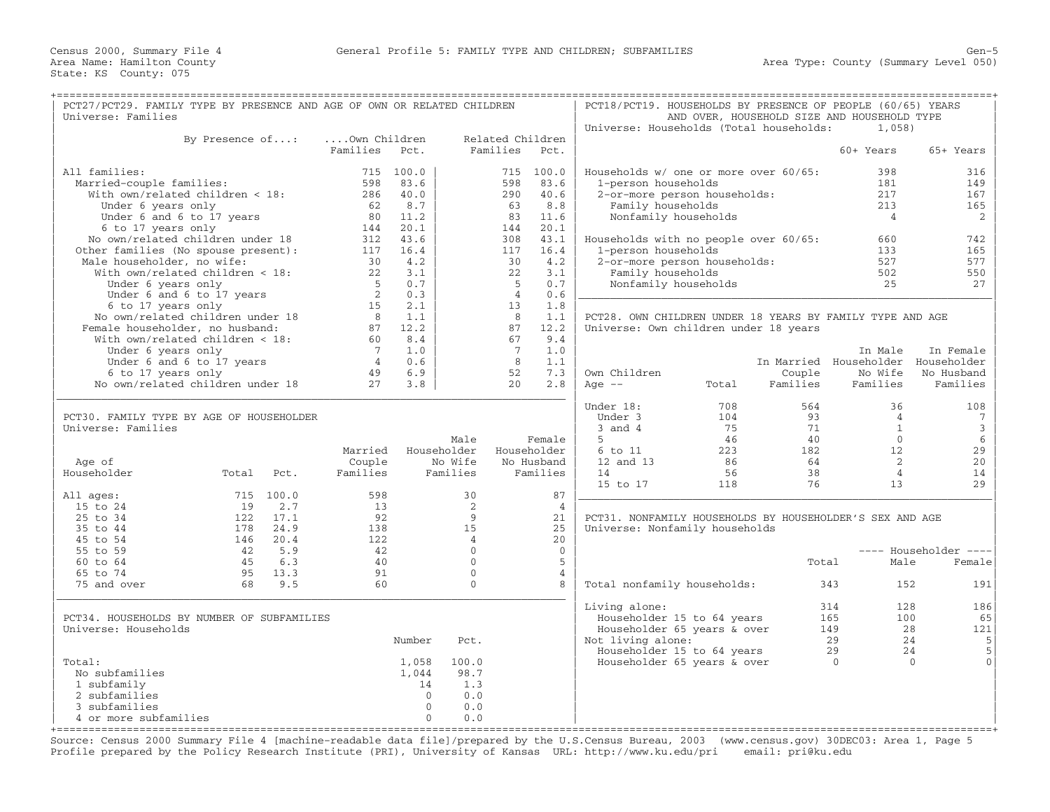| PCT27/PCT29. FAMILY TYPE BY PRESENCE AND AGE OF OWN OR RELATED CHILDREN |                           |           |                |              |                |                  |                | PCT18/PCT19. HOUSEHOLDS BY PRESENCE OF PEOPLE (60/65) YEARS |       |          |                                             |                                                                                                                                                                                                                                                                                                                                                                                                                  |
|-------------------------------------------------------------------------|---------------------------|-----------|----------------|--------------|----------------|------------------|----------------|-------------------------------------------------------------|-------|----------|---------------------------------------------|------------------------------------------------------------------------------------------------------------------------------------------------------------------------------------------------------------------------------------------------------------------------------------------------------------------------------------------------------------------------------------------------------------------|
| Universe: Families                                                      |                           |           |                |              |                |                  |                |                                                             |       |          | AND OVER, HOUSEHOLD SIZE AND HOUSEHOLD TYPE |                                                                                                                                                                                                                                                                                                                                                                                                                  |
|                                                                         |                           |           |                |              |                |                  |                | Universe: Households (Total households:                     |       |          | 1,058)                                      |                                                                                                                                                                                                                                                                                                                                                                                                                  |
|                                                                         | By Presence of:           |           | Own Children   |              |                | Related Children |                |                                                             |       |          |                                             |                                                                                                                                                                                                                                                                                                                                                                                                                  |
|                                                                         |                           |           | Families       | Pct.         |                | Families         | Pct.           |                                                             |       |          | 60+ Years                                   | 65+ Years                                                                                                                                                                                                                                                                                                                                                                                                        |
|                                                                         |                           |           |                |              |                |                  |                |                                                             |       |          |                                             |                                                                                                                                                                                                                                                                                                                                                                                                                  |
| All families:                                                           |                           |           |                | 715 100.0    |                |                  | 715 100.0      | Households w/ one or more over 60/65:                       |       |          | 398                                         | 316                                                                                                                                                                                                                                                                                                                                                                                                              |
| Married-couple families:                                                |                           |           | 598            | 83.6         |                | 598              | 83.6           | 1-person households                                         |       |          | 181                                         | 149                                                                                                                                                                                                                                                                                                                                                                                                              |
| With own/related children < 18:                                         |                           |           | 286            | 40.0         |                | 290              | 40.6           | 2-or-more person households:                                |       |          | 217                                         | 167                                                                                                                                                                                                                                                                                                                                                                                                              |
| Under 6 years only                                                      |                           |           | 62             | 8.7          |                | 63               | 8.8            | Family households                                           |       |          | 213                                         | 165                                                                                                                                                                                                                                                                                                                                                                                                              |
|                                                                         | Under 6 and 6 to 17 years |           | 80             | 11.2         |                | 83               | 11.6           | Nonfamily households                                        |       |          | $\overline{4}$                              | 2                                                                                                                                                                                                                                                                                                                                                                                                                |
|                                                                         |                           |           |                | 20.1         |                | 144              |                |                                                             |       |          |                                             |                                                                                                                                                                                                                                                                                                                                                                                                                  |
| 6 to 17 years only                                                      |                           |           | 144            |              |                |                  | 20.1           |                                                             |       |          |                                             |                                                                                                                                                                                                                                                                                                                                                                                                                  |
| No own/related children under 18                                        |                           |           | 312            | 43.6         |                | 308              | 43.1           | Households with no people over 60/65:                       |       |          | 660                                         | 742                                                                                                                                                                                                                                                                                                                                                                                                              |
| Other families (No spouse present):                                     |                           |           | 117            | 16.4         |                | 117              | 16.4           | 1-person households                                         |       |          | 133                                         | 165                                                                                                                                                                                                                                                                                                                                                                                                              |
| Male householder, no wife:                                              |                           |           | 30             | 4.2          |                | 30               | 4.2            | 2-or-more person households:                                |       |          | 527                                         | 577                                                                                                                                                                                                                                                                                                                                                                                                              |
| With $own/related children < 18$ :                                      |                           |           | 22             | 3.1          |                | 22               | 3.1            | Family households                                           |       |          | 502                                         | 550                                                                                                                                                                                                                                                                                                                                                                                                              |
| Under 6 years only                                                      |                           |           | 5              | 0.7          |                | - 5              | 0.7            | Nonfamily households                                        |       |          | 25                                          | 27                                                                                                                                                                                                                                                                                                                                                                                                               |
|                                                                         | Under 6 and 6 to 17 years |           | $\overline{2}$ | 0.3          |                | $\overline{4}$   | 0.6            |                                                             |       |          |                                             |                                                                                                                                                                                                                                                                                                                                                                                                                  |
| 6 to 17 years only                                                      |                           |           | 15             | 2.1          |                | 13               | 1.8            |                                                             |       |          |                                             |                                                                                                                                                                                                                                                                                                                                                                                                                  |
| No own/related children under 18                                        |                           |           | 8 <sup>1</sup> | 1.1          |                | 8                | 1.1            | PCT28. OWN CHILDREN UNDER 18 YEARS BY FAMILY TYPE AND AGE   |       |          |                                             |                                                                                                                                                                                                                                                                                                                                                                                                                  |
| Female householder, no husband:                                         |                           |           | 87             | 12.2         |                | 87               | 12.2           | Universe: Own children under 18 years                       |       |          |                                             |                                                                                                                                                                                                                                                                                                                                                                                                                  |
| With own/related children < 18:                                         |                           |           | 60             | 8.4          |                | 67               | 9.4            |                                                             |       |          |                                             |                                                                                                                                                                                                                                                                                                                                                                                                                  |
| Under 6 years only                                                      |                           |           | 7              | 1.0          |                | 7                | 1.0            |                                                             |       |          | In Male                                     | In Female                                                                                                                                                                                                                                                                                                                                                                                                        |
|                                                                         | Under 6 and 6 to 17 years |           | $\overline{4}$ | 0.6          |                | 8                | 1.1            |                                                             |       |          | In Married Householder Householder          |                                                                                                                                                                                                                                                                                                                                                                                                                  |
| 6 to 17 years only                                                      |                           |           | 49             | 6.9          |                | 52               | 7.3            | Own Children                                                |       | Couple   | No Wife                                     | No Husband                                                                                                                                                                                                                                                                                                                                                                                                       |
| No own/related children under 18                                        |                           |           | 27             | 3.8          |                | 20               | 2.8            | Age $--$                                                    | Total | Families | Families                                    | Families                                                                                                                                                                                                                                                                                                                                                                                                         |
|                                                                         |                           |           |                |              |                |                  |                |                                                             |       |          |                                             |                                                                                                                                                                                                                                                                                                                                                                                                                  |
|                                                                         |                           |           |                |              |                |                  |                | Under 18:                                                   | 708   | 564      | 36                                          |                                                                                                                                                                                                                                                                                                                                                                                                                  |
|                                                                         |                           |           |                |              |                |                  |                |                                                             |       |          |                                             | 108                                                                                                                                                                                                                                                                                                                                                                                                              |
| PCT30. FAMILY TYPE BY AGE OF HOUSEHOLDER                                |                           |           |                |              |                |                  |                | Under 3                                                     | 104   | 93       | $\overline{4}$                              | 7                                                                                                                                                                                                                                                                                                                                                                                                                |
| Universe: Families                                                      |                           |           |                |              |                |                  |                | $3$ and $4$                                                 | 75    | 71       | $\mathbf{1}$                                | 3                                                                                                                                                                                                                                                                                                                                                                                                                |
|                                                                         |                           |           |                |              | Male           |                  | Female         | 5                                                           | 46    | 40       | $\Omega$                                    | 6                                                                                                                                                                                                                                                                                                                                                                                                                |
|                                                                         |                           |           | Married        | Householder  |                |                  | Householder    | 6 to 11                                                     | 223   | 182      | 12                                          | 29                                                                                                                                                                                                                                                                                                                                                                                                               |
| Age of                                                                  |                           |           | Couple         |              | No Wife        |                  | No Husband     | 12 and 13                                                   | 86    | 64       | 2                                           | 20                                                                                                                                                                                                                                                                                                                                                                                                               |
| Householder                                                             | Total                     | Pct.      | Families       |              | Families       |                  | Families       | 14                                                          | 56    | 38       | $\overline{4}$                              | 14                                                                                                                                                                                                                                                                                                                                                                                                               |
|                                                                         |                           |           |                |              |                |                  |                | 15 to 17                                                    | 118   | 76       | 13                                          | 29                                                                                                                                                                                                                                                                                                                                                                                                               |
| All ages:                                                               |                           | 715 100.0 | 598            |              | 30             |                  | 87             |                                                             |       |          |                                             |                                                                                                                                                                                                                                                                                                                                                                                                                  |
| 15 to 24                                                                | 19                        | 2.7       | 13             |              | 2              |                  | $\overline{4}$ |                                                             |       |          |                                             |                                                                                                                                                                                                                                                                                                                                                                                                                  |
| 25 to 34                                                                | 122                       | 17.1      | 92             |              | 9              |                  | 21             | PCT31. NONFAMILY HOUSEHOLDS BY HOUSEHOLDER'S SEX AND AGE    |       |          |                                             |                                                                                                                                                                                                                                                                                                                                                                                                                  |
| 35 to 44                                                                | 178                       | 24.9      | 138            |              | 15             |                  | 25             | Universe: Nonfamily households                              |       |          |                                             |                                                                                                                                                                                                                                                                                                                                                                                                                  |
| 45 to 54                                                                | 146                       | 20.4      | 122            |              | $\overline{4}$ |                  | 20             |                                                             |       |          |                                             |                                                                                                                                                                                                                                                                                                                                                                                                                  |
| 55 to 59                                                                | 42                        | 5.9       | 42             |              | $\Omega$       |                  | $\Omega$       |                                                             |       |          |                                             | ---- Householder<br>$\frac{1}{2} \frac{1}{2} \frac{1}{2} \frac{1}{2} \frac{1}{2} \frac{1}{2} \frac{1}{2} \frac{1}{2} \frac{1}{2} \frac{1}{2} \frac{1}{2} \frac{1}{2} \frac{1}{2} \frac{1}{2} \frac{1}{2} \frac{1}{2} \frac{1}{2} \frac{1}{2} \frac{1}{2} \frac{1}{2} \frac{1}{2} \frac{1}{2} \frac{1}{2} \frac{1}{2} \frac{1}{2} \frac{1}{2} \frac{1}{2} \frac{1}{2} \frac{1}{2} \frac{1}{2} \frac{1}{2} \frac{$ |
| 60 to 64                                                                | 45                        | 6.3       | 40             |              | $\mathbf 0$    |                  | 5              |                                                             |       | Total    | Male                                        | Female                                                                                                                                                                                                                                                                                                                                                                                                           |
| 65 to 74                                                                | 95                        | 13.3      | 91             |              | $\mathbf 0$    |                  | $\overline{4}$ |                                                             |       |          |                                             |                                                                                                                                                                                                                                                                                                                                                                                                                  |
| 75 and over                                                             | 68                        | 9.5       | 60             |              | $\Omega$       |                  | 8              |                                                             |       |          | 343<br>152                                  | 191                                                                                                                                                                                                                                                                                                                                                                                                              |
|                                                                         |                           |           |                |              |                |                  |                | Total nonfamily households:                                 |       |          |                                             |                                                                                                                                                                                                                                                                                                                                                                                                                  |
|                                                                         |                           |           |                |              |                |                  |                |                                                             |       |          |                                             |                                                                                                                                                                                                                                                                                                                                                                                                                  |
|                                                                         |                           |           |                |              |                |                  |                | Living alone:                                               |       |          | 314<br>128                                  | 186                                                                                                                                                                                                                                                                                                                                                                                                              |
| PCT34. HOUSEHOLDS BY NUMBER OF SUBFAMILIES                              |                           |           |                |              |                |                  |                | Householder 15 to 64 years                                  |       |          | 165<br>100                                  | 65                                                                                                                                                                                                                                                                                                                                                                                                               |
| Universe: Households                                                    |                           |           |                |              |                |                  |                | Householder 65 years & over                                 |       |          | 149                                         | 28<br>121                                                                                                                                                                                                                                                                                                                                                                                                        |
|                                                                         |                           |           |                | Number       | Pct.           |                  |                | Not living alone:                                           |       |          | 29                                          | 24<br>5                                                                                                                                                                                                                                                                                                                                                                                                          |
|                                                                         |                           |           |                |              |                |                  |                | Householder 15 to 64 years                                  |       |          | 29                                          | 5<br>24                                                                                                                                                                                                                                                                                                                                                                                                          |
| Total:                                                                  |                           |           |                | 1,058        | 100.0          |                  |                | Householder 65 years & over                                 |       |          | $\mathbf{0}$                                | $\Omega$<br>$\Omega$                                                                                                                                                                                                                                                                                                                                                                                             |
| No subfamilies                                                          |                           |           |                | 1,044        | 98.7           |                  |                |                                                             |       |          |                                             |                                                                                                                                                                                                                                                                                                                                                                                                                  |
| 1 subfamily                                                             |                           |           |                | 14           | 1.3            |                  |                |                                                             |       |          |                                             |                                                                                                                                                                                                                                                                                                                                                                                                                  |
| 2 subfamilies                                                           |                           |           |                | $\Omega$     | 0.0            |                  |                |                                                             |       |          |                                             |                                                                                                                                                                                                                                                                                                                                                                                                                  |
| 3 subfamilies                                                           |                           |           |                | $\mathbf{0}$ | 0.0            |                  |                |                                                             |       |          |                                             |                                                                                                                                                                                                                                                                                                                                                                                                                  |
| 4 or more subfamilies                                                   |                           |           |                | $\Omega$     | 0.0            |                  |                |                                                             |       |          |                                             |                                                                                                                                                                                                                                                                                                                                                                                                                  |
|                                                                         |                           |           |                |              |                |                  |                |                                                             |       |          |                                             |                                                                                                                                                                                                                                                                                                                                                                                                                  |

+===================================================================================================================================================+ Source: Census 2000 Summary File 4 [machine−readable data file]/prepared by the U.S.Census Bureau, 2003 (www.census.gov) 30DEC03: Area 1, Page 5 Profile prepared by the Policy Research Institute (PRI), University of Kansas URL: http://www.ku.edu/pri email: pri@ku.edu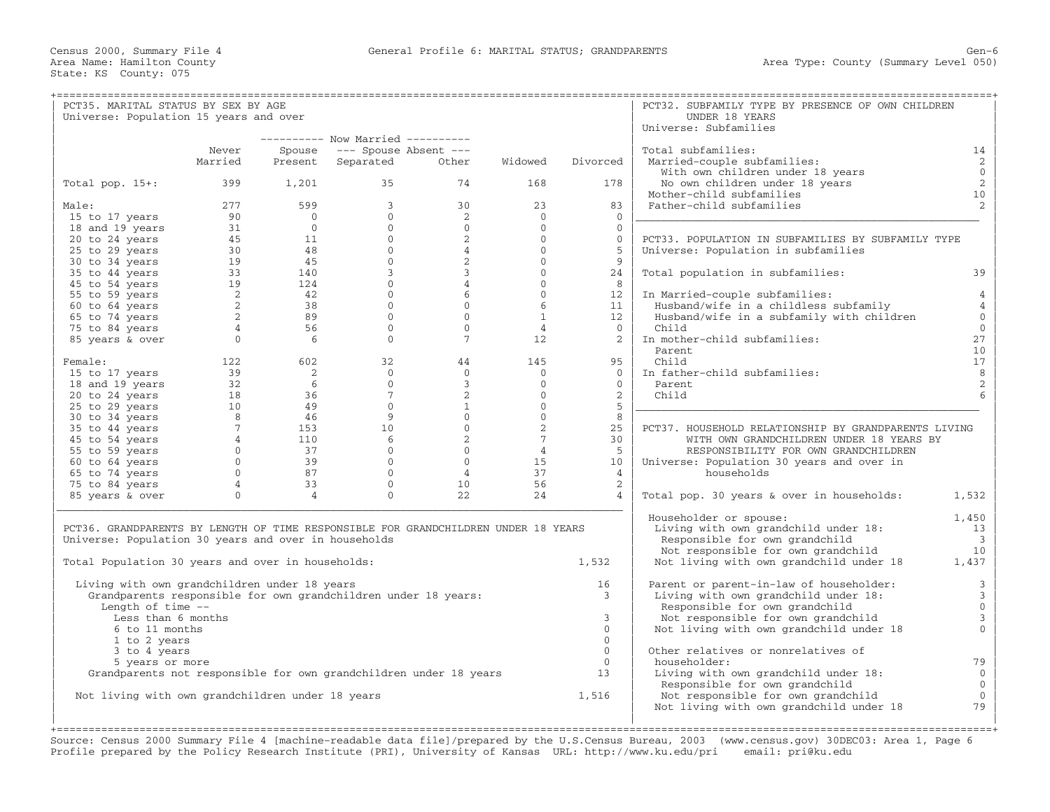| PCT35. MARITAL STATUS BY SEX BY AGE                                                |                                                                  |                                    |                                             |                     |                 |                | PCT32. SUBFAMILY TYPE BY PRESENCE OF OWN CHILDREN                                         |                         |
|------------------------------------------------------------------------------------|------------------------------------------------------------------|------------------------------------|---------------------------------------------|---------------------|-----------------|----------------|-------------------------------------------------------------------------------------------|-------------------------|
| Universe: Population 15 years and over                                             |                                                                  |                                    |                                             |                     |                 |                | UNDER 18 YEARS                                                                            |                         |
|                                                                                    |                                                                  |                                    |                                             |                     |                 |                | Universe: Subfamilies                                                                     |                         |
|                                                                                    |                                                                  |                                    | ---------- Now Married ----------           |                     |                 |                |                                                                                           |                         |
|                                                                                    | Never                                                            | Spouse                             | --- Spouse Absent ---                       |                     |                 |                | Total subfamilies:                                                                        | 14                      |
|                                                                                    | Married                                                          | Present                            | Separated                                   | Other               | Widowed         | Divorced       | Married-couple subfamilies:                                                               | 2                       |
|                                                                                    |                                                                  |                                    |                                             |                     |                 |                | With own children under 18 years                                                          | $\mathbb O$             |
| Total pop. 15+:                                                                    | 399                                                              | 1,201                              | 35                                          | 74                  | 168             | 178            | No own children under 18 years                                                            | 2                       |
|                                                                                    |                                                                  |                                    |                                             |                     |                 |                | Mother-child subfamilies                                                                  | 10                      |
| Male:                                                                              | 277                                                              | 599                                | $\overline{3}$                              | 30                  | 23<br>$\Omega$  | 83<br>$\Omega$ | Father-child subfamilies                                                                  | 2                       |
| 15 to 17 years<br>18 and 19 years                                                  |                                                                  |                                    |                                             | 2<br>$\overline{0}$ | $\mathbf{0}$    | $\Omega$       |                                                                                           |                         |
|                                                                                    | $\begin{bmatrix} 90 \\ 31 \\ 45 \\ 30 \\ 19 \\ 32 \end{bmatrix}$ |                                    |                                             | 2                   | $\circ$         | $\Omega$       |                                                                                           |                         |
| 20 to 24 years<br>$25$ to $29$ years                                               |                                                                  |                                    |                                             | $\overline{4}$      | $\Omega$        | 5              | PCT33. POPULATION IN SUBFAMILIES BY SUBFAMILY TYPE<br>Universe: Population in subfamilies |                         |
| 30 to 34 years                                                                     |                                                                  |                                    |                                             | 2                   | $\circ$         | 9              |                                                                                           |                         |
| 35 to 44 years                                                                     |                                                                  |                                    |                                             | $\overline{3}$      | $\Omega$        | 24             | Total population in subfamilies:                                                          | 39                      |
| 45 to 54 years                                                                     |                                                                  |                                    |                                             | $4\overline{ }$     | $\circ$         | 8              |                                                                                           |                         |
| 55 to 59 years                                                                     | 2                                                                |                                    |                                             | 6                   | $\Omega$        | 12             | In Married-couple subfamilies:                                                            | 4                       |
| 60 to 64 years                                                                     | 2                                                                |                                    |                                             | $\overline{0}$      | 6               | 11             | Husband/wife in a childless subfamily                                                     | $\overline{4}$          |
| 65 to 74 years                                                                     | $2^{\circ}$                                                      |                                    |                                             | $\Omega$            | $\mathbf{1}$    | 12             | Husband/wife in a subfamily with children                                                 | $\mathbf{0}$            |
| 75 to 84 years                                                                     | $\overline{4}$                                                   | 56                                 | $\Omega$                                    | $\Omega$            | $\overline{4}$  | $\Omega$       | Child                                                                                     | $\mathbf 0$             |
| 85 years & over                                                                    | $\overline{0}$                                                   | 6                                  | $\overline{0}$                              | 7                   | 12              | 2              | In mother-child subfamilies:                                                              | 27                      |
|                                                                                    |                                                                  |                                    |                                             |                     |                 |                | Parent.                                                                                   | 10                      |
| Female:                                                                            | 122                                                              | 602                                | 32                                          | 44                  | 145             | 95             | Child                                                                                     | 17                      |
| 15 to 17 years                                                                     | 39                                                               | 2                                  | $\overline{0}$                              | $\overline{0}$      | $\overline{0}$  | $\overline{0}$ | In father-child subfamilies:                                                              | 8                       |
| 18 and 19 years                                                                    |                                                                  | 6                                  | $\Omega$                                    | $\overline{3}$      | $\Omega$        | $\Omega$       | Parent.                                                                                   | 2                       |
| 20 to 24 years                                                                     |                                                                  |                                    |                                             | 2                   | $\overline{0}$  | 2              | Child                                                                                     | 6                       |
| 25 to 29 years                                                                     |                                                                  |                                    |                                             | $\mathbf{1}$        | $\Omega$        | 5              |                                                                                           |                         |
| 30 to 34 years                                                                     | $32$<br>18<br>12<br>8                                            |                                    | $\begin{bmatrix} 7 \\ 0 \\ 9 \end{bmatrix}$ | $\overline{0}$      | $\overline{0}$  | 8              |                                                                                           |                         |
| 35 to 44 years                                                                     | $7^{\circ}$                                                      |                                    |                                             | $0 \qquad \qquad$   | 2               | 25             | PCT37. HOUSEHOLD RELATIONSHIP BY GRANDPARENTS LIVING                                      |                         |
| 45 to 54 years                                                                     | $\overline{4}$                                                   | $\frac{111}{37}$<br>$\frac{39}{8}$ |                                             | 2                   | $7\overline{ }$ | 30             | WITH OWN GRANDCHILDREN UNDER 18 YEARS BY                                                  |                         |
| 55 to 59 years                                                                     | $\overline{0}$                                                   |                                    | $\overline{0}$                              | $\overline{0}$      | $\overline{4}$  | - 5            | RESPONSIBILITY FOR OWN GRANDCHILDREN                                                      |                         |
| 60 to 64 years                                                                     | $\overline{0}$                                                   |                                    | $\overline{0}$                              | $\overline{0}$      | 15              | 10             | Universe: Population 30 years and over in                                                 |                         |
| 65 to 74 years                                                                     | $\Omega$                                                         | 87                                 | $\Omega$                                    | $\overline{4}$      | 37              | $\overline{4}$ | households                                                                                |                         |
| 75 to 84 years                                                                     | $\overline{4}$                                                   | 33                                 | $\overline{0}$                              | 10                  | 56              | 2              |                                                                                           |                         |
| 85 years & over                                                                    | $\Omega$                                                         | $\overline{4}$                     | $\Omega$                                    | 22                  | 24              | $\overline{4}$ | Total pop. 30 years & over in households:                                                 | 1,532                   |
|                                                                                    |                                                                  |                                    |                                             |                     |                 |                | Householder or spouse:                                                                    | 1,450                   |
| PCT36. GRANDPARENTS BY LENGTH OF TIME RESPONSIBLE FOR GRANDCHILDREN UNDER 18 YEARS |                                                                  |                                    |                                             |                     |                 |                | Living with own grandchild under 18:                                                      | 13                      |
| Universe: Population 30 years and over in households                               |                                                                  |                                    |                                             |                     |                 |                | Responsible for own grandchild                                                            | $\overline{\mathbf{3}}$ |
|                                                                                    |                                                                  |                                    |                                             |                     |                 |                | Not responsible for own grandchild                                                        | 10                      |
| Total Population 30 years and over in households:                                  |                                                                  |                                    |                                             |                     |                 | 1,532          | Not living with own grandchild under 18                                                   | 1,437                   |
| Living with own grandchildren under 18 years                                       |                                                                  |                                    |                                             |                     |                 | 16             | Parent or parent-in-law of householder:                                                   | 3                       |
| Grandparents responsible for own grandchildren under 18 years:                     |                                                                  |                                    |                                             |                     |                 | $\mathbf{3}$   | Living with own grandchild under 18:                                                      | $\mathbf{3}$            |
| Length of time $-$ -                                                               |                                                                  |                                    |                                             |                     |                 |                | Responsible for own grandchild                                                            | $\mathbb O$             |
| Less than 6 months                                                                 |                                                                  |                                    |                                             |                     |                 | $\mathbf{3}$   | Not responsible for own grandchild                                                        | $\overline{3}$          |
| 6 to 11 months                                                                     |                                                                  |                                    |                                             |                     |                 | $\Omega$       | Not living with own grandchild under 18                                                   | $\mathbf{0}$            |
| 1 to 2 years                                                                       |                                                                  |                                    |                                             |                     |                 | $\Omega$       |                                                                                           |                         |
| 3 to 4 years                                                                       |                                                                  |                                    |                                             |                     |                 | $\Omega$       | Other relatives or nonrelatives of                                                        |                         |
| 5 years or more                                                                    |                                                                  |                                    |                                             |                     |                 | $\Omega$       | householder:                                                                              | 79                      |
| Grandparents not responsible for own grandchildren under 18 years                  |                                                                  |                                    |                                             |                     |                 | 13             | Living with own grandchild under 18:                                                      | $\mathbf{0}$            |
|                                                                                    |                                                                  |                                    |                                             |                     |                 |                | Responsible for own grandchild                                                            | $\mathbf 0$             |
| Not living with own grandchildren under 18 years                                   |                                                                  |                                    |                                             |                     |                 | 1,516          | Not responsible for own grandchild                                                        | $\mathbf{0}$            |
|                                                                                    |                                                                  |                                    |                                             |                     |                 |                | Not living with own grandchild under 18                                                   | 79                      |
|                                                                                    |                                                                  |                                    |                                             |                     |                 |                |                                                                                           |                         |

+===================================================================================================================================================+ Source: Census 2000 Summary File 4 [machine−readable data file]/prepared by the U.S.Census Bureau, 2003 (www.census.gov) 30DEC03: Area 1, Page 6 Profile prepared by the Policy Research Institute (PRI), University of Kansas URL: http://www.ku.edu/pri email: pri@ku.edu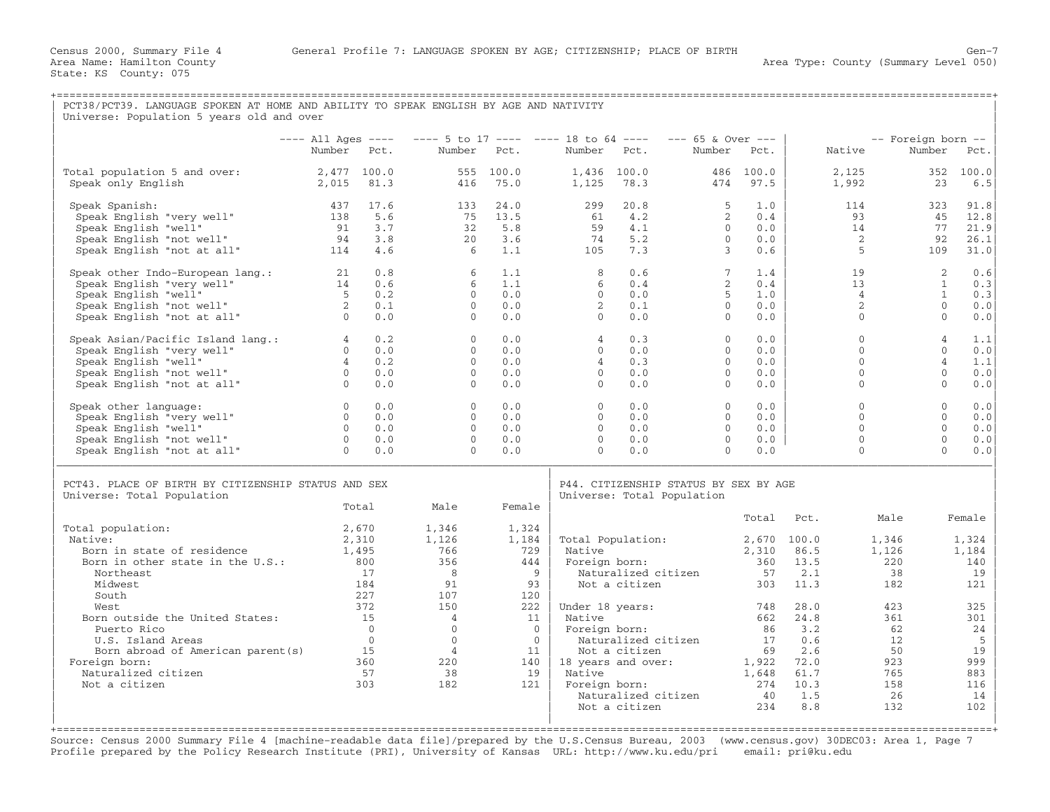| PCT38/PCT39. LANGUAGE SPOKEN AT HOME AND ABILITY TO SPEAK ENGLISH BY AGE AND NATIVITY<br>Universe: Population 5 years old and over                                                                                                                                                                            |                                                                     |                                                                                                                           |                                                                                                                                                                |                                                                                                                             |                                                                      |                                                                                                                           |                                                                                    |                                                                                   |                                                                                                                                       |                                                                                                              |                                                                                                               |
|---------------------------------------------------------------------------------------------------------------------------------------------------------------------------------------------------------------------------------------------------------------------------------------------------------------|---------------------------------------------------------------------|---------------------------------------------------------------------------------------------------------------------------|----------------------------------------------------------------------------------------------------------------------------------------------------------------|-----------------------------------------------------------------------------------------------------------------------------|----------------------------------------------------------------------|---------------------------------------------------------------------------------------------------------------------------|------------------------------------------------------------------------------------|-----------------------------------------------------------------------------------|---------------------------------------------------------------------------------------------------------------------------------------|--------------------------------------------------------------------------------------------------------------|---------------------------------------------------------------------------------------------------------------|
|                                                                                                                                                                                                                                                                                                               | $--- All Ages ---$<br>Number                                        | Pct.                                                                                                                      | $--- 5$ to 17 $--- 28$ to 64 $--- 5$<br>Number                                                                                                                 | Pct.                                                                                                                        | Number Pct.                                                          |                                                                                                                           | $--- 65$ & Over $---$<br>Number                                                    | Pct.                                                                              | Native                                                                                                                                | -- Foreign born --<br>Number                                                                                 | Pct.                                                                                                          |
| Total population 5 and over:<br>Speak only English                                                                                                                                                                                                                                                            | 2,477 100.0<br>2,015                                                | 81.3                                                                                                                      | 416                                                                                                                                                            | 555 100.0<br>75.0                                                                                                           | 1,125                                                                | 1,436 100.0<br>78.3                                                                                                       | 474                                                                                | 486 100.0<br>97.5                                                                 | 2,125<br>1,992                                                                                                                        | 23                                                                                                           | 352 100.0<br>6.5                                                                                              |
| Speak Spanish:<br>Speak English "very well"<br>Speak English "well"<br>Speak English "not well"<br>Speak English "not at all"                                                                                                                                                                                 | 437<br>138<br>91<br>94<br>114                                       | 17.6<br>5.6<br>3.7<br>3.8<br>4.6                                                                                          | 133<br>75<br>32<br>20<br>- 6                                                                                                                                   | 24.0<br>13.5<br>5.8<br>3.6<br>1.1                                                                                           | 299<br>61<br>59<br>74<br>105                                         | 20.8<br>4.2<br>4.1<br>5.2<br>7.3                                                                                          | 5<br>2<br>$\overline{0}$<br>$\overline{0}$<br>$\overline{3}$                       | 1.0<br>0.4<br>0.0<br>0.0<br>0.6                                                   | 114<br>93<br>14<br>2<br>5                                                                                                             | 323<br>45<br>77<br>92<br>109                                                                                 | 91.8<br>12.8<br>21.9<br>26.1<br>31.0                                                                          |
| Speak other Indo-European lang.: 21<br>Speak English "very well" 14<br>Speak English "well"<br>Speak English "not well"<br>Speak English "not at all"                                                                                                                                                         | 14<br>$\begin{array}{c} 5 \\ 2 \\ 0 \end{array}$                    | 0.8<br>0.6<br>0.2<br>0.1<br>0.0                                                                                           | 6<br>6<br>$\overline{0}$<br>$\Omega$<br>$\Omega$                                                                                                               | 1.1<br>1.1<br>0.0<br>0.0<br>0.0                                                                                             | 8<br>6<br>$\overline{0}$<br>$2^{\circ}$<br>$\Omega$                  | 0.6<br>0.4<br>0.0<br>0.1<br>0.0                                                                                           | $7^{\circ}$<br>2<br>5<br>$\overline{0}$<br>$\overline{0}$                          | 1.4<br>0.4<br>1.0<br>0.0<br>0.0                                                   | 19<br>13<br>$\overline{4}$<br>2<br>$\Omega$                                                                                           | 2<br>$\overline{1}$<br>$\mathbf{1}$<br>$\Omega$<br>$\mathbf{0}$                                              | 0.6<br>0.3<br>0.3<br>0.0<br>0.0                                                                               |
| Speak Asian/Pacific Island lang.: 4<br>Speak English "verv well" 0<br>Speak English "very well"<br>Speak English "well"<br>Speak English "not well"<br>Speak English "not at all"                                                                                                                             | $\begin{array}{c} 4 \\ 0 \\ 0 \end{array}$                          | 0.2<br>$\Omega$<br>0.0<br>0.2<br>0.0<br>0.0                                                                               | $\Omega$<br>$\overline{0}$<br>$\Omega$<br>$\overline{0}$<br>$\Omega$                                                                                           | 0.0<br>0.0<br>0.0<br>0.0<br>0.0                                                                                             | $\overline{4}$<br>$\Omega$<br>$\overline{4}$<br>$\Omega$<br>$\Omega$ | 0.3<br>0.0<br>0.3<br>0.0<br>0.0                                                                                           | $\Omega$<br>$\overline{0}$<br>$\Omega$<br>$\circ$<br>$\Omega$                      | 0.0<br>0.0<br>0.0<br>0.0<br>0.0                                                   | $\Omega$<br>$\Omega$<br>$\Omega$<br>$\Omega$<br>$\Omega$                                                                              | $\overline{4}$<br>$\Omega$<br>$\overline{4}$<br>$\Omega$<br>$\Omega$                                         | 1.1<br>0.0<br>1.1<br>0.0<br>0.0                                                                               |
| Speak other language:<br>Speak English "very well"<br>Speak English "well"<br>Speak English "not well"<br>Speak English "not at all"                                                                                                                                                                          | $\circ$<br>$\overline{0}$<br>$\Omega$<br>$\overline{0}$<br>$\Omega$ | 0.0<br>0.0<br>0.0<br>0.0<br>0.0                                                                                           | $\Omega$<br>$\Omega$<br>$\Omega$<br>$\Omega$<br>$\Omega$                                                                                                       | 0.0<br>0.0<br>0.0<br>0.0<br>0.0                                                                                             | $\Omega$<br>$\Omega$<br>$\Omega$<br>$\Omega$<br>$\Omega$             | 0.0<br>0.0<br>0.0<br>0.0<br>0.0                                                                                           | $\Omega$<br>$\circ$<br>$\Omega$<br>$\circ$<br>$\Omega$                             | 0.0<br>0.0<br>0.0<br>0.0<br>0.0                                                   | $\Omega$<br>$\Omega$<br>$\Omega$<br>$\Omega$<br>$\mathbf{0}$                                                                          | $\Omega$<br>$\Omega$<br>$\Omega$<br>$\Omega$<br>$\Omega$                                                     | 0.0<br>0.0<br>0.0<br>0.0<br>0.0                                                                               |
| PCT43. PLACE OF BIRTH BY CITIZENSHIP STATUS AND SEX<br>Universe: Total Population                                                                                                                                                                                                                             |                                                                     | Total                                                                                                                     | Male                                                                                                                                                           | Female                                                                                                                      |                                                                      |                                                                                                                           | P44. CITIZENSHIP STATUS BY SEX BY AGE<br>Universe: Total Population                |                                                                                   |                                                                                                                                       |                                                                                                              |                                                                                                               |
| Total population:<br>Native:<br>Born in state of residence<br>Born in other state in the U.S.:<br>Northeast<br>Midwest<br>South<br>West<br>Born outside the United States:<br>Puerto Rico<br>U.S. Island Areas<br>Born abroad of American parent (s)<br>Foreign born:<br>Naturalized citizen<br>Not a citizen |                                                                     | 2,670<br>2,310<br>1,495<br>800<br>17<br>184<br>227<br>372<br>15<br>$\overline{0}$<br>$\bigcirc$<br>15<br>360<br>57<br>303 | 1,346<br>1,126<br>766<br>356<br>$\overline{8}$<br>91<br>107<br>150<br>$\overline{4}$<br>$\overline{0}$<br>$\overline{0}$<br>$\overline{4}$<br>220<br>38<br>182 | 1,324<br>1,184<br>729<br>444<br>$\overline{9}$<br>93<br>120<br>222<br>11<br>$\overline{0}$<br>$\bigcirc$<br>11<br>19<br>121 | Native<br>Native<br>$140$   18 years and over:<br>Native             | Foreign born:<br>Naturalized citizen<br>Not a citizen<br>Foreign born:<br>Not a citizen<br>Foreign born:<br>Not a citizen | Total Population:<br>Under 18 years:<br>Naturalized citizen<br>Naturalized citizen | Total<br>57<br>303<br>748<br>662<br>69<br>1,922<br>1,648<br>274 10.3<br>40<br>234 | Pct.<br>2,670 100.0<br>2,310 86.5<br>360 13.5<br>2.1<br>11.3<br>28.0<br>24.8<br>86 3.2<br>17 0.6<br>2.6<br>72.0<br>61.7<br>1.5<br>8.8 | Male<br>1,346<br>1,126<br>220<br>38<br>182<br>423<br>361<br>62<br>12<br>50<br>923<br>765<br>158<br>26<br>132 | Female<br>1,324<br>1,184<br>140<br>19<br>121<br>325<br>301<br>24<br>5<br>19<br>999<br>883<br>116<br>14<br>102 |

+===================================================================================================================================================+ Source: Census 2000 Summary File 4 [machine−readable data file]/prepared by the U.S.Census Bureau, 2003 (www.census.gov) 30DEC03: Area 1, Page 7 Profile prepared by the Policy Research Institute (PRI), University of Kansas URL: http://www.ku.edu/pri email: pri@ku.edu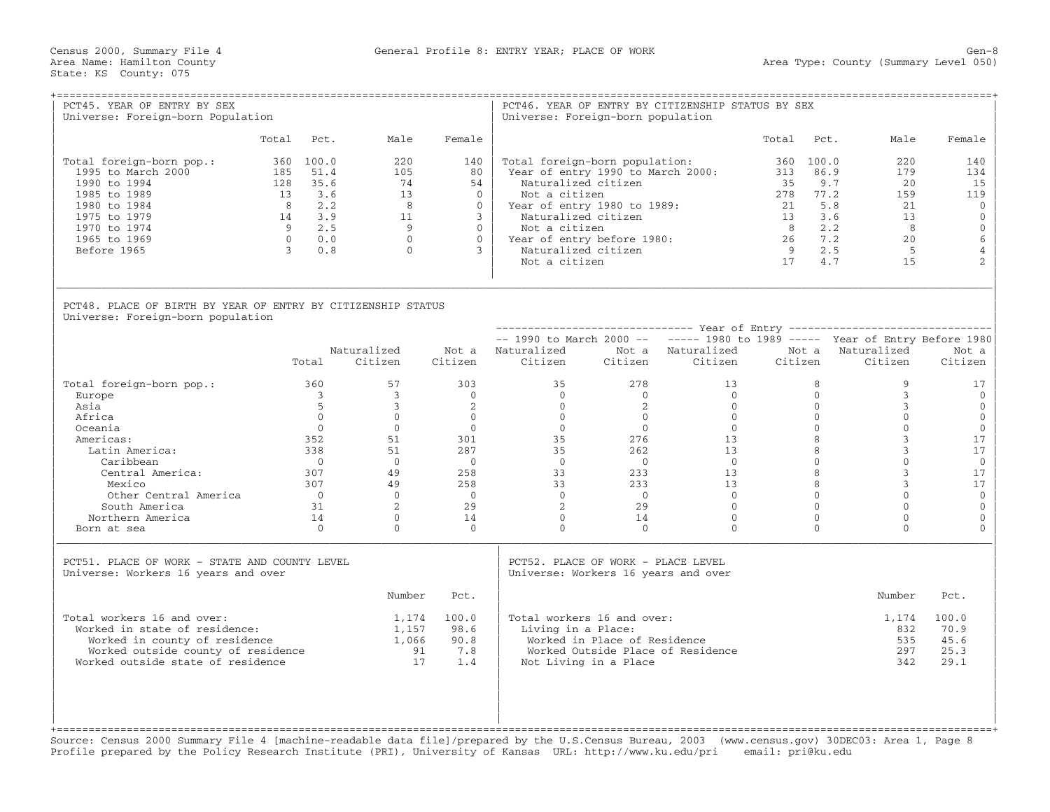| PCT45. YEAR OF ENTRY BY SEX<br>Universe: Foreign-born Population                                                                                              |                                           |                                                                                            |                                                                             |                                                                                      | Universe: Foreign-born population                                                                                                                                                                                                                        |                                                       | PCT46. YEAR OF ENTRY BY CITIZENSHIP STATUS BY SEX |                                                                           |                                                                        |                                                            |                                                                                                         |
|---------------------------------------------------------------------------------------------------------------------------------------------------------------|-------------------------------------------|--------------------------------------------------------------------------------------------|-----------------------------------------------------------------------------|--------------------------------------------------------------------------------------|----------------------------------------------------------------------------------------------------------------------------------------------------------------------------------------------------------------------------------------------------------|-------------------------------------------------------|---------------------------------------------------|---------------------------------------------------------------------------|------------------------------------------------------------------------|------------------------------------------------------------|---------------------------------------------------------------------------------------------------------|
|                                                                                                                                                               |                                           | Total Pct.                                                                                 | Male                                                                        | Female                                                                               |                                                                                                                                                                                                                                                          |                                                       |                                                   | Total                                                                     | Pct.                                                                   | Male                                                       | Female                                                                                                  |
| Total foreign-born pop.:<br>1995 to March 2000<br>1990 to 1994<br>1985 to 1989<br>1980 to 1984<br>1975 to 1979<br>1970 to 1974<br>1965 to 1969<br>Before 1965 | $\overline{0}$<br>$\overline{\mathbf{3}}$ | 360 100.0<br>185 51.4<br>128 35.6<br>13 3.6<br>8 2.2<br>14 3.9<br>$9 \t 2.5$<br>0.0<br>0.8 | 220<br>105<br>74<br>13<br>$\overline{8}$<br>11<br>9<br>$\Omega$<br>$\Omega$ | 140<br>80<br>54<br>$\circ$<br>$\Omega$<br>$\overline{3}$<br>$\circ$<br>$\Omega$<br>3 | Total foreign-born population:<br>Year of entry 1990 to March 2000:<br>Naturalized citizen<br>Not a citizen<br>Year of entry 1980 to 1989:<br>Naturalized citizen<br>Not a citizen<br>Year of entry before 1980:<br>Naturalized citizen<br>Not a citizen |                                                       |                                                   | 360<br>313<br>35<br>278<br>2.1<br>13<br>8 <sup>8</sup><br>26<br>- 9<br>17 | 100.0<br>86.9<br>9.7<br>77.2<br>5.8<br>3.6<br>2.2<br>7.2<br>2.5<br>4.7 | 220<br>179<br>20<br>159<br>21<br>13<br>8<br>2.0<br>5<br>15 | 140<br>134<br>15<br>119<br>$\Omega$<br>$\mathbf{0}$<br>$\mathbf 0$<br>6<br>$\sqrt{4}$<br>$\overline{2}$ |
| PCT48. PLACE OF BIRTH BY YEAR OF ENTRY BY CITIZENSHIP STATUS<br>Universe: Foreign-born population                                                             |                                           |                                                                                            |                                                                             |                                                                                      |                                                                                                                                                                                                                                                          |                                                       |                                                   |                                                                           |                                                                        |                                                            |                                                                                                         |
|                                                                                                                                                               |                                           |                                                                                            |                                                                             |                                                                                      |                                                                                                                                                                                                                                                          |                                                       |                                                   |                                                                           |                                                                        |                                                            |                                                                                                         |
|                                                                                                                                                               |                                           |                                                                                            |                                                                             |                                                                                      | -- 1990 to March 2000 -- ----- 1980 to 1989 ----- Year of Entry Before 1980                                                                                                                                                                              |                                                       |                                                   |                                                                           |                                                                        |                                                            |                                                                                                         |
|                                                                                                                                                               |                                           | Total                                                                                      | Naturalized<br>Citizen                                                      | Citizen                                                                              | Not a Naturalized<br>Citizen                                                                                                                                                                                                                             | Citizen                                               | Not a Naturalized<br>Citizen                      | Citizen                                                                   | Not a                                                                  | Naturalized<br>Citizen                                     | Not a<br>Citizen                                                                                        |
| Total foreign-born pop.:                                                                                                                                      |                                           | 360                                                                                        | 57                                                                          | 303                                                                                  | 35                                                                                                                                                                                                                                                       | 278                                                   | 13                                                |                                                                           | 8                                                                      | $\overline{9}$                                             | 17                                                                                                      |
| Europe                                                                                                                                                        |                                           | $\overline{3}$                                                                             | $\overline{3}$                                                              | $\Omega$                                                                             | $\Omega$                                                                                                                                                                                                                                                 | $\Omega$                                              | $\bigcirc$                                        |                                                                           | $\Omega$                                                               | $\overline{3}$                                             | $\Omega$                                                                                                |
| Asia                                                                                                                                                          |                                           | 5                                                                                          | $\overline{3}$                                                              | 2                                                                                    | $\Omega$                                                                                                                                                                                                                                                 | 2                                                     | $\Omega$                                          |                                                                           | $\Omega$                                                               | $\overline{3}$                                             | $\mathbf{0}$                                                                                            |
| Africa                                                                                                                                                        |                                           | $\overline{0}$                                                                             | $\overline{0}$                                                              | $\overline{0}$                                                                       | $\overline{0}$                                                                                                                                                                                                                                           | $0 \qquad \qquad$                                     | $\circ$                                           |                                                                           | $\overline{0}$                                                         | $\Omega$                                                   | $\mathbb O$                                                                                             |
| Oceania                                                                                                                                                       |                                           | $\bigcap$                                                                                  | $\Omega$                                                                    | $\Omega$                                                                             | $\Omega$                                                                                                                                                                                                                                                 | $\bigcap$                                             | $\bigcap$                                         |                                                                           | $\Omega$                                                               | $\Omega$                                                   | $\mathbf{0}$                                                                                            |
| Americas:                                                                                                                                                     |                                           | 352                                                                                        | 51                                                                          | 301                                                                                  | 35                                                                                                                                                                                                                                                       | 276                                                   |                                                   | $\begin{array}{c} 13 \\ 13 \end{array}$                                   | 8                                                                      | $\overline{3}$                                             | 17                                                                                                      |
| Latin America:                                                                                                                                                |                                           | 338                                                                                        | 51                                                                          | 2.87                                                                                 | 35                                                                                                                                                                                                                                                       | 262                                                   |                                                   |                                                                           | 8                                                                      | $\overline{3}$                                             | 17                                                                                                      |
| Caribbean                                                                                                                                                     |                                           | $\bigcap$                                                                                  | $\bigcap$                                                                   | $\bigcap$                                                                            | $\bigcap$                                                                                                                                                                                                                                                | $\bigcap$                                             | $\bigcap$                                         |                                                                           | $\Omega$                                                               | $\Omega$                                                   | $\mathbf{0}$                                                                                            |
| Central America:                                                                                                                                              |                                           | 307                                                                                        | 49                                                                          | 258                                                                                  | 33                                                                                                                                                                                                                                                       | 233                                                   | 13                                                |                                                                           | 8                                                                      | $\overline{3}$                                             | 17                                                                                                      |
| Mexico                                                                                                                                                        |                                           | 307                                                                                        | 49                                                                          | 258                                                                                  | 33                                                                                                                                                                                                                                                       | 233                                                   | 13                                                |                                                                           | 8<br>$\Omega$                                                          | 3<br>$\Omega$                                              | 17                                                                                                      |
| Other Central America<br>South America                                                                                                                        |                                           | $\bigcirc$<br>31                                                                           | $\Omega$<br>2                                                               | $\Omega$<br>29                                                                       | $\Omega$<br>2                                                                                                                                                                                                                                            | $\Omega$<br>29                                        | $\Omega$<br>$\Omega$                              |                                                                           | $\Omega$                                                               | $\Omega$                                                   | $\mathbf{0}$<br>$\mathbf{0}$                                                                            |
| Northern America                                                                                                                                              |                                           | 14                                                                                         | $\Omega$                                                                    | 14                                                                                   | $\Omega$                                                                                                                                                                                                                                                 | 14                                                    | $\Omega$                                          |                                                                           | $\Omega$                                                               | $\Omega$                                                   | $\mathbf{0}$                                                                                            |
| Born at sea                                                                                                                                                   |                                           | $\overline{0}$                                                                             | $\Omega$                                                                    | $\bigcirc$                                                                           | $\Omega$                                                                                                                                                                                                                                                 | $\Omega$                                              | $\Omega$                                          |                                                                           | $\Omega$                                                               | $\Omega$                                                   | $\Omega$                                                                                                |
| PCT51. PLACE OF WORK - STATE AND COUNTY LEVEL<br>Universe: Workers 16 years and over<br>Total workers 16 and over:<br>Worked in state of residence:           |                                           |                                                                                            | Number<br>1,157                                                             | Pct.<br>1,174 100.0<br>98.6                                                          | PCT52. PLACE OF WORK - PLACE LEVEL<br>Universe: Workers 16 years and over<br>Total workers 16 and over:<br>Living in a Place:                                                                                                                            |                                                       |                                                   |                                                                           |                                                                        | Number<br>1,174<br>832                                     | Pct.<br>100.0<br>70.9                                                                                   |
| Worked in county of residence<br>Worked outside county of residence<br>Worked outside state of residence                                                      |                                           |                                                                                            | 1,066<br>91<br>17                                                           | 90.8<br>7.8<br>1.4                                                                   |                                                                                                                                                                                                                                                          | Worked in Place of Residence<br>Not Living in a Place | Worked Outside Place of Residence                 |                                                                           |                                                                        | 535<br>297<br>342                                          | 45.6<br>25.3<br>29.1                                                                                    |

Source: Census 2000 Summary File 4 [machine−readable data file]/prepared by the U.S.Census Bureau, 2003 (www.census.gov) 30DEC03: Area 1, Page 8 Profile prepared by the Policy Research Institute (PRI), University of Kansas URL: http://www.ku.edu/pri email: pri@ku.edu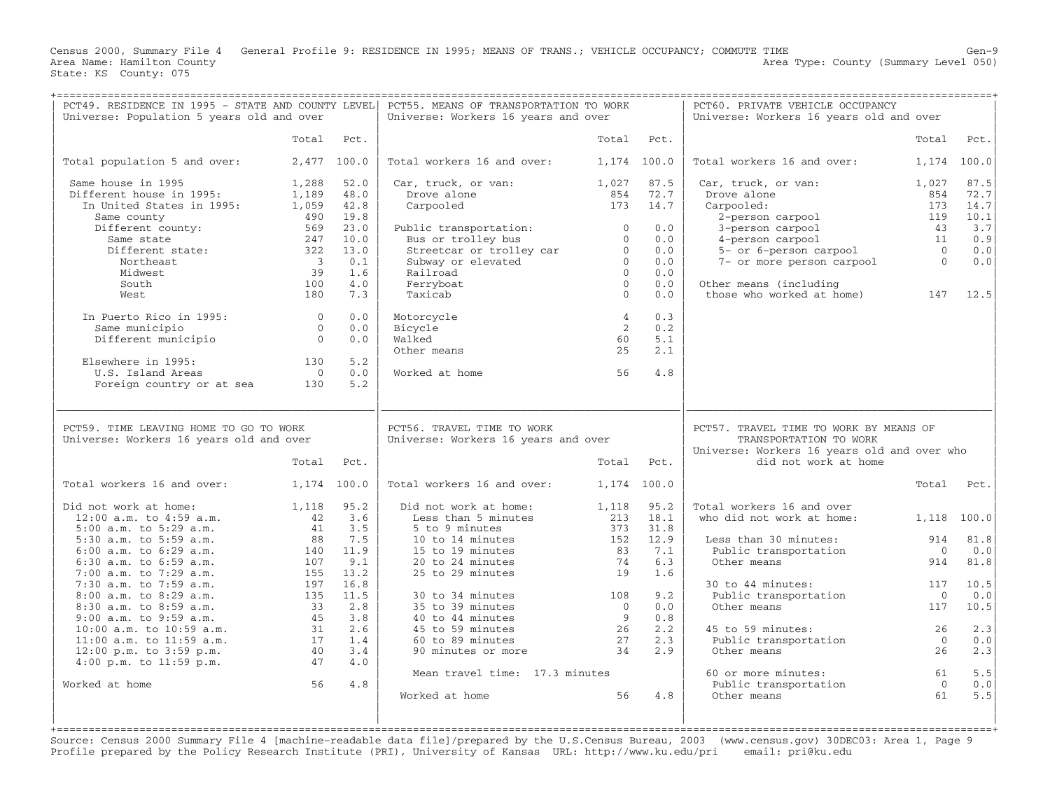Census 2000, Summary File 4 General Profile 9: RESIDENCE IN 1995; MEANS OF TRANS.; VEHICLE OCCUPANCY; COMMUTE TIME<br>Area Name: Hamilton County Level 050) Area Type: County (Summary Level 050) Area Type: County (Summary Level 050) State: KS County: 075

| Universe: Population 5 years old and over                                                                                                                                                                                                                                |                                                      |              | PCT49. RESIDENCE IN 1995 - STATE AND COUNTY LEVEL   PCT55. MEANS OF TRANSPORTATION TO WORK<br>Universe: Workers 16 years and over       |                            |                      | PCT60. PRIVATE VEHICLE OCCUPANCY<br>Universe: Workers 16 years old and over                                                                                                                                                   |                  |             |
|--------------------------------------------------------------------------------------------------------------------------------------------------------------------------------------------------------------------------------------------------------------------------|------------------------------------------------------|--------------|-----------------------------------------------------------------------------------------------------------------------------------------|----------------------------|----------------------|-------------------------------------------------------------------------------------------------------------------------------------------------------------------------------------------------------------------------------|------------------|-------------|
|                                                                                                                                                                                                                                                                          | Total                                                | Pct.         |                                                                                                                                         |                            | Total Pct.           |                                                                                                                                                                                                                               | Total            | Pct.        |
| Total population 5 and over: 2,477 100.0                                                                                                                                                                                                                                 |                                                      |              | Total workers 16 and over:                                                                                                              | 1,174 100.0                |                      | Total workers 16 and over:                                                                                                                                                                                                    |                  | 1,174 100.0 |
| Same house in 1995<br>Different house in 1995:                                                                                                                                                                                                                           | 1,288<br>1,189                                       | 52.0<br>48.0 | Car, truck, or van:                                                                                                                     | 1,027<br>854 72.7          | 87.5                 | Car, truck, or van:<br>Car, Liuck, Or van:<br>Drove alone<br>Carpooled:<br>2-person carpool 119 10.1<br>3-person carpool 43 3.7<br>4-person carpool 11 0.9<br>5- or 6-person carpool 0 0.0<br>7- or more person carpool 0 0.0 | 1,027            | 87.5        |
| In United States in 1995:                                                                                                                                                                                                                                                | 1,059                                                | 42.8         | Drove alone<br>Carpooled                                                                                                                |                            | 173 14.7             |                                                                                                                                                                                                                               |                  |             |
| Same county                                                                                                                                                                                                                                                              | 490                                                  | 19.8         |                                                                                                                                         |                            |                      |                                                                                                                                                                                                                               |                  |             |
|                                                                                                                                                                                                                                                                          |                                                      |              |                                                                                                                                         |                            | 0.0                  |                                                                                                                                                                                                                               |                  |             |
|                                                                                                                                                                                                                                                                          |                                                      |              |                                                                                                                                         |                            | 0.0                  |                                                                                                                                                                                                                               |                  |             |
|                                                                                                                                                                                                                                                                          |                                                      |              |                                                                                                                                         |                            | 0.0                  |                                                                                                                                                                                                                               |                  |             |
|                                                                                                                                                                                                                                                                          |                                                      |              |                                                                                                                                         |                            | 0.0                  |                                                                                                                                                                                                                               |                  |             |
|                                                                                                                                                                                                                                                                          |                                                      |              |                                                                                                                                         |                            | 0.0                  |                                                                                                                                                                                                                               |                  |             |
|                                                                                                                                                                                                                                                                          |                                                      |              |                                                                                                                                         |                            | 0.0                  | Other means (including<br>Other means (including<br>those who worked at home) 147 12.5                                                                                                                                        |                  |             |
| Ago 19.8<br>Different county:<br>Same state<br>Different state:<br>247 10.0<br>Different state:<br>247 10.0<br>25.0<br>26 23.0<br>27 10.0<br>27 13.0<br>Northeast<br>39 1.6<br>South<br>29 13.0<br>30.1<br>29 13.0<br>21 13.0<br>39 1.6<br>29 13.0<br>20 13.0<br>20 13.0 |                                                      |              | Public transportation:<br>Bus or trolley bus<br>Streetcar or trolley car<br>Subway or elevated<br>Railroad<br>Ferryboat<br>Taxicab<br>0 |                            | 0.0                  |                                                                                                                                                                                                                               |                  |             |
| In Puerto Rico in 1995: 0                                                                                                                                                                                                                                                |                                                      | 0.0          | Motorcycle                                                                                                                              | $\overline{4}$             | 0.3                  |                                                                                                                                                                                                                               |                  |             |
| Same municipio $0$<br>Different municipio $0$                                                                                                                                                                                                                            |                                                      | 0.0          | Bicycle                                                                                                                                 | $\overline{\phantom{a}}$ 2 | 0.2                  |                                                                                                                                                                                                                               |                  |             |
|                                                                                                                                                                                                                                                                          |                                                      | 0.0          | Walked                                                                                                                                  | 60                         | 5.1                  |                                                                                                                                                                                                                               |                  |             |
|                                                                                                                                                                                                                                                                          |                                                      |              | Other means                                                                                                                             | 25                         | 2.1                  |                                                                                                                                                                                                                               |                  |             |
| Elsewhere in 1995:                                                                                                                                                                                                                                                       | 130                                                  | 5.2          |                                                                                                                                         |                            |                      |                                                                                                                                                                                                                               |                  |             |
| U.S. Island Areas                                                                                                                                                                                                                                                        | $\overline{0}$                                       | 0.0          | Worked at home                                                                                                                          | 56                         | 4.8                  |                                                                                                                                                                                                                               |                  |             |
| Foreign country or at sea 130                                                                                                                                                                                                                                            |                                                      | 5.2          |                                                                                                                                         |                            |                      |                                                                                                                                                                                                                               |                  |             |
|                                                                                                                                                                                                                                                                          |                                                      |              |                                                                                                                                         |                            |                      |                                                                                                                                                                                                                               |                  |             |
| PCT59. TIME LEAVING HOME TO GO TO WORK<br>Universe: Workers 16 years old and over<br>Total workers 16 and over: 1,174 100.0                                                                                                                                              | Total Pct.                                           |              | PCT56. TRAVEL TIME TO WORK<br>Universe: Workers 16 years and over<br>Total workers 16 and over:                                         | 1,174 100.0                | Total Pct.           | PCT57. TRAVEL TIME TO WORK BY MEANS OF<br>TRANSPORTATION TO WORK<br>Universe: Workers 16 years old and over who<br>did not work at home                                                                                       |                  | Total Pct.  |
|                                                                                                                                                                                                                                                                          |                                                      |              |                                                                                                                                         |                            |                      |                                                                                                                                                                                                                               |                  |             |
| Did not work at home:                                                                                                                                                                                                                                                    | 1,118 95.2                                           |              | Did not work at home:                                                                                                                   |                            | 1,118 95.2           | Total workers 16 and over                                                                                                                                                                                                     |                  |             |
|                                                                                                                                                                                                                                                                          | 42 3.6                                               |              | Less than 5 minutes                                                                                                                     |                            | 213 18.1             | who did not work at home:                                                                                                                                                                                                     | 1,118 100.0      |             |
|                                                                                                                                                                                                                                                                          |                                                      |              | 5 to 9 minutes<br>10 to 14 minutes                                                                                                      |                            | 373 31.8<br>152 12.9 | Less than 30 minutes:                                                                                                                                                                                                         |                  | 81.8        |
|                                                                                                                                                                                                                                                                          | $\begin{array}{cc} 41 & 3.5 \\ 88 & 7.5 \end{array}$ | 140 11.9     |                                                                                                                                         | 83                         | 7.1                  |                                                                                                                                                                                                                               | 914<br>$\bigcap$ | 0.0         |
|                                                                                                                                                                                                                                                                          | 107                                                  | 9.1          |                                                                                                                                         | 74                         | 6.3                  | Public transportation                                                                                                                                                                                                         | 914              | 81.8        |
| id not work at nome.<br>12:00 a.m. to 4:59 a.m.<br>5:00 a.m. to 5:29 a.m.<br>5:30 a.m. to 5:59 a.m.<br>6:00 a.m. to 6:29 a.m.<br>6:30 a.m. to 6:59 a.m.<br>$7:00$ a.m. to $7:29$ a.m.                                                                                    |                                                      | 155 13.2     |                                                                                                                                         | 19                         | 1.6                  |                                                                                                                                                                                                                               |                  |             |
| 7:30 a.m. to 7:59 a.m.                                                                                                                                                                                                                                                   |                                                      | 197 16.8     | 10 to 14 minutes<br>15 to 19 minutes<br>20 to 24 minutes<br>25 to 29 minutes                                                            |                            |                      | 30 to 44 minutes:                                                                                                                                                                                                             | 117              | 10.5        |
|                                                                                                                                                                                                                                                                          |                                                      | 135 11.5     |                                                                                                                                         |                            | 9.2                  |                                                                                                                                                                                                                               | $\overline{0}$   | 0.0         |
| 8:00 a.m. to 8:29 a.m.                                                                                                                                                                                                                                                   |                                                      |              |                                                                                                                                         |                            | 0.0                  | 30 to 44 minutes:<br>Public transportation<br>Othor moans<br>Other means                                                                                                                                                      | 117              | 10.5        |
|                                                                                                                                                                                                                                                                          |                                                      |              |                                                                                                                                         |                            | 0.8                  |                                                                                                                                                                                                                               |                  |             |
|                                                                                                                                                                                                                                                                          |                                                      |              |                                                                                                                                         |                            | 2.2                  | 45 to 59 minutes:                                                                                                                                                                                                             | 26               | 2.3         |
|                                                                                                                                                                                                                                                                          |                                                      |              |                                                                                                                                         |                            | 2.3                  |                                                                                                                                                                                                                               | $\overline{0}$   | 0.0         |
|                                                                                                                                                                                                                                                                          |                                                      |              |                                                                                                                                         |                            | 2.9                  | 45 to 59 minutes:<br>Public transportation<br>Other means                                                                                                                                                                     | 26               | 2.3         |
|                                                                                                                                                                                                                                                                          |                                                      |              | 30 to 34 minutes<br>35 to 39 minutes<br>40 to 44 minutes<br>45 to 59 minutes<br>60 to 89 minutes<br>90 minutes or more<br>34            |                            |                      |                                                                                                                                                                                                                               |                  |             |
| 8:30 a.m. to 8:59 a.m.<br>9:00 a.m. to 9:59 a.m.<br>9:00 a.m. to 9:59 a.m.<br>45 3.8<br>10:00 a.m. to 10:59 a.m.<br>11:00 a.m. to 11:59 a.m.<br>17 1.4<br>12:00 p.m. to 3:59 p.m.<br>40 3.4<br>4:00 p.m. to 11:59 p.m.<br>47 4.0                                         |                                                      |              | Mean travel time: 17.3 minutes                                                                                                          |                            |                      |                                                                                                                                                                                                                               |                  |             |
| Worked at home                                                                                                                                                                                                                                                           | 56                                                   | 4.8          |                                                                                                                                         |                            |                      |                                                                                                                                                                                                                               |                  |             |
|                                                                                                                                                                                                                                                                          |                                                      |              | Worked at home 56                                                                                                                       |                            | 4.8                  | 60 or more minutes: $\begin{bmatrix} 61 & 5.5 \\ 1 & 61 & 5.5 \\ 0 & 0.0 \\ 0 & 0 & 0.0 \\ 0 & 5.5 \end{bmatrix}$                                                                                                             |                  |             |

+===================================================================================================================================================+ Source: Census 2000 Summary File 4 [machine−readable data file]/prepared by the U.S.Census Bureau, 2003 (www.census.gov) 30DEC03: Area 1, Page 9 Profile prepared by the Policy Research Institute (PRI), University of Kansas URL: http://www.ku.edu/pri email: pri@ku.edu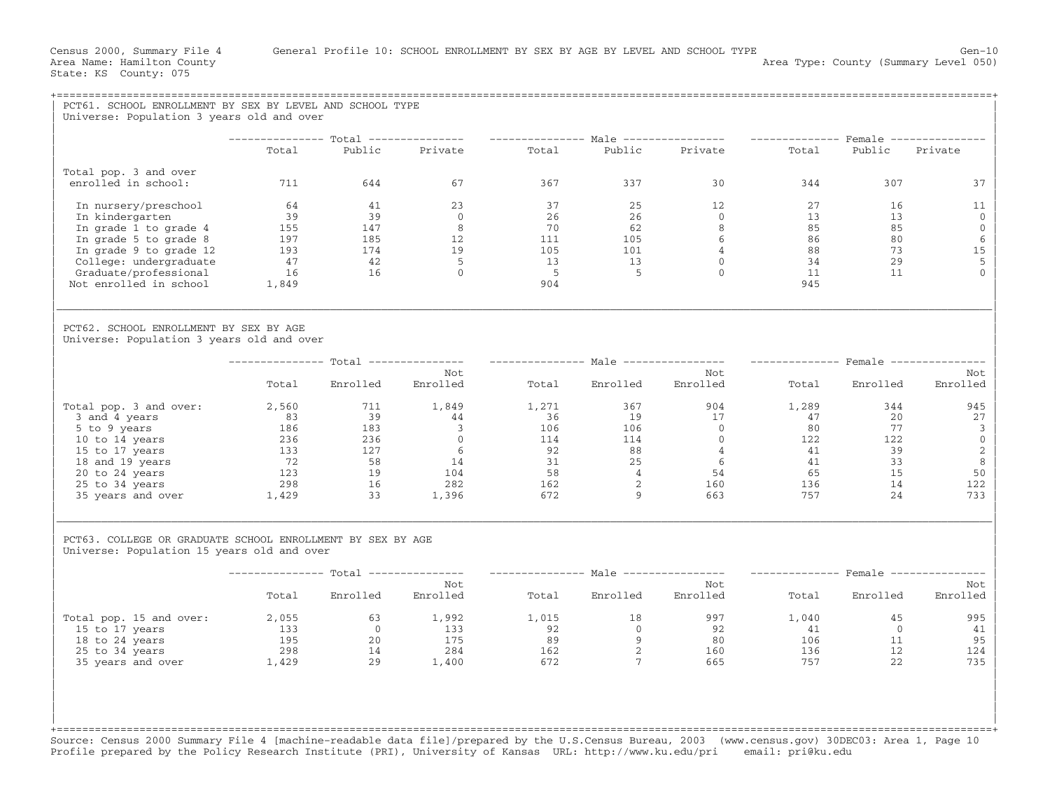| PCT61. SCHOOL ENROLLMENT BY SEX BY LEVEL AND SCHOOL TYPE<br>Universe: Population 3 years old and over                                                                                            |                                                                                                |                                                                                                                 |                                                                                                                                                                                                                                                             |                                                                                                 |                                                                                                         |                                                                                                                     |                                                                                                                                    |                                                         |                                                                                    |
|--------------------------------------------------------------------------------------------------------------------------------------------------------------------------------------------------|------------------------------------------------------------------------------------------------|-----------------------------------------------------------------------------------------------------------------|-------------------------------------------------------------------------------------------------------------------------------------------------------------------------------------------------------------------------------------------------------------|-------------------------------------------------------------------------------------------------|---------------------------------------------------------------------------------------------------------|---------------------------------------------------------------------------------------------------------------------|------------------------------------------------------------------------------------------------------------------------------------|---------------------------------------------------------|------------------------------------------------------------------------------------|
|                                                                                                                                                                                                  |                                                                                                |                                                                                                                 |                                                                                                                                                                                                                                                             |                                                                                                 |                                                                                                         | -------------- Total --------------- --------------- Male ---------------- -------------- Female --------------     |                                                                                                                                    |                                                         |                                                                                    |
|                                                                                                                                                                                                  | Total                                                                                          | Public                                                                                                          | Private                                                                                                                                                                                                                                                     | Total                                                                                           |                                                                                                         | Public Private                                                                                                      | Total                                                                                                                              | Public                                                  | Private                                                                            |
| Total pop. 3 and over<br>enrolled in school:                                                                                                                                                     | 711                                                                                            | 644                                                                                                             | 67                                                                                                                                                                                                                                                          | 367                                                                                             | 337                                                                                                     | 30                                                                                                                  | 344                                                                                                                                | 307                                                     | 37                                                                                 |
| In nursery/preschool<br>In kindergarten<br>In grade 1 to grade 4<br>In grade 5 to grade 8<br>In grade 9 to grade 12<br>College: undergraduate<br>Graduate/professional<br>Not enrolled in school | 64<br>39<br>155<br>$\begin{array}{c} 155 \\ 197 \\ 193 \\ 47 \\ 16 \end{array}$<br>16<br>1,849 | 41<br>39<br>$\frac{147}{185}$<br>42<br>16                                                                       | $\begin{array}{cccccc} 23 & & & 37 & & & 25 & & 12 \\ 0 & & & 26 & & & 26 & & 0 \\ 8 & & 70 & & 62 & & 8 \\ 12 & & & 111 & & 105 & & 6 \\ 19 & & & 105 & & 101 & & 4 \\ 5 & & & 13 & & & 13 & & 0 \\ 0 & & & 5 & & 5 & & 0 \\ \end{array}$<br>$\frac{1}{5}$ | 904                                                                                             |                                                                                                         |                                                                                                                     | 13<br>$86$<br>$88$<br>$34$<br>$11$<br>$945$                                                                                        | 27 and $\sim$<br>16<br>13<br>85<br>80<br>73<br>29<br>11 | 11<br>$\overline{0}$<br>$\mathbf{0}$<br>6<br>15<br>5<br>$\Omega$                   |
| PCT62. SCHOOL ENROLLMENT BY SEX BY AGE<br>Universe: Population 3 years old and over                                                                                                              |                                                                                                |                                                                                                                 |                                                                                                                                                                                                                                                             |                                                                                                 |                                                                                                         |                                                                                                                     |                                                                                                                                    |                                                         |                                                                                    |
|                                                                                                                                                                                                  |                                                                                                |                                                                                                                 |                                                                                                                                                                                                                                                             |                                                                                                 |                                                                                                         | -------------- Total --------------- --------------- Male ---------------- --------------- Female ---------------   |                                                                                                                                    |                                                         |                                                                                    |
|                                                                                                                                                                                                  | Total                                                                                          | Enrolled                                                                                                        | Not<br>Enrolled                                                                                                                                                                                                                                             |                                                                                                 |                                                                                                         | Not<br>Total Enrolled Enrolled                                                                                      |                                                                                                                                    | Total Enrolled                                          | Not<br>Enrolled                                                                    |
| Total pop. 3 and over:<br>3 and 4 years<br>5 to 9 years<br>10 to 14 years<br>15 to 17 years<br>18 and 19 years<br>20 to 24 years<br>25 to 34 years<br>35 years and over 1,429                    | $\begin{array}{c} 83 \\ 186 \end{array}$<br>236<br>133<br>72                                   | 2,560 711<br>$\begin{array}{r} 71. \\ 39 \\ 183 \\ 236 \\ 127 \\ 58 \\ 19 \end{array}$<br>33 1,396              | 1,849<br>44<br>$\begin{array}{c} 11 \\ 3 \\ 0 \\ 6 \\ 14 \\ 104 \\ 282 \end{array}$                                                                                                                                                                         | 1,271<br>36<br>$\frac{106}{114}$<br>$\begin{array}{c}\n 31 \\  58 \\  162\n \end{array}$<br>672 | 367                                                                                                     | 904<br>$4\overline{4}$<br>$6\overline{6}$                                                                           | 1,289<br>47<br>80<br>$\begin{array}{c} 80 \\ 122 \\ 41 \end{array}$<br>$\begin{array}{c} 41 \\ 41 \\ 65 \\ 136 \end{array}$<br>757 | 344<br>20<br>77<br>122<br>39<br>33<br>15<br>14<br>24    | 945<br>27<br>$\overline{\mathbf{3}}$<br>$\mathbf{0}$<br>2<br>8<br>50<br>122<br>733 |
| PCT63. COLLEGE OR GRADUATE SCHOOL ENROLLMENT BY SEX BY AGE<br>Universe: Population 15 years old and over                                                                                         |                                                                                                |                                                                                                                 |                                                                                                                                                                                                                                                             |                                                                                                 |                                                                                                         |                                                                                                                     |                                                                                                                                    |                                                         |                                                                                    |
|                                                                                                                                                                                                  |                                                                                                |                                                                                                                 |                                                                                                                                                                                                                                                             |                                                                                                 |                                                                                                         | --------------- Total --------------- ---------------- Male ---------------- --------------- Female --------------- |                                                                                                                                    |                                                         |                                                                                    |
|                                                                                                                                                                                                  | Total                                                                                          | Enrolled                                                                                                        | Not<br>Enrolled                                                                                                                                                                                                                                             |                                                                                                 | Total Enrolled                                                                                          | Not<br>Enrolled                                                                                                     |                                                                                                                                    | Total Enrolled                                          | Not<br>Enrolled                                                                    |
| Total pop. 15 and over:<br>15 to 17 years<br>18 to 24 years<br>25 to 34 years<br>35 years and over 1,429                                                                                         | $\frac{133}{195}$                                                                              | $2,055$ 63 1,992<br>133 0 133<br>$\begin{array}{ccc} 0 & 133 \\ 20 & 175 \\ 14 & 284 \\ 29 & 1,400 \end{array}$ |                                                                                                                                                                                                                                                             | 1,015<br>92<br>89<br>162<br>672                                                                 | $\begin{array}{ccc} 18 & & & 997 \\ 0 & & & 92 \\ 9 & & & 80 \\ 2 & & & 160 \\ 7 & & & 665 \end{array}$ |                                                                                                                     | 1,040<br>41<br>106<br>136<br>757                                                                                                   | 45<br>$\Omega$<br>11<br>12<br>22                        | 995<br>41<br>95<br>124<br>735                                                      |

Source: Census 2000 Summary File 4 [machine−readable data file]/prepared by the U.S.Census Bureau, 2003 (www.census.gov) 30DEC03: Area 1, Page 10 Profile prepared by the Policy Research Institute (PRI), University of Kansas URL: http://www.ku.edu/pri email: pri@ku.edu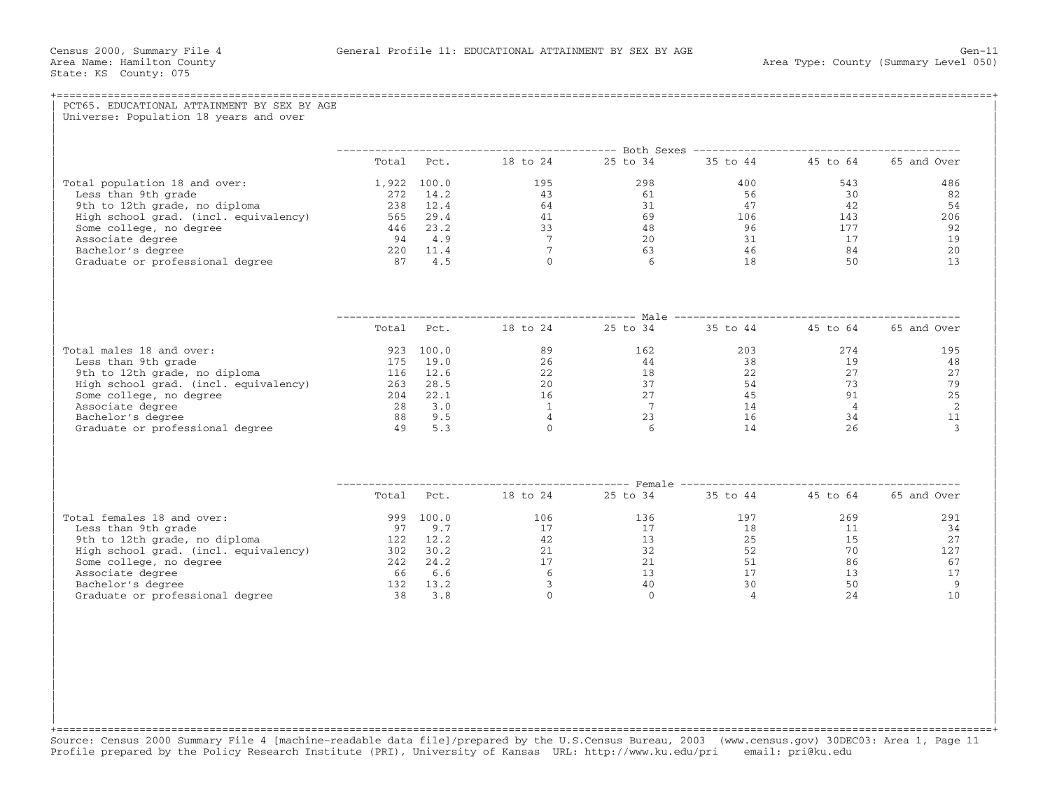| PCT65. EDUCATIONAL ATTAINMENT BY SEX BY AGE<br>Universe: Population 18 years and over |  |                                                            |  |                                  |
|---------------------------------------------------------------------------------------|--|------------------------------------------------------------|--|----------------------------------|
|                                                                                       |  |                                                            |  |                                  |
|                                                                                       |  | Total Pct. 18 to 24 25 to 34 35 to 44 45 to 64 65 and Over |  |                                  |
|                                                                                       |  |                                                            |  | 486                              |
|                                                                                       |  |                                                            |  | 82                               |
|                                                                                       |  |                                                            |  | 54                               |
|                                                                                       |  |                                                            |  | 206                              |
|                                                                                       |  |                                                            |  | 92                               |
|                                                                                       |  |                                                            |  | 19<br>20                         |
|                                                                                       |  |                                                            |  | 13                               |
|                                                                                       |  |                                                            |  |                                  |
|                                                                                       |  |                                                            |  |                                  |
|                                                                                       |  | Total Pct. 18 to 24 25 to 34 35 to 44 45 to 64 65 and Over |  |                                  |
|                                                                                       |  |                                                            |  | 195                              |
|                                                                                       |  |                                                            |  | 48                               |
|                                                                                       |  |                                                            |  | 27                               |
|                                                                                       |  |                                                            |  | 79                               |
|                                                                                       |  |                                                            |  | 25<br>$\overline{\phantom{0}}^2$ |
|                                                                                       |  |                                                            |  | 11                               |
|                                                                                       |  |                                                            |  | $\overline{3}$                   |
|                                                                                       |  |                                                            |  |                                  |
|                                                                                       |  |                                                            |  |                                  |
|                                                                                       |  | Total Pct. 18 to 24 25 to 34 35 to 44 45 to 64 65 and Over |  |                                  |
|                                                                                       |  |                                                            |  | 291                              |
|                                                                                       |  |                                                            |  | 34                               |
|                                                                                       |  |                                                            |  | 27                               |
|                                                                                       |  |                                                            |  | 127                              |
|                                                                                       |  |                                                            |  | 67<br>17                         |
|                                                                                       |  |                                                            |  | 9                                |
|                                                                                       |  |                                                            |  | 10                               |
|                                                                                       |  |                                                            |  |                                  |

+===================================================================================================================================================+ Source: Census 2000 Summary File 4 [machine−readable data file]/prepared by the U.S.Census Bureau, 2003 (www.census.gov) 30DEC03: Area 1, Page 11 Profile prepared by the Policy Research Institute (PRI), University of Kansas URL: http://www.ku.edu/pri email: pri@ku.edu

| | | | | | | |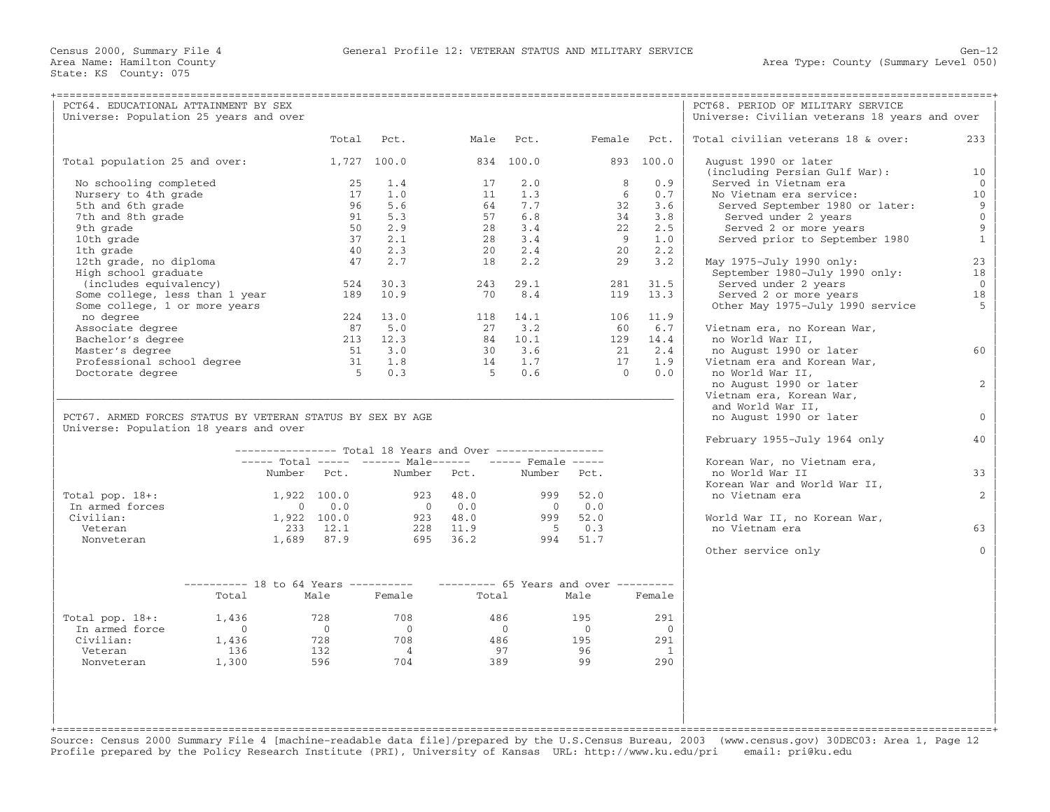| PCT64. EDUCATIONAL ATTAINMENT BY SEX<br>Universe: Population 25 years and over                       |                                                                                                                     |                |                |                |                |                | PCT68. PERIOD OF MILITARY SERVICE<br>Universe: Civilian veterans 18 years and over |                   |
|------------------------------------------------------------------------------------------------------|---------------------------------------------------------------------------------------------------------------------|----------------|----------------|----------------|----------------|----------------|------------------------------------------------------------------------------------|-------------------|
|                                                                                                      | Total                                                                                                               | Pct.           |                | Male Pct.      | Female Pct.    |                | Total civilian veterans 18 & over:                                                 | 233               |
| Total population 25 and over:                                                                        |                                                                                                                     | 1,727 100.0    |                | 834 100.0      |                | 893 100.0      | August 1990 or later<br>(including Persian Gulf War):                              | 10                |
| No schooling completed                                                                               | 25                                                                                                                  | 1.4            |                | $17 \t 2.0$    | 8              | 0.9            | Served in Vietnam era                                                              | $\overline{0}$    |
| Nursery to 4th grade                                                                                 | 17                                                                                                                  | 1.0            |                | $11 \t 1.3$    | 6              | 0.7            | No Vietnam era service:                                                            | 10                |
| 5th and 6th grade                                                                                    | 96                                                                                                                  | 5.6            |                | 64 7.7         | 32             | 3.6            | Served September 1980 or later:                                                    | 9                 |
| 7th and 8th grade                                                                                    | 91                                                                                                                  | 5.3            |                | 57 6.8         | 34             | 3.8            | Served under 2 years                                                               | $\mathbb O$       |
| 9th grade                                                                                            | 50                                                                                                                  | 2.9            |                | 28 3.4         | 22             | 2.5            | Served 2 or more years                                                             | $\overline{9}$    |
| 10th grade                                                                                           | 37                                                                                                                  | 2.1            |                | 28 3.4         | 9              | 1.0            | Served prior to September 1980                                                     | $\mathbf{1}$      |
| 1th grade                                                                                            | 40                                                                                                                  | 2.3            |                | $20 \quad 2.4$ | 20             | 2.2            |                                                                                    |                   |
| 12th grade, no diploma                                                                               | 47                                                                                                                  | 2.7            |                | 18 2.2         | 29             | 3.2            | May 1975-July 1990 only:                                                           | 23                |
| High school graduate                                                                                 |                                                                                                                     |                |                |                |                |                | September 1980-July 1990 only:                                                     | 18                |
| (includes equivalency)                                                                               |                                                                                                                     | 524 30.3       |                | 243 29.1       | 281            | 31.5           | Served under 2 years                                                               | $\Omega$          |
| Some college, less than 1 year<br>Some college, 1 or more years                                      |                                                                                                                     | 189 10.9       |                | 70 8.4         |                | 119 13.3       | Served 2 or more years<br>Other May 1975-July 1990 service                         | 18<br>$5^{\circ}$ |
| no degree                                                                                            |                                                                                                                     | 224 13.0       |                | 118 14.1       |                | 106 11.9       |                                                                                    |                   |
| Associate degree                                                                                     |                                                                                                                     | 87 5.0         |                | 27 3.2         |                | 60 6.7         | Vietnam era, no Korean War,                                                        |                   |
| Bachelor's degree                                                                                    |                                                                                                                     | 213 12.3       |                | 84 10.1        |                | 129 14.4       | no World War II,                                                                   |                   |
| Master's degree                                                                                      |                                                                                                                     | 51 3.0         |                | 30 3.6         |                | 21 2.4         | no August 1990 or later                                                            | 60                |
| Professional school degree                                                                           |                                                                                                                     | 31 1.8         |                | 14 1.7         | 17             | 1.9            | Vietnam era and Korean War,                                                        |                   |
| Doctorate degree                                                                                     |                                                                                                                     | $5 \t 0.3$     |                | 50.6           | $\overline{0}$ | 0.0            | no World War II,                                                                   |                   |
|                                                                                                      |                                                                                                                     |                |                |                |                |                | no August 1990 or later                                                            | 2                 |
|                                                                                                      |                                                                                                                     |                |                |                |                |                | Vietnam era, Korean War,                                                           |                   |
|                                                                                                      |                                                                                                                     |                |                |                |                |                | and World War II,                                                                  |                   |
| PCT67. ARMED FORCES STATUS BY VETERAN STATUS BY SEX BY AGE<br>Universe: Population 18 years and over |                                                                                                                     |                |                |                |                |                | no August 1990 or later                                                            | $\Omega$          |
|                                                                                                      |                                                                                                                     |                |                |                |                |                | February 1955-July 1964 only                                                       | 40                |
|                                                                                                      | --------------- Total 18 Years and Over -----------------<br>----- Total ----- ------ Male------ ----- Female ----- |                |                |                |                |                |                                                                                    |                   |
|                                                                                                      | Number Pct.                                                                                                         |                | Number Pct.    | Number Pct.    |                |                | Korean War, no Vietnam era,<br>no World War II                                     | 33                |
|                                                                                                      |                                                                                                                     |                |                |                |                |                | Korean War and World War II,                                                       |                   |
| Total pop. $18+:$                                                                                    | 1,922 100.0                                                                                                         |                | 923, 48.0      | 999            | 52.0           |                | no Vietnam era                                                                     | 2                 |
| In armed forces                                                                                      | $\begin{array}{ccc} & & 0 & & 0 & 0 \end{array}$                                                                    |                | $0 \qquad 0.0$ |                | $0 \qquad 0.0$ |                |                                                                                    |                   |
| Civilian:                                                                                            | 1,922 100.0                                                                                                         |                | 923 48.0       |                | 999 52.0       |                | World War II, no Korean War,                                                       |                   |
| Veteran                                                                                              | 233 12.1                                                                                                            |                | 228 11.9       |                | $5 \t 0.3$     |                | no Vietnam era                                                                     | 63                |
| Nonveteran                                                                                           | 1,689 87.9                                                                                                          | 695 36.2       |                |                | 994 51.7       |                |                                                                                    |                   |
|                                                                                                      |                                                                                                                     |                |                |                |                |                | Other service only                                                                 | $\cap$            |
|                                                                                                      |                                                                                                                     |                |                |                |                |                |                                                                                    |                   |
| --------- 18 to 64 Years ---------- --------- 65 Years and over --------                             |                                                                                                                     |                |                |                |                |                |                                                                                    |                   |
| Total                                                                                                | Male                                                                                                                | Female         | Total          |                | Male           | Female         |                                                                                    |                   |
| Total pop. $18+:$<br>1,436                                                                           | 728                                                                                                                 | 708            | 486            |                | 195            | 291            |                                                                                    |                   |
| In armed force<br>$\overline{0}$                                                                     | $\overline{0}$                                                                                                      | $\overline{0}$ | $\bigcirc$     |                | $\overline{0}$ | $\overline{0}$ |                                                                                    |                   |
| Civilian:<br>1,436                                                                                   | 728                                                                                                                 | 708            | 486            |                | 195            | 291            |                                                                                    |                   |
| Veteran<br>136                                                                                       | 132                                                                                                                 | $\overline{4}$ |                | 97             | 96             | $\overline{1}$ |                                                                                    |                   |
| 1,300<br>Nonveteran                                                                                  | 596                                                                                                                 | 704            | 389            |                | 99             | 290            |                                                                                    |                   |
|                                                                                                      |                                                                                                                     |                |                |                |                |                |                                                                                    |                   |
|                                                                                                      |                                                                                                                     |                |                |                |                |                |                                                                                    |                   |
|                                                                                                      |                                                                                                                     |                |                |                |                |                |                                                                                    |                   |
|                                                                                                      |                                                                                                                     |                |                |                |                |                |                                                                                    |                   |
|                                                                                                      |                                                                                                                     |                |                |                |                |                |                                                                                    |                   |

Source: Census 2000 Summary File 4 [machine−readable data file]/prepared by the U.S.Census Bureau, 2003 (www.census.gov) 30DEC03: Area 1, Page 12 Profile prepared by the Policy Research Institute (PRI), University of Kansas URL: http://www.ku.edu/pri email: pri@ku.edu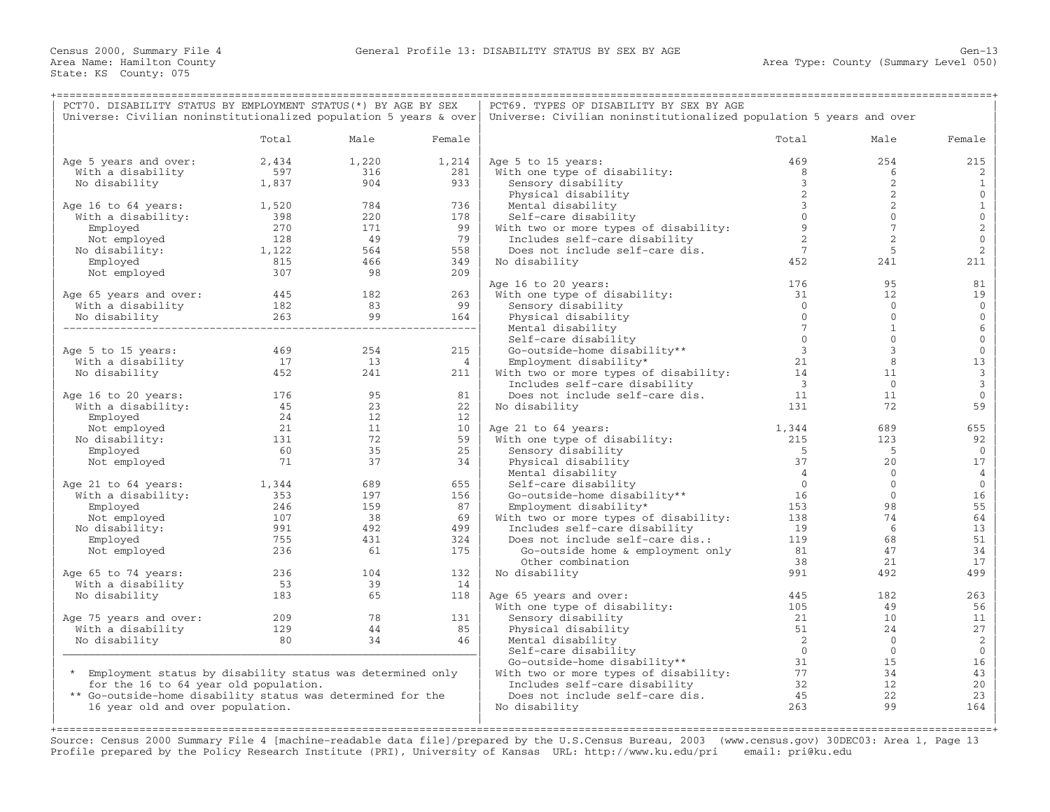| PCT70. DISABILITY STATUS BY EMPLOYMENT STATUS(*) BY AGE BY SEX<br>Universe: Civilian noninstitutionalized population 5 years & over |                                          |                 |                | PCT69. TYPES OF DISABILITY BY SEX BY AGE<br>Universe: Civilian noninstitutionalized population 5 years and over |                            |                            |                         |
|-------------------------------------------------------------------------------------------------------------------------------------|------------------------------------------|-----------------|----------------|-----------------------------------------------------------------------------------------------------------------|----------------------------|----------------------------|-------------------------|
|                                                                                                                                     |                                          |                 |                |                                                                                                                 |                            |                            |                         |
|                                                                                                                                     | Total                                    | Male            | Female         |                                                                                                                 | Total                      | Male                       | Female                  |
| Age 5 years and over:                                                                                                               | 2,434                                    | 1,220           | 1,214          | Age 5 to 15 years:                                                                                              | 469                        | 254                        | 215                     |
| With a disability                                                                                                                   | 597                                      | 316             | 281            | With one type of disability:                                                                                    | 8                          | 6                          | 2                       |
| No disability                                                                                                                       | 1,837                                    | 904             | 933            | Sensory disability                                                                                              | $\overline{3}$             | 2                          | $\mathbf{1}$            |
|                                                                                                                                     |                                          |                 |                | Physical disability                                                                                             | 2                          | 2                          | $\mathbb O$             |
| Age 16 to 64 years:                                                                                                                 | 1,520                                    | 784             | 736            | Mental disability                                                                                               | $\overline{3}$             | $\overline{2}$             | $\mathbf{1}$            |
| With a disability:                                                                                                                  | 398<br>270                               | 220             | 178            | Self-care disability                                                                                            | $\mathbf{0}$               | $\mathbf 0$                | $\,0\,$                 |
| Employed                                                                                                                            |                                          | 171             | $99 \mid$      | With two or more types of disability:                                                                           | $\overline{9}$             | $7\phantom{.0}$            | $\sqrt{2}$              |
| Not employed                                                                                                                        | 128<br>$1,122$<br>815                    | 49              | 79             | Includes self-care disability                                                                                   | 2                          | 2                          | $\,0\,$                 |
| No disability:                                                                                                                      |                                          | 564             | 558            | Does not include self-care dis.                                                                                 | $\overline{7}$             | 5                          | $\overline{2}$          |
| Employed                                                                                                                            |                                          | 466             | 349            | No disability                                                                                                   | 452                        | 241                        | 211                     |
| Not employed                                                                                                                        | 307                                      | 98              | 209            |                                                                                                                 |                            |                            |                         |
|                                                                                                                                     |                                          |                 |                | Age 16 to 20 years:                                                                                             | 176                        | 95                         | 81                      |
| Age 65 years and over: $445$ 182<br>With a disability 182 83<br>No disability 263 99                                                |                                          |                 | 263            | With one type of disability:                                                                                    | 31                         | $12 \overline{ }$          | 19                      |
|                                                                                                                                     |                                          |                 | 99             | Sensory disability                                                                                              | $\bigcirc$                 | $\Omega$                   | $\mathbf 0$             |
|                                                                                                                                     |                                          |                 | 164            | Physical disability                                                                                             | $\Omega$                   | $\mathbf 0$                | $\mathbb O$             |
|                                                                                                                                     |                                          |                 |                | Mental disability                                                                                               | $7\phantom{.0}$            | $\mathbf{1}$               | $\sqrt{6}$              |
|                                                                                                                                     |                                          |                 |                | Self-care disability                                                                                            | $\overline{0}$             | $\mathbf{0}$               | $\mathbb O$             |
| Age 5 to 15 years:                                                                                                                  | 469                                      | 254             | 215            | Go-outside-home disability**                                                                                    | $\overline{\phantom{a}}$   | $\overline{3}$             | $\mathbf 0$             |
| With a disability                                                                                                                   | $\begin{array}{c} 17 \\ 452 \end{array}$ | 13              | $\overline{4}$ | Employment disability*                                                                                          | 21                         | 8                          | 13                      |
| No disability                                                                                                                       |                                          | 241             | 211            | With two or more types of disability:                                                                           | 14                         | 11                         | $\mathsf 3$             |
|                                                                                                                                     |                                          |                 |                | Includes self-care disability                                                                                   | $\overline{\mathbf{3}}$    | $\Omega$                   | $\overline{\mathbf{3}}$ |
| Age 16 to 20 years:                                                                                                                 | 176                                      | 95              | 81             | Does not include self-care dis.                                                                                 | 11                         | 11                         | $\mathbb O$             |
| With a disability:                                                                                                                  | 45                                       | 23              | 22             | No disability                                                                                                   | 131                        | 72                         | 59                      |
| Employed                                                                                                                            | 24                                       | $\frac{12}{11}$ | 12             |                                                                                                                 |                            |                            |                         |
| Not employed                                                                                                                        | 21                                       | 11              | 10             | Age 21 to 64 years:                                                                                             | 1,344                      | 689                        | 655                     |
| No disability:                                                                                                                      | 131                                      | 72              | 59             | With one type of disability:                                                                                    | 215                        | 123                        | 92                      |
| Employed                                                                                                                            | 60                                       | 35              | 25             | Sensory disability                                                                                              | $-5$                       | $-5$                       | $\mathbf 0$             |
| Not employed                                                                                                                        | 71                                       | 37              | 34             | Physical disability                                                                                             | 37                         | 20                         | 17                      |
|                                                                                                                                     |                                          |                 |                | Mental disability<br>Mental disability<br>Self-care disability<br>Go-outside-home disability**<br>Also hiity*   | $\overline{4}$             | $\overline{0}$<br>$\Omega$ | $\overline{4}$          |
| Age 21 to 64 years:                                                                                                                 | 1,344                                    | 689             | 655            |                                                                                                                 | $\overline{0}$             |                            | $\mathbb O$             |
| With a disability:                                                                                                                  | 353<br>246                               | 197             | 156            |                                                                                                                 | 16                         | $\overline{0}$             | 16                      |
| Employed                                                                                                                            |                                          | 159             | 87             |                                                                                                                 | 153                        | 98                         | 55                      |
| Not employed                                                                                                                        | 107<br>991                               | 38              | 69             | With two or more types of disability:                                                                           | 138<br>19                  | 74                         | 64                      |
| No disability:                                                                                                                      | 755                                      | 492<br>431      | 499<br>324     | Includes self-care disability                                                                                   | 119                        | 6<br>68                    | 13<br>51                |
| Employed                                                                                                                            |                                          | 61              |                | Does not include self-care dis.:                                                                                | 81                         | 47                         | 34                      |
| Not employed                                                                                                                        | 236                                      |                 | 175            | Go-outside home & employment only<br>Other combination                                                          | 38                         | 21                         | 17                      |
|                                                                                                                                     | 236                                      | 104             | 132            | No disability                                                                                                   | 991                        | 492                        | 499                     |
| Age 65 to 74 years:<br>With a disability                                                                                            | 53                                       | 39              | 14             |                                                                                                                 |                            |                            |                         |
| No disability                                                                                                                       | 183                                      | 65              | 118            | Age 65 years and over:                                                                                          | 445                        | 182                        | 263                     |
|                                                                                                                                     |                                          |                 |                | With one type of disability:                                                                                    | 105                        | 49                         | 56                      |
| Age 75 years and over:                                                                                                              | 209                                      | 78              | 131            | Sensory disability                                                                                              | 21                         | 10                         | 11                      |
| With a disability                                                                                                                   | 129                                      | 44              | 85             | Physical disability                                                                                             | 51                         | 24                         | 27                      |
| No disability                                                                                                                       | 80                                       | 34              | 46             | Mental disability                                                                                               | $\overline{\phantom{0}}^2$ | $\overline{0}$             | 2                       |
|                                                                                                                                     |                                          |                 |                | Self-care disability                                                                                            | $\overline{0}$             | $\overline{0}$             | $\mathbf{0}$            |
|                                                                                                                                     |                                          |                 |                | Go-outside-home disability**                                                                                    | 31                         | 15                         | 16                      |
| * Employment status by disability status was determined only                                                                        |                                          |                 |                | With two or more types of disability:                                                                           | 77                         | 34                         | 43                      |
| for the 16 to 64 year old population.                                                                                               |                                          |                 |                | Includes self-care disability                                                                                   | 32                         | 12                         | 20                      |
| ** Go-outside-home disability status was determined for the                                                                         |                                          |                 |                | Does not include self-care dis.                                                                                 | 45                         | 22                         | 23                      |
| 16 year old and over population.                                                                                                    |                                          |                 |                | No disability                                                                                                   | 263                        | 99                         | 164                     |
|                                                                                                                                     |                                          |                 |                |                                                                                                                 |                            |                            |                         |

+===================================================================================================================================================+ Source: Census 2000 Summary File 4 [machine−readable data file]/prepared by the U.S.Census Bureau, 2003 (www.census.gov) 30DEC03: Area 1, Page 13 Profile prepared by the Policy Research Institute (PRI), University of Kansas URL: http://www.ku.edu/pri email: pri@ku.edu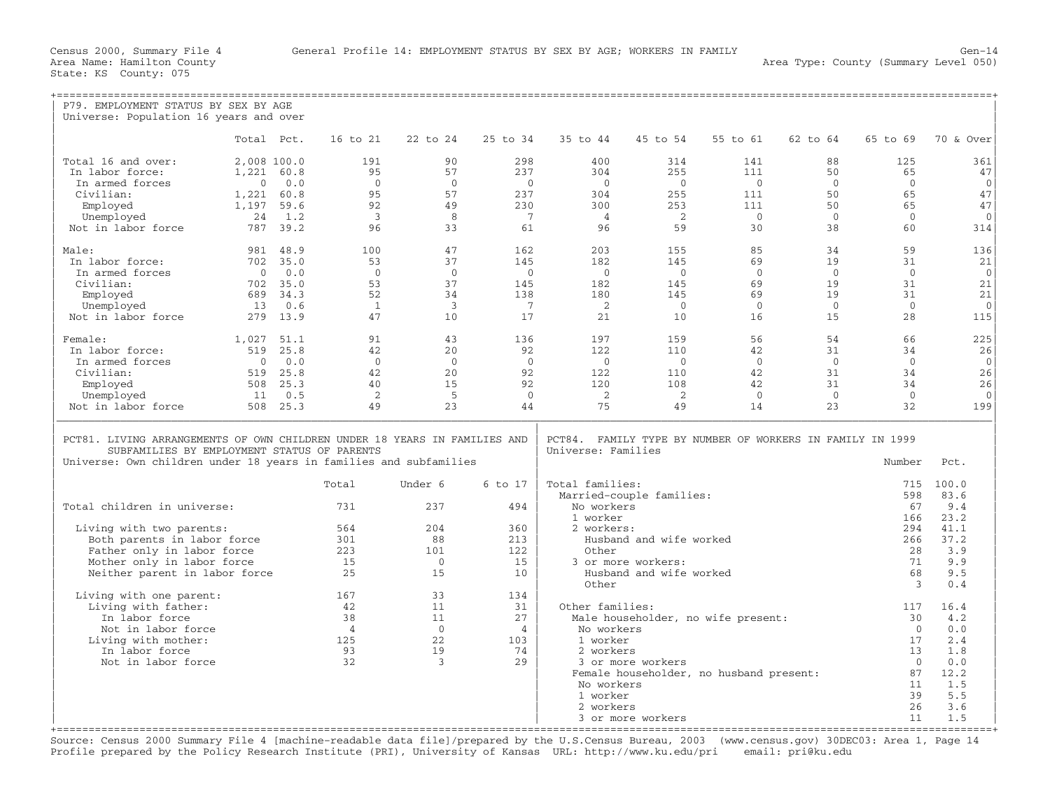| P79. EMPLOYMENT STATUS BY SEX BY AGE                              |                                                                   |          |                         |               | ====================================== |                 |                                                                                                                                        |                                         |          |          |                |  |  |  |  |
|-------------------------------------------------------------------|-------------------------------------------------------------------|----------|-------------------------|---------------|----------------------------------------|-----------------|----------------------------------------------------------------------------------------------------------------------------------------|-----------------------------------------|----------|----------|----------------|--|--|--|--|
| Universe: Population 16 years and over                            |                                                                   |          |                         |               |                                        |                 |                                                                                                                                        |                                         |          |          |                |  |  |  |  |
|                                                                   |                                                                   |          |                         |               |                                        |                 |                                                                                                                                        |                                         |          |          |                |  |  |  |  |
|                                                                   | Total Pct.                                                        |          | 16 to 21                | 22 to 24      | 25 to 34                               | 35 to 44        | 45 to 54                                                                                                                               | 55 to 61                                | 62 to 64 | 65 to 69 | 70 & Over      |  |  |  |  |
| Total 16 and over:                                                | 2,008 100.0                                                       |          | 191                     | 90            | 298                                    | 400             | 314                                                                                                                                    | 141                                     | 88       | 125      | 361            |  |  |  |  |
| In labor force:                                                   | 1,221                                                             | 60.8     | 95                      | 57            | 237                                    | 304             | 255                                                                                                                                    | 111                                     | 50       | 65       | 47             |  |  |  |  |
| In armed forces                                                   | $\Omega$                                                          | 0.0      | $\Omega$                | $\bigcap$     | $\bigcirc$                             | $\bigcap$       | $\bigcap$                                                                                                                              | $\bigcap$                               | $\Omega$ | $\Omega$ | $\Omega$       |  |  |  |  |
| Civilian:                                                         | 1,221                                                             | 60.8     | 95                      | 57            | 237                                    | 304             | 255                                                                                                                                    | 111                                     | 50       | 65       | 47             |  |  |  |  |
| Employed                                                          | 1,197                                                             | 59.6     | 92                      | 49            | 230                                    | 300             | 253                                                                                                                                    | 111                                     | 50       | 65       | 47             |  |  |  |  |
| Unemployed                                                        | 2.4                                                               | 1.2      | $\overline{\mathbf{3}}$ | 8             | $\overline{7}$                         | $\overline{4}$  | $\overline{2}$                                                                                                                         | $\bigcirc$                              | $\Omega$ | $\Omega$ | $\Omega$       |  |  |  |  |
| Not in labor force                                                |                                                                   | 787 39.2 | 96                      | 33            | 61                                     | 96              | 59                                                                                                                                     | 30                                      | 38       | 60       | 314            |  |  |  |  |
|                                                                   |                                                                   |          |                         |               |                                        |                 |                                                                                                                                        |                                         |          |          |                |  |  |  |  |
| Male:                                                             |                                                                   | 981 48.9 | 100                     | 47            | 162                                    | 203             | 155                                                                                                                                    | 85                                      | 34       | 59       | 136            |  |  |  |  |
| In labor force:                                                   |                                                                   | 702 35.0 | 53                      | 37            | 145                                    | 182             | 145                                                                                                                                    | 69                                      | 19       | 31       | 21             |  |  |  |  |
| In armed forces                                                   | $\Omega$                                                          | 0.0      | $\bigcap$               | $\Omega$      | $\bigcap$                              | $\bigcap$       | $\bigcap$                                                                                                                              | $\bigcap$                               | $\Omega$ | $\Omega$ | $\Omega$       |  |  |  |  |
| Civilian:                                                         |                                                                   | 702 35.0 | 53                      | 37            | 145                                    | 182             | 145                                                                                                                                    | 69                                      | 19       | 31       | 21             |  |  |  |  |
| Employed                                                          | 689                                                               | 34.3     | 52                      | 34            | 138                                    | 180             | 145                                                                                                                                    | 69                                      | 19       | 31       | 21             |  |  |  |  |
| Unemployed                                                        | 13                                                                | 0.6      | $\overline{1}$          | $\mathcal{E}$ | $7^{\circ}$                            | $\overline{2}$  | $\Omega$                                                                                                                               | $\overline{0}$                          | $\Omega$ | $\Omega$ | $\Omega$       |  |  |  |  |
| Not in labor force                                                |                                                                   | 279 13.9 | 47                      | 10            | 17                                     | 21              | 10                                                                                                                                     | 16                                      | 15       | 28       | 115            |  |  |  |  |
| Female:                                                           | 1,027                                                             | 51.1     | 91                      | 43            | 136                                    | 197             | 159                                                                                                                                    | 56                                      | 54       | 66       | 225            |  |  |  |  |
| In labor force:                                                   | 519                                                               | 25.8     | 42                      | 20            | 92                                     | 122             | 110                                                                                                                                    | 42                                      | 31       | 34       | 26             |  |  |  |  |
| In armed forces                                                   | $\Omega$                                                          | 0.0      | $\Omega$                | $\Omega$      | $\Omega$                               | $\Omega$        | $\bigcirc$                                                                                                                             | $\Omega$                                | $\Omega$ | $\Omega$ | $\Omega$       |  |  |  |  |
|                                                                   |                                                                   | 519 25.8 | 42                      | 20            | 92                                     | 122             | 110                                                                                                                                    | 42                                      | 31       | 34       | 26             |  |  |  |  |
| Civilian:                                                         |                                                                   | 508 25.3 | 40                      | 15            | 92                                     | 120             | 108                                                                                                                                    | 42                                      | 31       | 34       |                |  |  |  |  |
| Employed                                                          |                                                                   |          |                         | 5             | $\Omega$                               |                 | <sup>2</sup>                                                                                                                           | $\Omega$                                | $\Omega$ | $\Omega$ | 26<br>$\Omega$ |  |  |  |  |
| Unemployed                                                        | 11                                                                | 0.5      | 2                       |               |                                        | 2               |                                                                                                                                        |                                         |          |          |                |  |  |  |  |
| Not in labor force                                                |                                                                   | 508 25.3 | 49                      | 23            | 44                                     | 75              | 49                                                                                                                                     | 14                                      | 23       | 32       | 199            |  |  |  |  |
|                                                                   |                                                                   |          |                         |               |                                        |                 |                                                                                                                                        |                                         |          |          |                |  |  |  |  |
|                                                                   |                                                                   |          |                         |               |                                        |                 | PCT81. LIVING ARRANGEMENTS OF OWN CHILDREN UNDER 18 YEARS IN FAMILIES AND<br>PCT84. FAMILY TYPE BY NUMBER OF WORKERS IN FAMILY IN 1999 |                                         |          |          |                |  |  |  |  |
|                                                                   | Universe: Families<br>SUBFAMILIES BY EMPLOYMENT STATUS OF PARENTS |          |                         |               |                                        |                 |                                                                                                                                        |                                         |          |          |                |  |  |  |  |
| Universe: Own children under 18 years in families and subfamilies |                                                                   |          |                         |               |                                        |                 |                                                                                                                                        |                                         |          |          |                |  |  |  |  |
|                                                                   |                                                                   |          |                         |               |                                        |                 |                                                                                                                                        |                                         |          | Number   | Pct.           |  |  |  |  |
|                                                                   |                                                                   |          | Total                   | Under 6       | 6 to 17                                | Total families: |                                                                                                                                        |                                         |          | 715      | 100.0          |  |  |  |  |
|                                                                   |                                                                   |          |                         |               |                                        |                 | Married-couple families:                                                                                                               |                                         |          | 598      | 83.6           |  |  |  |  |
| Total children in universe:                                       |                                                                   |          | 731                     | 237           | 494                                    | No workers      |                                                                                                                                        |                                         |          | 67       | 9.4            |  |  |  |  |
|                                                                   |                                                                   |          |                         |               |                                        | 1 worker        |                                                                                                                                        |                                         |          | 166      | 23.2           |  |  |  |  |
| Living with two parents:                                          |                                                                   |          | 564                     | 204           | 360                                    | 2 workers:      |                                                                                                                                        |                                         |          | 294      | 41.1           |  |  |  |  |
| Both parents in labor force                                       |                                                                   |          | 301                     | 88            | 213                                    |                 | Husband and wife worked                                                                                                                |                                         |          | 266      | 37.2           |  |  |  |  |
| Father only in labor force                                        |                                                                   |          | 223                     | 101           | 122                                    | Other           |                                                                                                                                        |                                         |          | 28       | 3.9            |  |  |  |  |
| Mother only in labor force                                        |                                                                   |          | 15                      | $\Omega$      | 15                                     |                 | 3 or more workers:                                                                                                                     |                                         |          | 71       | 9.9            |  |  |  |  |
| Neither parent in labor force                                     |                                                                   |          | 2.5                     | 1.5           | 10                                     |                 | Husband and wife worked                                                                                                                |                                         |          | 68       | 9.5            |  |  |  |  |
|                                                                   |                                                                   |          |                         |               |                                        | Other           |                                                                                                                                        |                                         |          | 3        | 0.4            |  |  |  |  |
| Living with one parent:                                           |                                                                   |          | 167                     | 33            | 134                                    |                 |                                                                                                                                        |                                         |          |          |                |  |  |  |  |
| Living with father:                                               |                                                                   |          | 42.                     | 11            | 31                                     | Other families: |                                                                                                                                        |                                         |          | 117      | 16.4           |  |  |  |  |
| In labor force                                                    |                                                                   |          | 38                      | 11            | 27                                     |                 |                                                                                                                                        | Male householder, no wife present:      |          | 30       | 4.2            |  |  |  |  |
| Not in labor force                                                |                                                                   |          | $\overline{4}$          | $\Omega$      | $\overline{4}$                         | No workers      |                                                                                                                                        |                                         |          | $\Omega$ | 0.0            |  |  |  |  |
| Living with mother:                                               |                                                                   |          | 125                     | 22            | 103                                    | 1 worker        |                                                                                                                                        |                                         |          | 17       | 2.4            |  |  |  |  |
| In labor force                                                    |                                                                   |          | 93                      | 19            | 74                                     | 2 workers       |                                                                                                                                        |                                         |          | 13       | 1.8            |  |  |  |  |
| Not in labor force                                                |                                                                   |          | 32                      | 3             | 2.9                                    |                 | 3 or more workers                                                                                                                      |                                         |          | $\Omega$ | 0.0            |  |  |  |  |
|                                                                   |                                                                   |          |                         |               |                                        |                 |                                                                                                                                        | Female householder, no husband present: |          | 87       | 12.2           |  |  |  |  |
|                                                                   |                                                                   |          |                         |               |                                        | No workers      |                                                                                                                                        |                                         |          | 11       | 1.5            |  |  |  |  |
|                                                                   |                                                                   |          |                         |               |                                        | 1 worker        |                                                                                                                                        |                                         |          | 39       | 5.5            |  |  |  |  |
|                                                                   |                                                                   |          |                         |               |                                        | 2 workers       | 3 or more workers                                                                                                                      |                                         |          | 26<br>11 | 3.6<br>1.5     |  |  |  |  |

+===================================================================================================================================================+ Source: Census 2000 Summary File 4 [machine−readable data file]/prepared by the U.S.Census Bureau, 2003 (www.census.gov) 30DEC03: Area 1, Page 14 Profile prepared by the Policy Research Institute (PRI), University of Kansas URL: http://www.ku.edu/pri email: pri@ku.edu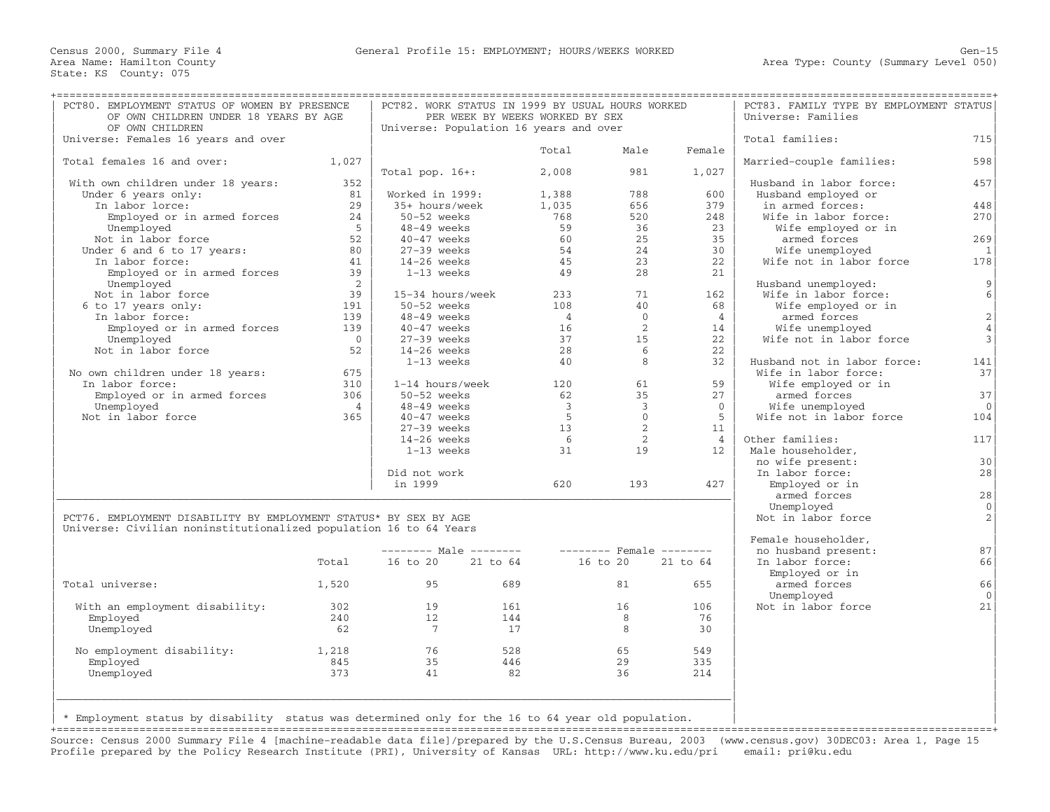| PCT80. EMPLOYMENT STATUS OF WOMEN BY PRESENCE                                                      |                      |                                        |                                 |                         | PCT82. WORK STATUS IN 1999 BY USUAL HOURS WORKED |                | PCT83. FAMILY TYPE BY EMPLOYMENT STATUS |                |
|----------------------------------------------------------------------------------------------------|----------------------|----------------------------------------|---------------------------------|-------------------------|--------------------------------------------------|----------------|-----------------------------------------|----------------|
| OF OWN CHILDREN UNDER 18 YEARS BY AGE                                                              |                      |                                        | PER WEEK BY WEEKS WORKED BY SEX |                         |                                                  |                | Universe: Families                      |                |
| OF OWN CHILDREN                                                                                    |                      | Universe: Population 16 years and over |                                 |                         |                                                  |                |                                         |                |
| Universe: Females 16 years and over                                                                |                      |                                        |                                 |                         |                                                  |                | Total families:                         | 715            |
|                                                                                                    |                      |                                        |                                 | Total                   | Male                                             | Female         |                                         |                |
| Total females 16 and over:                                                                         | 1,027                |                                        |                                 |                         |                                                  |                | Married-couple families:                | 598            |
|                                                                                                    |                      | Total pop. $16+:$                      |                                 | 2,008                   | 981                                              | 1,027          |                                         |                |
| With own children under 18 years:                                                                  | 352                  |                                        |                                 |                         | 788                                              |                | Husband in labor force:                 | 457            |
| Under 6 years only:<br>In labor lorce:                                                             | 81<br>29             | Worked in 1999:                        |                                 | 1,388<br>1,035          | 656                                              | 600<br>379     | Husband employed or<br>in armed forces: | 448            |
|                                                                                                    |                      | 35+ hours/week                         |                                 |                         |                                                  |                |                                         |                |
| Employed or in armed forces                                                                        | 24                   | 50-52 weeks                            |                                 | 768<br>59               | 520<br>36                                        | 248            | Wife in labor force:                    | 270            |
| Unemployed<br>Not in labor force                                                                   | 5 <sup>5</sup><br>52 | 48-49 weeks<br>$40-47$ weeks           |                                 | 60                      | 25                                               | 23<br>35       | Wife employed or in<br>armed forces     | 269            |
| Under 6 and 6 to 17 years:                                                                         | 80                   | 27-39 weeks                            |                                 | 54                      | 24                                               | 30             | Wife unemployed                         | 1              |
| In labor force:                                                                                    | 41                   | $14-26$ weeks                          |                                 | 45                      | 23                                               | 22             | Wife not in labor force                 | 178            |
| Employed or in armed forces                                                                        | 39                   | 1-13 weeks                             |                                 | 49                      | 28                                               | 21             |                                         |                |
| Unemployed                                                                                         | $\overline{2}$       |                                        |                                 |                         |                                                  |                | Husband unemployed:                     | $\overline{9}$ |
| Not in labor force                                                                                 | 39                   | 15-34 hours/week                       |                                 | 233                     | 71                                               | 162            | Wife in labor force:                    | 6              |
| 6 to 17 years only:                                                                                | 191                  | 50-52 weeks                            |                                 | 108                     | 40                                               | 68             | Wife employed or in                     |                |
| In labor force:                                                                                    | 139                  | 48-49 weeks                            |                                 | $\overline{4}$          | $\Omega$                                         | $\overline{4}$ | armed forces                            | $\overline{2}$ |
| Employed or in armed forces                                                                        | 139                  | $40-47$ weeks                          |                                 | 16                      | 2                                                | 14             | Wife unemployed                         | $\overline{4}$ |
| Unemployed                                                                                         | $\overline{0}$       | 27-39 weeks                            |                                 | 37                      | 15                                               | 22             | Wife not in labor force                 | $\overline{3}$ |
| Not in labor force                                                                                 | 52                   | $14-26$ weeks                          |                                 | 28                      | 6                                                | 22             |                                         |                |
|                                                                                                    |                      | 1-13 weeks                             |                                 | 40                      | 8                                                | 32             | Husband not in labor force:             | 141            |
| No own children under 18 years:                                                                    | 675                  |                                        |                                 |                         |                                                  |                | Wife in labor force:                    | 37             |
| In labor force:                                                                                    | 310                  | 1-14 hours/week                        |                                 | 120                     | 61                                               | 59             | Wife employed or in                     |                |
| Employed or in armed forces                                                                        | 306                  | 50-52 weeks                            |                                 | 62                      | 35                                               | 27             | armed forces                            | 37             |
| Unemployed                                                                                         | $\overline{4}$       | 48-49 weeks                            |                                 | $\overline{\mathbf{3}}$ | $\overline{\mathbf{3}}$                          | $\overline{0}$ | Wife unemployed                         | $\overline{0}$ |
| Not in labor force                                                                                 | 365                  | $40-47$ weeks                          |                                 | 5 <sup>5</sup>          | $\Omega$                                         | $5^{\circ}$    | Wife not in labor force                 | 104            |
|                                                                                                    |                      | 27-39 weeks                            |                                 | 13                      | 2                                                | 11             |                                         |                |
|                                                                                                    |                      | $14-26$ weeks                          |                                 | 6                       | 2                                                | $\overline{4}$ | Other families:                         | 117            |
|                                                                                                    |                      | $1-13$ weeks                           |                                 | 31                      | 19                                               | 12             | Male householder,                       |                |
|                                                                                                    |                      |                                        |                                 |                         |                                                  |                | no wife present:                        | 30             |
|                                                                                                    |                      | Did not work                           |                                 |                         |                                                  |                | In labor force:                         | 28             |
|                                                                                                    |                      | in 1999                                |                                 | 620                     | 193                                              | 427            | Employed or in                          |                |
|                                                                                                    |                      |                                        |                                 |                         |                                                  |                | armed forces                            | 28             |
|                                                                                                    |                      |                                        |                                 |                         |                                                  |                | Unemployed                              | $\mathbf 0$    |
| PCT76. EMPLOYMENT DISABILITY BY EMPLOYMENT STATUS* BY SEX BY AGE                                   |                      |                                        |                                 |                         |                                                  |                | Not in labor force                      | $\overline{c}$ |
| Universe: Civilian noninstitutionalized population 16 to 64 Years                                  |                      |                                        |                                 |                         |                                                  |                |                                         |                |
|                                                                                                    |                      |                                        |                                 |                         |                                                  |                | Female householder,                     |                |
|                                                                                                    |                      |                                        |                                 |                         |                                                  |                | no husband present:                     | 87             |
|                                                                                                    | Total                | 16 to 20 21 to 64                      |                                 |                         | 16 to 20                                         | 21 to 64       | In labor force:                         | 66             |
|                                                                                                    |                      |                                        |                                 |                         |                                                  |                | Employed or in                          |                |
| Total universe:                                                                                    | 1,520                | 95                                     | 689                             |                         | 81                                               | 655            | armed forces                            | 66             |
|                                                                                                    |                      |                                        |                                 |                         |                                                  |                | Unemployed                              | $\overline{0}$ |
| With an employment disability:                                                                     | 302                  | 19                                     | 161                             |                         | 16                                               | 106            | Not in labor force                      | 21             |
| Employed                                                                                           | 240                  | 12                                     | 144                             |                         | 8                                                | 76             |                                         |                |
| Unemployed                                                                                         | 62                   | $\overline{7}$                         | 17                              |                         | 8                                                | 30             |                                         |                |
|                                                                                                    |                      |                                        |                                 |                         |                                                  |                |                                         |                |
| No employment disability:                                                                          | 1,218                | 76                                     | 528                             |                         | 65                                               | 549            |                                         |                |
| Employed                                                                                           | 845                  | 35                                     | 446                             |                         | 29                                               | 335            |                                         |                |
| Unemployed                                                                                         | 373                  | 41                                     | 82                              |                         | 36                                               | 214            |                                         |                |
|                                                                                                    |                      |                                        |                                 |                         |                                                  |                |                                         |                |
|                                                                                                    |                      |                                        |                                 |                         |                                                  |                |                                         |                |
|                                                                                                    |                      |                                        |                                 |                         |                                                  |                |                                         |                |
| * Employment status by disability status was determined only for the 16 to 64 year old population. |                      |                                        |                                 |                         |                                                  |                |                                         |                |

+===================================================================================================================================================+ Source: Census 2000 Summary File 4 [machine−readable data file]/prepared by the U.S.Census Bureau, 2003 (www.census.gov) 30DEC03: Area 1, Page 15 Profile prepared by the Policy Research Institute (PRI), University of Kansas URL: http://www.ku.edu/pri email: pri@ku.edu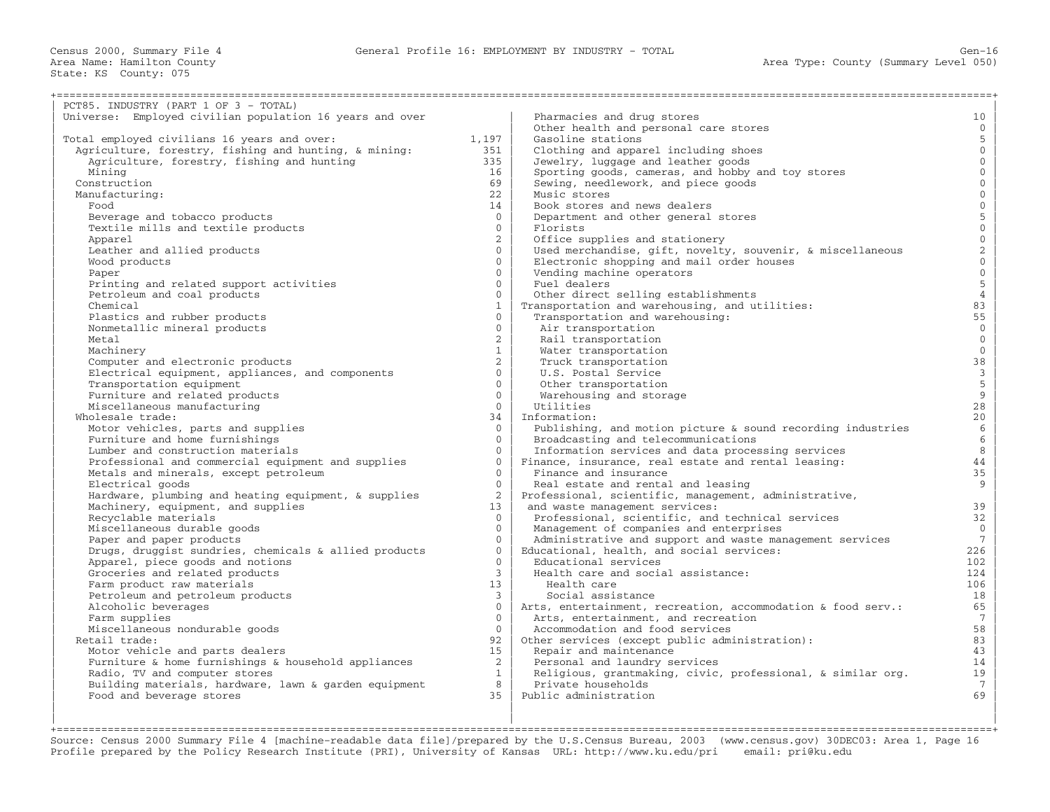+===================================================================================================================================================+

State: KS County: 075

| PCT85. INDUSTRY (PART 1 OF 3 - TOTAL)                    |                            |                                                              |                     |
|----------------------------------------------------------|----------------------------|--------------------------------------------------------------|---------------------|
| Universe: Employed civilian population 16 years and over |                            | Pharmacies and drug stores                                   | 10                  |
|                                                          |                            | Other health and personal care stores                        | $\overline{0}$      |
| Total employed civilians 16 years and over:              | 1,197                      | Gasoline stations                                            | 5 <sub>5</sub>      |
| Agriculture, forestry, fishing and hunting, & mining:    | 351                        | Clothing and apparel including shoes                         | $\overline{0}$      |
| Agriculture, forestry, fishing and hunting               | 335                        | Jewelry, luggage and leather goods                           | $\overline{0}$      |
| Mining                                                   | 16                         | Sporting goods, cameras, and hobby and toy stores            | $\circ$             |
| Construction                                             | 69                         | Sewing, needlework, and piece goods                          | $\overline{0}$      |
| Manufacturing:                                           | 22                         | Music stores                                                 | $\overline{0}$      |
| Food                                                     | 14                         | Book stores and news dealers                                 | $\overline{0}$      |
| Beverage and tobacco products                            | $\Omega$                   | Department and other general stores                          | 5 <sup>1</sup>      |
| Textile mills and textile products                       | $\mathbf{0}$               | Florists                                                     | $\mathsf{O}\xspace$ |
| Apparel                                                  | $\overline{a}$             | Office supplies and stationery                               | $\mathbb O$         |
| Leather and allied products                              | $\Omega$                   | Used merchandise, gift, novelty, souvenir, & miscellaneous   |                     |
| Wood products                                            | $\mathbf{0}$               | Electronic shopping and mail order houses                    | $\frac{2}{0}$       |
| Paper                                                    | $\mathbf{0}$               | Vending machine operators                                    | $\mathbf 0$         |
| Printing and related support activities                  | $\Omega$                   | Fuel dealers                                                 | 5                   |
| Petroleum and coal products                              | $\mathbf{0}$               | Other direct selling establishments                          | $\overline{4}$      |
| Chemical                                                 | $\mathbf{1}$               | Transportation and warehousing, and utilities:               | 83                  |
| Plastics and rubber products                             | $\Omega$                   | Transportation and warehousing:                              | 55                  |
| Nonmetallic mineral products                             | $\mathbf{0}$               | Air transportation                                           | $\overline{0}$      |
| Metal                                                    | $\overline{2}$             | Rail transportation                                          | $\overline{0}$      |
|                                                          | $\mathbf{1}$               |                                                              | $\overline{0}$      |
| Machinery                                                |                            | Water transportation                                         | 38                  |
| Computer and electronic products                         | $\overline{a}$<br>$\Omega$ | Truck transportation                                         |                     |
| Electrical equipment, appliances, and components         |                            | U.S. Postal Service                                          | $\frac{3}{5}$       |
| Transportation equipment                                 | $\Omega$                   | Other transportation                                         | $\overline{9}$      |
| Furniture and related products                           | $\Omega$                   | Warehousing and storage                                      |                     |
| Miscellaneous manufacturing                              | $\Omega$                   | Utilities                                                    | 28                  |
| Wholesale trade:                                         | 34                         | Information:                                                 | 20                  |
| Motor vehicles, parts and supplies                       | $\Omega$                   | Publishing, and motion picture & sound recording industries  | 6                   |
| Furniture and home furnishings                           | $\Omega$                   | Broadcasting and telecommunications                          | 6                   |
| Lumber and construction materials                        | $\mathbf{0}$               | Information services and data processing services            | 8                   |
| Professional and commercial equipment and supplies       | $\Omega$                   | Finance, insurance, real estate and rental leasing:          | 44                  |
| Metals and minerals, except petroleum                    | $\Omega$                   | Finance and insurance                                        | 35                  |
| Electrical goods                                         | $\mathbf{0}$               | Real estate and rental and leasing                           | 9                   |
| Hardware, plumbing and heating equipment, & supplies     | $\overline{2}$             | Professional, scientific, management, administrative,        |                     |
| Machinery, equipment, and supplies                       | 13                         | and waste management services:                               | 39                  |
| Recyclable materials                                     | $\Omega$                   | Professional, scientific, and technical services             | 32                  |
| Miscellaneous durable goods                              | $\Omega$                   | Management of companies and enterprises                      | $\Omega$            |
| Paper and paper products                                 | $\mathbf{0}$               | Administrative and support and waste management services     | $7\overline{ }$     |
| Drugs, druggist sundries, chemicals & allied products    | $\overline{0}$             | Educational, health, and social services:                    | 226                 |
| Apparel, piece goods and notions                         | $\Omega$                   | Educational services                                         | 102                 |
| Groceries and related products                           | $\overline{3}$             | Health care and social assistance:                           | 124                 |
| Farm product raw materials                               | 13                         | Health care                                                  | 106                 |
| Petroleum and petroleum products                         | 3                          | Social assistance                                            | 18                  |
| Alcoholic beverages                                      | $\Omega$                   | Arts, entertainment, recreation, accommodation & food serv.: | 65                  |
| Farm supplies                                            | $\mathbf{0}$               | Arts, entertainment, and recreation                          | $7\phantom{.0}\,$   |
| Miscellaneous nondurable goods                           | $\mathbf{0}$               | Accommodation and food services                              | 58                  |
| Retail trade:                                            | 92                         | Other services (except public administration):               | 83                  |
| Motor vehicle and parts dealers                          | 15                         | Repair and maintenance                                       | 43                  |
| Furniture & home furnishings & household appliances      | $\overline{2}$             | Personal and laundry services                                | 14                  |
| Radio, TV and computer stores                            | $\mathbf{1}$               | Religious, grantmaking, civic, professional, & similar org.  | 19                  |
| Building materials, hardware, lawn & garden equipment    | 8                          | Private households                                           | $7\overline{ }$     |
| Food and beverage stores                                 | 35                         | Public administration                                        | 69                  |
|                                                          |                            |                                                              |                     |

+===================================================================================================================================================+ Source: Census 2000 Summary File 4 [machine−readable data file]/prepared by the U.S.Census Bureau, 2003 (www.census.gov) 30DEC03: Area 1, Page 16 Profile prepared by the Policy Research Institute (PRI), University of Kansas URL: http://www.ku.edu/pri email: pri@ku.edu

| | |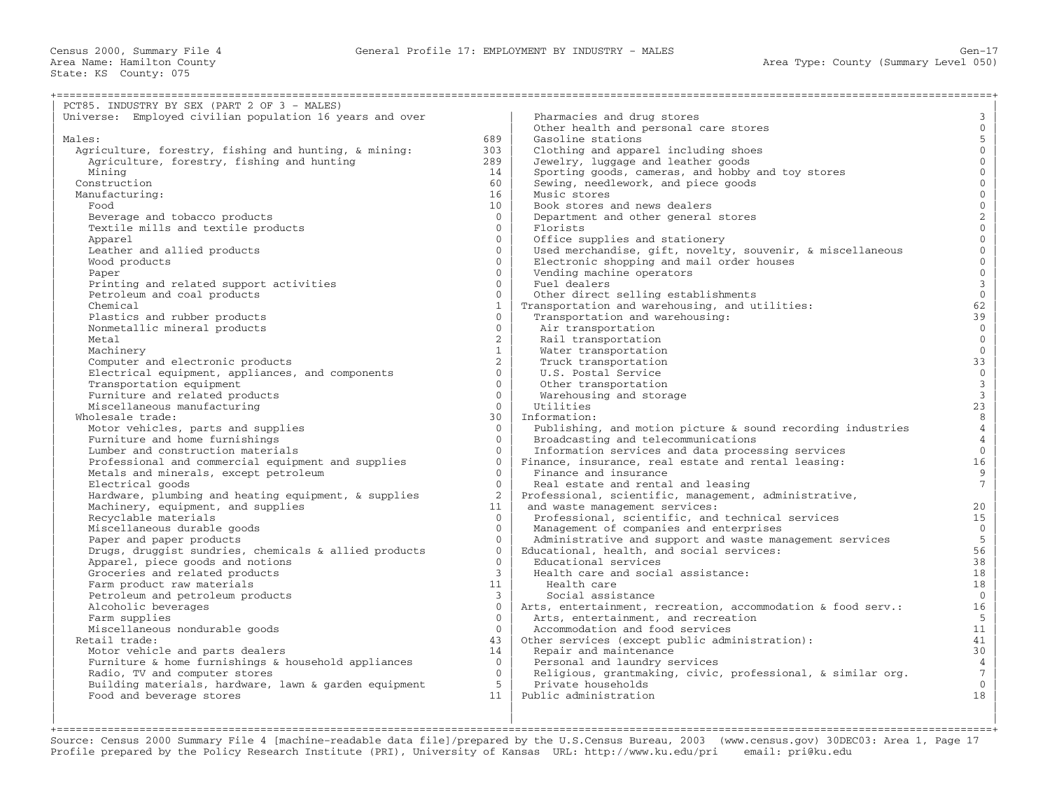| PCT85. INDUSTRY BY SEX (PART 2 OF 3 - MALES)             |                 |                                                                                         |                                  |
|----------------------------------------------------------|-----------------|-----------------------------------------------------------------------------------------|----------------------------------|
| Universe: Employed civilian population 16 years and over |                 | Pharmacies and drug stores                                                              | 3<br>$\overline{0}$              |
| Males:                                                   | 689             | Other health and personal care stores<br>Gasoline stations                              | 5                                |
| Agriculture, forestry, fishing and hunting, & mining:    | 303             | Clothing and apparel including shoes                                                    | $\mathbf{0}$                     |
|                                                          |                 |                                                                                         | $\mathbf 0$                      |
| Agriculture, forestry, fishing and hunting               | 289<br>14       | Jewelry, luggage and leather goods<br>Sporting goods, cameras, and hobby and toy stores | $\mathbf{0}$                     |
| Mining                                                   | 60              |                                                                                         | $\mathbf{0}$                     |
| Construction<br>Manufacturing:                           | 16              | Sewing, needlework, and piece goods<br>Music stores                                     | $\overline{0}$                   |
| Food                                                     | 10 <sup>1</sup> |                                                                                         | $\overline{0}$                   |
|                                                          | $\Omega$        | Book stores and news dealers                                                            |                                  |
| Beverage and tobacco products                            | $\Omega$        | Department and other general stores                                                     | $\overline{a}$<br>$\overline{0}$ |
| Textile mills and textile products                       | $\Omega$        | Florists                                                                                | $\overline{0}$                   |
| Apparel                                                  | $\Omega$        | Office supplies and stationery                                                          | $\overline{0}$                   |
| Leather and allied products                              |                 | Used merchandise, gift, novelty, souvenir, & miscellaneous                              | $\overline{0}$                   |
| Wood products                                            | $\Omega$        | Electronic shopping and mail order houses                                               |                                  |
| Paper                                                    | $\Omega$        | Vending machine operators                                                               | $\mathsf{O}\xspace$              |
| Printing and related support activities                  | $\Omega$        | Fuel dealers                                                                            | $\mathsf 3$                      |
| Petroleum and coal products                              | $\Omega$        | Other direct selling establishments                                                     | $\mathbf{0}$                     |
| Chemical                                                 | 1               | Transportation and warehousing, and utilities:                                          | 62                               |
| Plastics and rubber products                             | $\Omega$        | Transportation and warehousing:                                                         | 39                               |
| Nonmetallic mineral products                             | $\Omega$        | Air transportation                                                                      | $\overline{0}$                   |
| Metal                                                    | $\overline{2}$  | Rail transportation                                                                     | $\overline{0}$                   |
| Machinery                                                | $\mathbf{1}$    | Water transportation                                                                    | $\overline{0}$                   |
| Computer and electronic products                         | $\overline{a}$  | Truck transportation                                                                    | 33                               |
| Electrical equipment, appliances, and components         | $\Omega$        | U.S. Postal Service                                                                     | $\mathsf{O}\xspace$              |
| Transportation equipment                                 | $\Omega$        | Other transportation                                                                    | $\frac{3}{3}$                    |
| Furniture and related products                           | $\Omega$        | Warehousing and storage                                                                 |                                  |
| Miscellaneous manufacturing                              | $\Omega$        | Utilities                                                                               | 23                               |
| Wholesale trade:                                         | 30              | Information:                                                                            | $\,8\,$                          |
| Motor vehicles, parts and supplies                       | $\Omega$        | Publishing, and motion picture & sound recording industries                             | $\overline{4}$                   |
| Furniture and home furnishings                           | $\Omega$        | Broadcasting and telecommunications                                                     | $\overline{4}$                   |
| Lumber and construction materials                        | $\Omega$        | Information services and data processing services                                       | $\mathbf{0}$                     |
| Professional and commercial equipment and supplies       | $\Omega$        | Finance, insurance, real estate and rental leasing:                                     | 16                               |
| Metals and minerals, except petroleum                    | $\Omega$        | Finance and insurance                                                                   | 9                                |
| Electrical goods                                         | $\Omega$        | Real estate and rental and leasing                                                      | $7\overline{ }$                  |
| Hardware, plumbing and heating equipment, & supplies     | $\overline{a}$  | Professional, scientific, management, administrative,                                   |                                  |
| Machinery, equipment, and supplies                       | 11              | and waste management services:                                                          | 20                               |
| Recyclable materials                                     | $\Omega$        | Professional, scientific, and technical services                                        | 15                               |
| Miscellaneous durable goods                              | $\Omega$        | Management of companies and enterprises                                                 | $\mathbf 0$                      |
| Paper and paper products                                 | $\Omega$        | Administrative and support and waste management services                                | $5\phantom{.}$                   |
| Drugs, druggist sundries, chemicals & allied products    | $\Omega$        | Educational, health, and social services:                                               | 56                               |
| Apparel, piece goods and notions                         | $\Omega$        | Educational services                                                                    | 38                               |
| Groceries and related products                           | $\overline{3}$  | Health care and social assistance:                                                      | 18                               |
| Farm product raw materials                               | 11              | Health care                                                                             | 18                               |
| Petroleum and petroleum products                         | $\mathbf{3}$    | Social assistance                                                                       | $\overline{0}$                   |
| Alcoholic beverages                                      | $\Omega$        | Arts, entertainment, recreation, accommodation & food serv.:                            | 16                               |
| Farm supplies                                            | $\overline{0}$  | Arts, entertainment, and recreation                                                     | 5                                |
| Miscellaneous nondurable goods                           | $\Omega$        | Accommodation and food services                                                         | 11                               |
| Retail trade:                                            | 43              | Other services (except public administration):                                          | 41                               |
| Motor vehicle and parts dealers                          | 14              | Repair and maintenance                                                                  | 30                               |
| Furniture & home furnishings & household appliances      | $\Omega$        | Personal and laundry services                                                           | $\overline{4}$                   |
| Radio, TV and computer stores                            | $\Omega$        | Religious, grantmaking, civic, professional, & similar org.                             | $7\overline{ }$                  |
| Building materials, hardware, lawn & garden equipment    | 5 <sup>1</sup>  | Private households                                                                      | $\mathbf{0}$                     |
| Food and beverage stores                                 | 11              | Public administration                                                                   | 18                               |
|                                                          |                 |                                                                                         |                                  |
|                                                          |                 |                                                                                         |                                  |

+===================================================================================================================================================+ Source: Census 2000 Summary File 4 [machine−readable data file]/prepared by the U.S.Census Bureau, 2003 (www.census.gov) 30DEC03: Area 1, Page 17 Profile prepared by the Policy Research Institute (PRI), University of Kansas URL: http://www.ku.edu/pri email: pri@ku.edu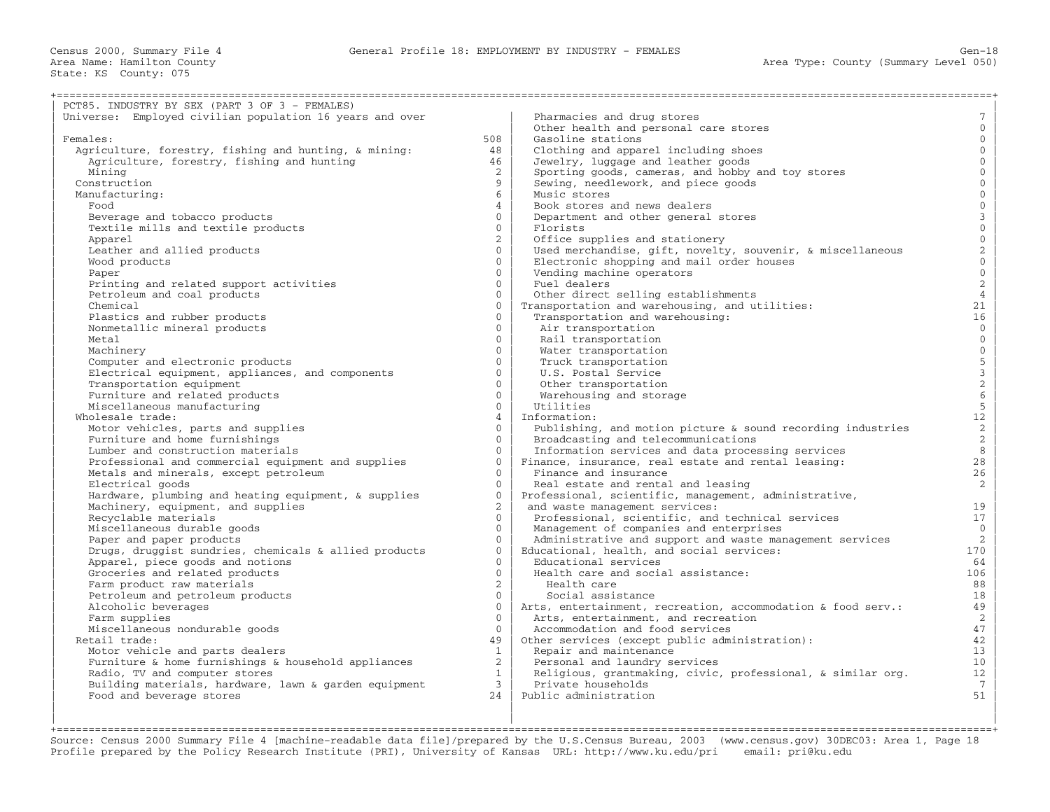| PCT85. INDUSTRY BY SEX (PART 3 OF 3 - FEMALES)           |                     |                                                                          | 7                                     |
|----------------------------------------------------------|---------------------|--------------------------------------------------------------------------|---------------------------------------|
| Universe: Employed civilian population 16 years and over |                     | Pharmacies and drug stores                                               | $\mathbf{0}$                          |
|                                                          | 508                 | Other health and personal care stores                                    | $\mathbf{0}$                          |
| Females:                                                 |                     | Gasoline stations                                                        | $\mathbf{0}$                          |
| Agriculture, forestry, fishing and hunting, & mining:    | 48                  | Clothing and apparel including shoes                                     |                                       |
| Agriculture, forestry, fishing and hunting               | 46                  | Jewelry, luggage and leather goods                                       | $\mathbf{0}$                          |
| Mining                                                   | $\overline{2}$      | Sporting goods, cameras, and hobby and toy stores                        | $\mathbf{0}$                          |
| Construction                                             | 9                   | Sewing, needlework, and piece goods                                      | $\mathbf 0$                           |
| Manufacturing:                                           | 6                   | Music stores                                                             | $\mathsf{O}\xspace$                   |
| Food                                                     | 4                   | Book stores and news dealers                                             | $\overline{0}$                        |
| Beverage and tobacco products                            | $\Omega$            | Department and other general stores                                      | $\begin{array}{c} 3 \\ 0 \end{array}$ |
| Textile mills and textile products                       | $\mathbf{0}$        | Florists                                                                 |                                       |
| Apparel                                                  | $\overline{2}$      | Office supplies and stationery                                           | $\mathsf{O}\xspace$                   |
| Leather and allied products                              | $\Omega$            | Used merchandise, gift, novelty, souvenir, & miscellaneous               | $\frac{2}{0}$                         |
| Wood products                                            | $\mathbf{0}$        | Electronic shopping and mail order houses                                |                                       |
| Paper                                                    | $\Omega$            | Vending machine operators                                                | $\mathsf{O}\xspace$                   |
| Printing and related support activities                  | $\Omega$            | Fuel dealers                                                             | $\sqrt{2}$                            |
| Petroleum and coal products                              | $\Omega$            | Other direct selling establishments                                      | $\overline{4}$                        |
| Chemical                                                 | $\Omega$            | Transportation and warehousing, and utilities:                           | 21                                    |
| Plastics and rubber products                             | $\Omega$            | Transportation and warehousing:                                          | 16                                    |
| Nonmetallic mineral products                             | $\Omega$            | Air transportation                                                       | $\overline{0}$                        |
| Metal                                                    | $\Omega$            | Rail transportation                                                      | $\overline{0}$                        |
| Machinery                                                | $\Omega$            | Water transportation                                                     |                                       |
| Computer and electronic products                         | $\Omega$            | Truck transportation                                                     |                                       |
| Electrical equipment, appliances, and components         | $\Omega$            | U.S. Postal Service                                                      | 0<br>5<br>3<br>2<br>6<br>5            |
| Transportation equipment                                 | $\Omega$            | Other transportation                                                     |                                       |
| Furniture and related products                           | $\Omega$            | Warehousing and storage                                                  |                                       |
| Miscellaneous manufacturing                              | $\overline{0}$      | Utilities                                                                |                                       |
| Wholesale trade:                                         | $\overline{4}$      | Information:                                                             | $12\,$                                |
| Motor vehicles, parts and supplies                       | $\Omega$            | Publishing, and motion picture & sound recording industries              | $\overline{a}$                        |
| Furniture and home furnishings                           | $\Omega$            | Broadcasting and telecommunications                                      | $\overline{a}$                        |
| Lumber and construction materials                        | $\Omega$            | Information services and data processing services                        | $\,8\,$                               |
| Professional and commercial equipment and supplies       | $\Omega$            | Finance, insurance, real estate and rental leasing:                      | $28$                                  |
| Metals and minerals, except petroleum                    | $\Omega$            | Finance and insurance                                                    | 26                                    |
| Electrical goods                                         | $\Omega$            | Real estate and rental and leasing                                       | 2                                     |
| Hardware, plumbing and heating equipment, & supplies     | $\Omega$            | Professional, scientific, management, administrative,                    |                                       |
| Machinery, equipment, and supplies                       | $\overline{2}$      | and waste management services:                                           | 19                                    |
| Recyclable materials                                     | $\Omega$            | Professional, scientific, and technical services                         | 17                                    |
| Miscellaneous durable goods                              | $\Omega$            | Management of companies and enterprises                                  | $\overline{0}$                        |
| Paper and paper products                                 | $\Omega$            | Administrative and support and waste management services                 | 2                                     |
| Drugs, druggist sundries, chemicals & allied products    | $\Omega$            | Educational, health, and social services:                                | 170                                   |
| Apparel, piece goods and notions                         | $\Omega$            | Educational services                                                     | 64                                    |
| Groceries and related products                           | $\Omega$            | Health care and social assistance:                                       | 106                                   |
| Farm product raw materials                               | $\overline{2}$      | Health care                                                              | 88                                    |
| Petroleum and petroleum products                         | $\Omega$            | Social assistance                                                        | 18                                    |
| Alcoholic beverages                                      | $\mathbf{0}$        | Arts, entertainment, recreation, accommodation & food serv.:             | 49                                    |
| Farm supplies                                            | $\Omega$            | Arts, entertainment, and recreation                                      | $\overline{a}$                        |
| Miscellaneous nondurable goods                           | $\Omega$            | Accommodation and food services                                          | 47                                    |
| Retail trade:                                            | 49                  |                                                                          | 42                                    |
| Motor vehicle and parts dealers                          | $\mathbf{1}$        | Other services (except public administration):<br>Repair and maintenance | 13                                    |
|                                                          | $\overline{2}$      |                                                                          | 10                                    |
| Furniture & home furnishings & household appliances      | $\mathbf{1}$        | Personal and laundry services                                            |                                       |
| Radio, TV and computer stores                            |                     | Religious, grantmaking, civic, professional, & similar org.              | 12 <sup>°</sup>                       |
| Building materials, hardware, lawn & garden equipment    | $\mathbf{3}$<br>2.4 | Private households<br>Public administration                              | $7\overline{ }$<br>51                 |
| Food and beverage stores                                 |                     |                                                                          |                                       |
|                                                          |                     |                                                                          |                                       |

+===================================================================================================================================================+ Source: Census 2000 Summary File 4 [machine−readable data file]/prepared by the U.S.Census Bureau, 2003 (www.census.gov) 30DEC03: Area 1, Page 18 Profile prepared by the Policy Research Institute (PRI), University of Kansas URL: http://www.ku.edu/pri email: pri@ku.edu

| | |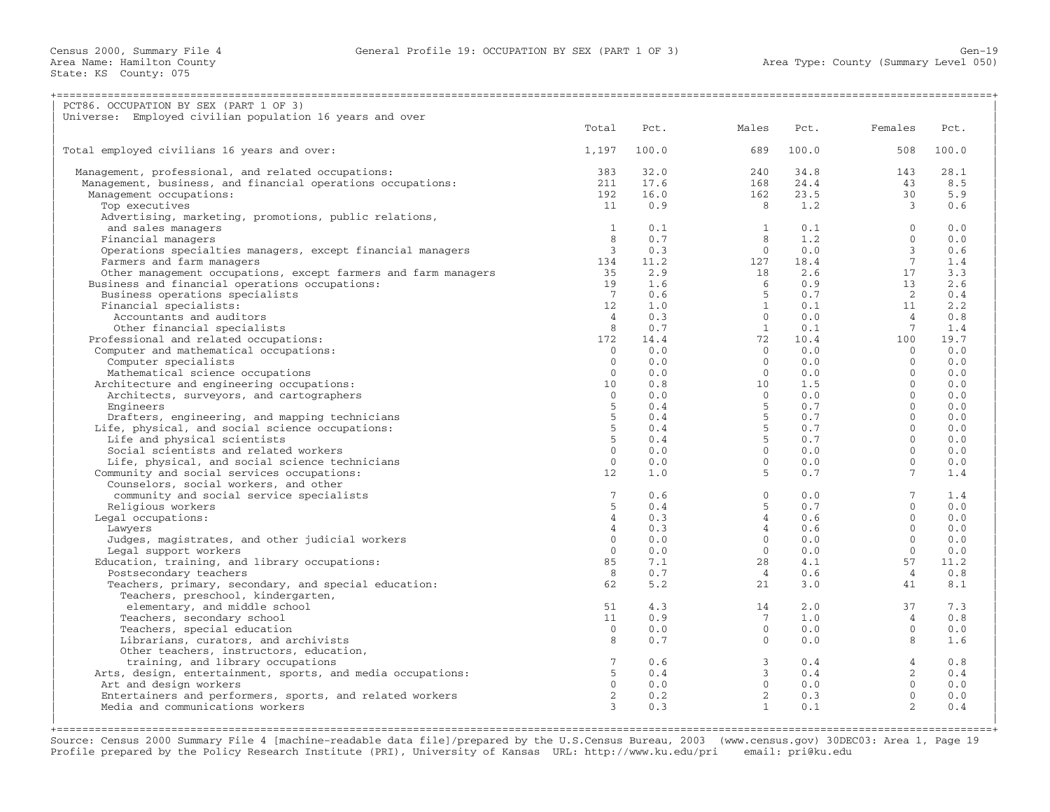| Universe: Employed civilian population 16 years and over                                                                   |                                |            |
|----------------------------------------------------------------------------------------------------------------------------|--------------------------------|------------|
| Total<br>Pct.<br>Males                                                                                                     | Pct.<br>Females                | Pct.       |
| Total employed civilians 16 years and over:<br>1,197<br>100.0<br>689                                                       | 100.0<br>508                   | 100.0      |
| 32.0<br>383<br>240<br>Management, professional, and related occupations:                                                   | 34.8<br>143                    | 28.1       |
| Management, business, and financial operations occupations:<br>211<br>17.6<br>168                                          | 24.4<br>43                     | 8.5        |
| 192<br>16.0<br>Management occupations:<br>162                                                                              | 30<br>23.5                     | 5.9        |
| 11<br>0.9<br>8 <sup>8</sup><br>Top executives                                                                              | 1.2<br>$\overline{\mathbf{3}}$ | 0.6        |
| Advertising, marketing, promotions, public relations,                                                                      |                                |            |
| $\mathbf{1}$<br>and sales managers<br>0.1<br>$\sim$ 1                                                                      | $\Omega$<br>0.1                | 0.0        |
| Financial managers<br>8<br>0.7<br>8 <sup>1</sup>                                                                           | 1.2<br>$\Omega$                | 0.0        |
| Operations specialties managers, except financial managers<br>$\overline{\mathbf{3}}$<br>0.3<br>$\bigcirc$                 | 0.0<br>$\mathcal{E}$           | 0.6        |
| Farmers and farm managers<br>11.2<br>134<br>127                                                                            | 18.4<br>$\overline{7}$         | 1.4        |
| Other management occupations, except farmers and farm managers<br>2.9<br>35<br>18                                          | 2.6                            | 3.3        |
| Business and financial operations occupations:<br>19<br>1.6<br>$6\overline{6}$                                             | $\frac{17}{13}$<br>0.9         | 2.6        |
| $7\overline{ }$<br>Business operations specialists<br>0.6<br>$5^{\circ}$                                                   | 0.7<br>$\overline{2}$          | 0.4        |
| Financial specialists:<br>12<br>1.0                                                                                        | $\frac{0.1}{0.1}$<br>11        | 2.2        |
| $\frac{1}{0}$<br>Accountants and auditors<br>4<br>0.3                                                                      | 0.0<br>$\overline{4}$          | 0.8        |
| Other financial specialists<br>0.7<br>$\sim$ 1<br>8                                                                        | $\overline{7}$<br>0.1          | 1.4        |
| Professional and related occupations:<br>172                                                                               | 10.4<br>100                    | 19.7       |
| $14.4$ $72$ 0.0 0<br>$\Omega$                                                                                              | $\overline{0}$                 |            |
| Computer and mathematical occupations:<br>$\bigcirc$<br>$\Omega$                                                           | 0.0<br>0.0<br>$\bigcirc$       | 0.0<br>0.0 |
| Computer specialists<br>0.0<br>$\bigcirc$<br>$\Omega$                                                                      | $\Omega$                       |            |
| Mathematical science occupations<br>0.0<br>$\begin{array}{c}\n10 \\ 0\n\end{array}$                                        | 0.0                            | 0.0        |
| Architecture and engineering occupations:<br>0.8<br>10 <sup>°</sup>                                                        | 1.5<br>$\bigcap$               | 0.0        |
| Architects, surveyors, and cartographers<br>$\Omega$<br>0.0                                                                | 0.0<br>$\bigcirc$              | 0.0        |
| $5^{\circ}$<br>5 <sup>1</sup><br>Engineers<br>0.4                                                                          | 0.7<br>$\Omega$                | 0.0        |
| $5 -$<br>5<br>Drafters, engineering, and mapping technicians<br>0.4                                                        | $\Omega$<br>0.7                | 0.0        |
| 5 <sup>5</sup><br>5<br>Life, physical, and social science occupations:<br>0.4                                              | 0.7<br>$\bigcirc$              | 0.0        |
| $5 -$<br>Life and physical scientists<br>$5 -$<br>0.4                                                                      | $\Omega$<br>0.7                | 0.0        |
| Social scientists and related workers<br>0<br>$\Omega$<br>0.0                                                              | $\Omega$<br>0.0                | 0.0        |
| Life, physical, and social science technicians<br>$\circ$<br>0.0<br>0                                                      | 0.0<br>$\Omega$                | 0.0        |
| Community and social services occupations:<br>1.0<br>$5 -$<br>12                                                           | 0.7<br>$7^{\circ}$             | 1.4        |
| Counselors, social workers, and other                                                                                      |                                |            |
| $7^{\circ}$<br>community and social service specialists<br>0.6<br>$\overline{0}$                                           | $7\overline{ }$<br>0.0         | 1.4        |
| $5 -$<br>Religious workers<br>5<br>0.4                                                                                     | 0.7<br>$\mathbf{0}$            | 0.0        |
| $4\overline{ }$<br>Legal occupations:<br>$\overline{4}$<br>0.3                                                             | 0.6<br>$\Omega$                | 0.0        |
| $\overline{4}$<br>Lawyers<br>$\overline{4}$                                                                                | $\Omega$<br>0.6                | 0.0        |
| $0.3$<br>$0.0$<br>Judges, magistrates, and other judicial workers<br>0.0<br>$\Omega$<br>$\Omega$                           | 0.0<br>$\bigcap$               | 0.0        |
| Legal support workers<br>$\Omega$<br>0.0<br>$\bigcirc$                                                                     | 0.0<br>$\bigcirc$              | 0.0        |
| Education, training, and library occupations:<br>85<br>7.1<br>28                                                           | 4.1<br>57                      | 11.2       |
| Postsecondary teachers<br>8<br>0.7<br>$\overline{4}$                                                                       | 0.6<br>$\overline{4}$          | 0.8        |
| Teachers, primary, secondary, and special education:<br>62<br>5.2<br>21                                                    | 3.0<br>41                      | 8.1        |
| Teachers, preschool, kindergarten,                                                                                         |                                |            |
| 4.3<br>elementary, and middle school<br>51<br>14                                                                           | 2.0<br>37                      | 7.3        |
| Teachers, secondary school<br>11<br>0.9<br>7                                                                               | 1.0<br>$\overline{4}$          | 0.8        |
| Teachers, special education<br>0.0<br>$\bigcirc$<br>$\Omega$                                                               | 0.0<br>$\Omega$                | 0.0        |
| Librarians, curators, and archivists<br>0.7<br>$\Omega$<br>8                                                               | 0.0<br>8                       | 1.6        |
| Other teachers, instructors, education,                                                                                    |                                |            |
| $7^{\circ}$<br>training, and library occupations<br>0.6<br>$\overline{\mathbf{3}}$                                         | $\overline{4}$<br>0.4          | 0.8        |
| Arts, design, entertainment, sports, and media occupations:<br>5 <sup>7</sup><br>0.4<br>$\overline{3}$                     | $\overline{a}$<br>0.4          | 0.4        |
| $\overline{0}$<br>$\overline{0}$<br>0.0                                                                                    | 0.0<br>$\Omega$                | 0.0        |
| Art and design workers<br>$\overline{2}$<br>$\overline{2}$<br>0.2                                                          | $\overline{0}$<br>0.3          | 0.0        |
| Entertainers and performers, sports, and related workers<br>Media and communications workers<br>0.3<br>$\overline{1}$<br>3 | 0.1<br>$\overline{2}$          | 0.4        |
|                                                                                                                            |                                |            |

+===================================================================================================================================================+ Source: Census 2000 Summary File 4 [machine−readable data file]/prepared by the U.S.Census Bureau, 2003 (www.census.gov) 30DEC03: Area 1, Page 19 Profile prepared by the Policy Research Institute (PRI), University of Kansas URL: http://www.ku.edu/pri email: pri@ku.edu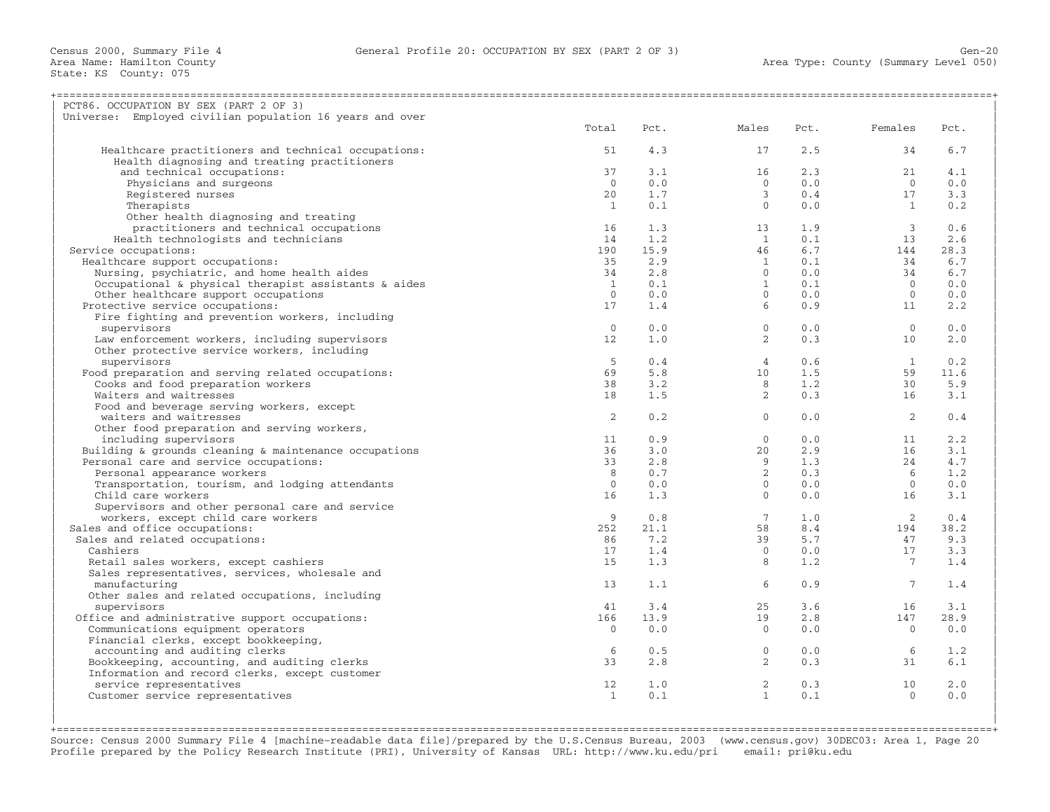| PCT86. OCCUPATION BY SEX (PART 2 OF 3)                   |                |      |                         |            |                 |      |
|----------------------------------------------------------|----------------|------|-------------------------|------------|-----------------|------|
| Universe: Employed civilian population 16 years and over |                |      |                         |            |                 |      |
|                                                          | Total          | Pct. | Males                   | Pct.       | Females         | Pct. |
| Healthcare practitioners and technical occupations:      | 51             | 4.3  | 17                      | 2.5        | 34              | 6.7  |
| Health diagnosing and treating practitioners             |                |      |                         |            |                 |      |
| and technical occupations:                               | 37             | 3.1  | 16                      | 2.3        | 21              | 4.1  |
| Physicians and surgeons                                  | $\Omega$       | 0.0  | $\overline{0}$          | 0.0        | $\Omega$        | 0.0  |
| Registered nurses                                        | 20             | 1.7  | $\overline{3}$          | 0.4        | 17              | 3.3  |
| Therapists                                               | $\mathbf{1}$   | 0.1  | $\circ$                 | $0.0$      | <sup>1</sup>    | 0.2  |
| Other health diagnosing and treating                     |                |      |                         |            |                 |      |
| practitioners and technical occupations                  | 16             | 1.3  | 13                      | 1.9        | $\overline{3}$  | 0.6  |
| Health technologists and technicians                     | 14             | 1.2  | $\overline{1}$          | 0.1        | 13              | 2.6  |
| Service occupations:                                     | 190            | 15.9 | 46                      | 6.7        | 144             | 28.3 |
| Healthcare support occupations:                          | 35             | 2.9  | $\mathbf{1}$            | 0.1        | 34              | 6.7  |
| Nursing, psychiatric, and home health aides              | 34             | 2.8  | $\Omega$                | 0.0        | 34              | 6.7  |
| Occupational & physical therapist assistants & aides     | $\overline{1}$ | 0.1  | $\overline{1}$          | 0.1        | $\bigcirc$      | 0.0  |
| Other healthcare support occupations                     | $\overline{0}$ | 0.0  | $\circ$                 | 0.0        | $\overline{0}$  | 0.0  |
| Protective service occupations:                          | 17             | 1.4  | 6                       | 0.9        | 11              | 2.2  |
| Fire fighting and prevention workers, including          |                |      |                         |            |                 |      |
| supervisors                                              | $\Omega$       | 0.0  | $\Omega$                | 0.0        | $\Omega$        | 0.0  |
| Law enforcement workers, including supervisors           | 12             | 1.0  | $2^{\circ}$             | 0.3        | 10              | 2.0  |
| Other protective service workers, including              |                |      |                         |            |                 |      |
| supervisors                                              | 5              | 0.4  | $\overline{4}$          | 0.6        | $\overline{1}$  | 0.2  |
|                                                          | 69             | 5.8  | 10                      | 1.5        | 59              | 11.6 |
| Food preparation and serving related occupations:        |                |      |                         |            |                 |      |
| Cooks and food preparation workers                       | 38<br>18       | 3.2  | 8<br>2                  | 1.2        | 30<br>16        | 5.9  |
| Waiters and waitresses                                   |                | 1.5  |                         | 0.3        |                 | 3.1  |
| Food and beverage serving workers, except                |                |      | $\Omega$                |            |                 |      |
| waiters and waitresses                                   | 2              | 0.2  |                         | 0.0        | 2               | 0.4  |
| Other food preparation and serving workers,              |                |      | $\Omega$                |            |                 |      |
| including supervisors                                    | 11             | 0.9  |                         | 0.0        | 11              | 2.2  |
| Building & grounds cleaning & maintenance occupations    | 36             | 3.0  | 20                      | 2.9        | 16              | 3.1  |
| Personal care and service occupations:                   | 33             | 2.8  | 9                       | 1.3        | 24              | 4.7  |
| Personal appearance workers                              | 8<br>$\Omega$  | 0.7  | $2^{\circ}$<br>$\Omega$ | 0.3<br>0.0 | 6<br>$\Omega$   | 1.2  |
| Transportation, tourism, and lodging attendants          |                | 0.0  | $\Omega$                | 0.0        |                 | 0.0  |
| Child care workers                                       | 16             | 1.3  |                         |            | 16              | 3.1  |
| Supervisors and other personal care and service          |                |      |                         |            |                 |      |
| workers, except child care workers                       | 9              | 0.8  | $7\phantom{.0}$         | 1.0        | 2               | 0.4  |
| Sales and office occupations:                            | 252            | 21.1 | 58                      | 8.4        | 194             | 38.2 |
| Sales and related occupations:                           | 86             | 7.2  | 39                      | 5.7        | 47              | 9.3  |
| Cashiers                                                 | 17             | 1.4  | $\Omega$                | 0.0        | 17              | 3.3  |
| Retail sales workers, except cashiers                    | 15             | 1.3  | 8                       | 1.2        | 7               | 1.4  |
| Sales representatives, services, wholesale and           | 13             | 1.1  | 6                       | 0.9        | $7\phantom{.0}$ | 1.4  |
| manufacturing                                            |                |      |                         |            |                 |      |
| Other sales and related occupations, including           |                |      |                         |            |                 |      |
| supervisors                                              | 41             | 3.4  | 25                      | 3.6        | 16              | 3.1  |
| Office and administrative support occupations:           | 166            | 13.9 | 19                      | 2.8        | 147             | 28.9 |
| Communications equipment operators                       | $\Omega$       | 0.0  | $\Omega$                | 0.0        | $\Omega$        | 0.0  |
| Financial clerks, except bookkeeping,                    |                |      |                         |            |                 |      |
| accounting and auditing clerks                           | 6              | 0.5  | $\overline{0}$          | 0.0        | 6               | 1.2  |
| Bookkeeping, accounting, and auditing clerks             | 33             | 2.8  | $2^{\circ}$             | 0.3        | 31              | 6.1  |
| Information and record clerks, except customer           |                |      |                         |            |                 |      |
| service representatives                                  | 12             | 1.0  | 2                       | 0.3        | 10              | 2.0  |
| Customer service representatives                         | $\mathbf{1}$   | 0.1  | $\mathbf{1}$            | 0.1        | $\overline{0}$  | 0.0  |
|                                                          |                |      |                         |            |                 |      |
|                                                          |                |      |                         |            |                 |      |

+===================================================================================================================================================+ Source: Census 2000 Summary File 4 [machine−readable data file]/prepared by the U.S.Census Bureau, 2003 (www.census.gov) 30DEC03: Area 1, Page 20 Profile prepared by the Policy Research Institute (PRI), University of Kansas URL: http://www.ku.edu/pri email: pri@ku.edu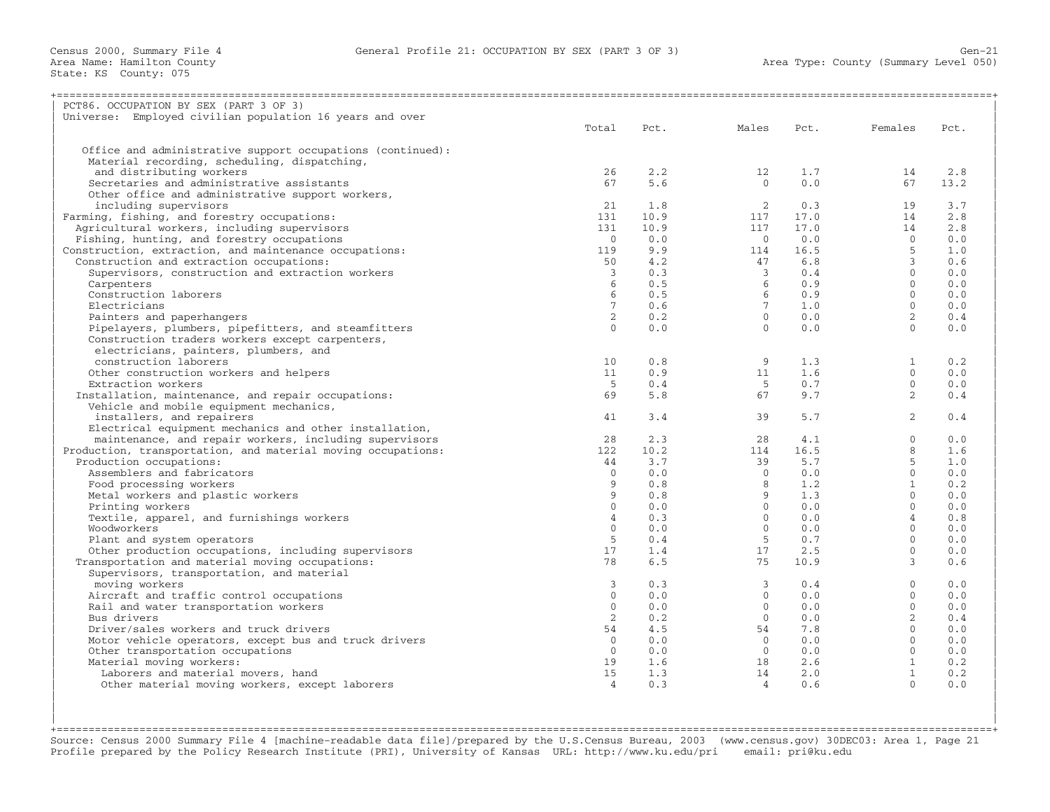| =============================<br>PCT86. OCCUPATION BY SEX (PART 3 OF 3) |                 |                |                                              |        |                |      |
|-------------------------------------------------------------------------|-----------------|----------------|----------------------------------------------|--------|----------------|------|
| Universe: Employed civilian population 16 years and over                |                 |                |                                              |        |                |      |
|                                                                         | Total           | Pct.           | Males                                        | Pct.   | Females        | Pct. |
|                                                                         |                 |                |                                              |        |                |      |
| Office and administrative support occupations (continued):              |                 |                |                                              |        |                |      |
| Material recording, scheduling, dispatching,                            |                 |                |                                              |        |                |      |
| and distributing workers                                                | 26              | 2.2            | 12                                           | 1.7    | 14             | 2.8  |
| Secretaries and administrative assistants                               | 67              | 5.6            | $\Omega$                                     | 0.0    | 67             | 13.2 |
| Other office and administrative support workers,                        |                 |                |                                              |        |                |      |
| including supervisors                                                   | 21              | 1.8            | $\overline{\phantom{a}}$                     | 0.3    | 19             | 3.7  |
| Farming, fishing, and forestry occupations:                             | 131             | 10.9           | 117                                          | 17.0   | 14             | 2.8  |
| Agricultural workers, including supervisors                             | 131             | 10.9           | 117                                          | 17.0   | 14             | 2.8  |
| Fishing, hunting, and forestry occupations                              | $\bigcirc$      | 0.0            | $\overline{0}$                               | 0.0    | $\overline{0}$ | 0.0  |
| Construction, extraction, and maintenance occupations:                  | 119             | 9.9            | 114                                          | 16.5   | $-5$           | 1.0  |
| Construction and extraction occupations:                                | 50              | 4.2            | 47                                           | 6.8    | $\overline{3}$ | 0.6  |
|                                                                         |                 |                |                                              |        | $\overline{0}$ | 0.0  |
| Supervisors, construction and extraction workers                        | $\overline{3}$  | $0.3$<br>$0.5$ | $\frac{3}{6}$                                | 0.4    |                |      |
| Carpenters                                                              | 6               |                |                                              | 0.9    | $\Omega$       | 0.0  |
| Construction laborers                                                   | 6               | 0.5            | $\begin{array}{c} 6 \\ 7 \\ 0 \end{array}$   | 0.9    | $\bigcap$      | 0.0  |
| Electricians                                                            | 7 <sup>7</sup>  | 0.6            |                                              | 1.0    | $\bigcirc$     | 0.0  |
| Painters and paperhangers                                               | $\overline{2}$  | 0.2            | $\overline{0}$                               | 0.0    | 2              | 0.4  |
| Pipelayers, plumbers, pipefitters, and steamfitters                     | $\Omega$        | 0.0            | $\bigcirc$                                   | 0.0    | $\Omega$       | 0.0  |
| Construction traders workers except carpenters,                         |                 |                |                                              |        |                |      |
| electricians, painters, plumbers, and                                   |                 |                |                                              |        |                |      |
| construction laborers                                                   | 10 <sub>1</sub> | 0.8            | 9                                            | 1.3    | $\mathbf{1}$   | 0.2  |
| Other construction workers and helpers                                  | 11              | 0.9            | 11                                           | 1.6    | $\Omega$       | 0.0  |
| Extraction workers                                                      | -5              | 0.4            | 5 <sup>5</sup>                               | 0.7    | $\Omega$       | 0.0  |
| Installation, maintenance, and repair occupations:                      | 69              | 5.8            | 67                                           | 9.7    | $\mathfrak{D}$ | 0.4  |
| Vehicle and mobile equipment mechanics,                                 |                 |                |                                              |        |                |      |
| installers, and repairers                                               | 41              | 3.4            | 39                                           | 5.7    | $\overline{2}$ | 0.4  |
| Electrical equipment mechanics and other installation,                  |                 |                |                                              |        |                |      |
| maintenance, and repair workers, including supervisors                  | 28              | 2.3            | 28                                           | 4.1    | $\Omega$       | 0.0  |
| Production, transportation, and material moving occupations:            | 122             | 10.2           | 114                                          | 16.5   | 8              | 1.6  |
| Production occupations:                                                 | 44              | 3.7            |                                              | 39 5.7 | 5              | 1.0  |
| Assemblers and fabricators                                              | $\Omega$        | 0.0            | $\bigcirc$                                   | 0.0    | $\Omega$       | 0.0  |
| Food processing workers                                                 | 9               | 0.8            | $\begin{array}{c} 8 \\ 9 \\ 0 \end{array}$   | 1.2    | $\overline{1}$ | 0.2  |
| Metal workers and plastic workers                                       | 9               | 0.8            |                                              | 1.3    | $\Omega$       | 0.0  |
| Printing workers                                                        | $\Omega$        | 0.0            |                                              | 0.0    | $\Omega$       | 0.0  |
| Textile, apparel, and furnishings workers                               | $\overline{4}$  | 0.3            | $\overline{0}$                               | 0.0    | $\overline{4}$ | 0.8  |
| Woodworkers                                                             | $\Omega$        | 0.0            | $\overline{0}$                               | 0.0    | $\Omega$       | 0.0  |
| Plant and system operators                                              | 5               | 0.4            | $5 -$                                        | 0.7    | $\Omega$       | 0.0  |
| Other production occupations, including supervisors                     | 17              | 1.4            | 17                                           | 2.5    | $\Omega$       | 0.0  |
| Transportation and material moving occupations:                         | 78              | 6.5            | 75                                           | 10.9   | 3              | 0.6  |
| Supervisors, transportation, and material                               |                 |                |                                              |        |                |      |
| moving workers                                                          | $\mathbf{3}$    | 0.3            | $\overline{3}$                               | 0.4    | $\overline{0}$ | 0.0  |
| Aircraft and traffic control occupations                                | $\mathbf{0}$    | 0.0            | $\overline{0}$                               | 0.0    | $\circ$        | 0.0  |
|                                                                         | $\overline{0}$  | 0.0            | $\overline{0}$                               | 0.0    | $\Omega$       | 0.0  |
| Rail and water transportation workers<br>Bus drivers                    | $2^{\circ}$     | 0.2            | $\begin{matrix}0\\0\end{matrix}$             | 0.0    | $\overline{2}$ | 0.4  |
|                                                                         |                 |                |                                              |        | $\bigcap$      |      |
| Driver/sales workers and truck drivers                                  | 54              | 4.5            | $\begin{bmatrix} 54 \\ 0 \\ 0 \end{bmatrix}$ | 7.8    | $\bigcirc$     | 0.0  |
| Motor vehicle operators, except bus and truck drivers                   | $\Omega$        | 0.0            |                                              | 0.0    |                | 0.0  |
| Other transportation occupations                                        | $\Omega$        | 0.0            |                                              | 0.0    | $\Omega$       | 0.0  |
| Material moving workers:                                                | 19              | 1.6            | 18                                           | 2.6    | $\overline{1}$ | 0.2  |
| Laborers and material movers, hand                                      | 15              | 1.3            | 14                                           | 2.0    | $\overline{1}$ | 0.2  |
| Other material moving workers, except laborers                          | $\overline{4}$  | 0.3            | $\overline{4}$                               | 0.6    | $\Omega$       | 0.0  |
|                                                                         |                 |                |                                              |        |                |      |
|                                                                         |                 |                |                                              |        |                |      |

+===================================================================================================================================================+ Source: Census 2000 Summary File 4 [machine−readable data file]/prepared by the U.S.Census Bureau, 2003 (www.census.gov) 30DEC03: Area 1, Page 21 Profile prepared by the Policy Research Institute (PRI), University of Kansas URL: http://www.ku.edu/pri email: pri@ku.edu

| |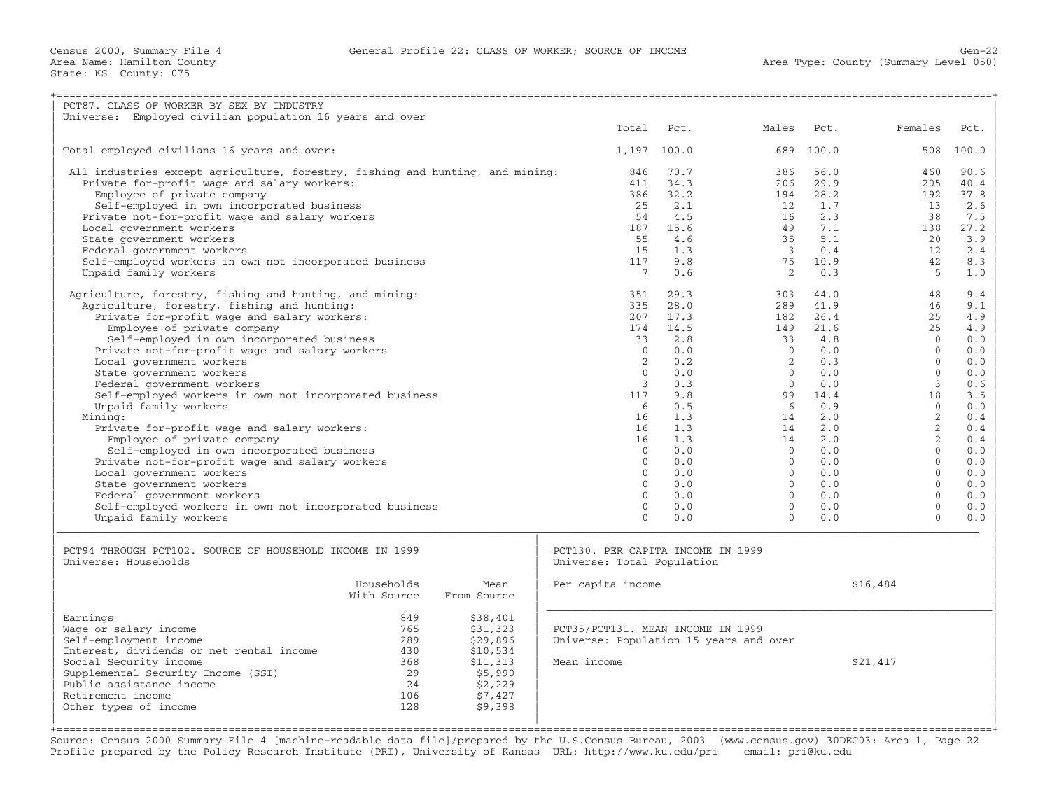| PCT87. CLASS OF WORKER BY SEX BY INDUSTRY                                        |                           |                     |                                                                 |             |                |       |                |       |
|----------------------------------------------------------------------------------|---------------------------|---------------------|-----------------------------------------------------------------|-------------|----------------|-------|----------------|-------|
| Universe: Employed civilian population 16 years and over                         |                           |                     |                                                                 |             |                |       |                |       |
|                                                                                  |                           |                     | Total                                                           | Pct.        | Males          | Pct.  | Females        | Pct.  |
| Total employed civilians 16 years and over:                                      |                           |                     |                                                                 | 1,197 100.0 | 689            | 100.0 | 508            | 100.0 |
| All industries except agriculture, forestry, fishing and hunting, and mining:    |                           |                     | 846                                                             | 70.7        | 386            | 56.0  | 460            | 90.6  |
| Private for-profit wage and salary workers:                                      |                           |                     | 411                                                             | 34.3        | 206            | 29.9  | 205            | 40.4  |
| Employee of private company                                                      |                           |                     | 386                                                             | 32.2        | 194            | 28.2  | 192            | 37.8  |
| Self-employed in own incorporated business                                       |                           |                     | 25                                                              | 2.1         | 12             | 1.7   | 13             | 2.6   |
| Private not-for-profit wage and salary workers                                   |                           |                     | 54                                                              | 4.5         | 16             | 2.3   | 38             | 7.5   |
| Local government workers                                                         |                           |                     | 187                                                             | 15.6        | 49             | 7.1   | 138            | 27.2  |
| State government workers                                                         |                           |                     | 55                                                              | 4.6         | 35             | 5.1   | 2.0            | 3.9   |
| Federal government workers                                                       |                           |                     | 15                                                              | 1.3         | $\overline{3}$ | 0.4   | 12             | 2.4   |
| Self-employed workers in own not incorporated business                           |                           |                     | 117                                                             | 9.8         | 75             | 10.9  | 42             | 8.3   |
| Unpaid family workers                                                            |                           |                     | 7                                                               | 0.6         | 2              | 0.3   | -5             | 1.0   |
| Agriculture, forestry, fishing and hunting, and mining:                          |                           |                     | 351                                                             | 29.3        | 303            | 44.0  | 48             | 9.4   |
| Agriculture, forestry, fishing and hunting:                                      |                           |                     | 335                                                             | 28.0        | 289            | 41.9  | 46             | 9.1   |
| Private for-profit wage and salary workers:                                      |                           |                     | 207                                                             | 17.3        | 182            | 26.4  | 25             | 4.9   |
| Employee of private company                                                      |                           |                     | 174                                                             | 14.5        | 149            | 21.6  | 25             | 4.9   |
| Self-employed in own incorporated business                                       |                           |                     | 33                                                              | 2.8         | 33             | 4.8   | $\Omega$       | 0.0   |
| Private not-for-profit wage and salary workers                                   |                           |                     | $\Omega$                                                        | 0.0         | $\Omega$       | 0.0   | $\Omega$       | 0.0   |
| Local government workers                                                         |                           |                     | $\overline{2}$                                                  | 0.2         | $\overline{2}$ | 0.3   | $\Omega$       | 0.0   |
| State government workers                                                         |                           |                     | $\Omega$                                                        | 0.0         | $\Omega$       | 0.0   | $\Omega$       | 0.0   |
| Federal government workers                                                       |                           |                     | $\mathcal{L}$                                                   | 0.3         | $\Omega$       | 0.0   | $\mathbf{3}$   | 0.6   |
| Self-employed workers in own not incorporated business                           |                           |                     | 117                                                             | 9.8         | 99             | 14.4  | 18             | 3.5   |
| Unpaid family workers                                                            |                           |                     | 6                                                               | 0.5         | 6              | 0.9   | $\Omega$       | 0.0   |
| Mining:                                                                          |                           |                     | 16                                                              | 1.3         | 14             | 2.0   | 2              | 0.4   |
| Private for-profit wage and salary workers:                                      |                           |                     | 16                                                              | 1.3         | 14             | 2.0   | 2              | 0.4   |
| Employee of private company                                                      |                           |                     | 16                                                              | 1.3         | 14             | 2.0   | $\overline{2}$ | 0.4   |
| Self-employed in own incorporated business                                       |                           |                     | $\Omega$                                                        | 0.0         | $\Omega$       | 0.0   | $\Omega$       | 0.0   |
| Private not-for-profit wage and salary workers                                   |                           |                     | $\Omega$                                                        | 0.0         | $\Omega$       | 0.0   | $\Omega$       | 0.0   |
| Local government workers                                                         |                           |                     | $\Omega$                                                        | 0.0         | $\Omega$       | 0.0   | $\Omega$       | 0.0   |
| State government workers                                                         |                           |                     | $\mathbf{0}$                                                    | 0.0         | $\Omega$       | 0.0   | $\Omega$       | 0.0   |
| Federal government workers                                                       |                           |                     | $\Omega$                                                        | 0.0         | $\Omega$       | 0.0   | $\Omega$       | 0.0   |
| Self-employed workers in own not incorporated business                           |                           |                     | $\Omega$                                                        | 0.0         | $\Omega$       | 0.0   | $\Omega$       | 0.0   |
| Unpaid family workers                                                            |                           |                     | $\Omega$                                                        | 0.0         | $\Omega$       | 0.0   | $\Omega$       | 0.0   |
| PCT94 THROUGH PCT102, SOURCE OF HOUSEHOLD INCOME IN 1999<br>Universe: Households |                           |                     | PCT130. PER CAPITA INCOME IN 1999<br>Universe: Total Population |             |                |       |                |       |
|                                                                                  | Households<br>With Source | Mean<br>From Source | Per capita income                                               |             |                |       | \$16,484       |       |
|                                                                                  |                           |                     |                                                                 |             |                |       |                |       |
| Earnings                                                                         | 849                       | \$38,401            |                                                                 |             |                |       |                |       |
| Wage or salary income                                                            | 765                       | \$31,323            | PCT35/PCT131. MEAN INCOME IN 1999                               |             |                |       |                |       |
| Self-employment income                                                           | 289                       | \$29,896            | Universe: Population 15 years and over                          |             |                |       |                |       |
| Interest, dividends or net rental income                                         | 430                       | \$10,534            |                                                                 |             |                |       |                |       |
| Social Security income                                                           | 368                       | \$11,313            | Mean income                                                     |             |                |       | \$21,417       |       |
| Supplemental Security Income (SSI)                                               | 29                        | \$5,990             |                                                                 |             |                |       |                |       |
| Public assistance income                                                         | 24                        | \$2,229             |                                                                 |             |                |       |                |       |
| Retirement income                                                                | 106                       | \$7,427             |                                                                 |             |                |       |                |       |
| Other types of income                                                            | 128                       | \$9,398             |                                                                 |             |                |       |                |       |
|                                                                                  |                           |                     |                                                                 |             |                |       |                |       |

Source: Census 2000 Summary File 4 [machine−readable data file]/prepared by the U.S.Census Bureau, 2003 (www.census.gov) 30DEC03: Area 1, Page 22 Profile prepared by the Policy Research Institute (PRI), University of Kansas URL: http://www.ku.edu/pri email: pri@ku.edu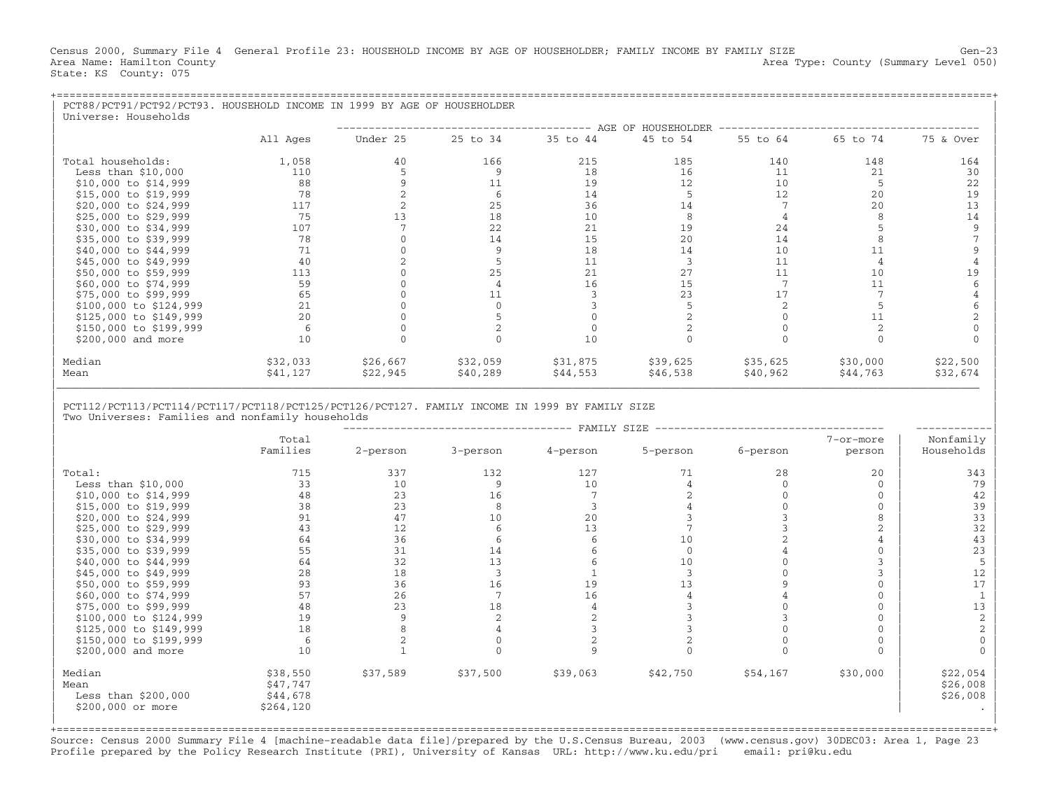Census 2000, Summary File 4 General Profile 23: HOUSEHOLD INCOME BY AGE OF HOUSEHOLDER; FAMILY INCOME BY FAMILY SIZE Gen-23<br>Area Name: Hamilton County Level 050) Area Type: County (Summary Level 050) State: KS County: 075

| PCT88/PCT91/PCT92/PCT93. HOUSEHOLD INCOME IN 1999 BY AGE OF HOUSEHOLDER<br>Universe: Households |          |          |          |          |                    |          |          |           |
|-------------------------------------------------------------------------------------------------|----------|----------|----------|----------|--------------------|----------|----------|-----------|
|                                                                                                 |          |          |          |          | AGE OF HOUSEHOLDER |          |          |           |
|                                                                                                 | All Ages | Under 25 | 25 to 34 | 35 to 44 | 45 to 54           | 55 to 64 | 65 to 74 | 75 & Over |
| Total households:                                                                               | 1,058    | 40       | 166      | 215      | 185                | 140      | 148      | 164       |
| Less than $$10,000$                                                                             | 110      |          |          | 18       | 16                 | 11       | 21       | 30        |
| \$10,000 to \$14,999                                                                            | 88       |          | 11       | 19       | 12                 | 10       |          | 22        |
| \$15,000 to \$19,999                                                                            | 78       |          |          | 14       |                    | 12       | 20       | 19        |
| \$20,000 to \$24,999                                                                            | 117      |          | 25       | 36       | 14                 |          | 20       | 13        |
| \$25,000 to \$29,999                                                                            | 75       |          | 18       | 10       | 8                  |          |          | 14        |
| \$30,000 to \$34,999                                                                            | 107      |          | 22       | 21       | 19                 | 24       |          |           |
| \$35,000 to \$39,999                                                                            | 78       |          | 14       | 15       | 20                 | 14       |          |           |
| \$40,000 to \$44,999                                                                            | 71       |          |          | 18       | 14                 | 10       |          |           |
| \$45,000 to \$49,999                                                                            | 40       |          |          | 11       |                    | 11       |          |           |
| \$50,000 to \$59,999                                                                            | 113      |          | 25       | 21       | 27                 | 11       | 10       | 19        |
| \$60,000 to \$74,999                                                                            | 59       |          |          | 16       | 15                 |          |          |           |
| \$75,000 to \$99,999                                                                            | 65       |          |          |          | 23                 |          |          |           |
| \$100,000 to \$124,999                                                                          | 21       |          |          |          |                    |          |          |           |
| \$125,000 to \$149,999                                                                          | 20       |          |          |          |                    |          |          |           |
| \$150,000 to \$199,999                                                                          | 6        |          |          |          |                    |          |          |           |
| \$200,000 and more                                                                              | 10       |          |          | 10       |                    |          |          |           |
| Median                                                                                          | \$32,033 | \$26,667 | \$32,059 | \$31,875 | \$39,625           | \$35,625 | \$30,000 | \$22,500  |
| Mean                                                                                            | \$41,127 | \$22,945 | \$40,289 | \$44,553 | \$46,538           | \$40,962 | \$44,763 | \$32,674  |

| |

| PCT112/PCT113/PCT114/PCT117/PCT118/PCT125/PCT126/PCT127. FAMILY INCOME IN 1999 BY FAMILY SIZE | Two Universes: Families and nonfamily households

|                        | FAMILY SIZE |          |          |          |          |          |              |            |  |  |
|------------------------|-------------|----------|----------|----------|----------|----------|--------------|------------|--|--|
|                        | Total       |          |          |          |          |          | 7-or-more    | Nonfamily  |  |  |
|                        | Families    | 2-person | 3-person | 4-person | 5-person | 6-person | person       | Households |  |  |
|                        |             |          |          |          |          |          |              |            |  |  |
| Total:                 | 715         | 337      | 132      | 127      | 71       | 28       | 20           | 343        |  |  |
| Less than $$10,000$    | 33          | 10       |          | 10       |          |          | $\Omega$     | 79         |  |  |
| \$10,000 to \$14,999   | 48          | 23       | 16       |          |          |          | $\mathbf{0}$ | 42         |  |  |
| \$15,000 to \$19,999   | 38          | 23       |          |          |          |          | $\Omega$     | 39         |  |  |
| \$20,000 to \$24,999   | 91          | 47       | 10       | 20       |          |          |              | 33         |  |  |
| \$25,000 to \$29,999   | 43          | 12       |          | 13       |          |          |              | 32         |  |  |
| \$30,000 to \$34,999   | 64          | 36       |          |          | 10       |          |              | 43         |  |  |
| \$35,000 to \$39,999   | 55          | 31       | 14       |          |          |          |              | 23         |  |  |
| \$40,000 to \$44,999   | 64          | 32       | 13       |          | 10       |          |              |            |  |  |
| \$45,000 to \$49,999   | 28          | 18       |          |          |          |          |              | 12         |  |  |
| \$50,000 to \$59,999   | 93          | 36       | 16       | 19       | 13       |          |              | 17         |  |  |
| \$60,000 to \$74,999   | 57          | 26       |          | 16       |          |          |              |            |  |  |
| \$75,000 to \$99,999   | 48          | 23       | 18       |          |          |          |              | 13         |  |  |
| \$100,000 to \$124,999 | 19          |          |          |          |          |          |              |            |  |  |
| \$125,000 to \$149,999 | 18          |          |          |          |          |          | $\Omega$     |            |  |  |
| \$150,000 to \$199,999 | 6           |          |          |          |          |          |              |            |  |  |
| \$200,000 and more     | 10          |          |          |          |          |          | $\Omega$     |            |  |  |
| Median                 | \$38,550    | \$37,589 | \$37,500 | \$39,063 | \$42,750 | \$54,167 | \$30,000     | \$22,054   |  |  |
| Mean                   | \$47,747    |          |          |          |          |          |              | \$26,008   |  |  |
| Less than $$200,000$   | \$44,678    |          |          |          |          |          |              | \$26,008   |  |  |
| \$200,000 or more      | \$264, 120  |          |          |          |          |          |              |            |  |  |
|                        |             |          |          |          |          |          |              |            |  |  |

+===================================================================================================================================================+ Source: Census 2000 Summary File 4 [machine−readable data file]/prepared by the U.S.Census Bureau, 2003 (www.census.gov) 30DEC03: Area 1, Page 23 Profile prepared by the Policy Research Institute (PRI), University of Kansas URL: http://www.ku.edu/pri email: pri@ku.edu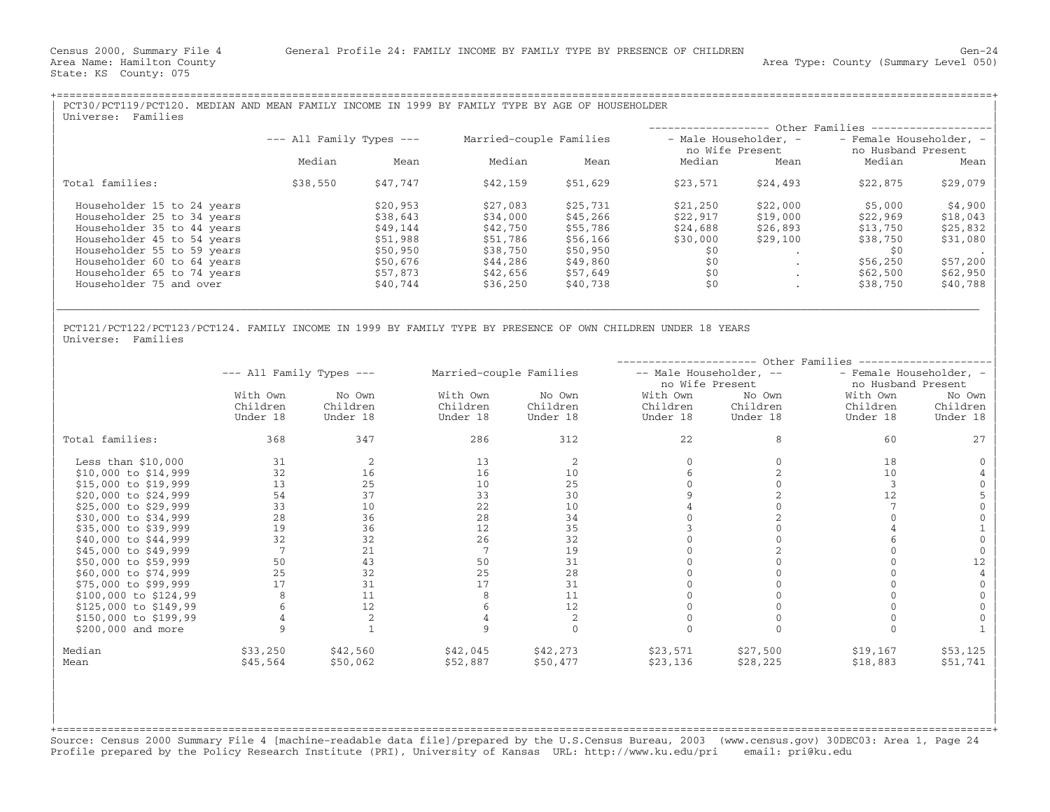| PCT30/PCT119/PCT120. MEDIAN AND MEAN FAMILY INCOME IN 1999 BY FAMILY TYPE BY AGE OF HOUSEHOLDER<br>Families<br>Universe: |                              |          |                         |          |                       |                 |                                               |          |
|--------------------------------------------------------------------------------------------------------------------------|------------------------------|----------|-------------------------|----------|-----------------------|-----------------|-----------------------------------------------|----------|
|                                                                                                                          |                              |          |                         |          | ------------------    |                 | - Other Families ------------                 |          |
|                                                                                                                          | $---$ All Family Types $---$ |          | Married-couple Families |          | - Male Householder, - | no Wife Present | - Female Householder, -<br>no Husband Present |          |
|                                                                                                                          | Median                       | Mean     | Median                  | Mean     | Median                | Mean            | Median                                        | Mean     |
| Total families:                                                                                                          | \$38,550                     | \$47,747 | \$42,159                | \$51,629 | \$23,571              | \$24,493        | \$22,875                                      | \$29,079 |
| Householder 15 to 24 years                                                                                               |                              | \$20,953 | \$27,083                | \$25,731 | \$21,250              | \$22,000        | \$5,000                                       | \$4,900  |
| Householder 25 to 34 years                                                                                               |                              | \$38,643 | \$34,000                | \$45,266 | \$22,917              | \$19,000        | \$22,969                                      | \$18,043 |
| Householder 35 to 44 years                                                                                               |                              | \$49,144 | \$42,750                | \$55,786 | \$24,688              | \$26,893        | \$13,750                                      | \$25,832 |
| Householder 45 to 54 years                                                                                               |                              | \$51,988 | \$51,786                | \$56,166 | \$30,000              | \$29,100        | \$38,750                                      | \$31,080 |
| Householder 55 to 59 years                                                                                               |                              | \$50,950 | \$38,750                | \$50,950 | \$0                   |                 | SO.                                           |          |
| Householder 60 to 64 years                                                                                               |                              | \$50,676 | \$44,286                | \$49,860 | \$0                   |                 | \$56,250                                      | \$57,200 |
| Householder 65 to 74 years                                                                                               |                              | \$57,873 | \$42,656                | \$57,649 | \$0                   |                 | \$62,500                                      | \$62,950 |
| Householder 75 and over                                                                                                  |                              | \$40,744 | \$36,250                | \$40,738 | \$0                   |                 | \$38,750                                      | \$40,788 |

|\_\_\_\_\_\_\_\_\_\_\_\_\_\_\_\_\_\_\_\_\_\_\_\_\_\_\_\_\_\_\_\_\_\_\_\_\_\_\_\_\_\_\_\_\_\_\_\_\_\_\_\_\_\_\_\_\_\_\_\_\_\_\_\_\_\_\_\_\_\_\_\_\_\_\_\_\_\_\_\_\_\_\_\_\_\_\_\_\_\_\_\_\_\_\_\_\_\_\_\_\_\_\_\_\_\_\_\_\_\_\_\_\_\_\_\_\_\_\_\_\_\_\_\_\_\_\_\_\_\_\_\_\_\_\_\_\_\_\_\_\_\_\_\_\_ | | |

| |

| PCT121/PCT122/PCT123/PCT124. FAMILY INCOME IN 1999 BY FAMILY TYPE BY PRESENCE OF OWN CHILDREN UNDER 18 YEARS | Universe: Families

|                         |                          |                |                         |          |                         | Other Families |                         |          |
|-------------------------|--------------------------|----------------|-------------------------|----------|-------------------------|----------------|-------------------------|----------|
|                         | --- All Family Types --- |                | Married-couple Families |          | -- Male Householder, -- |                | - Female Householder, - |          |
|                         |                          |                |                         |          | no Wife Present         |                | no Husband Present      |          |
|                         | With Own                 | No Own         | With Own                | No Own   | With Own                | No Own         | With Own                | No Own   |
|                         | Children                 | Children       | Children                | Children | Children                | Children       | Children                | Children |
|                         | Under 18                 | Under 18       | Under 18                | Under 18 | Under 18                | Under 18       | Under 18                | Under 18 |
| Total families:         | 368                      | 347            | 286                     | 312      | 22                      | 8              | 60                      | 27       |
| Less than $$10,000$     | 31                       | $\overline{2}$ | 13                      |          |                         |                | 18                      |          |
| $$10,000$ to $$14,999$  | 32                       | 16             | 16                      | 10       |                         |                | 10                      |          |
| $$15,000$ to $$19,999$  | 13                       | 25             | 10                      | 25       |                         |                |                         |          |
| \$20,000 to \$24,999    | 54                       | 37             | 33                      | 30       |                         |                | 12                      |          |
| \$25,000 to \$29,999    | 33                       | 10             | 22                      | 10       |                         |                |                         |          |
| \$30,000 to \$34,999    | 28                       | 36             | 28                      | 34       |                         |                |                         |          |
| \$35,000 to \$39,999    | 19                       | 36             | 12                      | 35       |                         |                |                         |          |
| \$40,000 to \$44,999    | 32                       | 32             | 26                      | 32       |                         |                |                         |          |
| \$45,000 to \$49,999    |                          | 21             |                         | 19       |                         |                |                         |          |
| \$50,000 to \$59,999    | 50                       | 43             | 50                      | 31       |                         |                |                         | 12       |
| \$60,000 to \$74,999    | 25                       | 32             | 25                      | 28       |                         |                |                         |          |
| \$75,000 to \$99,999    | 17                       | 31             | 17                      | 31       |                         |                |                         |          |
| $$100,000$ to $$124,99$ |                          | 11             | 8                       | 11       |                         |                |                         |          |
| \$125,000 to \$149,99   |                          | 12             |                         | 12       |                         |                |                         |          |
| \$150,000 to \$199,99   |                          |                |                         |          |                         |                |                         |          |
| \$200,000 and more      |                          |                |                         |          |                         |                |                         |          |
| Median                  | \$33,250                 | \$42,560       | \$42,045                | \$42,273 | \$23,571                | \$27,500       | \$19,167                | \$53,125 |
| Mean                    | \$45,564                 | \$50,062       | \$52,887                | \$50,477 | \$23,136                | \$28,225       | \$18,883                | \$51,741 |

+===================================================================================================================================================+ Source: Census 2000 Summary File 4 [machine−readable data file]/prepared by the U.S.Census Bureau, 2003 (www.census.gov) 30DEC03: Area 1, Page 24 Profile prepared by the Policy Research Institute (PRI), University of Kansas URL: http://www.ku.edu/pri email: pri@ku.edu

| | | | | | | |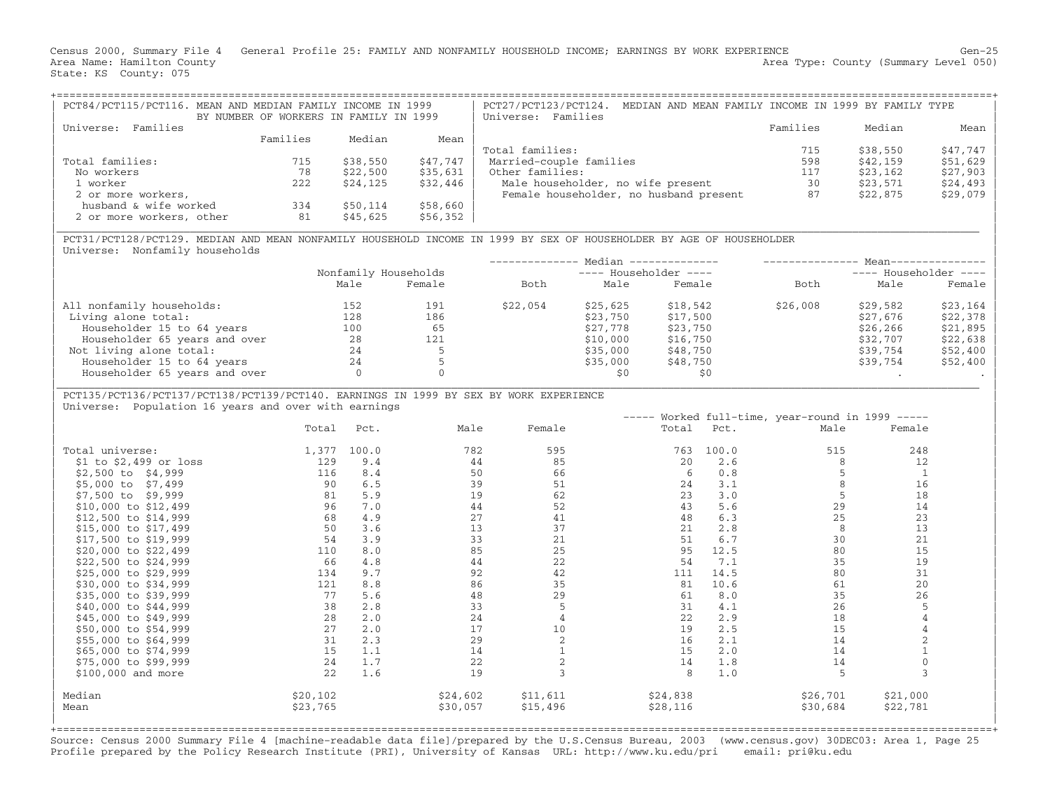Census 2000, Summary File 4 General Profile 25: FAMILY AND NONFAMILY HOUSEHOLD INCOME; EARNINGS BY WORK EXPERIENCE Gen−25 Area Name: Hamilton County (Summary Level 050) (Area Type: County (Summary Level 050) State: KS County: 075

| PCT84/PCT115/PCT116. MEAN AND MEDIAN FAMILY INCOME IN 1999 | BY NUMBER OF WORKERS IN FAMILY IN 1999 |          |          | PCT27/PCT123/PCT124.<br>MEDIAN AND MEAN FAMILY INCOME IN 1999 BY FAMILY TYPE<br>Universe: Families |          |          |           |
|------------------------------------------------------------|----------------------------------------|----------|----------|----------------------------------------------------------------------------------------------------|----------|----------|-----------|
| Families<br>Universe:                                      |                                        |          |          |                                                                                                    | Families | Median   | Mean      |
|                                                            | Families                               | Median   | Mean     |                                                                                                    |          |          |           |
|                                                            |                                        |          |          | Total families:                                                                                    | 715      | \$38,550 | $$47,747$ |
| Total families:                                            | 715                                    | \$38,550 | \$47,747 | Married-couple families                                                                            | 598      | \$42,159 | $$51,629$ |
| No workers                                                 | 78                                     | \$22,500 | \$35,631 | Other families:                                                                                    | 117      | \$23,162 | $$27,903$ |
| 1 worker                                                   | 222                                    | \$24,125 | \$32,446 | Male householder, no wife present                                                                  | 30       | \$23,571 | $$24,493$ |
| 2 or more workers,                                         |                                        |          |          | Female householder, no husband present                                                             | 87       | \$22,875 | $$29,079$ |
| husband & wife worked                                      | 334                                    | \$50,114 | \$58,660 |                                                                                                    |          |          |           |
| 2 or more workers, other                                   | -81                                    | \$45,625 | \$56,352 |                                                                                                    |          |          |           |

| PCT31/PCT128/PCT129. MEDIAN AND MEAN NONFAMILY HOUSEHOLD INCOME IN 1999 BY SEX OF HOUSEHOLDER BY AGE OF HOUSEHOLDER | Universe: Nonfamily households

|      |        |                      |          |          |                                                  | Mean--                |          |  |
|------|--------|----------------------|----------|----------|--------------------------------------------------|-----------------------|----------|--|
|      |        |                      |          |          |                                                  | ---- Householder ---- |          |  |
| Male | Female | Both                 | Male     | Female   | Both                                             | Male                  | Female   |  |
| 152  | 191    | \$22,054             | \$25,625 | \$18,542 | \$26,008                                         | \$29,582              | \$23,164 |  |
| 128  | 186    |                      | \$23,750 | \$17,500 |                                                  | \$27,676              | \$22,378 |  |
| 100  | 65     |                      | \$27,778 | \$23,750 |                                                  | \$26, 266             | \$21,895 |  |
| 28   | 121    |                      | \$10,000 | \$16,750 |                                                  | \$32,707              | \$22,638 |  |
| 24   |        |                      | \$35,000 | \$48,750 |                                                  | \$39,754              | \$52,400 |  |
| 24   |        |                      | \$35,000 | \$48,750 |                                                  | \$39,754              | \$52,400 |  |
|      |        |                      | \$0      | \$0      |                                                  |                       |          |  |
|      |        | Nonfamily Households |          |          | Median --------------<br>$---$ Householder $---$ |                       |          |  |

## | PCT135/PCT136/PCT137/PCT138/PCT139/PCT140. EARNINGS IN 1999 BY SEX BY WORK EXPERIENCE | Universe: Population 16 years and over with earnings

|                          |           |       |          |                         |          |       | Worked full-time, year-round in 1999 ----- |          |  |
|--------------------------|-----------|-------|----------|-------------------------|----------|-------|--------------------------------------------|----------|--|
|                          | Total     | Pct.  | Male     | Female                  | Total    | Pct.  | Male                                       | Female   |  |
|                          |           |       |          |                         |          |       |                                            |          |  |
| Total universe:          | 1,377     | 100.0 | 782      | 595                     | 763      | 100.0 | 515                                        | 248      |  |
| $$1$ to $$2,499$ or loss | 129       | 9.4   | 44       | 85                      | 20       | 2.6   |                                            | 12       |  |
| \$2,500 to \$4,999       | 116       | 8.4   | 50       | 66                      | 6        | 0.8   |                                            |          |  |
| \$5,000 to \$7,499       | 90        | 6.5   | 39       | 51                      | 24       | 3.1   |                                            | 16       |  |
| $$7,500$ to $$9,999$     | 81        | 5.9   | 19       | 62                      | 23       | 3.0   |                                            | 18       |  |
| \$10,000 to \$12,499     | 96        | 7.0   | 44       | 52                      | 43       | 5.6   | 29                                         | 14       |  |
| \$12,500 to \$14,999     | 68        | 4.9   | 27       | 41                      | 48       | 6.3   | 25                                         | 23       |  |
| \$15,000 to \$17,499     | 50        | 3.6   | 13       | 37                      | 21       | 2.8   | 8                                          | 13       |  |
| \$17,500 to \$19,999     | 54        | 3.9   | 33       | 21                      | 51       | 6.7   | 30                                         | 21       |  |
| \$20,000 to \$22,499     | 110       | 8.0   | 85       | 25                      | 95       | 12.5  | 80                                         | 15       |  |
| \$22,500 to \$24,999     | 66        | 4.8   | 44       | 22                      | 54       | 7.1   | 35                                         | 19       |  |
| \$25,000 to \$29,999     | 134       | 9.7   | 92       | 42                      | 111      | 14.5  | 80                                         | 31       |  |
| \$30,000 to \$34,999     | 121       | 8.8   | 86       | 35                      | 81       | 10.6  | 61                                         | 20       |  |
| \$35,000 to \$39,999     | 77        | 5.6   | 48       | 29                      | 61       | 8.0   | 35                                         | 26       |  |
| \$40,000 to \$44,999     | 38        | 2.8   | 33       |                         | 31       | 4.1   | 26                                         |          |  |
| \$45,000 to \$49,999     | 28        | 2.0   | 24       |                         | 22       | 2.9   | 18                                         |          |  |
| \$50,000 to \$54,999     | 27        | 2.0   | 17       | 10                      | 19       | 2.5   | 15                                         |          |  |
| $$55,000$ to $$64,999$   | 31        | 2.3   | 29       |                         | 16       | 2.1   | 14                                         |          |  |
| \$65,000 to \$74,999     | 15        | 1.1   | 14       |                         | 15       | 2.0   | 14                                         |          |  |
| \$75,000 to \$99,999     | 24        | 1.7   | 22       |                         | 14       | 1.8   | 14                                         |          |  |
| \$100,000 and more       | 22        | 1.6   | 19       | $\overline{\mathbf{z}}$ | 8        | 1.0   |                                            |          |  |
| Median                   | \$20, 102 |       | \$24,602 | \$11,611                | \$24,838 |       | \$26,701                                   | \$21,000 |  |
| Mean                     | \$23,765  |       | \$30,057 | \$15,496                | \$28,116 |       | \$30,684                                   | \$22,781 |  |
|                          |           |       |          |                         |          |       |                                            |          |  |

+===================================================================================================================================================+ Source: Census 2000 Summary File 4 [machine−readable data file]/prepared by the U.S.Census Bureau, 2003 (www.census.gov) 30DEC03: Area 1, Page 25 Profile prepared by the Policy Research Institute (PRI), University of Kansas URL: http://www.ku.edu/pri email: pri@ku.edu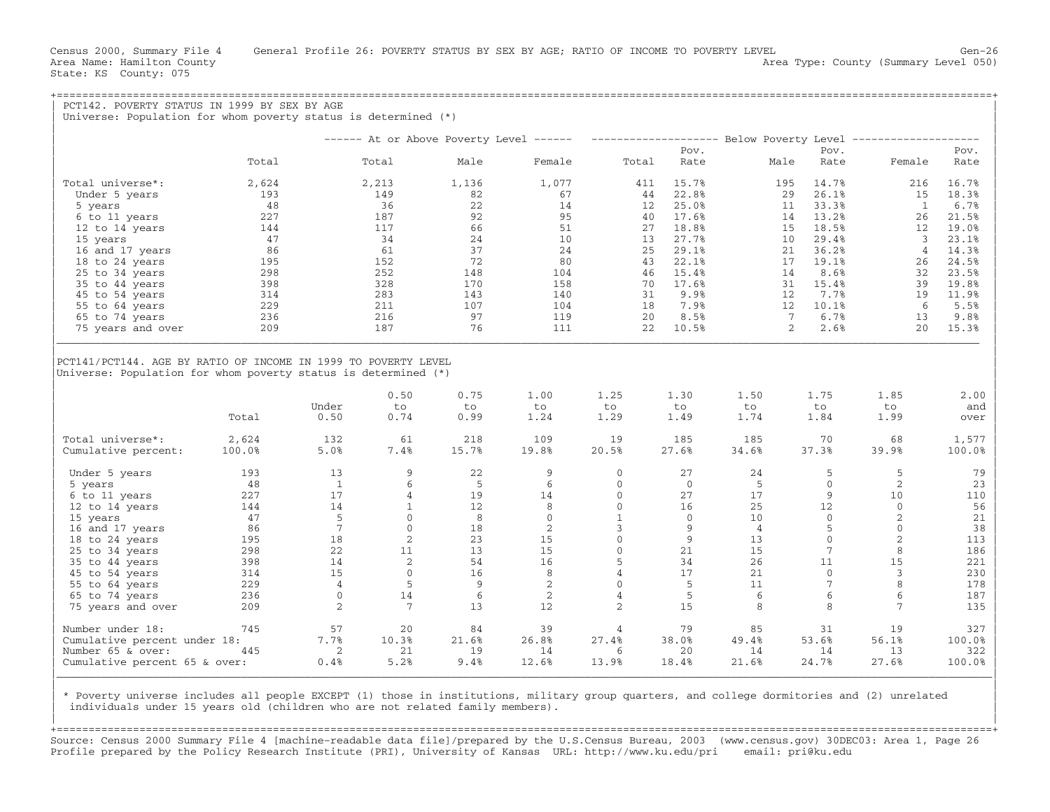PCT142. POVERTY STATUS IN 1999 BY SEX BY AGE Universe: Population for whom poverty status is determined (\*) | | | −−−−−− At or Above Poverty Level −−−−−− −−−−−−−−−−−−−−−−−−−− Below Poverty Level −−−−−−−−−−−−−−−−−−−− | ergy of the set of the set of the set of the set of the set of the set of the set of the set of the set of the set of the set of the set of the set of the set of the set of the set of the set of the set of the set of the s | Total Total Male Female Total Rate Male Rate Female Rate | | | | Total universe\*: 2,624 2,213 1,136 1,077 411 15.7% 195 14.7% 216 16.7% | | Under 5 years 193 149 82 67 44 22.8% 29 26.1% 15 18.3% | | 5 years 48 36 22 14 12 25.0% 11 33.3% 1 6.7% | | 6 to 11 years 227 187 92 95 40 17.6% 14 13.2% 26 21.5% | | 12 to 14 years 144 117 66 51 27 18.8% 15 18.5% 12 19.0% | | 15 years 47 34 24 10 13 27.7% 10 29.4% 3 23.1% | | 16 and 17 years 86 61 37 24 25 29.1% 21 36.2% 4 14.3% | | 18 to 24 years 195 152 72 80 43 22.1% 17 19.1% 26 24.5% | | 25 to 34 years 298 252 148 104 46 15.4% 14 8.6% 32 23.5% | | 35 to 44 years 398 328 170 158 70 17.6% 31 15.4% 39 19.8% | | 45 to 54 years 314 283 143 140 31 9.9% 12 7.7% 19 11.9% | | 55 to 64 years 229 211 107 104 18 7.9% 12 10.1% 6 5.5% | | 65 to 74 years 236 216 97 119 20 8.5% 7 6.7% 13 9.8% | | 75 years and over 209 187 76 111 22 10.5% 2 2.6% 20 15.3% | |\_\_\_\_\_\_\_\_\_\_\_\_\_\_\_\_\_\_\_\_\_\_\_\_\_\_\_\_\_\_\_\_\_\_\_\_\_\_\_\_\_\_\_\_\_\_\_\_\_\_\_\_\_\_\_\_\_\_\_\_\_\_\_\_\_\_\_\_\_\_\_\_\_\_\_\_\_\_\_\_\_\_\_\_\_\_\_\_\_\_\_\_\_\_\_\_\_\_\_\_\_\_\_\_\_\_\_\_\_\_\_\_\_\_\_\_\_\_\_\_\_\_\_\_\_\_\_\_\_\_\_\_\_\_\_\_\_\_\_\_\_\_\_\_\_ | | | |PCT141/PCT144. AGE BY RATIO OF INCOME IN 1999 TO POVERTY LEVEL | Universe: Population for whom poverty status is determined  $(*)$ | | 0.50 0.75 1.00 1.25 1.30 1.50 1.75 1.85 2.00<br>
1.00 to to to to to to to and<br>
0.50 0.74 0.99 1.24 1.29 1.49 1.74 1.84 1.99 over | Under to to to to to to to to and | | Total 0.50 0.74 0.99 1.24 1.29 1.49 1.74 1.84 1.99 over | | | | Total universe\*: 2,624 132 61 218 109 19 185 185 70 68 1,577 | | Cumulative percent: 100.0% 5.0% 7.4% 15.7% 19.8% 20.5% 27.6% 34.6% 37.3% 39.9% 100.0% | | | | Under 5 years 193 13 9 22 9 0 27 24 5 5 79 | | 5 years 48 1 6 5 6 0 0 5 0 2 23 | | 6 to 11 years 227 17 4 19 14 0 27 17 9 10 110 | | 12 to 14 years 144 14 1 12 8 0 16 25 12 0 56 | | 15 years 47 5 0 8 0 1 0 10 0 2 21 | | 16 and 17 years 86 7 0 18 2 3 9 4 5 0 38 | | 18 to 24 years 195 18 2 23 15 0 9 13 0 2 113 | | 25 to 34 years 298 22 11 13 15 0 21 15 7 8 186 | | 35 to 44 years 398 14 2 54 16 5 34 26 11 15 221 | | 45 to 54 years 314 15 0 16 8 4 17 21 0 3 230 | | 55 to 64 years 229 4 5 9 2 0 5 11 7 8 178 | | 65 to 74 years 236 0 14 6 2 4 5 6 6 6 187 | | 75 years and over 209 2 7 13 12 2 15 8 8 7 135 | | | | Number under 18: 745 57 20 84 39 4 79 85 31 19 327 | | Cumulative percent under 18: 7.7% 10.3% 21.6% 26.8% 27.4% 38.0% 49.4% 53.6% 56.1% 100.0% | | Number 65 & over: 445 2 21 19 14 6 20 14 14 13 322 |

+===================================================================================================================================================+

| \* Poverty universe includes all people EXCEPT (1) those in institutions, military group quarters, and college dormitories and (2) unrelated | individuals under 15 years old (children who are not related family members).

| | +===================================================================================================================================================+Source: Census 2000 Summary File 4 [machine−readable data file]/prepared by the U.S.Census Bureau, 2003 (www.census.gov) 30DEC03: Area 1, Page 26 Profile prepared by the Policy Research Institute (PRI), University of Kansas URL: http://www.ku.edu/pri email: pri@ku.edu

| Cumulative percent 65 & over: 0.4% 5.2% 9.4% 12.6% 13.9% 18.4% 21.6% 24.7% 27.6% 100.0% | |\_\_\_\_\_\_\_\_\_\_\_\_\_\_\_\_\_\_\_\_\_\_\_\_\_\_\_\_\_\_\_\_\_\_\_\_\_\_\_\_\_\_\_\_\_\_\_\_\_\_\_\_\_\_\_\_\_\_\_\_\_\_\_\_\_\_\_\_\_\_\_\_\_\_\_\_\_\_\_\_\_\_\_\_\_\_\_\_\_\_\_\_\_\_\_\_\_\_\_\_\_\_\_\_\_\_\_\_\_\_\_\_\_\_\_\_\_\_\_\_\_\_\_\_\_\_\_\_\_\_\_\_\_\_\_\_\_\_\_\_\_\_\_\_\_\_\_| | |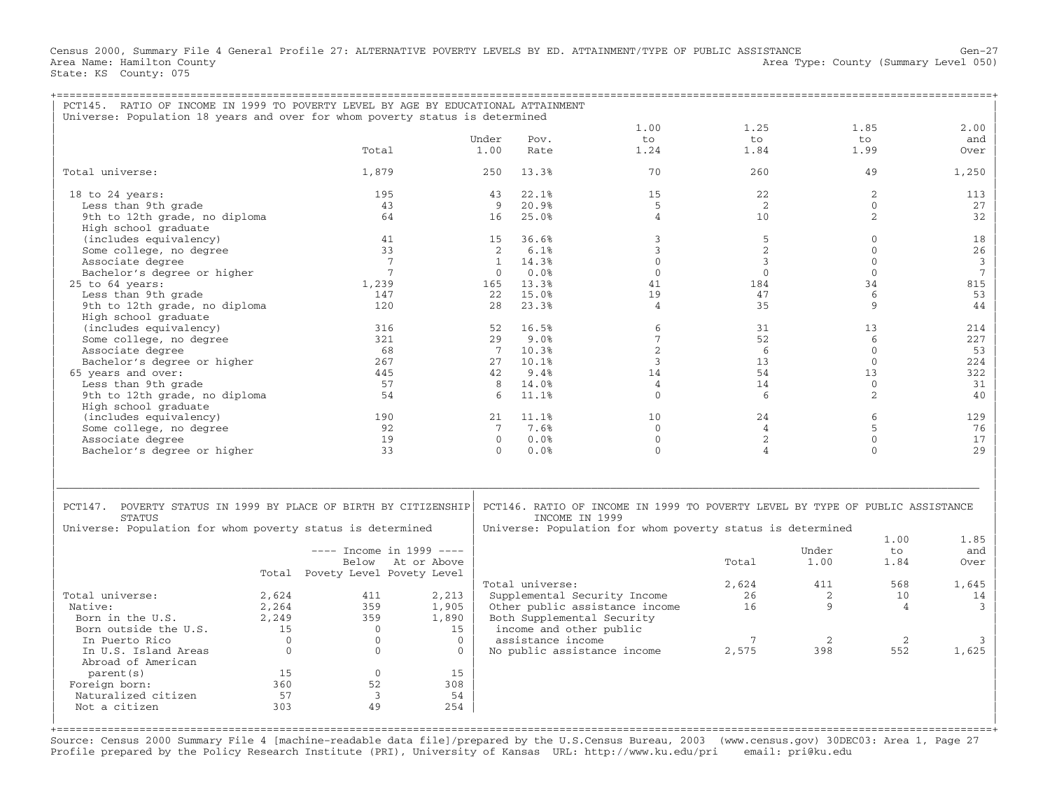Census 2000, Summary File 4 General Profile 27: ALTERNATIVE POVERTY LEVELS BY ED. ATTAINMENT/TYPE OF PUBLIC ASSISTANCE Gen-27<br>Area Name: Hamilton County Level 050) Area Type: County (Summary Level 050) State: KS County: 075

| PCT145. RATIO OF INCOME IN 1999 TO POVERTY LEVEL BY AGE BY EDUCATIONAL ATTAINMENT<br>Universe: Population 18 years and over for whom poverty status is determined |              |                                 |                   |              |                   |                                                                                                 |                |       |              |                |
|-------------------------------------------------------------------------------------------------------------------------------------------------------------------|--------------|---------------------------------|-------------------|--------------|-------------------|-------------------------------------------------------------------------------------------------|----------------|-------|--------------|----------------|
|                                                                                                                                                                   |              |                                 |                   |              |                   | 1.00                                                                                            | 1.25           |       | 1.85         | 2.00           |
|                                                                                                                                                                   |              |                                 |                   | Under        | Pov.              | to                                                                                              | to             |       | to           | and            |
|                                                                                                                                                                   |              | Total                           |                   | 1.00         | Rate              | 1.24                                                                                            | 1.84           |       | 1.99         | Over           |
| Total universe:                                                                                                                                                   |              | 1,879                           |                   | 250          | 13.3%             | 70                                                                                              | 260            |       | 49           | 1,250          |
| 18 to 24 years:                                                                                                                                                   |              | 195                             |                   | 43           | 22.1%             | 15                                                                                              | 22             |       | 2            | 113            |
| Less than 9th grade                                                                                                                                               |              | 43                              |                   | 9            | 20.9%             | $5^{\circ}$                                                                                     | 2              |       | $\Omega$     | 27             |
| 9th to 12th grade, no diploma<br>High school graduate                                                                                                             |              | 64                              |                   | 16           | 25.0%             | $\overline{4}$                                                                                  | 10             |       | 2            | 32             |
| (includes equivalency)                                                                                                                                            |              | 41                              |                   | 15           | 36.6%             | 3                                                                                               | 5              |       | $\Omega$     | 18             |
| Some college, no degree                                                                                                                                           |              | 33                              |                   | 2            | 6.1%              | 3                                                                                               | $\overline{a}$ |       | $\mathbf{0}$ | 26             |
| Associate degree                                                                                                                                                  |              | 7                               |                   | $\mathbf{1}$ | 14.3%             | $\Omega$                                                                                        | 3              |       | $\Omega$     | $\overline{3}$ |
|                                                                                                                                                                   |              | $7\phantom{.0}$                 |                   | $\mathbf{0}$ | 0.0%              | $\Omega$                                                                                        | $\mathbf{0}$   |       | $\Omega$     | $\overline{7}$ |
| Bachelor's degree or higher                                                                                                                                       |              |                                 |                   |              | 13.3%             | 41                                                                                              |                |       | 34           |                |
| 25 to 64 years:                                                                                                                                                   |              | 1,239                           |                   | 165          |                   |                                                                                                 | 184            |       |              | 815            |
| Less than 9th grade                                                                                                                                               |              | 147                             |                   | 22           | 15.0%             | 19                                                                                              | 47             |       | 6            | 53             |
| 9th to 12th grade, no diploma                                                                                                                                     |              | 120                             |                   | 28           | 23.3%             | $\overline{4}$                                                                                  | 35             |       | 9            | 44             |
| High school graduate                                                                                                                                              |              |                                 |                   |              |                   |                                                                                                 |                |       |              |                |
| (includes equivalency)                                                                                                                                            |              | 316                             |                   | 52           | 16.5%             | 6                                                                                               | 31             |       | 13           | 214            |
| Some college, no degree                                                                                                                                           |              | 321                             |                   | 29           | 9.0%              | 7                                                                                               | 52             |       | 6            | 227            |
| Associate degree                                                                                                                                                  |              | 68                              |                   | 7            | 10.3%             | $\overline{c}$                                                                                  | 6              |       | $\Omega$     | 53             |
| Bachelor's degree or higher                                                                                                                                       |              | 267                             |                   | 27           | 10.1%             | 3                                                                                               | 13             |       | $\mathbf{0}$ | 224            |
| 65 years and over:                                                                                                                                                |              | 445                             |                   | 42           | 9.4%              | 14                                                                                              | 54             |       | 13           | 322            |
| Less than 9th grade                                                                                                                                               |              | 57                              |                   | 8            | 14.0%             | $\overline{4}$                                                                                  | 14             |       | $\Omega$     | 31             |
| 9th to 12th grade, no diploma                                                                                                                                     |              | 54                              |                   | 6            | 11.1%             | $\mathbf{0}$                                                                                    | 6              |       | 2            | 40             |
| High school graduate                                                                                                                                              |              |                                 |                   |              |                   |                                                                                                 |                |       |              |                |
| (includes equivalency)                                                                                                                                            |              | 190                             |                   | 21           | 11.1%             | 10                                                                                              | 24             |       | 6            | 129            |
| Some college, no degree                                                                                                                                           |              | 92                              |                   | $7^{\circ}$  | 7.6%              | $\mathbf{0}$                                                                                    | $\overline{4}$ |       | 5            | 76             |
| Associate degree                                                                                                                                                  |              | 19                              |                   | $\Omega$     | 0.0%              | $\Omega$                                                                                        | 2              |       | $\Omega$     | 17             |
| Bachelor's degree or higher                                                                                                                                       |              | 33                              |                   | $\Omega$     | 0.0%              | $\Omega$                                                                                        | 4              |       | $\Omega$     | 29             |
|                                                                                                                                                                   |              |                                 |                   |              |                   |                                                                                                 |                |       |              |                |
| PCT147. POVERTY STATUS IN 1999 BY PLACE OF BIRTH BY CITIZENSHIP<br><b>STATUS</b>                                                                                  |              |                                 |                   |              |                   | PCT146. RATIO OF INCOME IN 1999 TO POVERTY LEVEL BY TYPE OF PUBLIC ASSISTANCE<br>INCOME IN 1999 |                |       |              |                |
| Universe: Population for whom poverty status is determined                                                                                                        |              |                                 |                   |              |                   | Universe: Population for whom poverty status is determined                                      |                |       |              |                |
|                                                                                                                                                                   |              |                                 |                   |              |                   |                                                                                                 |                |       | 1.00         | 1.85           |
|                                                                                                                                                                   |              | ---- Income in 1999 ----        |                   |              |                   |                                                                                                 |                | Under | to           | and            |
|                                                                                                                                                                   |              |                                 | Below At or Above |              |                   |                                                                                                 | Total          | 1.00  | 1.84         | Over           |
|                                                                                                                                                                   |              | Total Povety Level Povety Level |                   |              | Total universe:   |                                                                                                 | 2,624          | 411   | 568          | 1,645          |
| Total universe:                                                                                                                                                   | 2,624        | 411                             | 2,213             |              |                   | Supplemental Security Income                                                                    | 26             | 2     | 10           | 14             |
| Native:                                                                                                                                                           | 2,264        | 359                             | 1,905             |              |                   | Other public assistance income                                                                  | 16             | 9     | 4            | 3              |
| Born in the U.S.                                                                                                                                                  | 2,249        | 359                             | 1,890             |              |                   | Both Supplemental Security                                                                      |                |       |              |                |
| Born outside the U.S.                                                                                                                                             | 15           | $\Omega$                        | 1.5               |              |                   | income and other public                                                                         |                |       |              |                |
| In Puerto Rico                                                                                                                                                    | $\Omega$     | $\Omega$                        | $\Omega$          |              | assistance income |                                                                                                 | 7              | 2     | 2            | 3              |
| In U.S. Island Areas                                                                                                                                              | $\mathbf{0}$ | $\mathbf{0}$                    | $\mathbf{0}$      |              |                   | No public assistance income                                                                     | 2,575          | 398   | 552          | 1,625          |
| Abroad of American                                                                                                                                                |              |                                 |                   |              |                   |                                                                                                 |                |       |              |                |
|                                                                                                                                                                   | 15           | $\Omega$                        | 15                |              |                   |                                                                                                 |                |       |              |                |
| parent (s)                                                                                                                                                        |              |                                 |                   |              |                   |                                                                                                 |                |       |              |                |
| Foreign born:                                                                                                                                                     | 360          | 52                              | 308               |              |                   |                                                                                                 |                |       |              |                |
| Naturalized citizen                                                                                                                                               | 57           | $\overline{3}$                  | 54                |              |                   |                                                                                                 |                |       |              |                |
| Not a citizen                                                                                                                                                     | 303          | 49                              | 254               |              |                   |                                                                                                 |                |       |              |                |
|                                                                                                                                                                   |              |                                 |                   |              |                   |                                                                                                 |                |       |              |                |

+===================================================================================================================================================+ Source: Census 2000 Summary File 4 [machine−readable data file]/prepared by the U.S.Census Bureau, 2003 (www.census.gov) 30DEC03: Area 1, Page 27 Profile prepared by the Policy Research Institute (PRI), University of Kansas URL: http://www.ku.edu/pri email: pri@ku.edu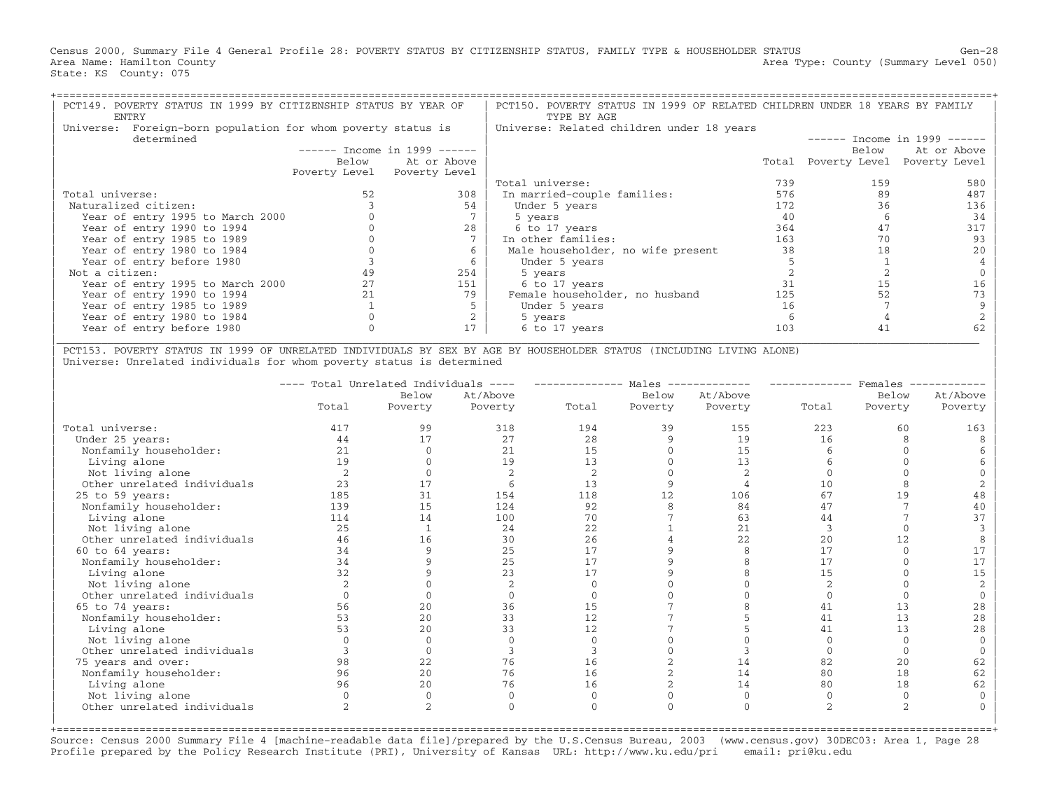Census 2000, Summary File 4 General Profile 28: POVERTY STATUS BY CITIZENSHIP STATUS, FAMILY TYPE & HOUSEHOLDER STATUS Gen−28 Area Name: Hamilton County (Summary Level 050) (Area Type: County (Summary Level 050) State: KS County: 075

| PCT149. POVERTY STATUS IN 1999 BY CITIZENSHIP STATUS BY YEAR OF<br>ENTRY |       |                               | PCT150. POVERTY STATUS IN 1999 OF RELATED CHILDREN UNDER 18 YEARS BY FAMILY<br>TYPE BY AGE |     |                                   |                               |
|--------------------------------------------------------------------------|-------|-------------------------------|--------------------------------------------------------------------------------------------|-----|-----------------------------------|-------------------------------|
| Foreign-born population for whom poverty status is<br>Universe:          |       |                               | Universe: Related children under 18 years                                                  |     |                                   |                               |
| determined                                                               |       |                               |                                                                                            |     |                                   | $-----$ Income in 1999 ------ |
|                                                                          |       | $-----$ Income in 1999 $----$ |                                                                                            |     | Below                             | At or Above                   |
|                                                                          | Below | At or Above                   |                                                                                            |     | Total Poverty Level Poverty Level |                               |
|                                                                          |       | Poverty Level Poverty Level   |                                                                                            |     |                                   |                               |
|                                                                          |       |                               | Total universe:                                                                            | 739 | 159                               | 580                           |
| Total universe:                                                          | 52    | 308                           | In married-couple families:                                                                | 576 | 89                                | 487                           |
| Naturalized citizen:                                                     |       | 54                            | Under 5 years                                                                              | 172 | 36                                | 136                           |
| Year of entry 1995 to March 2000                                         |       |                               | 5 years                                                                                    | 40  |                                   | 34                            |
| Year of entry 1990 to 1994                                               |       | 28                            | 6 to 17 years                                                                              | 364 |                                   | 317                           |
| Year of entry 1985 to 1989                                               |       |                               | In other families:                                                                         | 163 | 70                                | 93                            |
| Year of entry 1980 to 1984                                               |       |                               | Male householder, no wife present                                                          | 38  | 18                                |                               |
| Year of entry before 1980                                                |       |                               | Under 5 years                                                                              |     |                                   |                               |
| Not a citizen:                                                           |       | 254                           | 5 years                                                                                    |     |                                   |                               |
| Year of entry 1995 to March 2000                                         |       | 151                           | 6 to 17 years                                                                              | 31  |                                   |                               |
| Year of entry 1990 to 1994                                               |       | 79                            | Female householder, no husband                                                             | 125 | 52                                |                               |
| Year of entry 1985 to 1989                                               |       |                               | Under 5 years                                                                              | 16  |                                   |                               |
| Year of entry 1980 to 1984                                               |       |                               | 5 years                                                                                    |     |                                   |                               |
| Year of entry before 1980                                                |       |                               | 6 to 17 years                                                                              | 103 |                                   |                               |

| PCT153. POVERTY STATUS IN 1999 OF UNRELATED INDIVIDUALS BY SEX BY AGE BY HOUSEHOLDER STATUS (INCLUDING LIVING ALONE) | Universe: Unrelated individuals for whom poverty status is determined

|                             | ---- Total Unrelated Individuals |                | $\qquad \qquad - \qquad - \qquad$ |                | Males   |          | . _ _ _ _ _ _ _ _ _ _ _ _ | Females                  |          |
|-----------------------------|----------------------------------|----------------|-----------------------------------|----------------|---------|----------|---------------------------|--------------------------|----------|
|                             |                                  | Below          | At/Above                          |                | Below   | At/Above |                           | Below                    | At/Above |
|                             | Total                            | Poverty        | Poverty                           | Total          | Poverty | Poverty  | Total                     | Poverty                  | Poverty  |
| Total universe:             | 417                              | 99             | 318                               | 194            | 39      | 155      | 223                       | 60                       | 163      |
| Under 25 years:             | 44                               | 17             | 27                                | 28             |         | 19       | 16                        |                          |          |
| Nonfamily householder:      | 21                               |                | 21                                | 15             |         | 15       |                           |                          |          |
| Living alone                | 19                               |                | 19                                | 13             |         | 13       |                           |                          |          |
| Not living alone            |                                  |                |                                   | $\overline{2}$ |         |          |                           |                          |          |
| Other unrelated individuals | 23                               | 17             |                                   | 13             |         |          | 10                        |                          |          |
| 25 to 59 years:             | 185                              | 31             | 154                               | 118            | 12      | 106      | 67                        | 19                       | 48       |
| Nonfamily householder:      | 139                              | 15             | 124                               | 92             |         | 84       | 47                        |                          | 40       |
| Living alone                | 114                              | 14             | 100                               | 70             |         | 63       | 44                        |                          | 37       |
| Not living alone            | 25                               |                | 24                                | 22             |         | 21       | 3                         |                          |          |
| Other unrelated individuals | 46                               | 16             | 30                                | 2.6            |         | 22       | 20                        | 12.                      |          |
| $60$ to $64$ years:         | 34                               |                | 25                                | 17             |         | 8        | 17                        |                          |          |
| Nonfamily householder:      | 34                               |                | 25                                | 17             |         | 8        | 17                        |                          | 17       |
| Living alone                | 32                               |                | 23                                | 17             |         |          | 15                        |                          | 15       |
| Not living alone            |                                  |                |                                   |                |         |          |                           |                          |          |
| Other unrelated individuals |                                  |                | $\Omega$                          |                |         |          |                           |                          |          |
| 65 to 74 years:             | 56                               | 2.0            | 36                                | 15             |         |          | 41                        | 13                       | 28       |
| Nonfamily householder:      | 53                               | 2.0            | 33                                | 12             |         |          | 41                        | 13                       | 28       |
| Living alone                | 53                               | 20             | 33                                | 12             |         |          | 41                        | 13                       | 28       |
| Not living alone            |                                  |                |                                   |                |         |          |                           |                          |          |
| Other unrelated individuals |                                  |                |                                   |                |         |          |                           |                          |          |
| 75 years and over:          | 98                               | 22             | 76                                | 16             |         | 14       | 82                        | 20                       | 62       |
| Nonfamily householder:      | 96                               | 20             | 76                                | 16             |         | 14       | 80                        | 18                       | 62       |
| Living alone                | 96                               | 2.0            | 76                                | 16             |         | 14       | 80                        | 18                       | 62       |
| Not living alone            | $\cap$                           |                | $\Omega$                          |                |         | $\Omega$ |                           |                          |          |
| Other unrelated individuals | $\mathfrak{D}$                   | $\overline{c}$ | $\Omega$                          |                |         | $\cap$   | $\overline{2}$            | $\overline{\mathcal{L}}$ |          |
|                             |                                  |                |                                   |                |         |          |                           |                          |          |

Source: Census 2000 Summary File 4 [machine−readable data file]/prepared by the U.S.Census Bureau, 2003 (www.census.gov) 30DEC03: Area 1, Page 28 Profile prepared by the Policy Research Institute (PRI), University of Kansas URL: http://www.ku.edu/pri email: pri@ku.edu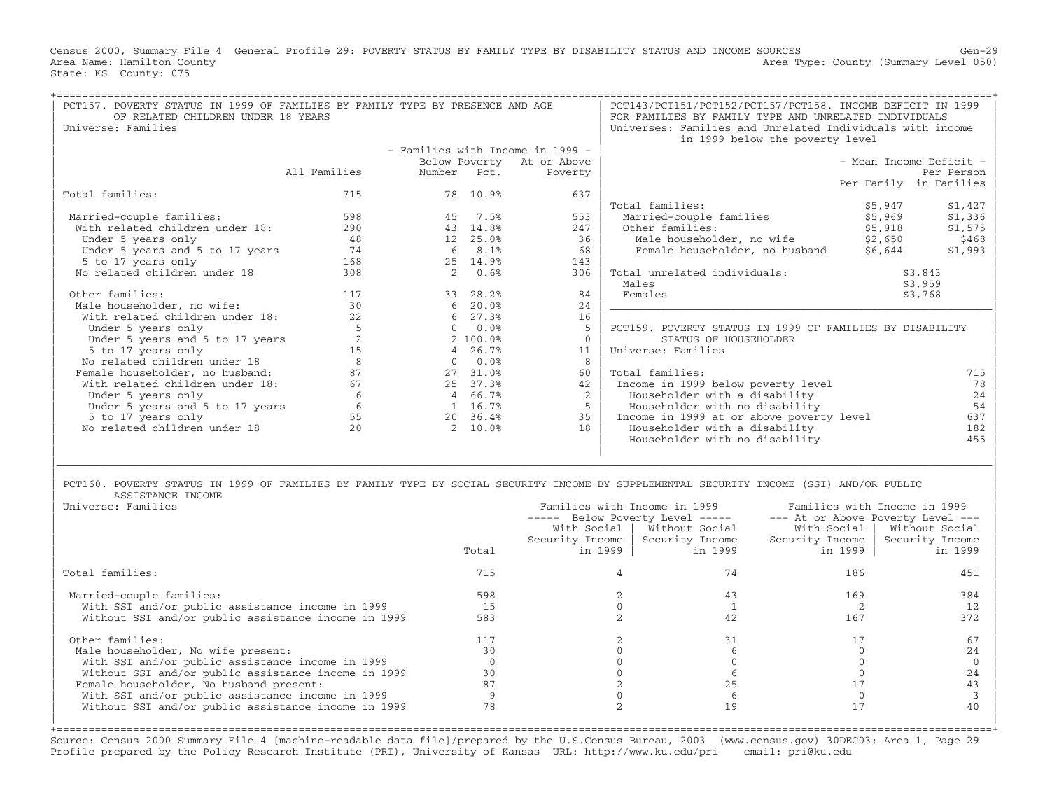Census 2000, Summary File 4 General Profile 29: POVERTY STATUS BY FAMILY TYPE BY DISABILITY STATUS AND INCOME SOURCES Gen−29 Area Name: Hamilton County (Summary Level 050) (Area Type: County (Summary Level 050) State: KS County: 075

| PCT157. POVERTY STATUS IN 1999 OF FAMILIES BY FAMILY TYPE BY PRESENCE AND AGE<br>OF RELATED CHILDREN UNDER 18 YEARS<br>Universe: Families                                          |              |                |                        |                                  |                | PCT143/PCT151/PCT152/PCT157/PCT158. INCOME DEFICIT IN 1999<br>FOR FAMILIES BY FAMILY TYPE AND UNRELATED INDIVIDUALS<br>Universes: Families and Unrelated Individuals with income<br>in 1999 below the poverty level |                                                                                                                                                   |         |                         |
|------------------------------------------------------------------------------------------------------------------------------------------------------------------------------------|--------------|----------------|------------------------|----------------------------------|----------------|---------------------------------------------------------------------------------------------------------------------------------------------------------------------------------------------------------------------|---------------------------------------------------------------------------------------------------------------------------------------------------|---------|-------------------------|
|                                                                                                                                                                                    |              |                |                        | - Families with Income in 1999 - |                |                                                                                                                                                                                                                     |                                                                                                                                                   |         |                         |
|                                                                                                                                                                                    |              |                |                        | Below Poverty At or Above        |                |                                                                                                                                                                                                                     |                                                                                                                                                   |         | - Mean Income Deficit - |
|                                                                                                                                                                                    | All Families | Number         | Pct.                   | Poverty                          |                |                                                                                                                                                                                                                     |                                                                                                                                                   |         | Per Person              |
|                                                                                                                                                                                    |              |                |                        |                                  |                |                                                                                                                                                                                                                     |                                                                                                                                                   |         | Per Family in Families  |
| Total families:                                                                                                                                                                    | 715          |                | 78 10.9%               | 637                              |                |                                                                                                                                                                                                                     |                                                                                                                                                   |         |                         |
|                                                                                                                                                                                    |              |                |                        |                                  |                | Total families:                                                                                                                                                                                                     |                                                                                                                                                   | \$5,947 | \$1,427                 |
| Married-couple families:                                                                                                                                                           | 598          | 45             | 7.5%                   | 553                              |                | Married-couple families                                                                                                                                                                                             |                                                                                                                                                   | \$5,969 | \$1,336                 |
| With related children under 18:                                                                                                                                                    | 290          |                | 43 14.8%               | 247                              |                | Other families:                                                                                                                                                                                                     |                                                                                                                                                   | \$5,918 | \$1,575                 |
| Under 5 years only                                                                                                                                                                 | 48           |                | 12 25.0%               | 36                               |                | Male householder, no wife                                                                                                                                                                                           |                                                                                                                                                   | \$2,650 | \$468                   |
| Under 5 years and 5 to 17 years                                                                                                                                                    | 74           |                | 68.1%                  | 68                               |                | Female householder, no husband                                                                                                                                                                                      |                                                                                                                                                   | \$6,644 | \$1,993                 |
| 5 to 17 years only                                                                                                                                                                 | 168          |                | 25 14.9%               | 143                              |                |                                                                                                                                                                                                                     |                                                                                                                                                   |         |                         |
| No related children under 18                                                                                                                                                       | 308          | $\overline{2}$ | 0.6%                   | 306                              |                | Total unrelated individuals:                                                                                                                                                                                        |                                                                                                                                                   |         | \$3,843                 |
|                                                                                                                                                                                    |              |                |                        |                                  |                | Males                                                                                                                                                                                                               |                                                                                                                                                   |         | \$3,959                 |
| Other families:                                                                                                                                                                    | 117          |                | 33 28.2%               | 84                               |                | Females                                                                                                                                                                                                             |                                                                                                                                                   |         | \$3,768                 |
| Male householder, no wife:                                                                                                                                                         | 30           |                | $6, 20.0$ <sup>8</sup> | 24                               |                |                                                                                                                                                                                                                     |                                                                                                                                                   |         |                         |
| With related children under 18:                                                                                                                                                    | 22           |                | $6\quad 27.3%$         | 16                               |                |                                                                                                                                                                                                                     |                                                                                                                                                   |         |                         |
| Under 5 years only                                                                                                                                                                 | - 5          |                | $0.0$ %                | $5^{\circ}$                      |                | PCT159. POVERTY STATUS IN 1999 OF FAMILIES BY DISABILITY                                                                                                                                                            |                                                                                                                                                   |         |                         |
| Under 5 years and 5 to 17 years                                                                                                                                                    | 2            |                | 2 100.0%               | $\overline{0}$                   |                | STATUS OF HOUSEHOLDER                                                                                                                                                                                               |                                                                                                                                                   |         |                         |
| 5 to 17 years only                                                                                                                                                                 | 15           |                | 4, 26.7%               | 11                               |                | Universe: Families                                                                                                                                                                                                  |                                                                                                                                                   |         |                         |
| No related children under 18                                                                                                                                                       | 8            |                | 0.0%                   | 8                                |                |                                                                                                                                                                                                                     |                                                                                                                                                   |         |                         |
| Female householder, no husband:                                                                                                                                                    | 87           |                | 27 31.0%               | 60                               |                | Total families:                                                                                                                                                                                                     |                                                                                                                                                   |         | 715                     |
| With related children under 18:                                                                                                                                                    | 67           |                | 25 37.3%               | 42                               |                | Income in 1999 below poverty level                                                                                                                                                                                  |                                                                                                                                                   |         | 78                      |
| Under 5 years only                                                                                                                                                                 | 6            |                | 4 66.7%                | 2                                |                | Householder with a disability                                                                                                                                                                                       |                                                                                                                                                   |         | 24                      |
| Under 5 years and 5 to 17 years                                                                                                                                                    | 6            |                | 1 16.7%                | 5                                |                | Householder with no disability                                                                                                                                                                                      |                                                                                                                                                   |         | 54                      |
| 5 to 17 years only                                                                                                                                                                 | 55           |                | 20 36.4%               | 35                               |                | Income in 1999 at or above poverty level                                                                                                                                                                            |                                                                                                                                                   |         | 637                     |
| No related children under 18                                                                                                                                                       | 20           |                | 2 10.0%                | 18                               |                | Householder with a disability                                                                                                                                                                                       |                                                                                                                                                   |         | 182                     |
|                                                                                                                                                                                    |              |                |                        |                                  |                | Householder with no disability                                                                                                                                                                                      |                                                                                                                                                   |         | 455                     |
| PCT160. POVERTY STATUS IN 1999 OF FAMILIES BY FAMILY TYPE BY SOCIAL SECURITY INCOME BY SUPPLEMENTAL SECURITY INCOME (SSI) AND/OR PUBLIC<br>ASSISTANCE INCOME<br>Universe: Families |              |                | Total                  |                                  | in 1999        | Families with Income in 1999<br>----- Below Poverty Level -----<br>With Social   Without Social<br>Security Income   Security Income<br>in 1999                                                                     | Families with Income in 1999<br>--- At or Above Poverty Level ---<br>With Social   Without Social<br>Security Income   Security Income<br>in 1999 |         | in 1999                 |
|                                                                                                                                                                                    |              |                |                        |                                  |                |                                                                                                                                                                                                                     |                                                                                                                                                   |         |                         |
| Total families:                                                                                                                                                                    |              |                | 715                    |                                  | $\overline{4}$ | 74                                                                                                                                                                                                                  | 186                                                                                                                                               |         | 451                     |
| Married-couple families:                                                                                                                                                           |              |                | 598                    |                                  | 2              | 43                                                                                                                                                                                                                  | 169                                                                                                                                               |         | 384                     |
| With SSI and/or public assistance income in 1999                                                                                                                                   |              |                | 15                     |                                  | $\Omega$       | 1                                                                                                                                                                                                                   | $\mathfrak{D}$                                                                                                                                    |         | 12                      |
| Without SSI and/or public assistance income in 1999                                                                                                                                |              |                | 583                    |                                  | 2              | 42                                                                                                                                                                                                                  | 167                                                                                                                                               |         | 372                     |
| Other families:                                                                                                                                                                    |              |                | 117                    |                                  | 2              | 31                                                                                                                                                                                                                  | 17                                                                                                                                                |         | 67                      |
| Male householder, No wife present:                                                                                                                                                 |              |                | 30                     |                                  | $\mathbf{0}$   | 6                                                                                                                                                                                                                   | $\overline{0}$                                                                                                                                    |         | 24                      |
| With SSI and/or public assistance income in 1999                                                                                                                                   |              |                | $\overline{0}$         |                                  | $\mathbf{0}$   | $\mathbf{0}$                                                                                                                                                                                                        | $\mathbf{0}$                                                                                                                                      |         | $\overline{0}$          |
| Without SSI and/or public assistance income in 1999                                                                                                                                |              |                | 30                     |                                  | $\Omega$       | 6                                                                                                                                                                                                                   | $\Omega$                                                                                                                                          |         | 24                      |
| Female householder, No husband present:                                                                                                                                            |              |                | 87                     |                                  | $\sqrt{2}$     | 25                                                                                                                                                                                                                  | 17                                                                                                                                                |         | 43                      |
| With SSI and/or public assistance income in 1999                                                                                                                                   |              |                | 9                      |                                  | $\mathbf{0}$   | 6                                                                                                                                                                                                                   | $\mathbf{0}$                                                                                                                                      |         | $\overline{3}$          |
| Without SST and/or public assistance income in 1999                                                                                                                                |              |                | 78                     |                                  | $\mathcal{L}$  | 19                                                                                                                                                                                                                  | 17                                                                                                                                                |         | 40                      |

+===================================================================================================================================================+ Source: Census 2000 Summary File 4 [machine−readable data file]/prepared by the U.S.Census Bureau, 2003 (www.census.gov) 30DEC03: Area 1, Page 29 Profile prepared by the Policy Research Institute (PRI), University of Kansas URL: http://www.ku.edu/pri email: pri@ku.edu

| |

Without SSI and/or public assistance income in 1999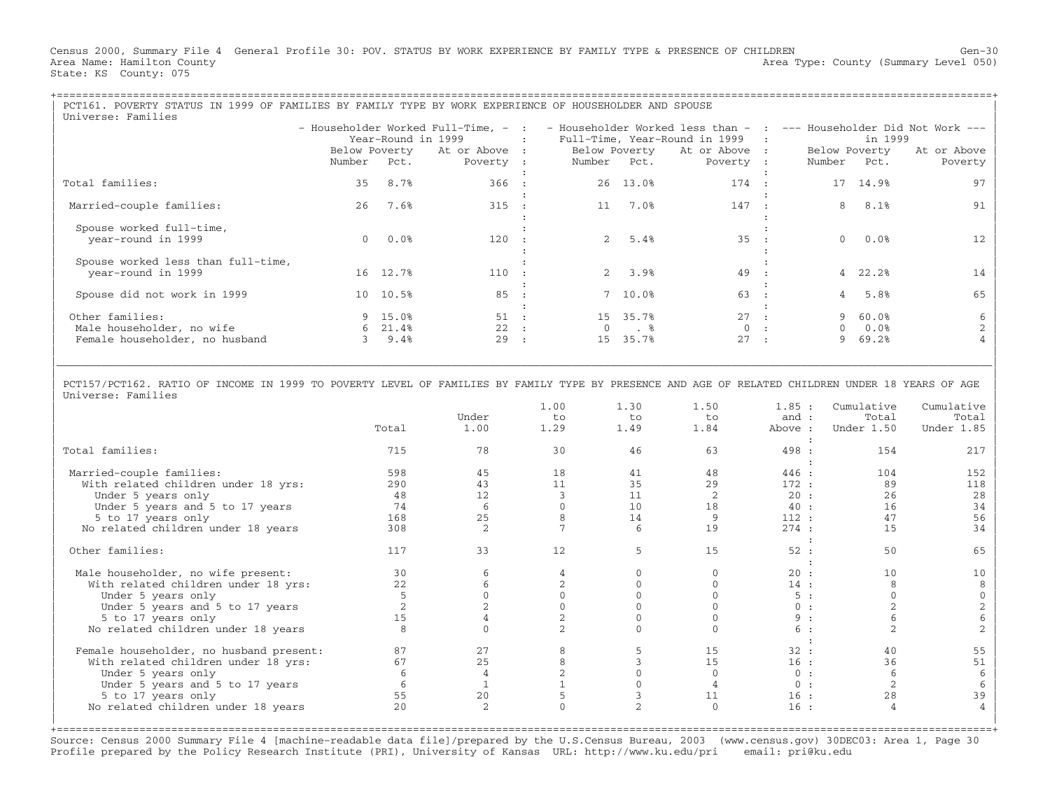Census 2000, Summary File 4 General Profile 30: POV. STATUS BY WORK EXPERIENCE BY FAMILY TYPE & PRESENCE OF CHILDREN Gen−30 Area Name: Hamilton County (Summary Level 050) (Area Type: County (Summary Level 050) State: KS County: 075

## +===================================================================================================================================================+PCT161. POVERTY STATUS IN 1999 OF FAMILIES BY FAMILY TYPE BY WORK EXPERIENCE OF HOUSEHOLDER AND SPOUSE Universe: Families | − Householder Worked Full−Time, − : − Householder Worked less than − : −−− Householder Did Not Work −−− | | Year−Round in 1999 : Full−Time, Year−Round in 1999 : in 1999 | | Below Poverty At or Above : Below Poverty At or Above : Below Poverty At or Above | | Number Pct. Poverty : Number Pct. Poverty : Number Pct. Poverty | | : : | | Total families: 35 8.7% 366 : 26 13.0% 174 : 17 14.9% 97 | | : : | | Married−couple families: 26 7.6% 315 : 11 7.0% 147 : 8 8.1% 91 | | : : | | Spouse worked full−time, : : | | year−round in 1999 0 0.0% 120 : 2 5.4% 35 : 0 0.0% 12 | | : : | | Spouse worked less than full−time, : : | | year−round in 1999 16 12.7% 110 : 2 3.9% 49 : 4 22.2% 14 | | : : | | Spouse did not work in 1999 10 10.5% 85 : 7 10.0% 63 : 4 5.8% 65 | | : : | | Other families: 9 15.0% 51 : 15 35.7% 27 : 9 60.0% 6 | | Male householder, no wife 6 21.4% 22 : 0 . % 0 : 0 0.0% 2 | | Female householder, no husband 3 9.4% 29 : 15 35.7% 27 : 9 69.2% 4 |

| | PCT157/PCT162. RATIO OF INCOME IN 1999 TO POVERTY LEVEL OF FAMILIES BY FAMILY TYPE BY PRESENCE AND AGE OF RELATED CHILDREN UNDER 18 YEARS OF AGE<br>Universe: Families | Universe: Families |

| | |\_\_\_\_\_\_\_\_\_\_\_\_\_\_\_\_\_\_\_\_\_\_\_\_\_\_\_\_\_\_\_\_\_\_\_\_\_\_\_\_\_\_\_\_\_\_\_\_\_\_\_\_\_\_\_\_\_\_\_\_\_\_\_\_\_\_\_\_\_\_\_\_\_\_\_\_\_\_\_\_\_\_\_\_\_\_\_\_\_\_\_\_\_\_\_\_\_\_\_\_\_\_\_\_\_\_\_\_\_\_\_\_\_\_\_\_\_\_\_\_\_\_\_\_\_\_\_\_\_\_\_\_\_\_\_\_\_\_\_\_\_\_\_\_\_\_\_|

|                                         |       |                | 1.00 | 1.30 | 1.50     | 1.85:   | Cumulative     | Cumulative |
|-----------------------------------------|-------|----------------|------|------|----------|---------|----------------|------------|
|                                         |       | Under          | to   | to   | to       | and :   | Total          | Total      |
|                                         | Total | 1.00           | 1.29 | 1.49 | 1.84     | Above : | Under 1.50     | Under 1.85 |
| Total families:                         | 715   | 78             | 30   | 46   | 63       | 498 :   | 154            | 217        |
|                                         |       |                |      |      |          |         |                |            |
| Married-couple families:                | 598   | 45             | 18   | 41   | 48       | 446 :   | 104            | 152        |
| With related children under 18 yrs:     | 290   | 43             | 11   | 35   | 29       | 172:    | 89             | 118        |
| Under 5 years only                      | 48    | 12             |      | 11   |          | 20:     | 26             | 28         |
| Under 5 years and 5 to 17 years         | 74    | 6              |      | 10   | 18       | 40 :    | 16             | 34         |
| 5 to 17 years only                      | 168   | 25             |      | 14   | 9        | 112:    | 47             | 56         |
| No related children under 18 years      | 308   | $\mathfrak{D}$ |      | 6    | 19       | 274:    | 15             | 34         |
|                                         |       |                |      |      |          |         |                |            |
| Other families:                         | 117   | 33             | 12   | 5    | 15       | 52:     | 50             | 65         |
|                                         |       |                |      |      |          |         |                |            |
| Male householder, no wife present:      | 30    |                |      |      |          | 20:     | 10             | 10         |
| With related children under 18 yrs:     | 22    |                |      |      |          | 14:     |                |            |
| Under 5 years only                      |       |                |      |      |          | 5:      |                |            |
| Under 5 years and 5 to 17 years         |       |                |      |      |          | 0:      |                |            |
| 5 to 17 years only                      | 1.5   |                |      |      |          | 9:      |                |            |
| No related children under 18 years      |       |                |      |      |          | 6:      |                |            |
|                                         |       |                |      |      |          |         |                |            |
| Female householder, no husband present: | 87    | 27             |      |      | 15       | 32:     | 40             | 55         |
| With related children under 18 yrs:     | 67    | 25             |      |      | 15       | 16:     | 36             | 51         |
| Under 5 years only                      |       |                |      |      |          | 0:      |                |            |
| Under 5 years and 5 to 17 years         |       |                |      |      |          | 0:      | $\mathfrak{D}$ |            |
| 5 to 17 years only                      | 55    | 20             |      |      | 11       | 16:     | 28             | 39         |
| No related children under 18 years      | 20    | 2              |      |      | $\Omega$ | 16:     |                |            |
|                                         |       |                |      |      |          |         |                |            |

Source: Census 2000 Summary File 4 [machine−readable data file]/prepared by the U.S.Census Bureau, 2003 (www.census.gov) 30DEC03: Area 1, Page 30 Profile prepared by the Policy Research Institute (PRI), University of Kansas URL: http://www.ku.edu/pri email: pri@ku.edu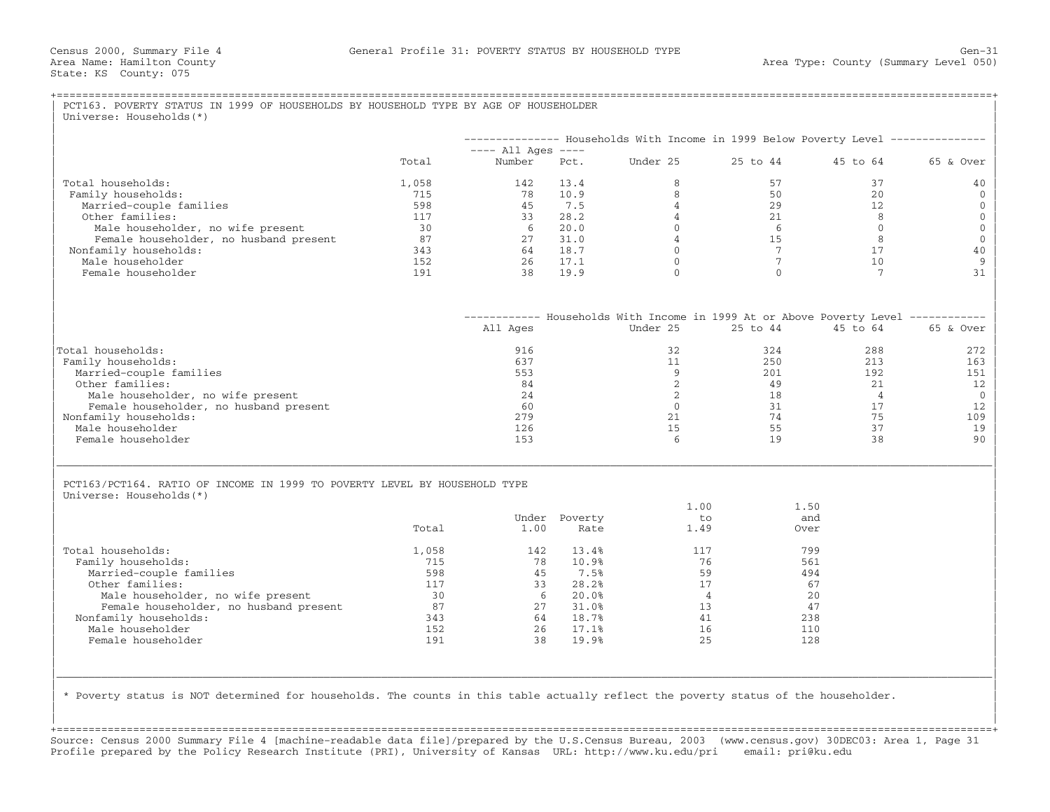|                                                                           |                                                                                                                                                                                                                                                                                                                                                                             |                    |               | -------------- Households With Income in 1999 Below Poverty Level -------------- |                 |                |           |
|---------------------------------------------------------------------------|-----------------------------------------------------------------------------------------------------------------------------------------------------------------------------------------------------------------------------------------------------------------------------------------------------------------------------------------------------------------------------|--------------------|---------------|----------------------------------------------------------------------------------|-----------------|----------------|-----------|
|                                                                           | PCT163. POVERTY STATUS IN 1999 OF HOUSEHOLDS BY HOUSEHOLD TYPE BY AGE OF HOUSEHOLDER<br>Total<br>1,058<br>715<br>598<br>117<br>30<br>87<br>343<br>152<br>191<br>Total<br>1,058<br>715<br>598<br>117<br>30<br>87<br>343<br>152<br>191<br>* Poverty status is NOT determined for households. The counts in this table actually reflect the poverty status of the householder. | $--- All Aqes ---$ |               |                                                                                  |                 |                |           |
|                                                                           |                                                                                                                                                                                                                                                                                                                                                                             | Number             | Pct.          | Under 25                                                                         | 25 to 44        | 45 to 64       | 65 & Over |
| Total households:                                                         |                                                                                                                                                                                                                                                                                                                                                                             | 142                | 13.4          | 8                                                                                | 57              | 37             | 40        |
| Family households:                                                        |                                                                                                                                                                                                                                                                                                                                                                             | 78                 | 10.9          | 8                                                                                | 50              | 2.0            |           |
| Married-couple families                                                   |                                                                                                                                                                                                                                                                                                                                                                             | 45                 | 7.5           | $\overline{4}$                                                                   | 29              | 12             |           |
| Other families:                                                           |                                                                                                                                                                                                                                                                                                                                                                             | 33                 | 28.2          | $\overline{4}$                                                                   | 21              | 8              |           |
| Male householder, no wife present                                         |                                                                                                                                                                                                                                                                                                                                                                             | - 6                | 20.0          | $\Omega$                                                                         | - 6             | $\Omega$       |           |
| Female householder, no husband present                                    |                                                                                                                                                                                                                                                                                                                                                                             | 27                 | 31.0          | $\overline{4}$                                                                   | 15              | 8              |           |
| Nonfamily households:                                                     |                                                                                                                                                                                                                                                                                                                                                                             | 64                 | 18.7          | $\mathbf{0}$                                                                     | $7\overline{ }$ | 17             | 40        |
| Male householder                                                          |                                                                                                                                                                                                                                                                                                                                                                             | 26                 | 17.1          | $\Omega$                                                                         | $7\phantom{.0}$ | 10             |           |
| Female householder                                                        |                                                                                                                                                                                                                                                                                                                                                                             | 38                 | 19.9          | $\Omega$                                                                         | $\Omega$        | 7              | 31        |
|                                                                           |                                                                                                                                                                                                                                                                                                                                                                             |                    |               |                                                                                  |                 |                |           |
|                                                                           |                                                                                                                                                                                                                                                                                                                                                                             |                    |               | ----------- Households With Income in 1999 At or Above Poverty Level ----------- |                 |                |           |
|                                                                           |                                                                                                                                                                                                                                                                                                                                                                             | All Ages           |               | Under 25                                                                         | 25 to 44        | 45 to 64       | 65 & Over |
| Total households:                                                         |                                                                                                                                                                                                                                                                                                                                                                             | 916                |               | 32                                                                               | 324             | 288            | 272       |
| Family households:                                                        |                                                                                                                                                                                                                                                                                                                                                                             | 637                |               | 11                                                                               | 250             | 213            | 163       |
| Married-couple families                                                   |                                                                                                                                                                                                                                                                                                                                                                             | 553                |               | 9                                                                                | 2.01            | 192            | 151       |
| Other families:                                                           |                                                                                                                                                                                                                                                                                                                                                                             | 84                 |               | 2                                                                                | 49              | 21             |           |
| Male householder, no wife present                                         |                                                                                                                                                                                                                                                                                                                                                                             | 24                 |               | 2                                                                                | 18              | $\overline{4}$ |           |
| Female householder, no husband present                                    |                                                                                                                                                                                                                                                                                                                                                                             | 60                 |               | $\mathbf{0}$                                                                     | 31              | 17             |           |
| Nonfamily households:                                                     |                                                                                                                                                                                                                                                                                                                                                                             | 279                |               | 21                                                                               | 74              | 75             | 109       |
| Male householder                                                          |                                                                                                                                                                                                                                                                                                                                                                             | 126                |               | 15                                                                               | 55              | 37             |           |
| Female householder                                                        |                                                                                                                                                                                                                                                                                                                                                                             | 153                |               | 6                                                                                | 19              | 38             |           |
|                                                                           |                                                                                                                                                                                                                                                                                                                                                                             |                    |               |                                                                                  |                 |                | 90        |
| PCT163/PCT164. RATIO OF INCOME IN 1999 TO POVERTY LEVEL BY HOUSEHOLD TYPE |                                                                                                                                                                                                                                                                                                                                                                             |                    |               |                                                                                  |                 |                |           |
| Universe: Households (*)                                                  |                                                                                                                                                                                                                                                                                                                                                                             |                    |               | 1.00                                                                             | 1.50            |                |           |
|                                                                           |                                                                                                                                                                                                                                                                                                                                                                             |                    | Under Poverty | $t_{\Omega}$                                                                     |                 | and            |           |
|                                                                           |                                                                                                                                                                                                                                                                                                                                                                             | 1.00               | Rate          | 1.49                                                                             | Over            |                |           |
|                                                                           |                                                                                                                                                                                                                                                                                                                                                                             |                    |               |                                                                                  |                 |                |           |
| Total households:                                                         |                                                                                                                                                                                                                                                                                                                                                                             | 142                | 13.4%         | 117                                                                              |                 | 799            |           |
| Family households:                                                        |                                                                                                                                                                                                                                                                                                                                                                             | 78                 | 10.9%         | 76                                                                               |                 | 561            |           |
| Married-couple families                                                   |                                                                                                                                                                                                                                                                                                                                                                             | 45                 | 7.5%          | 59                                                                               |                 | 494            |           |
| Other families:                                                           |                                                                                                                                                                                                                                                                                                                                                                             | 33                 | 28.2%         | 17                                                                               |                 | 67             |           |
| Male householder, no wife present                                         |                                                                                                                                                                                                                                                                                                                                                                             | 6                  | 20.0%         | $\overline{4}$                                                                   |                 | 20             |           |
| Female householder, no husband present                                    |                                                                                                                                                                                                                                                                                                                                                                             | 27                 | 31.0%         | 13                                                                               |                 | 47             |           |
| Nonfamily households:                                                     |                                                                                                                                                                                                                                                                                                                                                                             | 64                 | 18.7%         | 41                                                                               |                 | 238            |           |
| Male householder                                                          |                                                                                                                                                                                                                                                                                                                                                                             | 26                 | 17.1%         | 16                                                                               |                 | 110            |           |
| Female householder                                                        |                                                                                                                                                                                                                                                                                                                                                                             | 38                 | 19.9%         | 25                                                                               |                 | 128            |           |
|                                                                           |                                                                                                                                                                                                                                                                                                                                                                             |                    |               |                                                                                  |                 |                |           |
|                                                                           |                                                                                                                                                                                                                                                                                                                                                                             |                    |               |                                                                                  |                 |                |           |

| | +===================================================================================================================================================+ Source: Census 2000 Summary File 4 [machine−readable data file]/prepared by the U.S.Census Bureau, 2003 (www.census.gov) 30DEC03: Area 1, Page 31 Profile prepared by the Policy Research Institute (PRI), University of Kansas URL: http://www.ku.edu/pri email: pri@ku.edu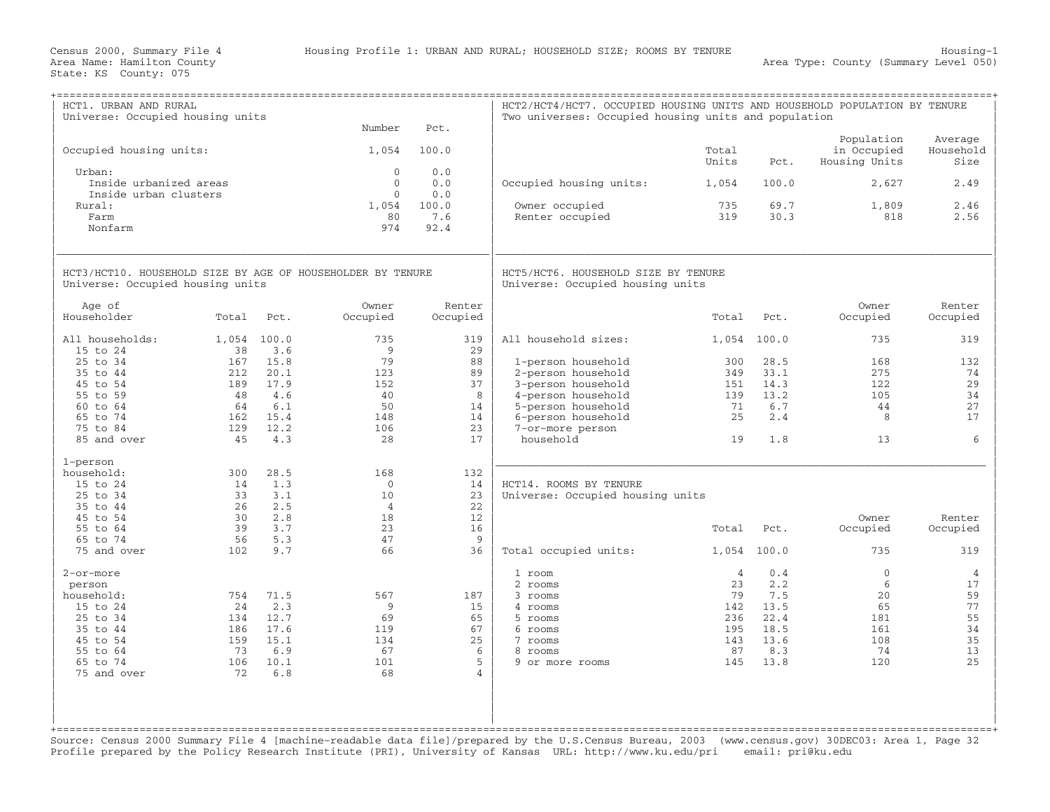| HCT1. URBAN AND RURAL<br>Universe: Occupied housing units  |             |      |                |                 | HCT2/HCT4/HCT7. OCCUPIED HOUSING UNITS AND HOUSEHOLD POPULATION BY TENURE<br>Two universes: Occupied housing units and population |                |       |                           |                      |
|------------------------------------------------------------|-------------|------|----------------|-----------------|-----------------------------------------------------------------------------------------------------------------------------------|----------------|-------|---------------------------|----------------------|
|                                                            |             |      | Number         | Pct.            |                                                                                                                                   |                |       |                           |                      |
| Occupied housing units:                                    |             |      | 1,054          | 100.0           |                                                                                                                                   | Total          |       | Population<br>in Occupied | Average<br>Household |
|                                                            |             |      | $\Omega$       | 0.0             |                                                                                                                                   | Units          | Pct.  | Housing Units             | Size                 |
| Urban:<br>Inside urbanized areas                           |             |      | $\mathbf{0}$   | 0.0             | Occupied housing units:                                                                                                           | 1,054          | 100.0 | 2,627                     | 2.49                 |
| Inside urban clusters                                      |             |      | $\Omega$       | 0.0             |                                                                                                                                   |                |       |                           |                      |
| Rural:                                                     |             |      | 1,054          | 100.0           | Owner occupied                                                                                                                    | 735            | 69.7  | 1,809                     | 2.46                 |
| Farm                                                       |             |      | 80             | 7.6             | Renter occupied                                                                                                                   | 319            | 30.3  | 818                       | 2.56                 |
| Nonfarm                                                    |             |      | 974            | 92.4            |                                                                                                                                   |                |       |                           |                      |
|                                                            |             |      |                |                 |                                                                                                                                   |                |       |                           |                      |
| HCT3/HCT10. HOUSEHOLD SIZE BY AGE OF HOUSEHOLDER BY TENURE |             |      |                |                 | HCT5/HCT6. HOUSEHOLD SIZE BY TENURE                                                                                               |                |       |                           |                      |
| Universe: Occupied housing units                           |             |      |                |                 | Universe: Occupied housing units                                                                                                  |                |       |                           |                      |
| Age of                                                     |             |      | Owner          | Renter          |                                                                                                                                   |                |       | Owner                     | Renter               |
| Householder                                                | Total       | Pct. | Occupied       | Occupied        |                                                                                                                                   | Total          | Pct.  | Occupied                  | Occupied             |
|                                                            |             |      |                |                 |                                                                                                                                   |                |       |                           |                      |
| All households:                                            | 1,054 100.0 |      | 735            | 319             | All household sizes:                                                                                                              | 1,054          | 100.0 | 735                       | 319                  |
| 15 to 24                                                   | 38          | 3.6  | 9              | 29              |                                                                                                                                   |                |       |                           |                      |
| 25 to 34                                                   | 167         | 15.8 | 79             | 88              | 1-person household                                                                                                                | 300            | 28.5  | 168                       | 132                  |
| 35 to 44                                                   | 212         | 20.1 | 123            | 89              | 2-person household                                                                                                                | 349            | 33.1  | 275                       | 74                   |
| 45 to 54                                                   | 189         | 17.9 | 152            | 37              | 3-person household                                                                                                                | 151            | 14.3  | 122                       | 29                   |
| 55 to 59                                                   | 48          | 4.6  | 40             | 8               | 4-person household                                                                                                                | 139            | 13.2  | 105                       | 34                   |
| 60 to 64                                                   | 64          | 6.1  | 50             | 14              | 5-person household                                                                                                                | 71             | 6.7   | 44                        | 27                   |
| 65 to 74                                                   | 162         | 15.4 | 148            | 14              | 6-person household                                                                                                                | 25             | 2.4   | 8                         | 17                   |
| 75 to 84                                                   | 129         | 12.2 | 106            | 23              | 7-or-more person                                                                                                                  |                |       |                           |                      |
| 85 and over                                                | 45          | 4.3  | 28             | 17              | household                                                                                                                         | 19             | 1.8   | 13                        | 6                    |
| 1-person                                                   |             |      |                |                 |                                                                                                                                   |                |       |                           |                      |
| household:                                                 | 300         | 28.5 | 168            | 132             |                                                                                                                                   |                |       |                           |                      |
| 15 to 24                                                   | 14          | 1.3  | $\Omega$       | 14              | HCT14. ROOMS BY TENURE                                                                                                            |                |       |                           |                      |
| 25 to 34                                                   | 33          | 3.1  | 10             | 23              | Universe: Occupied housing units                                                                                                  |                |       |                           |                      |
| 35 to 44                                                   | 26          | 2.5  | $\overline{4}$ | 22              |                                                                                                                                   |                |       |                           |                      |
| 45 to 54                                                   | 30          | 2.8  | 18             | 12 <sup>°</sup> |                                                                                                                                   |                |       | Owner                     | Renter               |
| 55 to 64                                                   | 39          | 3.7  | 23             | 16              |                                                                                                                                   | Total          | Pct.  | Occupied                  | Occupied             |
| 65 to 74                                                   | 56          | 5.3  | 47             | 9               |                                                                                                                                   |                |       |                           |                      |
| 75 and over                                                | 102         | 9.7  | 66             | 36              | Total occupied units:                                                                                                             | 1,054          | 100.0 | 735                       | 319                  |
| 2-or-more                                                  |             |      |                |                 | 1 room                                                                                                                            | $\overline{4}$ | 0.4   | $\mathbf{0}$              | $\overline{4}$       |
| person                                                     |             |      |                |                 | 2 rooms                                                                                                                           | 23             | 2.2   | 6                         | 17                   |
| household:                                                 | 754         | 71.5 | 567            | 187             | 3 rooms                                                                                                                           | 79             | 7.5   | 20                        | 59                   |
| 15 to 24                                                   | 24          | 2.3  | 9              | 15              | 4 rooms                                                                                                                           | 142            | 13.5  | 65                        | 77                   |
| 25 to 34                                                   | 134         | 12.7 | 69             | 65              | 5 rooms                                                                                                                           | 236            | 22.4  | 181                       | 55                   |
| 35 to 44                                                   | 186         | 17.6 | 119            | 67              | 6 rooms                                                                                                                           | 195            | 18.5  | 161                       | 34                   |
| 45 to 54                                                   | 159         | 15.1 | 134            | 25              | 7 rooms                                                                                                                           | 143            | 13.6  | 108                       | 35                   |
| 55 to 64                                                   | 73          | 6.9  | 67             | 6               | 8 rooms                                                                                                                           | 87             | 8.3   | 74                        | 13                   |
| 65 to 74                                                   | 106         | 10.1 | 101            | 5               | 9 or more rooms                                                                                                                   | 145            | 13.8  | 120                       | 25                   |
| 75 and over                                                | 72          | 6.8  | 68             | $\overline{4}$  |                                                                                                                                   |                |       |                           |                      |
|                                                            |             |      |                |                 |                                                                                                                                   |                |       |                           |                      |
|                                                            |             |      |                |                 |                                                                                                                                   |                |       |                           |                      |
|                                                            |             |      |                |                 |                                                                                                                                   |                |       |                           |                      |
|                                                            |             |      |                |                 |                                                                                                                                   |                |       |                           |                      |

Source: Census 2000 Summary File 4 [machine−readable data file]/prepared by the U.S.Census Bureau, 2003 (www.census.gov) 30DEC03: Area 1, Page 32 Profile prepared by the Policy Research Institute (PRI), University of Kansas URL: http://www.ku.edu/pri email: pri@ku.edu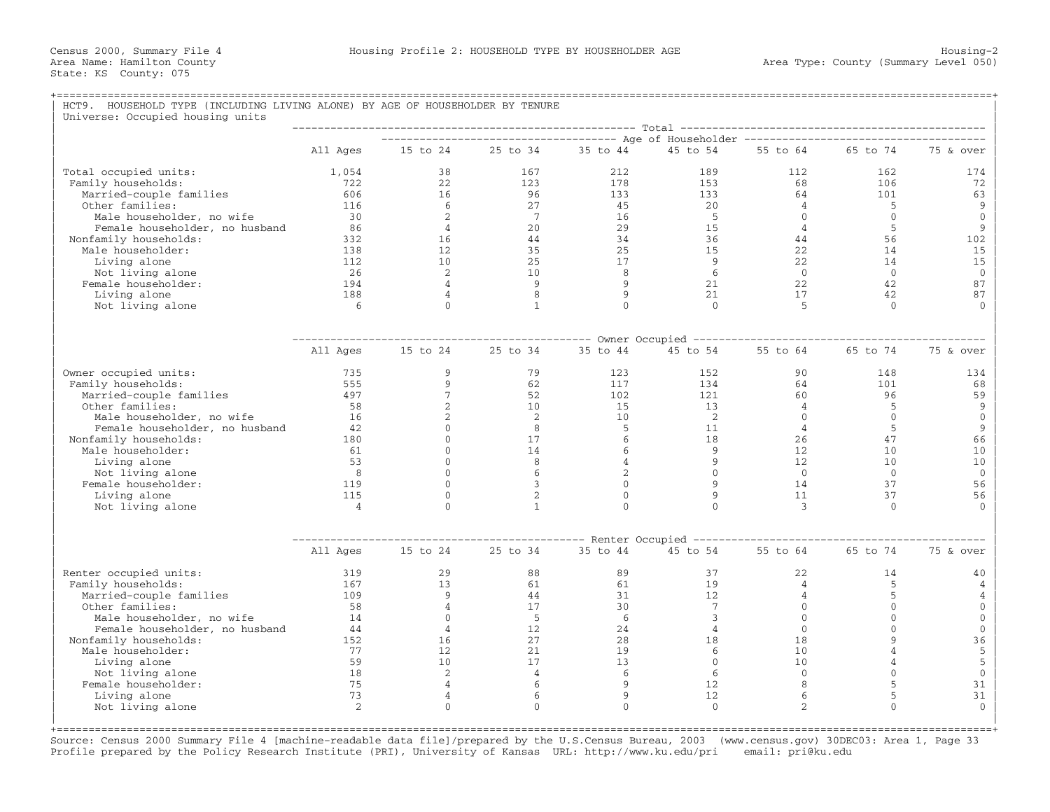| HCT9. HOUSEHOLD TYPE (INCLUDING LIVING ALONE) BY AGE OF HOUSEHOLDER BY TENURE |                 |                 |                |                |                 |                |                |                |
|-------------------------------------------------------------------------------|-----------------|-----------------|----------------|----------------|-----------------|----------------|----------------|----------------|
| Universe: Occupied housing units                                              |                 |                 |                |                |                 |                |                |                |
|                                                                               |                 |                 |                |                |                 |                |                |                |
|                                                                               | All Ages        | 15 to 24        | 25 to 34       | 35 to 44       | 45 to 54        | 55 to 64       | 65 to 74       | 75 & over      |
| Total occupied units:                                                         | 1,054           | 38              | 167            | 212            | 189             | 112            | 162            | 174            |
| Family households:                                                            | 722             | 22              | 123            | 178            | 153             | 68             | 106            | 72             |
| Married-couple families                                                       | 606             | 16              | 96             | 133            | 133             | 64             | 101            | 63             |
| Other families:                                                               | 116             | - 6             | 27             | 45             | 20              | $\overline{4}$ | 5              | 9              |
| Male householder, no wife                                                     | $\overline{30}$ | 2               | 7              | 16             | -5              | $\Omega$       | $\Omega$       | $\mathbf{0}$   |
| Female householder, no husband                                                | 86              | $\overline{4}$  | 20             | 29             | 15              | $\overline{4}$ | -5             | 9              |
| Nonfamily households:                                                         | 332             | 16              | 44             | 34             | 36              | 44             | 56             | 102            |
| Male householder:                                                             | 138             | 12              | 35             | 25             | 15              | 22             | 14             | 15             |
| Living alone                                                                  | 112             | 10              | 25             | 17             | 9               | 22             | 14             | 15             |
| Not living alone                                                              | 26              | $\overline{2}$  | 10             | $\overline{8}$ | 6               | $\bigcirc$     | $\Omega$       | $\Omega$       |
| Female householder:                                                           | 194             | $\overline{4}$  | 9              | 9              | 21              | 22             | 42             | 87             |
| Living alone                                                                  | 188             | $\overline{4}$  | 8              | $\overline{9}$ | 21              | 17             | 42             | 87             |
| Not living alone                                                              | 6               | $\Omega$        | $\mathbf{1}$   | $\Omega$       | $\Omega$        | $-5$           | $\Omega$       |                |
|                                                                               |                 |                 |                |                |                 |                |                |                |
|                                                                               |                 |                 |                |                |                 |                |                |                |
|                                                                               | All Ages        | 15 to 24        | 25 to 34       | 35 to 44       | 45 to 54        | 55 to 64       | 65 to 74       | 75 & over      |
| Owner occupied units:                                                         | 735             | 9               | 79             | 123            | 152             | 90             | 148            | 134            |
| Family households:                                                            | 555             | 9               | 62             | 117            | 134             | 64             | 101            | 68             |
| Married-couple families                                                       | 497             | $7\phantom{.0}$ | 52             | 102            | 121             | 60             | 96             | 59             |
| Other families:                                                               | 58              | 2               | 10             | 15             | 13              | $\overline{4}$ | 5              | 9              |
| Male householder, no wife                                                     | 16              | 2               | 2              | 10             | 2               | $\Omega$       | $\Omega$       | $\overline{0}$ |
| Female householder, no husband                                                | 42              | $\Omega$        | 8              | $-5$           | 11              | $\overline{4}$ | -5             | 9              |
| Nonfamily households:                                                         | 180             | $\Omega$        | 17             | 6              | 18              | 26             | 47             | 66             |
| Male householder:                                                             | 61              | $\Omega$        | 14             | 6              | 9               | 12             | 10             | 10             |
| Living alone                                                                  | 53              | $\Omega$        | 8              | $\overline{4}$ | 9               | 12             | 10             | 10             |
| Not living alone                                                              | 8               | $\mathbf{0}$    | 6              | 2              | $\mathbf{0}$    | $\overline{0}$ | $\overline{0}$ | $\overline{0}$ |
| Female householder:                                                           | 119             | $\Omega$        | 3              | $\Omega$       | 9               | 14             | 37             | 56             |
| Living alone                                                                  | 115             | $\Omega$        | 2              | $\Omega$       | 9               | 11             | 37             | 56             |
| Not living alone                                                              | $\overline{4}$  | $\Omega$        | $\mathbf{1}$   | $\Omega$       | $\Omega$        | 3              | $\Omega$       |                |
|                                                                               |                 |                 |                |                |                 |                |                |                |
|                                                                               |                 | 15 to 24        | 25 to 34       | 35 to 44       | 45 to 54        | 55 to 64       | 65 to 74       | 75 & over      |
|                                                                               | All Ages        |                 |                |                |                 |                |                |                |
| Renter occupied units:                                                        | 319             | 29              | 88             | 89             | 37              | 22             | 14             | 40             |
| Family households:                                                            | 167             | 13              | 61             | 61             | 19              | $\overline{4}$ | 5              | 4              |
| Married-couple families                                                       | 109             | -9              | 44             | 31             | 12              | $\overline{4}$ | 5              | 4              |
| Other families:                                                               | 58              | $\overline{4}$  | 17             | 30             | $7\overline{ }$ | $\mathbf{0}$   | $\mathbf{0}$   | $\mathbf 0$    |
| Male householder, no wife                                                     | 14              | $\Omega$        | 5              | 6              | 3               | $\mathbf{0}$   | $\mathbf{0}$   | $\mathbf 0$    |
| Female householder, no husband                                                | 44              | $\overline{4}$  | 12             | 24             | $\overline{4}$  | $\mathbf{0}$   | $\Omega$       | $\mathbf{0}$   |
| Nonfamily households:                                                         | 152             | 16              | 27             | 28             | 18              | 18             | 9              | 36             |
| Male householder:                                                             | 77              | 12.             | 21             | 19             | 6               | 10             | $\overline{4}$ | 5              |
| Living alone                                                                  | 59              | 10              | 17             | 13             | $\mathbf{0}$    | 10             | 4              | 5              |
| Not living alone                                                              | 18              | 2               | $\overline{4}$ | 6              | 6               | $\overline{0}$ | $\mathbf{0}$   | $\mathbb O$    |
| Female householder:                                                           | 75              | $\overline{4}$  | 6              | 9              | 12              | 8              | 5              | 31             |
| Living alone                                                                  | 73              | 4               | 6              | 9              | 12              | 6              | 5              | 31             |
| Not living alone                                                              | $\mathfrak{D}$  | $\Omega$        | $\Omega$       | $\Omega$       | $\Omega$        | $\mathfrak{D}$ | $\Omega$       | $\Omega$       |

+===================================================================================================================================================+ Source: Census 2000 Summary File 4 [machine−readable data file]/prepared by the U.S.Census Bureau, 2003 (www.census.gov) 30DEC03: Area 1, Page 33 Profile prepared by the Policy Research Institute (PRI), University of Kansas URL: http://www.ku.edu/pri email: pri@ku.edu

| |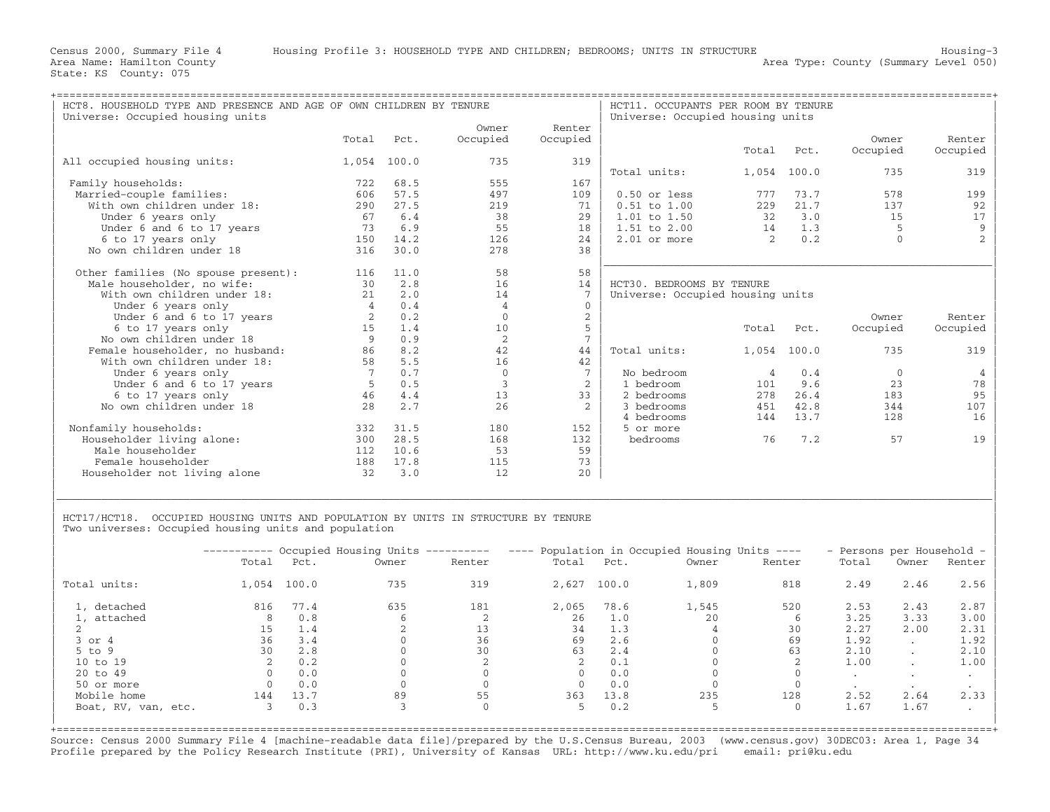| HCT8. HOUSEHOLD TYPE AND PRESENCE AND AGE OF OWN CHILDREN BY TENURE<br>Universe: Occupied housing units |                |       |          |                 | HCT11. OCCUPANTS PER ROOM BY TENURE<br>Universe: Occupied housing units |               |             |             |                |
|---------------------------------------------------------------------------------------------------------|----------------|-------|----------|-----------------|-------------------------------------------------------------------------|---------------|-------------|-------------|----------------|
|                                                                                                         |                |       | Owner    | Renter          |                                                                         |               |             |             |                |
|                                                                                                         | Total          | Pct.  | Occupied | Occupied        |                                                                         |               |             | Owner       | Renter         |
|                                                                                                         |                |       |          |                 |                                                                         | Total         | Pct.        | Occupied    | Occupied       |
| All occupied housing units:                                                                             | 1,054          | 100.0 | 735      | 319             |                                                                         |               |             |             |                |
|                                                                                                         |                |       |          |                 | Total units:                                                            | 1,054         | 100.0       | 735         | 319            |
| Family households:                                                                                      | 722            | 68.5  | 555      | 167             |                                                                         |               |             |             |                |
| Married-couple families:                                                                                | 606            | 57.5  | 497      | 109             | $0.50$ or less                                                          | 777           | 73.7        | 578         | 199            |
| With own children under 18:                                                                             | 290            | 27.5  | 219      | 71              | $0.51$ to $1.00$                                                        | 229           | 21.7        | 137         | 92             |
| Under 6 years only                                                                                      | 67             | 6.4   | 38       | 29              | 1.01 to 1.50                                                            | 32            | 3.0         | 15          | 17             |
| Under 6 and 6 to 17 years                                                                               | 73             | 6.9   | 55       | 18              | $1.51$ to $2.00$                                                        | 14            | 1.3         | 5           | 9              |
| 6 to 17 years only                                                                                      | 150            | 14.2  | 126      | 2.4             | $2.01$ or more                                                          | $\mathcal{L}$ | 0.2         | $\cap$      | $\mathfrak{D}$ |
| No own children under 18                                                                                | 316            | 30.0  | 278      | 38              |                                                                         |               |             |             |                |
|                                                                                                         |                |       |          |                 |                                                                         |               |             |             |                |
| Other families (No spouse present):                                                                     | 116            | 11.0  | 58       | 58              |                                                                         |               |             |             |                |
| Male householder, no wife:                                                                              | 30             | 2.8   | 16       | 14              | HCT30. BEDROOMS BY TENURE                                               |               |             |             |                |
| With own children under 18:                                                                             | 21             | 2.0   | 14       | 7               | Universe: Occupied housing units                                        |               |             |             |                |
| Under 6 years only                                                                                      | $\overline{4}$ | 0.4   | 4        | $\mathbf 0$     |                                                                         |               |             |             |                |
| Under 6 and 6 to 17 years                                                                               | 2              | 0.2   | $\Omega$ | $\overline{2}$  |                                                                         |               |             | Owner       | Renter         |
| 6 to 17 years only                                                                                      | 15             | 1.4   | 10       | 5               |                                                                         | Total         | Pct.        | Occupied    | Occupied       |
| No own children under 18                                                                                | 9              | 0.9   | 2        | $7\phantom{.0}$ |                                                                         |               |             |             |                |
| Female householder, no husband:                                                                         | 86             | 8.2   | 42       | 44              | Total units:                                                            |               | 1,054 100.0 | 735         | 319            |
| With own children under 18:                                                                             | 58             | 5.5   | 16       | 42              |                                                                         |               |             |             |                |
| Under 6 years only                                                                                      |                | 0.7   | $\Omega$ | 7               | No bedroom                                                              | 4             | 0.4         | $\mathbf 0$ | 4              |
| Under 6 and 6 to 17 years                                                                               | 5              | 0.5   | 3        | $\overline{2}$  | 1 bedroom                                                               | 101           | 9.6         | 23          | 78             |
| 6 to 17 years only                                                                                      | 46             | 4.4   | 13       | 33              | 2 bedrooms                                                              | 278           | 26.4        | 183         | 95             |
| No own children under 18                                                                                | 2.8            | 2.7   | 26       | $\overline{a}$  | 3 bedrooms                                                              | 451           | 42.8        | 344         | 107            |
|                                                                                                         |                |       |          |                 | 4 bedrooms                                                              | 144           | 13.7        | 128         | 16             |
| Nonfamily households:                                                                                   | 332            | 31.5  | 180      | 152             | 5 or more                                                               |               |             |             |                |
| Householder living alone:                                                                               | 300            | 28.5  | 168      | 132             | bedrooms                                                                | 76            | 7.2         | 57          | 19             |
| Male householder                                                                                        | 112            | 10.6  | 53       | 59              |                                                                         |               |             |             |                |
| Female householder                                                                                      | 188            | 17.8  | 115      | 73              |                                                                         |               |             |             |                |
| Householder not living alone                                                                            | 32             | 3.0   | 12       | 20              |                                                                         |               |             |             |                |
|                                                                                                         |                |       |          |                 |                                                                         |               |             |             |                |

| | HCT17/HCT18. OCCUPIED HOUSING UNITS AND POPULATION BY UNITS IN STRUCTURE BY TENURE Two universes: Occupied housing units and population

|                     | ----------- |       | Occupied Housing Units ---------- |          | $\qquad \qquad - - - -$ |       | Population in Occupied Housing Units ---- |        | - Persons per Household - |           |        |
|---------------------|-------------|-------|-----------------------------------|----------|-------------------------|-------|-------------------------------------------|--------|---------------------------|-----------|--------|
|                     | Total       | Pct.  | Owner                             | Renter   | Total                   | Pct.  | Owner                                     | Renter | Total                     | Owner     | Renter |
| Total units:        | 1,054       | 100.0 | 735                               | 319      | 2,627                   | 100.0 | 1,809                                     | 818    | 2.49                      | 2.46      | 2.56   |
| 1, detached         | 816         | 77.4  | 635                               | 181      | 2,065                   | 78.6  | 1,545                                     | 520    | 2.53                      | 2.43      | 2.87   |
| 1, attached         | 8           | 0.8   |                                   |          | 26                      | 1.0   | 20                                        |        | 3.25                      | 3.33      | 3.00   |
|                     | 15          | 1.4   |                                   | 13       | 34                      | 1.3   |                                           | 30     | 2.27                      | 2.00      | 2.31   |
| $3$ or $4$          | 36          | 3.4   |                                   | 36       | 69                      | 2.6   |                                           | 69     | 1.92                      | $\cdot$   | 1.92   |
| $5$ to $9$          | 30          | 2.8   |                                   | 30       | 63                      | 2.4   |                                           | 63     | 2.10                      | $\cdot$   | 2.10   |
| 10 to 19            |             | 0.2   |                                   |          |                         | 0.1   |                                           |        | 1.00                      | $\cdot$   | 1.00   |
| 20 to 49            |             | 0.0   |                                   |          |                         | 0.0   |                                           |        | $\cdot$                   | $\cdot$   |        |
| 50 or more          |             | 0.0   |                                   |          |                         | 0.0   |                                           |        |                           | $\bullet$ |        |
| Mobile home         | 144         | 13.7  | 89                                |          | 363                     | 13.8  | 235                                       | 128    | 2.52                      | 2.64      | 2.33   |
| Boat, RV, van, etc. |             | 0.3   |                                   | $\Omega$ |                         | 0.2   |                                           |        | 1.67                      | 1.67      |        |

|\_\_\_\_\_\_\_\_\_\_\_\_\_\_\_\_\_\_\_\_\_\_\_\_\_\_\_\_\_\_\_\_\_\_\_\_\_\_\_\_\_\_\_\_\_\_\_\_\_\_\_\_\_\_\_\_\_\_\_\_\_\_\_\_\_\_\_\_\_\_\_\_\_\_\_\_\_\_\_\_\_\_\_\_\_\_\_\_\_\_\_\_\_\_\_\_\_\_\_\_\_\_\_\_\_\_\_\_\_\_\_\_\_\_\_\_\_\_\_\_\_\_\_\_\_\_\_\_\_\_\_\_\_\_\_\_\_\_\_\_\_\_\_\_\_\_\_|

+===================================================================================================================================================+ Source: Census 2000 Summary File 4 [machine−readable data file]/prepared by the U.S.Census Bureau, 2003 (www.census.gov) 30DEC03: Area 1, Page 34 Profile prepared by the Policy Research Institute (PRI), University of Kansas URL: http://www.ku.edu/pri email: pri@ku.edu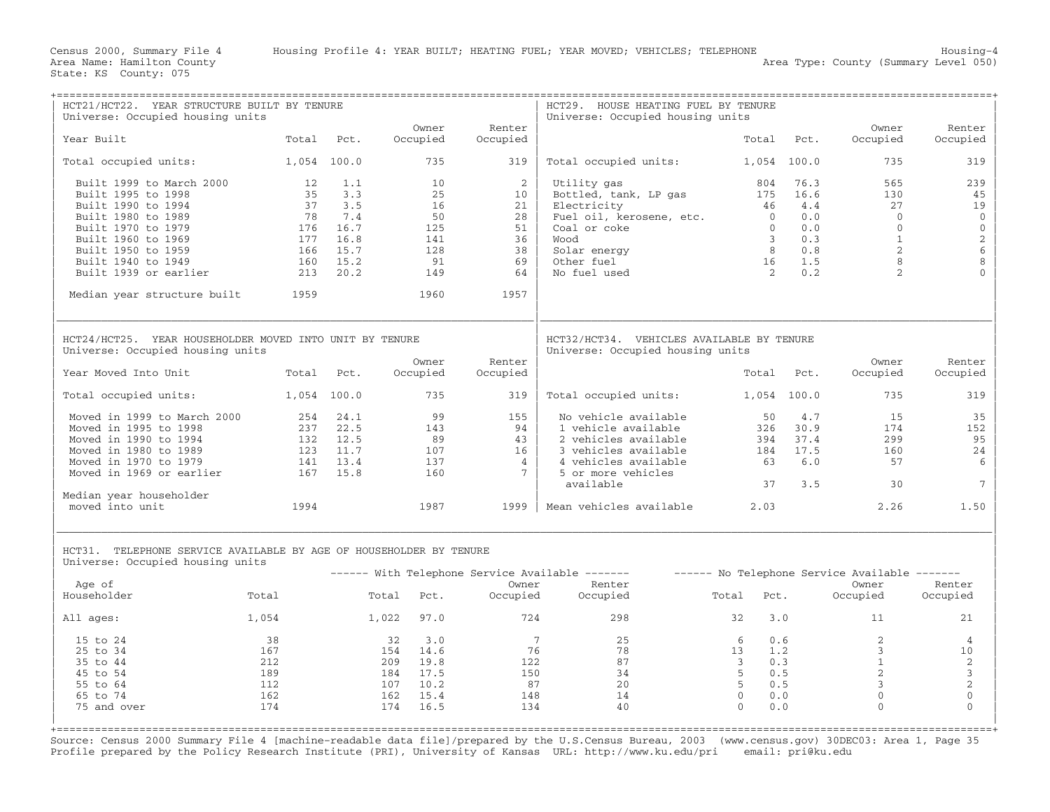| HCT21/HCT22. YEAR STRUCTURE BUILT BY TENURE<br>Universe: Occupied housing units                                                                   |                      |            |            |                | HCT29. HOUSE HEATING FUEL BY TENURE<br>Universe: Occupied housing units                         |                         |            |                |                                            |
|---------------------------------------------------------------------------------------------------------------------------------------------------|----------------------|------------|------------|----------------|-------------------------------------------------------------------------------------------------|-------------------------|------------|----------------|--------------------------------------------|
|                                                                                                                                                   |                      |            | Owner      | Renter         |                                                                                                 |                         |            | Owner          | Renter                                     |
| Year Built                                                                                                                                        |                      | Total Pct. | Occupied   | Occupied       |                                                                                                 |                         | Total Pct. | Occupied       | Occupied                                   |
| Total occupied units:                                                                                                                             | 1,054 100.0          |            | 735        | 319            | Total occupied units: 1,054 100.0                                                               |                         |            | 735            | 319                                        |
| Built 1999 to March 2000                                                                                                                          | $12 \t 1.1$          |            | 10         | 2              | UCLILLY gas<br>Bottled, tank, LP gas<br>Rlectricity                                             |                         |            | 565            | 239                                        |
| Built 1995 to 1998                                                                                                                                |                      | 35 3.3     | 25         | 10             |                                                                                                 |                         |            | 130            | 45                                         |
| Built 1990 to 1994                                                                                                                                |                      | 37 3.5     | 16         | 21             | Electricity                                                                                     | 46                      | 4.4        | 27             | 19                                         |
| Built 1980 to 1989                                                                                                                                |                      | 78 7.4     | 50         | 28             | Fuel oil, kerosene, etc. 0 0.0                                                                  |                         |            | $\overline{0}$ | $\mathbb O$                                |
| Built 1970 to 1979                                                                                                                                |                      | 176 16.7   | 125        | 51             | Coal or coke                                                                                    | $\overline{0}$          | 0.0        | $\overline{0}$ | $\mathsf{O}\xspace$                        |
| Built 1960 to 1969                                                                                                                                |                      | 177 16.8   | 141        | 36             | Wood                                                                                            | $\overline{\mathbf{3}}$ | 0.3        | $\overline{1}$ |                                            |
| Built 1950 to 1959                                                                                                                                | 166                  | 15.7       | 128        | 38             | Solar energy                                                                                    | 8 <sup>1</sup>          | 0.8        | 2              | $\begin{array}{c} 2 \\ 6 \\ 8 \end{array}$ |
| Built 1940 to 1949                                                                                                                                |                      | 160 15.2   | 91         | 69             | Other fuel                                                                                      | 16                      | 1.5        | 8              |                                            |
| Built 1939 or earlier                                                                                                                             |                      | 213 20.2   | 149        | 64             | No fuel used                                                                                    | $\overline{2}$          | 0.2        | 2              | $\Omega$                                   |
| Median year structure built 1959                                                                                                                  |                      |            | 1960       | 1957           |                                                                                                 |                         |            |                |                                            |
| HCT24/HCT25. YEAR HOUSEHOLDER MOVED INTO UNIT BY TENURE<br>Universe: Occupied housing units                                                       |                      |            |            |                | HCT32/HCT34. VEHICLES AVAILABLE BY TENURE<br>Universe: Occupied housing units                   |                         |            |                |                                            |
|                                                                                                                                                   |                      |            | Owner      | Renter         |                                                                                                 |                         |            | Owner          | Renter                                     |
| Year Moved Into Unit                                                                                                                              | Total Pct.           |            | Occupied   | Occupied       |                                                                                                 |                         | Total Pct. | Occupied       | Occupied                                   |
| Total occupied units:                                                                                                                             | 1,054 100.0          |            | 735        | 319            | Total occupied units: 1,054 100.0                                                               |                         |            | 735            | 319                                        |
| Moved in 1999 to March 2000                                                                                                                       | 254 24.1             |            | 99         | 155            | No vehicle available                                                                            | 50                      | 4.7        | 15             | 35                                         |
| Moved in 1995 to 1998                                                                                                                             |                      | 237 22.5   | 143        | 94             | 1 vehicle available                                                                             | 326                     | 30.9       | 174            | 152                                        |
| Moved in 1990 to 1994                                                                                                                             | 132 12.5<br>123 11.7 |            | 89         | 43             | 2 vehicles available                                                                            |                         | 394 37.4   | 299            | 95                                         |
| Moved in 1980 to 1989                                                                                                                             |                      |            | 107        | 16             | 3 vehicles available                                                                            |                         | 184 17.5   | 160            | 24                                         |
| Moved in 1970 to 1979                                                                                                                             | 141 13.4             |            | 137        | $\overline{4}$ | 4 vehicles available                                                                            | 63                      | 6.0        | 57             | 6                                          |
| Moved in 1969 or earlier                                                                                                                          |                      | 167 15.8   | 160        | $\overline{7}$ | 5 or more vehicles<br>available                                                                 | 37                      | 3.5        | 30             | $7\phantom{.0}$                            |
| Median year householder                                                                                                                           |                      |            |            |                |                                                                                                 |                         |            |                |                                            |
| moved into unit                                                                                                                                   | 1994                 |            | 1987       |                | 1999   Mean vehicles available                                                                  | 2.03                    |            | 2.26           | 1.50                                       |
| HCT31. TELEPHONE SERVICE AVAILABLE BY AGE OF HOUSEHOLDER BY TENURE<br>Universe: Occupied housing units                                            |                      |            |            |                | ------ With Telephone Service Available ------- - ------ No Telephone Service Available ------- |                         |            |                |                                            |
| Age of                                                                                                                                            |                      |            |            | Owner          | Renter                                                                                          |                         |            | Owner          | Renter                                     |
| Householder                                                                                                                                       | Total                |            | Total Pct. | Occupied       | Occupied                                                                                        | Pct.<br>Total           |            | Occupied       | Occupied                                   |
| All ages:                                                                                                                                         | 1,054                |            | 1,022 97.0 | 724            | 298                                                                                             | 32<br>3.0               |            | 11             | 21                                         |
| 15 to 24                                                                                                                                          | 38                   |            | 32 3.0     | $\overline{7}$ | 25                                                                                              | 6<br>0.6                |            | 2              | 4                                          |
| 25 to 34                                                                                                                                          | 167                  |            | 154 14.6   | 76             | 78                                                                                              | 13 1.2                  |            | $\overline{3}$ | 10                                         |
| 35 to 44                                                                                                                                          | 212                  |            | 209 19.8   | 122            | 87                                                                                              | $3 \t 0.3$              |            | $\mathbf{1}$   | $\overline{a}$                             |
| 45 to 54                                                                                                                                          | 189                  |            | 184 17.5   | 150            | 34                                                                                              | $5 \t 0.5$              |            | $\sqrt{2}$     | $\overline{\mathbf{3}}$                    |
| 55 to 64                                                                                                                                          | 112                  |            | 107 10.2   | 87             | 20                                                                                              | 50.5                    |            | $\mathbf{3}$   | $\sqrt{2}$                                 |
| 65 to 74                                                                                                                                          | 162                  |            | 162 15.4   | 148            | 14                                                                                              | 0<br>0.0                |            | $\mathbb O$    | $\mathsf{O}\xspace$                        |
| 75 and over                                                                                                                                       | 174                  |            | 174 16.5   | 134            | 40                                                                                              | $\Omega$<br>0.0         |            | $\Omega$       | $\Omega$                                   |
| Source: Census 2000 Summary File 4 [machine-readable data file]/prepared by the U.S.Census Bureau, 2003 (www.census.gov) 30DEC03: Area 1, Page 35 |                      |            |            |                |                                                                                                 |                         |            |                |                                            |

Profile prepared by the Policy Research Institute (PRI), University of Kansas URL: http://www.ku.edu/pri email: pri@ku.edu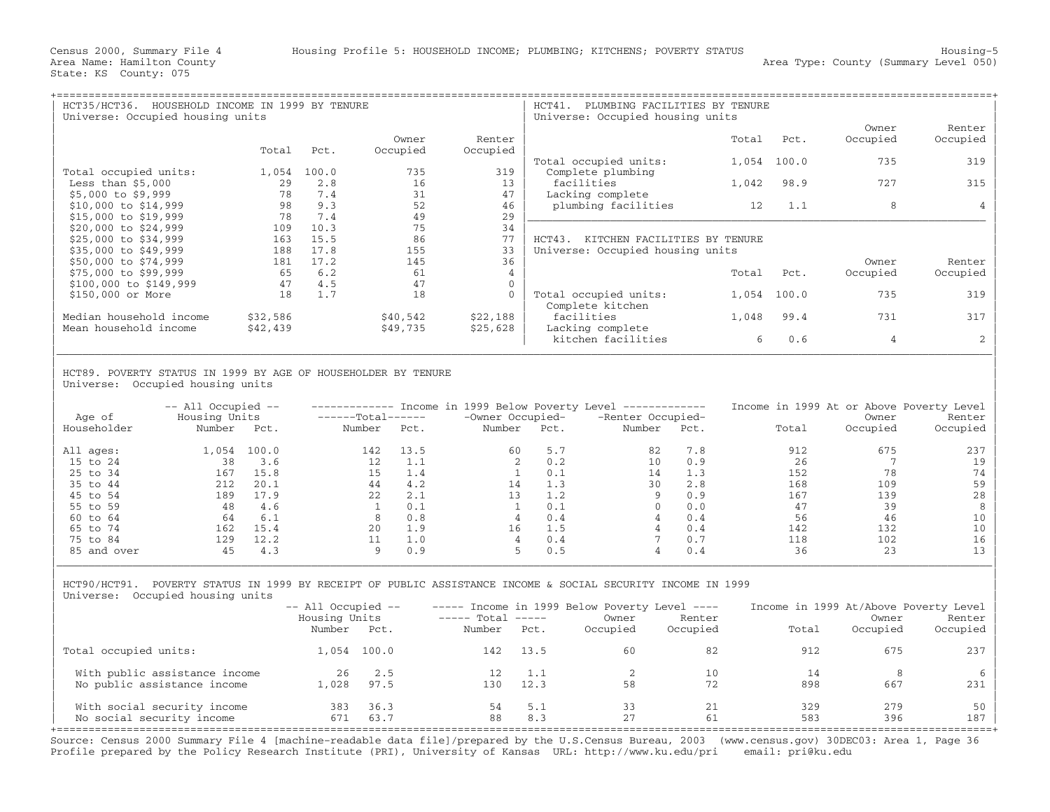| HCT35/HCT36.<br>HOUSEHOLD INCOME IN 1999 BY TENURE<br>Universe: Occupied housing units |          |       |          |              | HCT41.<br>PLUMBING FACILITIES BY TENURE<br>Universe: Occupied housing units |       |       |          |          |
|----------------------------------------------------------------------------------------|----------|-------|----------|--------------|-----------------------------------------------------------------------------|-------|-------|----------|----------|
|                                                                                        |          |       |          |              |                                                                             |       |       | Owner    | Renter   |
|                                                                                        |          |       | Owner    | Renter       |                                                                             | Total | Pct.  | Occupied | Occupied |
|                                                                                        | Total    | Pct.  | Occupied | Occupied     |                                                                             |       |       |          |          |
|                                                                                        |          |       |          |              | Total occupied units:                                                       | 1,054 | 100.0 | 735      | 319      |
| Total occupied units:                                                                  | 1,054    | 100.0 | 735      | 319          | Complete plumbing                                                           |       |       |          |          |
| Less than $$5,000$                                                                     | 29       | 2.8   | 16       | 13           | facilities                                                                  | 1,042 | 98.9  | 727      | 315      |
| $$5,000$ to \$9,999                                                                    | 78       | 7.4   | 31       | 47           | Lacking complete                                                            |       |       |          |          |
| $$10,000$ to $$14,999$                                                                 | 98       | 9.3   | 52       | 46           | plumbing facilities                                                         | 12    | 1.1   | 8        |          |
| $$15,000$ to $$19,999$                                                                 | 78       | 7.4   | 49       | 29           |                                                                             |       |       |          |          |
| \$20,000 to \$24,999                                                                   | 109      | 10.3  | 75       | 34           |                                                                             |       |       |          |          |
| \$25,000 to \$34,999                                                                   | 163      | 15.5  | 86       | 77           | $HCT43$ .<br>KITCHEN FACILITIES BY TENURE                                   |       |       |          |          |
| \$35,000 to \$49,999                                                                   | 188      | 17.8  | 155      | 33           | Universe: Occupied housing units                                            |       |       |          |          |
| \$50,000 to \$74,999                                                                   | 181      | 17.2  | 145      | 36           |                                                                             |       |       | Owner    | Renter   |
| \$75,000 to \$99,999                                                                   | 65       | 6.2   | 61       | 4            |                                                                             | Total | Pct.  | Occupied | Occupied |
| \$100,000 to \$149,999                                                                 | 47       | 4.5   | 47       | $\mathbf{0}$ |                                                                             |       |       |          |          |
| \$150,000 or More                                                                      | 18       | 1.7   | 18       | $\Omega$     | Total occupied units:                                                       | 1,054 | 100.0 | 735      | 319      |
|                                                                                        |          |       |          | \$22,188     | Complete kitchen<br>facilities                                              | 1,048 | 99.4  | 731      | 317      |
| Median household income                                                                | \$32,586 |       | \$40,542 |              |                                                                             |       |       |          |          |
| Mean household income                                                                  | \$42,439 |       | \$49,735 | \$25,628     | Lacking complete                                                            |       |       |          |          |
|                                                                                        |          |       |          |              | kitchen facilities                                                          | 6     | 0.6   | 4        |          |

| | HCT89. POVERTY STATUS IN 1999 BY AGE OF HOUSEHOLDER BY TENURE Universe: Occupied housing units

| Age of      | $--$ All Occupied $--$<br>Housing Units |       | -------Total------ |      | -Owner Occupied- |      | Income in 1999 Below Poverty Level ------------<br>-Renter Occupied- |            | Income in 1999 At or Above Poverty Level | Owner    | Renter   |
|-------------|-----------------------------------------|-------|--------------------|------|------------------|------|----------------------------------------------------------------------|------------|------------------------------------------|----------|----------|
| Householder | Number                                  | Pct.  | Number             | Pct. | Number           | Pct. | Number                                                               | Pct.       | Total                                    | Occupied | Occupied |
| All ages:   | 1,054                                   | 100.0 | 142                | 13.5 | 60               | 5.7  | 82                                                                   | 7.8        | 912                                      | 675      | 237      |
| 15 to 24    | 38                                      | 3.6   |                    | 1.1  |                  | 0.2  | 10 <sup>°</sup>                                                      | 0.9        | 26                                       |          | 19       |
| 25 to 34    | 167                                     | 15.8  | 15                 | 1.4  |                  | 0.1  | 14                                                                   | $\perp$ .3 | 152                                      | 78       | 74       |
| 35 to 44    | 212                                     | 20.1  | 44                 | 4.2  | 14               | 1.3  | 30                                                                   | 2.8        | 168                                      | 109      | 59       |
| 45 to 54    | 189                                     | 17.9  | 2.2.               | 2.1  | 13               | 1.2  | q                                                                    | 0.9        | 167                                      | 139      | 28       |
| 55 to 59    | 48                                      | 4.6   |                    | 0.1  |                  | 0.1  | 0                                                                    | 0.0        | 47                                       | 39       |          |
| 60 to 64    | 64                                      | 6.1   |                    | 0.8  | 4                | 0.4  | 4                                                                    | 0.4        | 56                                       | 46       | 10       |
| 65 to 74    | 162                                     | 15.4  | 2.0                | 1.9  | 16               | 1.5  |                                                                      | 0.4        | 142                                      | 132      | 10       |
| 75 to 84    | 129                                     | 12.2  |                    | 1.0  |                  | 0.4  |                                                                      | 0.7        | 118                                      | 102      | 16       |
| 85 and over | 45                                      | 4.3   | <sup>Q</sup>       | 0.9  |                  | 0.5  | 4                                                                    | 0.4        | 36                                       | 23       | 13       |

| HCT90/HCT91. POVERTY STATUS IN 1999 BY RECEIPT OF PUBLIC ASSISTANCE INCOME & SOCIAL SECURITY INCOME IN 1999 | Universe: Occupied housing units

|                                                              | $--$ All Occupied $--$<br>Housing Units<br>Number | Pct.         | $---$ Total $---$<br>Number | Pct.        | $---$ Income in 1999 Below Poverty Level $---$<br>Owner<br>Occupied | Renter<br>Occupied | Income in 1999 At/Above Poverty Level<br>Total | Owner<br>Occupied | Renter<br>Occupied |
|--------------------------------------------------------------|---------------------------------------------------|--------------|-----------------------------|-------------|---------------------------------------------------------------------|--------------------|------------------------------------------------|-------------------|--------------------|
| Total occupied units:                                        |                                                   | 1,054 100.0  | 142.                        | 13.5        | 60                                                                  | 82                 | 912                                            | 675               | 237                |
| With public assistance income<br>No public assistance income | 26<br>L,028                                       | 2.5<br>97.5  | 130                         | 1.1<br>12.3 | 58                                                                  | 10<br>72           | 14<br>898                                      | 8<br>667          | 6<br>231           |
| With social security income<br>No social security income     | 383<br>671                                        | 36.3<br>63.7 | 54<br>88                    | 5.1<br>8.3  | 33<br>27                                                            | 21<br>61           | 329<br>583                                     | 279<br>396        | 50<br>187          |

| |

+===================================================================================================================================================+ Source: Census 2000 Summary File 4 [machine−readable data file]/prepared by the U.S.Census Bureau, 2003 (www.census.gov) 30DEC03: Area 1, Page 36 Profile prepared by the Policy Research Institute (PRI), University of Kansas URL: http://www.ku.edu/pri email: pri@ku.edu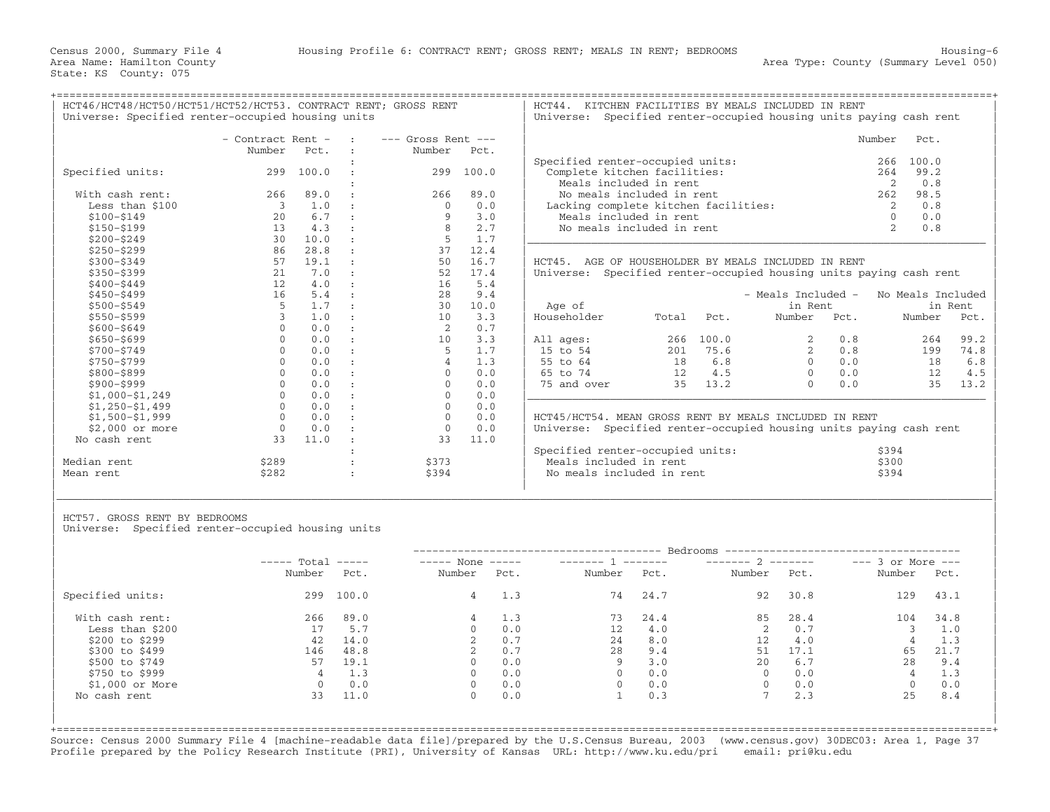+===================================================================================================================================================+HCT46/HCT48/HCT50/HCT51/HCT52/HCT53. CONTRACT RENT; GROSS RENT

Universe: Specified renter-occupied housing units | | | - Contract Rent - : −−− Gross Rent -−− Number Pct. : Number Pct. | : | Specified renter−occupied units: 266 100.0 | | Specified units: 299 100.0 : 299 100.0 | Complete kitchen facilities: 264 99.2 | | : | Meals included in rent 2 0.8 | | With cash rent: 266 89.0 : 266 89.0 | No meals included in rent 262 98.5 | | Less than \$100 3 1.0 : 0 0.0 | Lacking complete kitchen facilities: 2 0.8 | | \$100−\$149 20 6.7 : 9 3.0 | Meals included in rent 0 0.0 | | \$150−\$199 13 4.3 : 8 2.7 | No meals included in rent 2 0.8 | | \$200−\$249 30 10.0 : 5 1.7 |\_\_\_\_\_\_\_\_\_\_\_\_\_\_\_\_\_\_\_\_\_\_\_\_\_\_\_\_\_\_\_\_\_\_\_\_\_\_\_\_\_\_\_\_\_\_\_\_\_\_\_\_\_\_\_\_\_\_\_\_\_\_\_\_\_\_\_\_\_\_\_\_ | | \$250−\$299 86 28.8 : 37 12.4 | | | \$300−\$349 57 19.1 : 50 16.7 | HCT45. AGE OF HOUSEHOLDER BY MEALS INCLUDED IN RENT | | \$350−\$399 21 7.0 : 52 17.4 | Universe: Specified renter−occupied housing units paying cash rent | | \$400−\$449 12 4.0 : 16 5.4 | | | \$450−\$499 16 5.4 : 28 9.4 | − Meals Included − No Meals Included | | \$500−\$549 5 1.7 : 30 10.0 | Age of in Rent in Rent | | \$550−\$599 3 1.0 : 10 3.3 | Householder Total Pct. Number Pct. Number Pct. | | \$600−\$649 0 0.0 : 2 0.7 | | | \$650−\$699 0 0.0 : 10 3.3 | All ages: 266 100.0 2 0.8 264 99.2 | | \$700−\$749 0 0.0 : 5 1.7 | 15 to 54 201 75.6 2 0.8 199 74.8 | | \$750−\$799 0 0.0 : 4 1.3 | 55 to 64 18 6.8 0 0.0 18 6.8 | | \$800−\$899 0 0.0 : 0 0.0 | 65 to 74 12 4.5 0 0.0 12 4.5 | | \$900−\$999 0 0.0 : 0 0.0 | 75 and over 35 13.2 0 0.0 35 13.2 | | \$1,000−\$1,249 0 0.0 : 0 0.0 |\_\_\_\_\_\_\_\_\_\_\_\_\_\_\_\_\_\_\_\_\_\_\_\_\_\_\_\_\_\_\_\_\_\_\_\_\_\_\_\_\_\_\_\_\_\_\_\_\_\_\_\_\_\_\_\_\_\_\_\_\_\_\_\_\_\_\_\_\_\_\_\_ | | \$1,250−\$1,499 0 0.0 : 0 0.0 | | | \$1,500−\$1,999 0 0.0 : 0 0.0 | HCT45/HCT54. MEAN GROSS RENT BY MEALS INCLUDED IN RENT | | \$2,000 or more 0 0.0 : 0 0.0 | Universe: Specified renter−occupied housing units paying cash rent | | No cash rent 33 11.0 : 33 11.0 | | | specified renter−occupied units: \$394 | Specified renter−occupied units: \$394 | \$394 | \$394 | \$394 | \$394 | \$ | Median rent \$289 : \$373 | Meals included in rent \$300 | | Mean rent \$282 : \$394 | No meals included in rent \$394 |

| KITCHEN FACILITIES BY MEALS INCLUDED IN RENT<br>НСТ44.<br>Universe: Specified renter-occupied housing units paying cash rent |        |       |  |
|------------------------------------------------------------------------------------------------------------------------------|--------|-------|--|
|                                                                                                                              | Number | Pct.  |  |
| Specified renter-occupied units:                                                                                             | 266    | 100.0 |  |
| Complete kitchen facilities:                                                                                                 | 264    | 99.2  |  |
| Meals included in rent                                                                                                       |        | 0.8   |  |
| No meals included in rent                                                                                                    | 2.62   | 98.5  |  |
| Lacking complete kitchen facilities:                                                                                         |        | 0.8   |  |
| Meals included in rent                                                                                                       |        | 0.0   |  |
| No meals included in rent                                                                                                    |        | 0.8   |  |

| Age of      |       |       | - Meals Included -<br>in Rent |      | No Meals Included | in Rent |
|-------------|-------|-------|-------------------------------|------|-------------------|---------|
| Householder | Total | Pct.  | Number                        | Pot. | Number            | Pct.    |
|             |       |       |                               |      |                   |         |
| All ages:   | 266   | 100.0 |                               | 0.8  | 264               | 99.2    |
| 15 to 54    | 201   | 75.6  | 2                             | 0.8  | 199               | 74.8    |
| 55 to 64    | 18    | 6.8   | $\Omega$                      | 0.0  | 18                | 6.8     |
| 65 to 74    | 12.   | 4.5   | $\Omega$                      | 0.0  | 12.               | 4.5     |
| 75 and over | 35    | 13.2  |                               | 0.0  | 35                | 13.2    |
|             |       |       |                               |      |                   |         |

|             |       |       | - Specified renter-occupied units: | \$394 |
|-------------|-------|-------|------------------------------------|-------|
| Median rent | \$289 | \$373 | Meals included in rent             | \$300 |
| Mean rent   | \$282 | \$394 | No meals included in rent          | \$394 |
|             |       |       |                                    |       |

HCT57. GROSS RENT BY BEDROOMS

Universe: Specified renter-occupied housing units

|                  | $---$ Total | $\qquad \qquad - - - - -$ | $---$ None | $\qquad \qquad - - - - -$ | ------- 1 | ________ | Bedrooms -----------------<br>$------ 2$ |      | $---$ 3 or More $---$ |      |
|------------------|-------------|---------------------------|------------|---------------------------|-----------|----------|------------------------------------------|------|-----------------------|------|
|                  | Number      | Pct.                      | Number     | Pct.                      | Number    | Pct.     | Number                                   | Pct. | Number                | Pct. |
| Specified units: | 299         | 100.0                     | 4          | 1.3                       | 74        | 24.7     | 92                                       | 30.8 | 129                   | 43.1 |
| With cash rent:  | 266         | 89.0                      | 4          | 1.3                       | 73        | 24.4     | 85                                       | 28.4 | 104                   | 34.8 |
| Less than \$200  | 17          | 5.7                       | $\Omega$   | 0.0                       | 12        | 4.0      | 2                                        | 0.7  |                       | 1.0  |
| \$200 to \$299   | 42          | 14.0                      |            | 0.7                       | 24        | 8.0      | 12                                       | 4.0  |                       | 1.3  |
| \$300 to \$499   | 146         | 48.8                      |            | 0.7                       | 28        | 9.4      | 51                                       | 17.1 | 65                    | 21.7 |
| \$500 to \$749   | 57          | 19.1                      | $\Omega$   | 0.0                       | 9         | 3.0      | 2.0                                      | 6.7  | 2.8                   | 9.4  |
| \$750 to \$999   |             | 1.3                       | $\Omega$   | 0.0                       |           | 0.0      | $\Omega$                                 | 0.0  | 4                     | 1.3  |
| $$1,000$ or More |             | 0.0                       | 0          | 0.0                       |           | 0.0      | $\mathbf{0}$                             | 0.0  | $\mathbf{0}$          | 0.0  |
| No cash rent     | 33          | 11.0                      | $\Omega$   | 0.0                       |           | 0.3      | $\overline{ }$                           | 2.3  | 25                    | 8.4  |

|\_\_\_\_\_\_\_\_\_\_\_\_\_\_\_\_\_\_\_\_\_\_\_\_\_\_\_\_\_\_\_\_\_\_\_\_\_\_\_\_\_\_\_\_\_\_\_\_\_\_\_\_\_\_\_\_\_\_\_\_\_\_\_\_\_\_\_\_\_\_\_\_\_\_\_\_\_\_\_\_\_\_\_\_\_\_\_\_\_\_\_\_\_\_\_\_\_\_\_\_\_\_\_\_\_\_\_\_\_\_\_\_\_\_\_\_\_\_\_\_\_\_\_\_\_\_\_\_\_\_\_\_\_\_\_\_\_\_\_\_\_\_\_\_\_\_\_| | |

+===================================================================================================================================================+Source: Census 2000 Summary File 4 [machine−readable data file]/prepared by the U.S.Census Bureau, 2003 (www.census.gov) 30DEC03: Area 1, Page 37 Profile prepared by the Policy Research Institute (PRI), University of Kansas URL: http://www.ku.edu/pri email: pri@ku.edu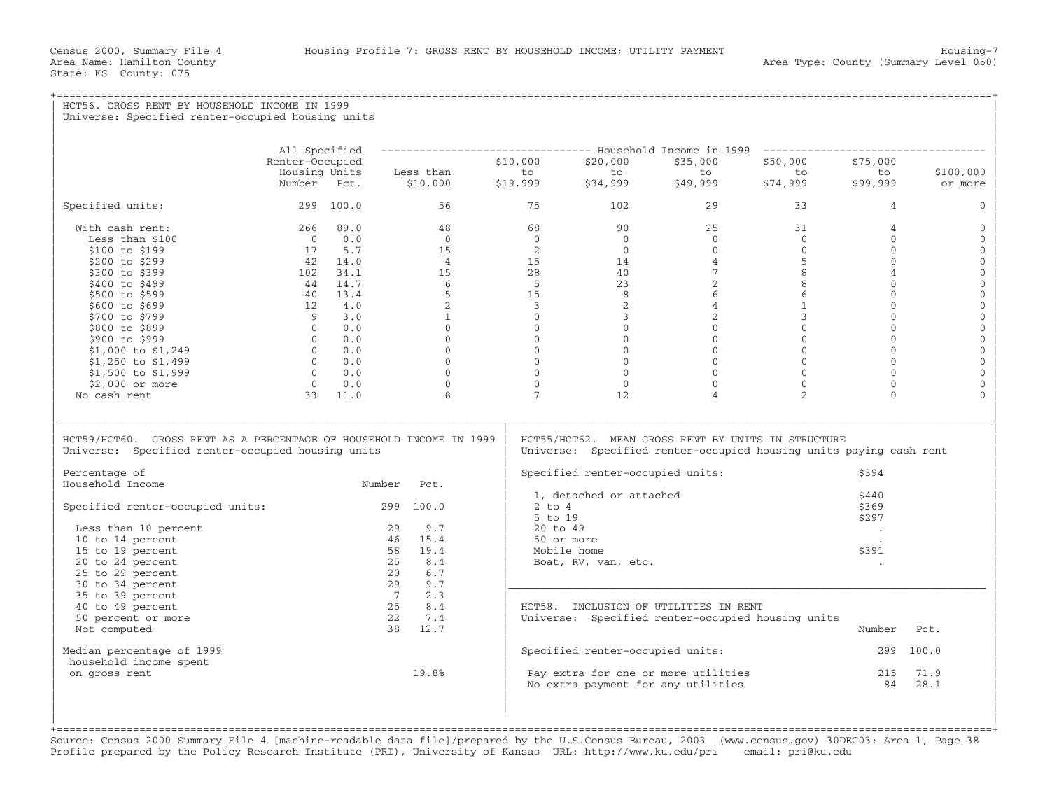## +===================================================================================================================================================+ HCT56. GROSS RENT BY HOUSEHOLD INCOME IN 1999 Universe: Specified renter-occupied housing units | | | | | All Specified −−−−−−−−−−−−−−−−−−−−−−−−−−−−−−−−− Household Income in 1999 −−−−−−−−−−−−−−−−−−−−−−−−−−−−−−−−−−− | | Renter−Occupied \$10,000 \$20,000 \$35,000 \$50,000 \$75,000 | | Housing Units Less than to to to to to \$100,000 | | Number Pct. \$10,000 \$19,999 \$34,999 \$49,999 \$74,999 \$99,999 or more | | | | Specified units: 299 100.0 56 75 102 29 33 4 0 | | | | With cash rent: 266 89.0 48 68 90 25 31 4 0 | | Less than \$100 0 0.0 0 0 0 0 0 0 0 | | \$100 to \$199 17 5.7 15 2 0 0 0 0 0 | | \$200 to \$299 42 14.0 4 15 14 4 5 0 0 | | \$300 to \$399 102 34.1 15 28 40 7 8 4 0 | | \$400 to \$499 44 14.7 6 5 23 2 8 0 0 | | \$500 to \$599 40 13.4 5 15 8 6 6 0 0 | | \$600 to \$699 12 4.0 2 3 2 4 1 0 0 | | \$700 to \$799 9 3.0 1 0 3 2 3 0 0 | | \$800 to \$899 0 0.0 0 0 0 0 0 0 0 | | \$900 to \$999 0 0.0 0 0 0 0 0 0 0 | | \$1,000 to \$1,249 0 0.0 0 0 0 0 0 0 0 | | \$1,250 to \$1,499 0 0.0 0 0 0 0 0 0 0 | | \$1,500 to \$1,999 0 0.0 0 0 0 0 0 0 0 | | \$2,000 or more 0 0.0 0 0 0 0 0 0 0 | | No cash rent 33 11.0 8 7 12 4 2 0 0 | | | |\_\_\_\_\_\_\_\_\_\_\_\_\_\_\_\_\_\_\_\_\_\_\_\_\_\_\_\_\_\_\_\_\_\_\_\_\_\_\_\_\_\_\_\_\_\_\_\_\_\_\_\_\_\_\_\_\_\_\_\_\_\_\_\_\_\_\_\_\_\_\_\_\_\_\_\_\_\_\_\_\_\_\_\_\_\_\_\_\_\_\_\_\_\_\_\_\_\_\_\_\_\_\_\_\_\_\_\_\_\_\_\_\_\_\_\_\_\_\_\_\_\_\_\_\_\_\_\_\_\_\_\_\_\_\_\_\_\_\_\_\_\_\_\_\_\_\_| | | | HCT59/HCT60. GROSS RENT AS A PERCENTAGE OF HOUSEHOLD INCOME IN 1999 | HCT55/HCT62. MEAN GROSS RENT BY UNITS IN STRUCTURE<br>Universe: Specified renter-occupied housing units | Universe: Specified renter-occupied housing units Universe: Specified renter-occupied housing units paying cash rent | | | Percentage of | Specified renter-occupied units: \$394 | Specified renter-occupied units: \$394<br>Household Income  $\begin{array}{|c|c|c|c|c|}\n \hline\n \text{Number} & \text{Pct.} & \text{J} & \text{detached} & \text{or attached} & \text{or} & \text{c} & \text{c} & \text{d} & \text{d} & \text{d} & \text{d} & \text{d} & \text{d} & \text{d} & \text{d} & \text{d} & \text{d} & \text{d} & \text{d} & \text{d} & \text{d} & \text{d} & \text{d} & \text{d} & \text{d} & \text{d} & \text{d} & \text{d} & \text{d} & \text{d} & \text{d} & \$ | | 1, detached or attached \$440 | | Specified renter−occupied units: 299 100.0 | 2 to 4 \$369 |  $\vert$  5 to 19  $\vert$  5 to 19  $\vert$  5 to 19  $\vert$  5 to 19  $\vert$  5 to 19  $\vert$  5 to 19  $\vert$  5 to 19  $\vert$  5 to 19  $\vert$  5 to 19  $\vert$  5 to 19  $\vert$  5 to 19  $\vert$  5 to 19  $\vert$  5 to 19  $\vert$  5 to 19  $\vert$  5 to 19  $\vert$  5 to 19  $\vert$  5 to 19  $\vert$  Less than 10 percent  $\vert$  29 9.7  $\vert$  20 to 49 .  $\vert$  20 to 49 .  $\vert$  . |  $10$  to 14 percent  $46$  15.4 | 50 or more  $\qquad \qquad$  . | 15 to 19 percent 58 19.4 | Mobile home \$391 | | 20 to 24 percent 25 8.4 | Boat, RV, van, etc. . | | 25 to 29 percent 20 6.7 | | | 30 to 34 percent 29 9.7 |\_\_\_\_\_\_\_\_\_\_\_\_\_\_\_\_\_\_\_\_\_\_\_\_\_\_\_\_\_\_\_\_\_\_\_\_\_\_\_\_\_\_\_\_\_\_\_\_\_\_\_\_\_\_\_\_\_\_\_\_\_\_\_\_\_\_\_\_\_\_\_\_\_\_\_ |  $\begin{array}{ccccccc} & 35 & \text{to} & 39 & \text{percent} & & 7 & 2.3 & & \end{array}$  $\vert$  40 to 49 percent  $\vert$  25  $\vert$  8.4  $\vert$  HCT58. INCLUSION OF UTILITIES IN RENT  $\vert$ | 50 percent or more 22 7.4 | Universe: Specified renter−occupied housing units | | Not computed 38 12.7 | Number Pct. | | | | | Median percentage of 1999 | Specified renter−occupied units: 299 100.0 | | household income spent | |  $\vert$  on gross rent  $\vert$  215  $\vert$  71.9  $\vert$  19.8%  $\vert$  Pay extra for one or more utilities  $\vert$  215  $\vert$  71.9  $\vert$  $\vert$  No extra payment for any utilities  $\rvert$  84 28.1  $\vert$ | | | | | | | |

+===================================================================================================================================================+Source: Census 2000 Summary File 4 [machine−readable data file]/prepared by the U.S.Census Bureau, 2003 (www.census.gov) 30DEC03: Area 1, Page 38 Profile prepared by the Policy Research Institute (PRI), University of Kansas URL: http://www.ku.edu/pri email: pri@ku.edu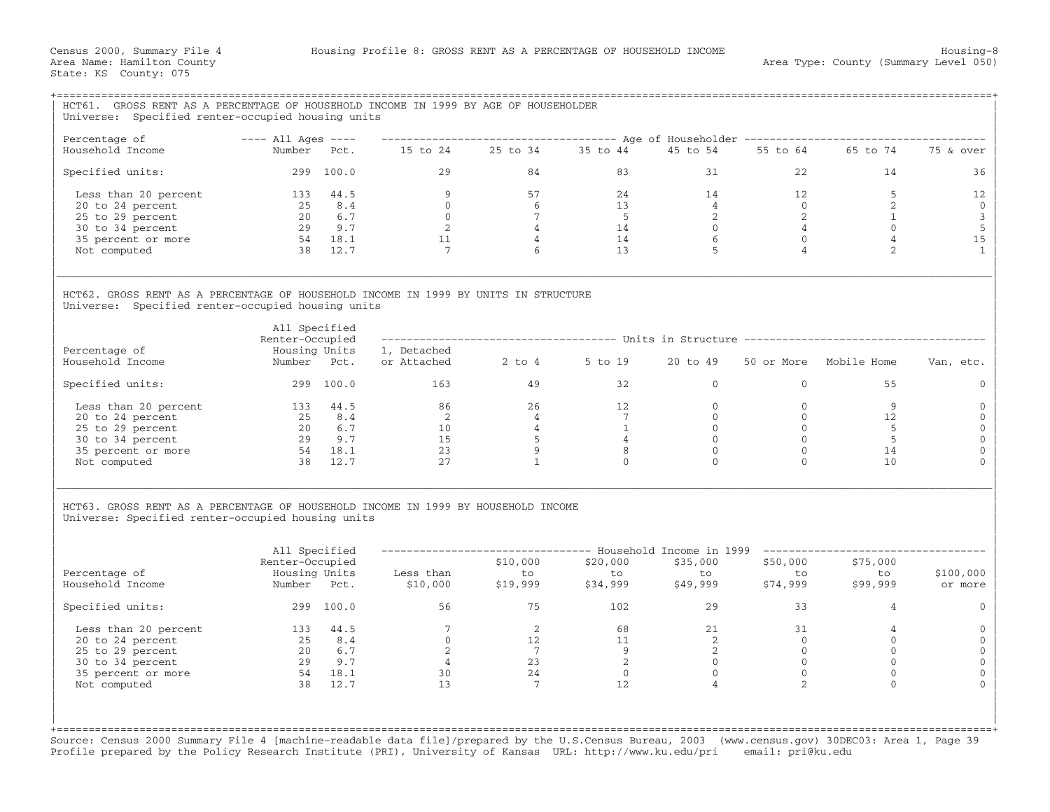| HCT61. GROSS RENT AS A PERCENTAGE OF HOUSEHOLD INCOME IN 1999 BY AGE OF HOUSEHOLDER<br>Universe: Specified renter-occupied housing units                                    |                                                   |           |                                                     |                                                                                        |                                                                              |                |                                  |                            |                   |  |  |  |
|-----------------------------------------------------------------------------------------------------------------------------------------------------------------------------|---------------------------------------------------|-----------|-----------------------------------------------------|----------------------------------------------------------------------------------------|------------------------------------------------------------------------------|----------------|----------------------------------|----------------------------|-------------------|--|--|--|
| Percentage of                                                                                                                                                               | $---$ All Ages $---$                              |           |                                                     | ------------------------------------ Age of Householder ------------------------------ |                                                                              |                |                                  |                            |                   |  |  |  |
| Household Income                                                                                                                                                            | Number Pct.                                       |           |                                                     |                                                                                        | 15 to 24 25 to 34 35 to 44                                                   | 45 to 54       | 55 to 64                         | 65 to 74                   | 75 & over         |  |  |  |
| Specified units:                                                                                                                                                            |                                                   | 299 100.0 | 29                                                  | 84                                                                                     | 83                                                                           | 31             | 22                               | 14                         | 36                |  |  |  |
| Less than 20 percent                                                                                                                                                        |                                                   | 133 44.5  | 9                                                   | 57                                                                                     | 24                                                                           | 14             | 12                               | 5                          | 12                |  |  |  |
| 20 to 24 percent                                                                                                                                                            |                                                   | 25 8.4    | $\overline{0}$                                      | 6 —                                                                                    | 13                                                                           | $\overline{4}$ | $\overline{0}$                   | $\overline{2}$             | $\mathbf 0$       |  |  |  |
| 25 to 29 percent                                                                                                                                                            |                                                   | 20 6.7    |                                                     | $7\overline{ }$                                                                        | $5 - 5$                                                                      |                | $\overline{\phantom{a}}$         | $\mathbf{1}$               | $\mathsf 3$       |  |  |  |
| 30 to 34 percent                                                                                                                                                            |                                                   | 29 9.7    |                                                     | $\overline{4}$                                                                         | $\frac{5}{14}$                                                               | $\frac{4}{2}$  | $\overline{4}$                   | $\Omega$                   | $\mathsf S$       |  |  |  |
| 35 percent or more                                                                                                                                                          |                                                   |           |                                                     | $\overline{4}$                                                                         | 14                                                                           | 6              | $\overline{0}$                   | $\overline{4}$             | 15                |  |  |  |
| Not computed                                                                                                                                                                | 54 18.1<br>38 12.7                                |           | $\begin{array}{c}0\\2\\11\\7\end{array}$            | 6                                                                                      | 13                                                                           | 5              | $\overline{4}$                   | 2                          | $\mathbf{1}$      |  |  |  |
| HCT62. GROSS RENT AS A PERCENTAGE OF HOUSEHOLD INCOME IN 1999 BY UNITS IN STRUCTURE<br>Universe: Specified renter-occupied housing units                                    | All Specified<br>Renter-Occupied                  |           |                                                     |                                                                                        | ------------------------------------ Units in Structure -------------------- |                |                                  |                            |                   |  |  |  |
| Percentage of                                                                                                                                                               | Housing Units                                     |           | 1, Detached                                         |                                                                                        |                                                                              |                |                                  |                            |                   |  |  |  |
| Household Income                                                                                                                                                            | Number Pct.                                       |           | or Attached 2 to 4 5 to 19                          |                                                                                        |                                                                              | 20 to 49       |                                  | 50 or More Mobile Home     | Van, etc.         |  |  |  |
| Specified units:                                                                                                                                                            |                                                   | 299 100.0 | 163                                                 | 49                                                                                     | 32                                                                           | $\Omega$       | $\Omega$                         | 55                         | $\Omega$          |  |  |  |
| Less than 20 percent                                                                                                                                                        | 133 44.5                                          |           | 86                                                  | 26                                                                                     | 12                                                                           | $\overline{0}$ | $\mathbf{0}$                     | 9                          | $\Omega$          |  |  |  |
| 20 to 24 percent                                                                                                                                                            |                                                   |           |                                                     |                                                                                        | $7\overline{ }$                                                              | $\overline{0}$ | $\mathbf{0}$                     | 12                         | 0                 |  |  |  |
| 25 to 29 percent                                                                                                                                                            |                                                   |           |                                                     | $\frac{4}{4}$                                                                          | $\overline{1}$                                                               | $\overline{0}$ | $\overline{0}$                   | 5                          | $\Omega$          |  |  |  |
| 30 to 34 percent                                                                                                                                                            |                                                   | 29 9.7    |                                                     | 5 <sup>5</sup>                                                                         | $\overline{4}$                                                               | $\Omega$       | $\Omega$                         | -5                         | $\Omega$          |  |  |  |
| 35 percent or more                                                                                                                                                          | $54$ 18.1                                         |           | $\begin{array}{c}\n 10 \\  15 \\  23\n \end{array}$ | 9                                                                                      | 8                                                                            | $\Omega$       | $\Omega$                         | 14                         | $\Omega$          |  |  |  |
| Not computed                                                                                                                                                                |                                                   | 38 12.7   | 27                                                  | $\mathbf{1}$                                                                           | $\Omega$                                                                     | $\Omega$       | $\Omega$                         | 10                         | $\cap$            |  |  |  |
| HCT63. GROSS RENT AS A PERCENTAGE OF HOUSEHOLD INCOME IN 1999 BY HOUSEHOLD INCOME<br>Universe: Specified renter-occupied housing units<br>Percentage of<br>Household Income | All Specified<br>Renter-Occupied<br>Housing Units |           | Less than<br>$$10,000$ $$19,999$                    | \$10,000<br>to                                                                         | \$20,000<br>to                                                               | \$35,000<br>to | \$50,000<br>to<br>to<br>\$74,999 | \$75,000<br>to             | \$100,000         |  |  |  |
|                                                                                                                                                                             | Number Pct.                                       |           |                                                     |                                                                                        | \$34,999                                                                     | \$49,999       |                                  | \$99,999                   | or more           |  |  |  |
| Specified units:                                                                                                                                                            |                                                   | 299 100.0 | 56                                                  | 75                                                                                     | 102                                                                          | 29             | 33                               | $\overline{4}$             | $\Omega$          |  |  |  |
| Less than 20 percent                                                                                                                                                        | 133 44.5                                          | 25 8.4    | $7\overline{ }$<br>$\overline{0}$                   | 2<br>12                                                                                | 68<br>11                                                                     | 21<br>2        | 31<br>$\bigcirc$                 | $\overline{4}$<br>$\Omega$ | 0<br>$\mathbf{0}$ |  |  |  |
| 20 to 24 percent                                                                                                                                                            |                                                   | 20 6.7    | $\overline{\phantom{a}}$                            | $\overline{7}$                                                                         | 9                                                                            | $\overline{2}$ | $\overline{0}$                   | $\mathbf{0}$               | $\mathbf{0}$      |  |  |  |
| 25 to 29 percent                                                                                                                                                            |                                                   |           |                                                     |                                                                                        |                                                                              |                |                                  |                            |                   |  |  |  |
| 30 to 34 percent                                                                                                                                                            |                                                   | 29 9.7    | $\overline{4}$                                      | 23                                                                                     | $\overline{\phantom{a}}$                                                     | $\overline{0}$ | $\overline{0}$                   | $\mathbf{0}$               | $\Omega$          |  |  |  |
| 35 percent or more                                                                                                                                                          | 54 18.1                                           |           | 30                                                  | 24                                                                                     | $\overline{0}$                                                               | $\Omega$       | $\overline{0}$                   | $\mathbf{0}$               | $\Omega$          |  |  |  |
| Not computed                                                                                                                                                                |                                                   | 38 12.7   | 13                                                  | $\overline{7}$                                                                         | 12                                                                           | $\overline{4}$ | $\overline{2}$                   | $\Omega$                   |                   |  |  |  |
|                                                                                                                                                                             |                                                   |           |                                                     |                                                                                        |                                                                              |                |                                  |                            |                   |  |  |  |

Source: Census 2000 Summary File 4 [machine−readable data file]/prepared by the U.S.Census Bureau, 2003 (www.census.gov) 30DEC03: Area 1, Page 39 Profile prepared by the Policy Research Institute (PRI), University of Kansas URL: http://www.ku.edu/pri email: pri@ku.edu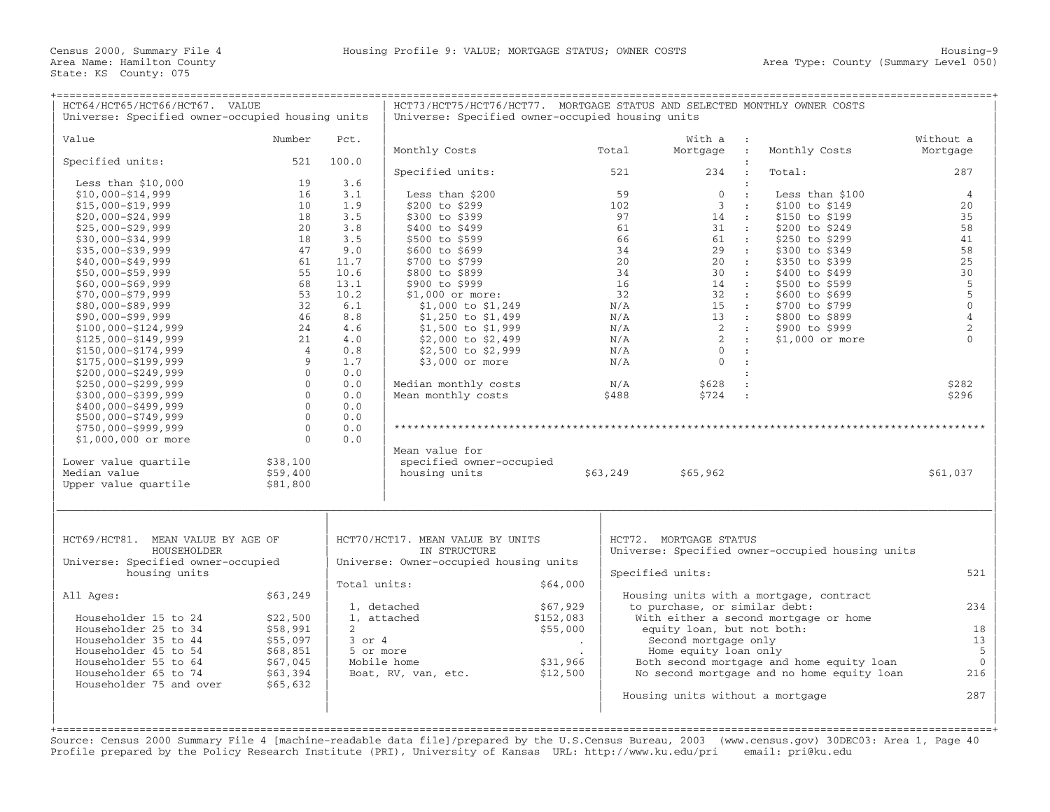| HCT64/HCT65/HCT66/HCT67. VALUE<br>Universe: Specified owner-occupied housing units |                |                | Universe: Specified owner-occupied housing units |                      |          |                                  | HCT73/HCT75/HCT76/HCT77. MORTGAGE STATUS AND SELECTED MONTHLY OWNER COSTS |                |
|------------------------------------------------------------------------------------|----------------|----------------|--------------------------------------------------|----------------------|----------|----------------------------------|---------------------------------------------------------------------------|----------------|
| Value                                                                              | Number         | Pct.           |                                                  |                      |          | With a :                         |                                                                           | Without a      |
|                                                                                    |                |                | Monthly Costs                                    |                      | Total    | Mortgage :                       | Monthly Costs                                                             | Mortgage       |
| Specified units:                                                                   | 521            | 100.0          | Specified units:                                 |                      | 521      | 234<br>$\mathbf{r}$              | Total:                                                                    | 287            |
| Less than $$10,000$                                                                | 19             | 3.6            |                                                  |                      |          | $\cdot$                          |                                                                           |                |
| $$10,000 - $14,999$                                                                | 16             | 3.1            | Less than \$200                                  |                      | 59       | $\Omega$<br>$\cdot$              | Less than \$100                                                           | $\overline{4}$ |
| $$15,000 - $19,999$                                                                | 10             | 1.9            | \$200 to \$299                                   |                      | 102      | 3<br>$\mathbf{r}$                | \$100 to \$149                                                            | 20             |
| $$20,000 - $24,999$                                                                | 18             | 3.5            | \$300 to \$399                                   |                      | 97       | 14<br>$\sim 10$                  | \$150 to \$199                                                            | 35             |
| $$25,000 - $29,999$                                                                | 20             | 3.8            | \$400 to \$499                                   |                      | 61       | 31<br>$\sim 100$                 | \$200 to \$249                                                            | 58             |
| $$30,000 - $34,999$                                                                | 18             | 3.5            | \$500 to \$599                                   |                      | 66       | 61 :                             | \$250 to \$299                                                            | 41             |
| $$35,000 - $39,999$                                                                | 47             | 9.0            | \$600 to \$699                                   |                      | 34       | 29<br>$\sim 100$                 | \$300 to \$349                                                            | 58             |
| $$40,000 - $49,999$                                                                | 61             | 11.7           | \$700 to \$799                                   |                      | 20       | 20<br>$\sim$ 100 $\pm$           | \$350 to \$399                                                            | 25             |
| $$50,000 - $59,999$                                                                | 55             | 10.6           | \$800 to \$899                                   |                      | 34       | 30<br>$\sim$ 100 $\pm$           | \$400 to \$499                                                            | 30             |
| $$60,000 - $69,999$                                                                | 68             | 13.1           | \$900 to \$999                                   |                      | 16       | $14$ :                           | \$500 to \$599                                                            | $\overline{5}$ |
| $$70,000 - $79,999$                                                                | 53             | 10.2           | $$1,000$ or more:                                |                      | 32       | 32<br>$\sim$ 100                 | \$600 to \$699                                                            | 5              |
| \$80,000-\$89,999                                                                  | 32             | 6.1            | \$1,000 to \$1,249                               |                      | N/A      | 1.5<br>$\sim$ 100                | \$700 to \$799                                                            | $\mathbf{0}$   |
| $$90,000 - $99,999$                                                                | 46             | 8.8            | \$1,250 to \$1,499                               |                      | N/A      | $13$ :                           | \$800 to \$899                                                            | $\overline{4}$ |
| \$100,000-\$124,999                                                                | 24             | 4.6            | $$1,500$ to $$1,999$                             |                      | N/A      | 2<br>$\sim$ 100                  | \$900 to \$999                                                            | $\overline{a}$ |
| \$125,000-\$149,999                                                                | 21             | 4.0            | \$2,000 to \$2,499                               |                      | N/A      | $\overline{2}$<br>$\sim$ 100     | \$1,000 or more                                                           | $\Omega$       |
| \$150,000-\$174,999                                                                | $\overline{4}$ | 0.8            | \$2,500 to \$2,999                               |                      | N/A      | $\Omega$<br>$\sim$ 1.            |                                                                           |                |
| $$175,000 - $199,999$                                                              | 9              | 1.7            | \$3,000 or more                                  |                      | N/A      | $\Omega$<br>$\mathbf{r}$         |                                                                           |                |
| $$200,000 - $249,999$                                                              | $\mathbf{0}$   | 0.0            |                                                  |                      |          |                                  | $\mathbf{r}$                                                              |                |
| $$250,000 - $299,999$                                                              | $\mathbf{0}$   | 0.0            | Median monthly costs                             |                      | N/A      | \$628<br>$\cdot$ .               |                                                                           | \$282          |
| $$300,000 - $399,999$                                                              | $\Omega$       | 0.0            | Mean monthly costs                               |                      | \$488    | \$724<br>$\sim$ 1                |                                                                           | \$296          |
| \$400,000-\$499,999                                                                | $\mathbf{0}$   | 0.0            |                                                  |                      |          |                                  |                                                                           |                |
| \$500,000-\$749,999                                                                | $\Omega$       | 0.0            |                                                  |                      |          |                                  |                                                                           |                |
| \$750,000-\$999,999                                                                | $\Omega$       | 0.0            |                                                  |                      |          |                                  |                                                                           |                |
| \$1,000,000 or more                                                                | $\mathbf{0}$   | 0.0            |                                                  |                      |          |                                  |                                                                           |                |
|                                                                                    |                |                | Mean value for                                   |                      |          |                                  |                                                                           |                |
| Lower value quartile                                                               | \$38,100       |                | specified owner-occupied                         |                      |          |                                  |                                                                           |                |
| Median value                                                                       | \$59,400       |                | housing units                                    |                      | \$63,249 | \$65,962                         |                                                                           | \$61,037       |
| Upper value quartile                                                               | \$81,800       |                |                                                  |                      |          |                                  |                                                                           |                |
| HCT69/HCT81. MEAN VALUE BY AGE OF                                                  |                |                | HCT70/HCT17. MEAN VALUE BY UNITS                 |                      |          | HCT72. MORTGAGE STATUS           |                                                                           |                |
| HOUSEHOLDER                                                                        |                |                | IN STRUCTURE                                     |                      |          |                                  | Universe: Specified owner-occupied housing units                          |                |
| Universe: Specified owner-occupied                                                 |                |                | Universe: Owner-occupied housing units           |                      |          |                                  |                                                                           |                |
| housing units                                                                      |                |                |                                                  |                      |          | Specified units:                 |                                                                           | 521            |
|                                                                                    |                | Total units:   |                                                  | \$64,000             |          |                                  |                                                                           |                |
| All Ages:                                                                          | \$63,249       |                |                                                  |                      |          |                                  | Housing units with a mortgage, contract                                   |                |
|                                                                                    |                |                | 1, detached                                      | \$67,929             |          | to purchase, or similar debt:    |                                                                           | 234            |
| Householder 15 to 24                                                               | \$22,500       |                | 1, attached                                      | \$152,083            |          |                                  | With either a second mortgage or home                                     |                |
| Householder 25 to 34                                                               | \$58,991       | $\overline{2}$ |                                                  | \$55,000             |          | equity loan, but not both:       |                                                                           | 18             |
| Householder 35 to 44                                                               | \$55,097       | $3$ or $4$     |                                                  | $\bullet$            |          | Second mortgage only             |                                                                           | 13             |
| Householder 45 to 54                                                               | \$68,851       | 5 or more      |                                                  | $\ddot{\phantom{a}}$ |          | Home equity loan only            |                                                                           | 5              |
| Householder 55 to 64                                                               | \$67,045       |                | Mobile home                                      | \$31,966             |          |                                  | Both second mortgage and home equity loan                                 | $\mathbf 0$    |
| Householder 65 to 74                                                               | \$63,394       |                | Boat, RV, van, etc.                              | \$12,500             |          |                                  | No second mortgage and no home equity loan                                | 216            |
| Householder 75 and over                                                            | \$65,632       |                |                                                  |                      |          |                                  |                                                                           |                |
|                                                                                    |                |                |                                                  |                      |          | Housing units without a mortgage |                                                                           | 287            |
|                                                                                    |                |                |                                                  |                      |          |                                  |                                                                           |                |

+===================================================================================================================================================+ Source: Census 2000 Summary File 4 [machine−readable data file]/prepared by the U.S.Census Bureau, 2003 (www.census.gov) 30DEC03: Area 1, Page 40 Profile prepared by the Policy Research Institute (PRI), University of Kansas URL: http://www.ku.edu/pri email: pri@ku.edu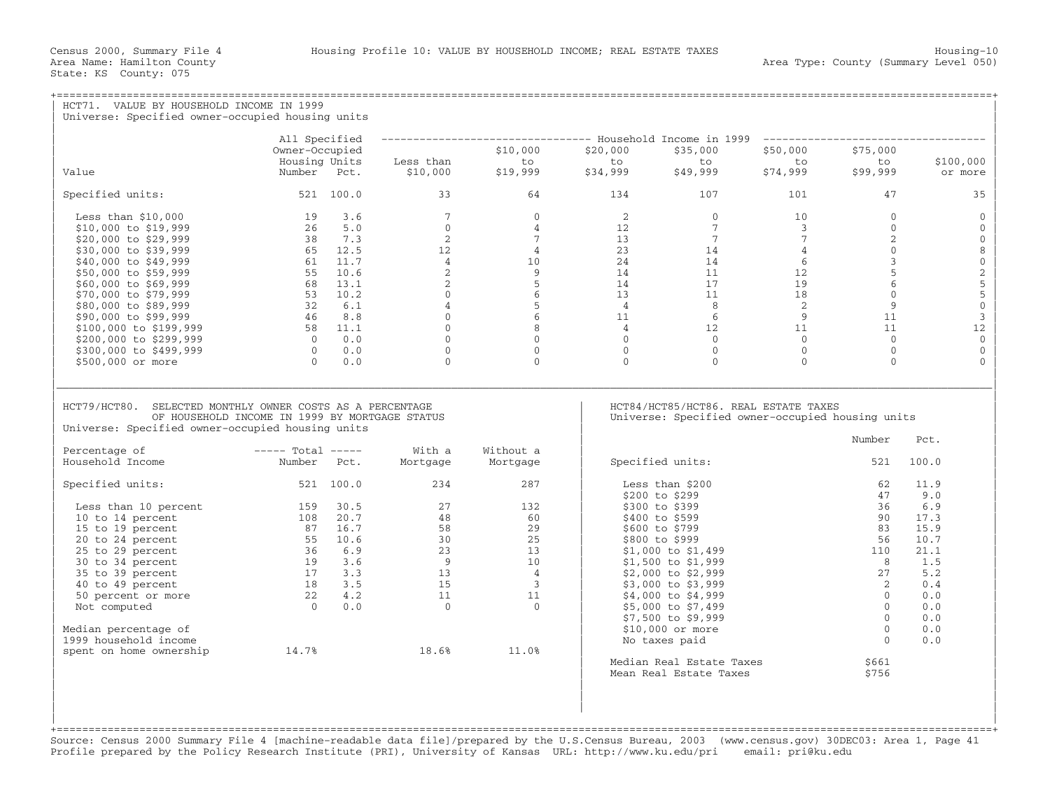| HCT71. VALUE BY HOUSEHOLD INCOME IN 1999<br>Universe: Specified owner-occupied housing units                                   |                                                                                                                                                                                                       |                                                          |                                                                 |                                                                                    |                                                                                          |                                                                                             |                 |                                                 |  |  |
|--------------------------------------------------------------------------------------------------------------------------------|-------------------------------------------------------------------------------------------------------------------------------------------------------------------------------------------------------|----------------------------------------------------------|-----------------------------------------------------------------|------------------------------------------------------------------------------------|------------------------------------------------------------------------------------------|---------------------------------------------------------------------------------------------|-----------------|-------------------------------------------------|--|--|
|                                                                                                                                |                                                                                                                                                                                                       |                                                          |                                                                 | -------------------------------- Household Income in 1999 ------------------------ |                                                                                          |                                                                                             |                 |                                                 |  |  |
|                                                                                                                                | All Specified                                                                                                                                                                                         |                                                          |                                                                 |                                                                                    |                                                                                          |                                                                                             |                 |                                                 |  |  |
|                                                                                                                                | Owner-Occupied                                                                                                                                                                                        |                                                          | \$10,000                                                        | \$20,000                                                                           | \$35,000                                                                                 | \$50,000                                                                                    | \$75,000        |                                                 |  |  |
| Value                                                                                                                          | Housing Units<br>Number Pct.                                                                                                                                                                          | Less than<br>\$10,000                                    |                                                                 |                                                                                    | to<br>\$49,999                                                                           | to<br>\$74,999 \$9                                                                          | to<br>\$99,999  | \$100,000<br>or more                            |  |  |
|                                                                                                                                |                                                                                                                                                                                                       |                                                          |                                                                 |                                                                                    |                                                                                          |                                                                                             |                 |                                                 |  |  |
| Specified units: 521 100.0                                                                                                     |                                                                                                                                                                                                       | 33                                                       | 64                                                              | 134                                                                                | 107                                                                                      | 101                                                                                         | 47              | 35                                              |  |  |
| Less than $$10,000$                                                                                                            | 19 3.6                                                                                                                                                                                                |                                                          | $\begin{array}{c} 7 \\ 0 \\ 2 \end{array}$<br>$0 \qquad \qquad$ | 2                                                                                  | $\overline{0}$                                                                           | 10                                                                                          | $\overline{0}$  | $\mathbf{0}$                                    |  |  |
| \$10,000 to \$19,999                                                                                                           | 26 5.0                                                                                                                                                                                                |                                                          | $4\overline{ }$                                                 | 12                                                                                 | $7^{\circ}$                                                                              | $\overline{\mathbf{3}}$                                                                     | $\Omega$        | $\mathbf{0}$                                    |  |  |
| \$20,000 to \$29,999                                                                                                           | 38 7.3                                                                                                                                                                                                |                                                          | $\begin{array}{c} 7 \\ 4 \\ 10 \end{array}$                     | 13                                                                                 | 7                                                                                        | 7                                                                                           | $\overline{2}$  | $\mathbf 0$                                     |  |  |
| \$30,000 to \$39,999                                                                                                           |                                                                                                                                                                                                       | 12                                                       |                                                                 | 23                                                                                 |                                                                                          | $\overline{4}$                                                                              | $\overline{0}$  | 8                                               |  |  |
| \$40,000 to \$49,999                                                                                                           |                                                                                                                                                                                                       | $\overline{4}$                                           |                                                                 | 24                                                                                 |                                                                                          | 6                                                                                           | $\mathbf{3}$    | $\mathsf{O}\xspace$                             |  |  |
| \$50,000 to \$59,999                                                                                                           |                                                                                                                                                                                                       | 2                                                        |                                                                 | 14                                                                                 |                                                                                          | 12                                                                                          | 5 <sup>1</sup>  |                                                 |  |  |
| \$60,000 to \$69,999                                                                                                           |                                                                                                                                                                                                       |                                                          |                                                                 | 14                                                                                 |                                                                                          | 19                                                                                          | $6\overline{6}$ |                                                 |  |  |
| \$70,000 to \$79,999                                                                                                           |                                                                                                                                                                                                       |                                                          | $\frac{9}{5}$ 6                                                 | 13                                                                                 |                                                                                          | 18                                                                                          | $\Omega$        | $\begin{array}{c} 2 \\ 5 \\ 5 \\ 0 \end{array}$ |  |  |
| \$80,000 to \$89,999                                                                                                           |                                                                                                                                                                                                       |                                                          |                                                                 | 4                                                                                  |                                                                                          | 2<br>9                                                                                      | 9               | $\mathbf{3}$                                    |  |  |
| \$90,000 to \$99,999                                                                                                           |                                                                                                                                                                                                       |                                                          | $\begin{bmatrix} 6 \\ 8 \\ 0 \end{bmatrix}$                     | 11                                                                                 | $\frac{14}{14}$<br>$\frac{14}{17}$<br>$\frac{17}{8}$<br>$\frac{6}{12}$                   | $\begin{array}{ccc} 6 & & & & 1 \\ 12 & & & & 11 \\ 0 & & & & 0 \\ 0 & & & & 0 \end{array}$ | 11              |                                                 |  |  |
| \$100,000 to \$199,999                                                                                                         |                                                                                                                                                                                                       |                                                          |                                                                 | $4\overline{4}$<br>$\overline{0}$                                                  |                                                                                          |                                                                                             | 11<br>$\Omega$  | 12<br>$\overline{0}$                            |  |  |
| \$200,000 to \$299,999<br>\$300,000 to \$499,999                                                                               |                                                                                                                                                                                                       |                                                          | $\Omega$                                                        | $\overline{0}$                                                                     | $\overline{0}$                                                                           | $\overline{0}$                                                                              | $\overline{0}$  | $\mathbf{0}$                                    |  |  |
| \$500,000 or more                                                                                                              | $\begin{array}{ccc} 38 & 7.3 \\ 65 & 12.5 \\ 61 & 11.7 \\ 55 & 10.6 \\ 68 & 13.1 \\ 53 & 10.2 \\ 32 & 6.1 \\ 46 & 8.8 \\ 58 & 11.1 \\ 0 & 0.0 \\ 0 & 0.0 \\ 0 & 0.0 \\ \end{array}$<br>$0 \qquad 0.0$ | $\Omega$                                                 | $\Omega$                                                        | $\Omega$                                                                           | $\Omega$                                                                                 | $\Omega$                                                                                    | $\Omega$        | $\Omega$                                        |  |  |
| HCT79/HCT80. SELECTED MONTHLY OWNER COSTS AS A PERCENTAGE<br>Universe: Specified owner-occupied housing units<br>Percentage of | $---$ Total $---$                                                                                                                                                                                     | OF HOUSEHOLD INCOME IN 1999 BY MORTGAGE STATUS<br>With a | Without a                                                       |                                                                                    | HCT84/HCT85/HCT86. REAL ESTATE TAXES<br>Universe: Specified owner-occupied housing units |                                                                                             | Number          | Pct.                                            |  |  |
| Household Income                                                                                                               | Number Pct.                                                                                                                                                                                           | Mortgage                                                 | Mortgage                                                        |                                                                                    | Specified units:                                                                         |                                                                                             | 521             | 100.0                                           |  |  |
| Specified units:                                                                                                               | $521$ 100.0                                                                                                                                                                                           | 234                                                      | 287                                                             |                                                                                    | Less than \$200<br>\$200 to \$299                                                        |                                                                                             | 62<br>47        | 11.9<br>9.0                                     |  |  |
| Less than 10 percent                                                                                                           | 159 30.5                                                                                                                                                                                              | 27                                                       | 132                                                             |                                                                                    | \$300 to \$399                                                                           |                                                                                             | 36              | 6.9                                             |  |  |
| 10 to 14 percent                                                                                                               | 108 20.7                                                                                                                                                                                              | 48                                                       | 60                                                              |                                                                                    | \$400 to \$599                                                                           |                                                                                             | 90              | 17.3                                            |  |  |
| 15 to 19 percent                                                                                                               | 87 16.7                                                                                                                                                                                               | 58                                                       | 29                                                              |                                                                                    | \$600 to \$799                                                                           |                                                                                             | 83              | 15.9                                            |  |  |
| 20 to 24 percent                                                                                                               |                                                                                                                                                                                                       | 30                                                       | 25                                                              |                                                                                    | \$800 to \$999                                                                           |                                                                                             | 56              | 10.7                                            |  |  |
| 25 to 29 percent                                                                                                               | $\begin{array}{cccc} 87 & 16.7 \ 55 & 10.6 \ 36 & 6.9 \ 19 & 3.6 \ 17 & 3.3 \ 18 & 3.5 \ 22 & 4.2 \ 0 & 0.0 \end{array}$                                                                              | 23                                                       | 13                                                              |                                                                                    | \$1,000 to \$1,499                                                                       |                                                                                             | 110             | 21.1                                            |  |  |
| 30 to 34 percent                                                                                                               |                                                                                                                                                                                                       | $\begin{array}{c} 9 \\ 13 \\ 15 \\ 11 \\ 0 \end{array}$  | 10                                                              |                                                                                    | \$1,500 to \$1,999                                                                       |                                                                                             | 8               | 1.5                                             |  |  |
| 35 to 39 percent                                                                                                               |                                                                                                                                                                                                       |                                                          | $\overline{4}$                                                  |                                                                                    | \$2,000 to \$2,999                                                                       |                                                                                             | 27              | 5.2                                             |  |  |
| 40 to 49 percent                                                                                                               |                                                                                                                                                                                                       |                                                          | $\overline{\mathbf{3}}$                                         |                                                                                    | \$3,000 to \$3,999                                                                       |                                                                                             | 2               | 0.4                                             |  |  |
| $40$ to $42$ $50$ percent or more                                                                                              |                                                                                                                                                                                                       |                                                          | 11                                                              |                                                                                    | \$4,000 to \$4,999                                                                       |                                                                                             | $\Omega$        | 0.0                                             |  |  |
|                                                                                                                                | $0 \qquad 0.0$                                                                                                                                                                                        |                                                          | $\Omega$                                                        |                                                                                    | \$5,000 to \$7,499                                                                       |                                                                                             | $\Omega$        | 0.0                                             |  |  |
|                                                                                                                                |                                                                                                                                                                                                       |                                                          |                                                                 |                                                                                    | \$7,500 to \$9,999                                                                       |                                                                                             | $\Omega$        | 0.0                                             |  |  |
| Median percentage of                                                                                                           |                                                                                                                                                                                                       |                                                          |                                                                 |                                                                                    | \$10,000 or more                                                                         |                                                                                             | $\overline{0}$  | 0.0                                             |  |  |
| 1999 household income<br>spent on home ownership                                                                               | 14.7%                                                                                                                                                                                                 | 18.6%                                                    | 11.0%                                                           |                                                                                    | No taxes paid                                                                            |                                                                                             | $\Omega$        | 0.0                                             |  |  |
|                                                                                                                                |                                                                                                                                                                                                       |                                                          |                                                                 |                                                                                    | Median Real Estate Taxes<br>Mean Real Estate Taxes                                       |                                                                                             | \$661<br>\$756  |                                                 |  |  |
|                                                                                                                                |                                                                                                                                                                                                       |                                                          |                                                                 |                                                                                    |                                                                                          |                                                                                             |                 |                                                 |  |  |

+===================================================================================================================================================+ Source: Census 2000 Summary File 4 [machine−readable data file]/prepared by the U.S.Census Bureau, 2003 (www.census.gov) 30DEC03: Area 1, Page 41 Profile prepared by the Policy Research Institute (PRI), University of Kansas URL: http://www.ku.edu/pri email: pri@ku.edu

| |